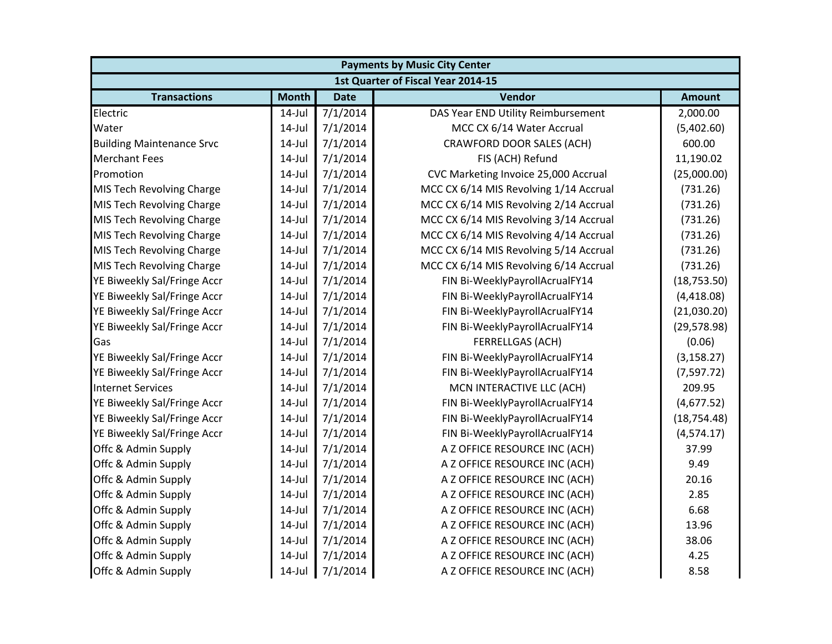| <b>Payments by Music City Center</b> |              |             |                                        |               |  |  |
|--------------------------------------|--------------|-------------|----------------------------------------|---------------|--|--|
|                                      |              |             | 1st Quarter of Fiscal Year 2014-15     |               |  |  |
| <b>Transactions</b>                  | <b>Month</b> | <b>Date</b> | Vendor                                 | <b>Amount</b> |  |  |
| Electric                             | $14$ -Jul    | 7/1/2014    | DAS Year END Utility Reimbursement     | 2,000.00      |  |  |
| Water                                | $14$ -Jul    | 7/1/2014    | MCC CX 6/14 Water Accrual              | (5,402.60)    |  |  |
| <b>Building Maintenance Srvc</b>     | $14$ -Jul    | 7/1/2014    | <b>CRAWFORD DOOR SALES (ACH)</b>       | 600.00        |  |  |
| <b>Merchant Fees</b>                 | $14$ -Jul    | 7/1/2014    | FIS (ACH) Refund                       | 11,190.02     |  |  |
| Promotion                            | $14$ -Jul    | 7/1/2014    | CVC Marketing Invoice 25,000 Accrual   | (25,000.00)   |  |  |
| MIS Tech Revolving Charge            | $14$ -Jul    | 7/1/2014    | MCC CX 6/14 MIS Revolving 1/14 Accrual | (731.26)      |  |  |
| MIS Tech Revolving Charge            | $14$ -Jul    | 7/1/2014    | MCC CX 6/14 MIS Revolving 2/14 Accrual | (731.26)      |  |  |
| MIS Tech Revolving Charge            | $14$ -Jul    | 7/1/2014    | MCC CX 6/14 MIS Revolving 3/14 Accrual | (731.26)      |  |  |
| MIS Tech Revolving Charge            | $14$ -Jul    | 7/1/2014    | MCC CX 6/14 MIS Revolving 4/14 Accrual | (731.26)      |  |  |
| MIS Tech Revolving Charge            | $14$ -Jul    | 7/1/2014    | MCC CX 6/14 MIS Revolving 5/14 Accrual | (731.26)      |  |  |
| MIS Tech Revolving Charge            | $14$ -Jul    | 7/1/2014    | MCC CX 6/14 MIS Revolving 6/14 Accrual | (731.26)      |  |  |
| YE Biweekly Sal/Fringe Accr          | $14$ -Jul    | 7/1/2014    | FIN Bi-WeeklyPayrollAcrualFY14         | (18, 753.50)  |  |  |
| YE Biweekly Sal/Fringe Accr          | $14$ -Jul    | 7/1/2014    | FIN Bi-WeeklyPayrollAcrualFY14         | (4,418.08)    |  |  |
| YE Biweekly Sal/Fringe Accr          | $14$ -Jul    | 7/1/2014    | FIN Bi-WeeklyPayrollAcrualFY14         | (21,030.20)   |  |  |
| YE Biweekly Sal/Fringe Accr          | $14$ -Jul    | 7/1/2014    | FIN Bi-WeeklyPayrollAcrualFY14         | (29, 578.98)  |  |  |
| Gas                                  | $14$ -Jul    | 7/1/2014    | <b>FERRELLGAS (ACH)</b>                | (0.06)        |  |  |
| YE Biweekly Sal/Fringe Accr          | $14$ -Jul    | 7/1/2014    | FIN Bi-WeeklyPayrollAcrualFY14         | (3, 158.27)   |  |  |
| YE Biweekly Sal/Fringe Accr          | $14$ -Jul    | 7/1/2014    | FIN Bi-WeeklyPayrollAcrualFY14         | (7, 597.72)   |  |  |
| <b>Internet Services</b>             | $14$ -Jul    | 7/1/2014    | MCN INTERACTIVE LLC (ACH)              | 209.95        |  |  |
| YE Biweekly Sal/Fringe Accr          | $14$ -Jul    | 7/1/2014    | FIN Bi-WeeklyPayrollAcrualFY14         | (4,677.52)    |  |  |
| YE Biweekly Sal/Fringe Accr          | $14$ -Jul    | 7/1/2014    | FIN Bi-WeeklyPayrollAcrualFY14         | (18, 754.48)  |  |  |
| YE Biweekly Sal/Fringe Accr          | $14$ -Jul    | 7/1/2014    | FIN Bi-WeeklyPayrollAcrualFY14         | (4,574.17)    |  |  |
| Offc & Admin Supply                  | $14$ -Jul    | 7/1/2014    | A Z OFFICE RESOURCE INC (ACH)          | 37.99         |  |  |
| Offc & Admin Supply                  | $14$ -Jul    | 7/1/2014    | A Z OFFICE RESOURCE INC (ACH)          | 9.49          |  |  |
| Offc & Admin Supply                  | $14$ -Jul    | 7/1/2014    | A Z OFFICE RESOURCE INC (ACH)          | 20.16         |  |  |
| Offc & Admin Supply                  | $14$ -Jul    | 7/1/2014    | A Z OFFICE RESOURCE INC (ACH)          | 2.85          |  |  |
| Offc & Admin Supply                  | $14$ -Jul    | 7/1/2014    | A Z OFFICE RESOURCE INC (ACH)          | 6.68          |  |  |
| Offc & Admin Supply                  | $14$ -Jul    | 7/1/2014    | A Z OFFICE RESOURCE INC (ACH)          | 13.96         |  |  |
| Offc & Admin Supply                  | $14$ -Jul    | 7/1/2014    | A Z OFFICE RESOURCE INC (ACH)          | 38.06         |  |  |
| Offc & Admin Supply                  | $14$ -Jul    | 7/1/2014    | A Z OFFICE RESOURCE INC (ACH)          | 4.25          |  |  |
| Offc & Admin Supply                  | $14$ -Jul    | 7/1/2014    | A Z OFFICE RESOURCE INC (ACH)          | 8.58          |  |  |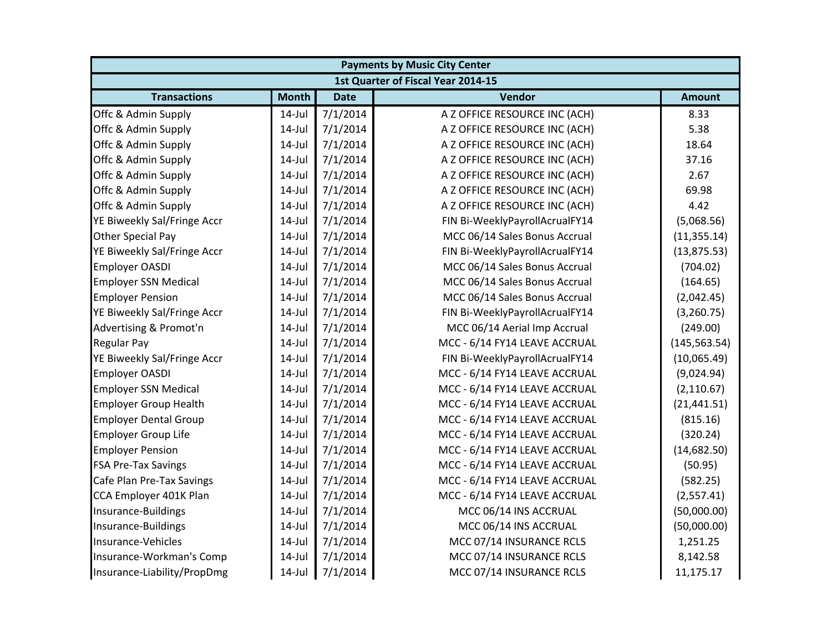| <b>Payments by Music City Center</b> |              |             |                                    |               |  |  |
|--------------------------------------|--------------|-------------|------------------------------------|---------------|--|--|
|                                      |              |             | 1st Quarter of Fiscal Year 2014-15 |               |  |  |
| <b>Transactions</b>                  | <b>Month</b> | <b>Date</b> | Vendor                             | <b>Amount</b> |  |  |
| Offc & Admin Supply                  | $14$ -Jul    | 7/1/2014    | A Z OFFICE RESOURCE INC (ACH)      | 8.33          |  |  |
| Offc & Admin Supply                  | $14$ -Jul    | 7/1/2014    | A Z OFFICE RESOURCE INC (ACH)      | 5.38          |  |  |
| Offc & Admin Supply                  | $14$ -Jul    | 7/1/2014    | A Z OFFICE RESOURCE INC (ACH)      | 18.64         |  |  |
| Offc & Admin Supply                  | $14$ -Jul    | 7/1/2014    | A Z OFFICE RESOURCE INC (ACH)      | 37.16         |  |  |
| Offc & Admin Supply                  | $14$ -Jul    | 7/1/2014    | A Z OFFICE RESOURCE INC (ACH)      | 2.67          |  |  |
| Offc & Admin Supply                  | $14$ -Jul    | 7/1/2014    | A Z OFFICE RESOURCE INC (ACH)      | 69.98         |  |  |
| Offc & Admin Supply                  | $14$ -Jul    | 7/1/2014    | A Z OFFICE RESOURCE INC (ACH)      | 4.42          |  |  |
| YE Biweekly Sal/Fringe Accr          | $14$ -Jul    | 7/1/2014    | FIN Bi-WeeklyPayrollAcrualFY14     | (5,068.56)    |  |  |
| <b>Other Special Pay</b>             | $14$ -Jul    | 7/1/2014    | MCC 06/14 Sales Bonus Accrual      | (11, 355.14)  |  |  |
| YE Biweekly Sal/Fringe Accr          | $14$ -Jul    | 7/1/2014    | FIN Bi-WeeklyPayrollAcrualFY14     | (13, 875.53)  |  |  |
| <b>Employer OASDI</b>                | $14$ -Jul    | 7/1/2014    | MCC 06/14 Sales Bonus Accrual      | (704.02)      |  |  |
| <b>Employer SSN Medical</b>          | $14$ -Jul    | 7/1/2014    | MCC 06/14 Sales Bonus Accrual      | (164.65)      |  |  |
| <b>Employer Pension</b>              | $14$ -Jul    | 7/1/2014    | MCC 06/14 Sales Bonus Accrual      | (2,042.45)    |  |  |
| YE Biweekly Sal/Fringe Accr          | $14$ -Jul    | 7/1/2014    | FIN Bi-WeeklyPayrollAcrualFY14     | (3,260.75)    |  |  |
| Advertising & Promot'n               | $14$ -Jul    | 7/1/2014    | MCC 06/14 Aerial Imp Accrual       | (249.00)      |  |  |
| <b>Regular Pay</b>                   | $14$ -Jul    | 7/1/2014    | MCC - 6/14 FY14 LEAVE ACCRUAL      | (145, 563.54) |  |  |
| YE Biweekly Sal/Fringe Accr          | $14$ -Jul    | 7/1/2014    | FIN Bi-WeeklyPayrollAcrualFY14     | (10,065.49)   |  |  |
| <b>Employer OASDI</b>                | $14$ -Jul    | 7/1/2014    | MCC - 6/14 FY14 LEAVE ACCRUAL      | (9,024.94)    |  |  |
| <b>Employer SSN Medical</b>          | $14$ -Jul    | 7/1/2014    | MCC - 6/14 FY14 LEAVE ACCRUAL      | (2, 110.67)   |  |  |
| <b>Employer Group Health</b>         | $14$ -Jul    | 7/1/2014    | MCC - 6/14 FY14 LEAVE ACCRUAL      | (21, 441.51)  |  |  |
| <b>Employer Dental Group</b>         | $14$ -Jul    | 7/1/2014    | MCC - 6/14 FY14 LEAVE ACCRUAL      | (815.16)      |  |  |
| <b>Employer Group Life</b>           | $14$ -Jul    | 7/1/2014    | MCC - 6/14 FY14 LEAVE ACCRUAL      | (320.24)      |  |  |
| <b>Employer Pension</b>              | $14$ -Jul    | 7/1/2014    | MCC - 6/14 FY14 LEAVE ACCRUAL      | (14, 682.50)  |  |  |
| <b>FSA Pre-Tax Savings</b>           | $14$ -Jul    | 7/1/2014    | MCC - 6/14 FY14 LEAVE ACCRUAL      | (50.95)       |  |  |
| Cafe Plan Pre-Tax Savings            | $14$ -Jul    | 7/1/2014    | MCC - 6/14 FY14 LEAVE ACCRUAL      | (582.25)      |  |  |
| CCA Employer 401K Plan               | $14$ -Jul    | 7/1/2014    | MCC - 6/14 FY14 LEAVE ACCRUAL      | (2,557.41)    |  |  |
| Insurance-Buildings                  | $14$ -Jul    | 7/1/2014    | MCC 06/14 INS ACCRUAL              | (50,000.00)   |  |  |
| Insurance-Buildings                  | $14$ -Jul    | 7/1/2014    | MCC 06/14 INS ACCRUAL              | (50,000.00)   |  |  |
| Insurance-Vehicles                   | $14$ -Jul    | 7/1/2014    | MCC 07/14 INSURANCE RCLS           | 1,251.25      |  |  |
| Insurance-Workman's Comp             | $14$ -Jul    | 7/1/2014    | MCC 07/14 INSURANCE RCLS           | 8,142.58      |  |  |
| Insurance-Liability/PropDmg          | 14-Jul       | 7/1/2014    | MCC 07/14 INSURANCE RCLS           | 11,175.17     |  |  |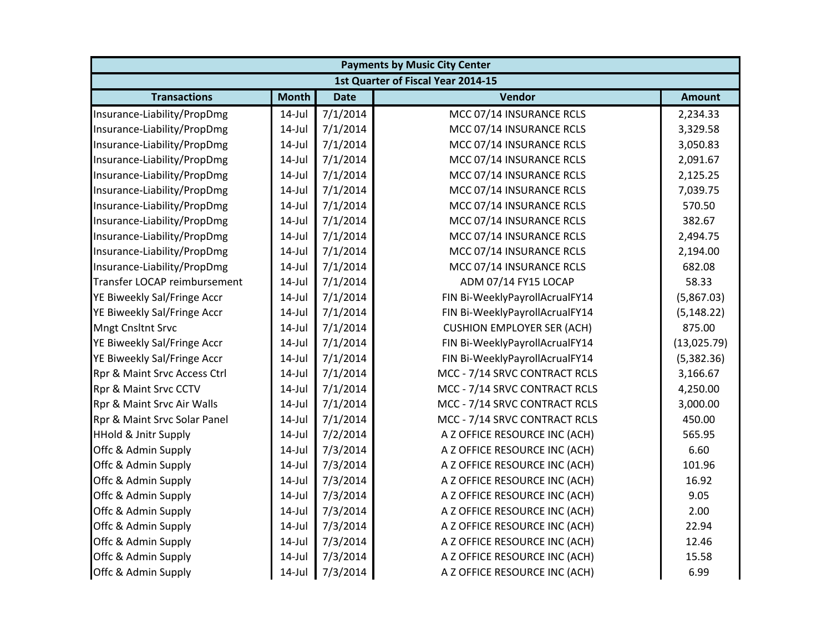| <b>Payments by Music City Center</b> |              |             |                                    |               |  |  |
|--------------------------------------|--------------|-------------|------------------------------------|---------------|--|--|
|                                      |              |             | 1st Quarter of Fiscal Year 2014-15 |               |  |  |
| <b>Transactions</b>                  | <b>Month</b> | <b>Date</b> | Vendor                             | <b>Amount</b> |  |  |
| Insurance-Liability/PropDmg          | $14$ -Jul    | 7/1/2014    | MCC 07/14 INSURANCE RCLS           | 2,234.33      |  |  |
| Insurance-Liability/PropDmg          | $14$ -Jul    | 7/1/2014    | MCC 07/14 INSURANCE RCLS           | 3,329.58      |  |  |
| Insurance-Liability/PropDmg          | $14$ -Jul    | 7/1/2014    | MCC 07/14 INSURANCE RCLS           | 3,050.83      |  |  |
| Insurance-Liability/PropDmg          | $14$ -Jul    | 7/1/2014    | MCC 07/14 INSURANCE RCLS           | 2,091.67      |  |  |
| Insurance-Liability/PropDmg          | $14$ -Jul    | 7/1/2014    | MCC 07/14 INSURANCE RCLS           | 2,125.25      |  |  |
| Insurance-Liability/PropDmg          | $14$ -Jul    | 7/1/2014    | MCC 07/14 INSURANCE RCLS           | 7,039.75      |  |  |
| Insurance-Liability/PropDmg          | $14$ -Jul    | 7/1/2014    | MCC 07/14 INSURANCE RCLS           | 570.50        |  |  |
| Insurance-Liability/PropDmg          | $14$ -Jul    | 7/1/2014    | MCC 07/14 INSURANCE RCLS           | 382.67        |  |  |
| Insurance-Liability/PropDmg          | $14$ -Jul    | 7/1/2014    | MCC 07/14 INSURANCE RCLS           | 2,494.75      |  |  |
| Insurance-Liability/PropDmg          | $14$ -Jul    | 7/1/2014    | MCC 07/14 INSURANCE RCLS           | 2,194.00      |  |  |
| Insurance-Liability/PropDmg          | 14-Jul       | 7/1/2014    | MCC 07/14 INSURANCE RCLS           | 682.08        |  |  |
| Transfer LOCAP reimbursement         | 14-Jul       | 7/1/2014    | ADM 07/14 FY15 LOCAP               | 58.33         |  |  |
| YE Biweekly Sal/Fringe Accr          | $14$ -Jul    | 7/1/2014    | FIN Bi-WeeklyPayrollAcrualFY14     | (5,867.03)    |  |  |
| YE Biweekly Sal/Fringe Accr          | $14$ -Jul    | 7/1/2014    | FIN Bi-WeeklyPayrollAcrualFY14     | (5, 148.22)   |  |  |
| <b>Mngt Cnsltnt Srvc</b>             | $14$ -Jul    | 7/1/2014    | <b>CUSHION EMPLOYER SER (ACH)</b>  | 875.00        |  |  |
| YE Biweekly Sal/Fringe Accr          | $14$ -Jul    | 7/1/2014    | FIN Bi-WeeklyPayrollAcrualFY14     | (13,025.79)   |  |  |
| YE Biweekly Sal/Fringe Accr          | $14$ -Jul    | 7/1/2014    | FIN Bi-WeeklyPayrollAcrualFY14     | (5,382.36)    |  |  |
| Rpr & Maint Srvc Access Ctrl         | $14$ -Jul    | 7/1/2014    | MCC - 7/14 SRVC CONTRACT RCLS      | 3,166.67      |  |  |
| Rpr & Maint Srvc CCTV                | $14$ -Jul    | 7/1/2014    | MCC - 7/14 SRVC CONTRACT RCLS      | 4,250.00      |  |  |
| Rpr & Maint Srvc Air Walls           | $14$ -Jul    | 7/1/2014    | MCC - 7/14 SRVC CONTRACT RCLS      | 3,000.00      |  |  |
| Rpr & Maint Srvc Solar Panel         | $14$ -Jul    | 7/1/2014    | MCC - 7/14 SRVC CONTRACT RCLS      | 450.00        |  |  |
| <b>HHold &amp; Jnitr Supply</b>      | $14$ -Jul    | 7/2/2014    | A Z OFFICE RESOURCE INC (ACH)      | 565.95        |  |  |
| Offc & Admin Supply                  | $14$ -Jul    | 7/3/2014    | A Z OFFICE RESOURCE INC (ACH)      | 6.60          |  |  |
| Offc & Admin Supply                  | $14$ -Jul    | 7/3/2014    | A Z OFFICE RESOURCE INC (ACH)      | 101.96        |  |  |
| Offc & Admin Supply                  | $14$ -Jul    | 7/3/2014    | A Z OFFICE RESOURCE INC (ACH)      | 16.92         |  |  |
| Offc & Admin Supply                  | $14$ -Jul    | 7/3/2014    | A Z OFFICE RESOURCE INC (ACH)      | 9.05          |  |  |
| Offc & Admin Supply                  | $14$ -Jul    | 7/3/2014    | A Z OFFICE RESOURCE INC (ACH)      | 2.00          |  |  |
| Offc & Admin Supply                  | $14$ -Jul    | 7/3/2014    | A Z OFFICE RESOURCE INC (ACH)      | 22.94         |  |  |
| Offc & Admin Supply                  | $14$ -Jul    | 7/3/2014    | A Z OFFICE RESOURCE INC (ACH)      | 12.46         |  |  |
| Offc & Admin Supply                  | $14$ -Jul    | 7/3/2014    | A Z OFFICE RESOURCE INC (ACH)      | 15.58         |  |  |
| Offc & Admin Supply                  | $14$ -Jul    | 7/3/2014    | A Z OFFICE RESOURCE INC (ACH)      | 6.99          |  |  |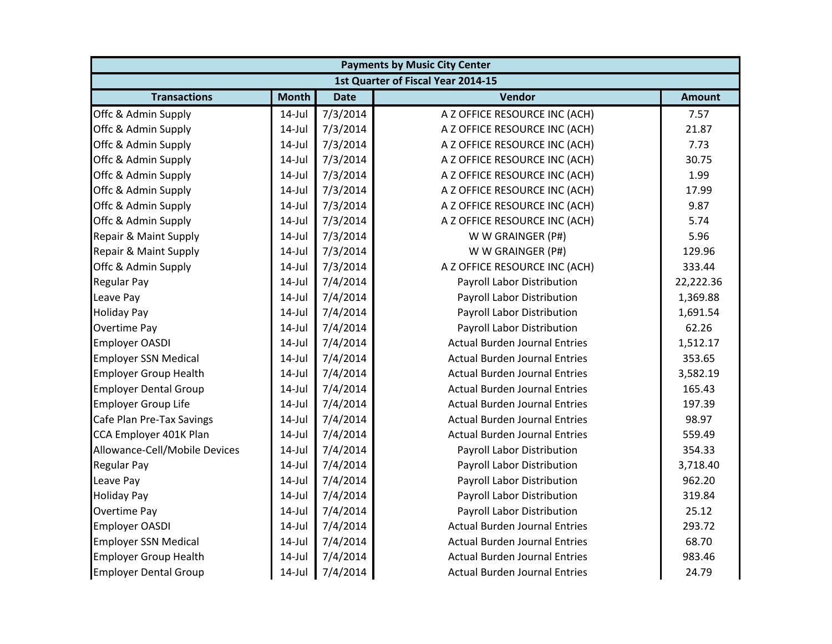|                               | <b>Payments by Music City Center</b> |             |                                      |               |  |  |  |
|-------------------------------|--------------------------------------|-------------|--------------------------------------|---------------|--|--|--|
|                               |                                      |             | 1st Quarter of Fiscal Year 2014-15   |               |  |  |  |
| <b>Transactions</b>           | <b>Month</b>                         | <b>Date</b> | Vendor                               | <b>Amount</b> |  |  |  |
| Offc & Admin Supply           | $14$ -Jul                            | 7/3/2014    | A Z OFFICE RESOURCE INC (ACH)        | 7.57          |  |  |  |
| Offc & Admin Supply           | $14$ -Jul                            | 7/3/2014    | A Z OFFICE RESOURCE INC (ACH)        | 21.87         |  |  |  |
| Offc & Admin Supply           | $14$ -Jul                            | 7/3/2014    | A Z OFFICE RESOURCE INC (ACH)        | 7.73          |  |  |  |
| Offc & Admin Supply           | $14$ -Jul                            | 7/3/2014    | A Z OFFICE RESOURCE INC (ACH)        | 30.75         |  |  |  |
| Offc & Admin Supply           | $14$ -Jul                            | 7/3/2014    | A Z OFFICE RESOURCE INC (ACH)        | 1.99          |  |  |  |
| Offc & Admin Supply           | $14$ -Jul                            | 7/3/2014    | A Z OFFICE RESOURCE INC (ACH)        | 17.99         |  |  |  |
| Offc & Admin Supply           | $14$ -Jul                            | 7/3/2014    | A Z OFFICE RESOURCE INC (ACH)        | 9.87          |  |  |  |
| Offc & Admin Supply           | $14$ -Jul                            | 7/3/2014    | A Z OFFICE RESOURCE INC (ACH)        | 5.74          |  |  |  |
| Repair & Maint Supply         | $14$ -Jul                            | 7/3/2014    | W W GRAINGER (P#)                    | 5.96          |  |  |  |
| Repair & Maint Supply         | $14$ -Jul                            | 7/3/2014    | W W GRAINGER (P#)                    | 129.96        |  |  |  |
| Offc & Admin Supply           | $14$ -Jul                            | 7/3/2014    | A Z OFFICE RESOURCE INC (ACH)        | 333.44        |  |  |  |
| <b>Regular Pay</b>            | $14$ -Jul                            | 7/4/2014    | Payroll Labor Distribution           | 22,222.36     |  |  |  |
| Leave Pay                     | $14$ -Jul                            | 7/4/2014    | Payroll Labor Distribution           | 1,369.88      |  |  |  |
| <b>Holiday Pay</b>            | $14$ -Jul                            | 7/4/2014    | Payroll Labor Distribution           | 1,691.54      |  |  |  |
| <b>Overtime Pay</b>           | $14$ -Jul                            | 7/4/2014    | Payroll Labor Distribution           | 62.26         |  |  |  |
| <b>Employer OASDI</b>         | $14$ -Jul                            | 7/4/2014    | <b>Actual Burden Journal Entries</b> | 1,512.17      |  |  |  |
| <b>Employer SSN Medical</b>   | $14$ -Jul                            | 7/4/2014    | <b>Actual Burden Journal Entries</b> | 353.65        |  |  |  |
| <b>Employer Group Health</b>  | $14$ -Jul                            | 7/4/2014    | <b>Actual Burden Journal Entries</b> | 3,582.19      |  |  |  |
| <b>Employer Dental Group</b>  | $14$ -Jul                            | 7/4/2014    | <b>Actual Burden Journal Entries</b> | 165.43        |  |  |  |
| <b>Employer Group Life</b>    | $14$ -Jul                            | 7/4/2014    | <b>Actual Burden Journal Entries</b> | 197.39        |  |  |  |
| Cafe Plan Pre-Tax Savings     | $14$ -Jul                            | 7/4/2014    | <b>Actual Burden Journal Entries</b> | 98.97         |  |  |  |
| CCA Employer 401K Plan        | $14$ -Jul                            | 7/4/2014    | <b>Actual Burden Journal Entries</b> | 559.49        |  |  |  |
| Allowance-Cell/Mobile Devices | $14$ -Jul                            | 7/4/2014    | Payroll Labor Distribution           | 354.33        |  |  |  |
| <b>Regular Pay</b>            | $14$ -Jul                            | 7/4/2014    | Payroll Labor Distribution           | 3,718.40      |  |  |  |
| Leave Pay                     | $14$ -Jul                            | 7/4/2014    | Payroll Labor Distribution           | 962.20        |  |  |  |
| <b>Holiday Pay</b>            | $14$ -Jul                            | 7/4/2014    | Payroll Labor Distribution           | 319.84        |  |  |  |
| Overtime Pay                  | $14$ -Jul                            | 7/4/2014    | Payroll Labor Distribution           | 25.12         |  |  |  |
| <b>Employer OASDI</b>         | $14$ -Jul                            | 7/4/2014    | <b>Actual Burden Journal Entries</b> | 293.72        |  |  |  |
| <b>Employer SSN Medical</b>   | $14$ -Jul                            | 7/4/2014    | <b>Actual Burden Journal Entries</b> | 68.70         |  |  |  |
| <b>Employer Group Health</b>  | $14$ -Jul                            | 7/4/2014    | <b>Actual Burden Journal Entries</b> | 983.46        |  |  |  |
| <b>Employer Dental Group</b>  | $14$ -Jul                            | 7/4/2014    | <b>Actual Burden Journal Entries</b> | 24.79         |  |  |  |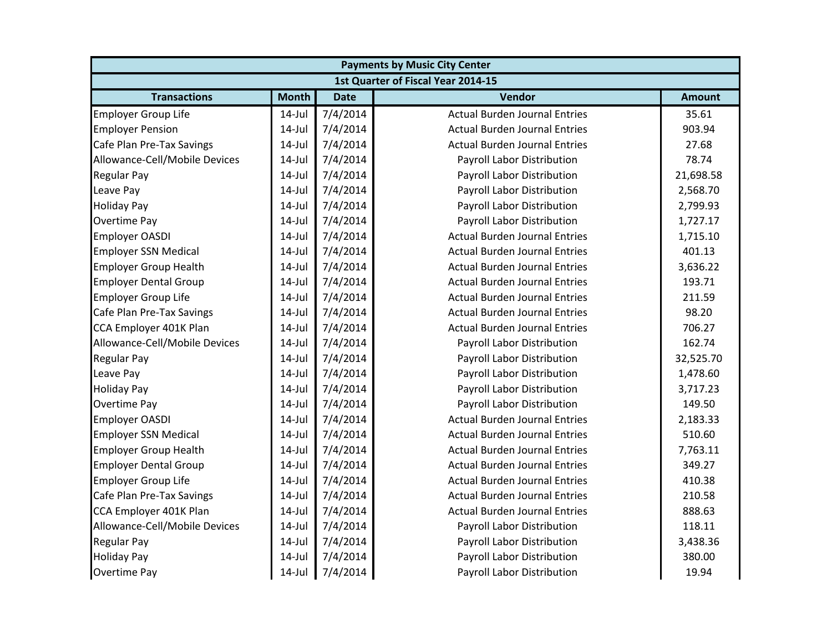| <b>Payments by Music City Center</b> |              |             |                                      |               |  |  |
|--------------------------------------|--------------|-------------|--------------------------------------|---------------|--|--|
|                                      |              |             | 1st Quarter of Fiscal Year 2014-15   |               |  |  |
| <b>Transactions</b>                  | <b>Month</b> | <b>Date</b> | Vendor                               | <b>Amount</b> |  |  |
| <b>Employer Group Life</b>           | $14$ -Jul    | 7/4/2014    | <b>Actual Burden Journal Entries</b> | 35.61         |  |  |
| <b>Employer Pension</b>              | $14$ -Jul    | 7/4/2014    | <b>Actual Burden Journal Entries</b> | 903.94        |  |  |
| Cafe Plan Pre-Tax Savings            | $14$ -Jul    | 7/4/2014    | <b>Actual Burden Journal Entries</b> | 27.68         |  |  |
| Allowance-Cell/Mobile Devices        | $14$ -Jul    | 7/4/2014    | Payroll Labor Distribution           | 78.74         |  |  |
| <b>Regular Pay</b>                   | $14$ -Jul    | 7/4/2014    | Payroll Labor Distribution           | 21,698.58     |  |  |
| Leave Pay                            | $14$ -Jul    | 7/4/2014    | Payroll Labor Distribution           | 2,568.70      |  |  |
| <b>Holiday Pay</b>                   | $14$ -Jul    | 7/4/2014    | Payroll Labor Distribution           | 2,799.93      |  |  |
| <b>Overtime Pay</b>                  | $14$ -Jul    | 7/4/2014    | Payroll Labor Distribution           | 1,727.17      |  |  |
| <b>Employer OASDI</b>                | $14$ -Jul    | 7/4/2014    | <b>Actual Burden Journal Entries</b> | 1,715.10      |  |  |
| <b>Employer SSN Medical</b>          | $14$ -Jul    | 7/4/2014    | <b>Actual Burden Journal Entries</b> | 401.13        |  |  |
| <b>Employer Group Health</b>         | $14$ -Jul    | 7/4/2014    | <b>Actual Burden Journal Entries</b> | 3,636.22      |  |  |
| <b>Employer Dental Group</b>         | $14$ -Jul    | 7/4/2014    | <b>Actual Burden Journal Entries</b> | 193.71        |  |  |
| <b>Employer Group Life</b>           | $14$ -Jul    | 7/4/2014    | <b>Actual Burden Journal Entries</b> | 211.59        |  |  |
| Cafe Plan Pre-Tax Savings            | $14$ -Jul    | 7/4/2014    | <b>Actual Burden Journal Entries</b> | 98.20         |  |  |
| CCA Employer 401K Plan               | $14$ -Jul    | 7/4/2014    | <b>Actual Burden Journal Entries</b> | 706.27        |  |  |
| Allowance-Cell/Mobile Devices        | $14$ -Jul    | 7/4/2014    | <b>Payroll Labor Distribution</b>    | 162.74        |  |  |
| <b>Regular Pay</b>                   | $14$ -Jul    | 7/4/2014    | Payroll Labor Distribution           | 32,525.70     |  |  |
| Leave Pay                            | $14$ -Jul    | 7/4/2014    | Payroll Labor Distribution           | 1,478.60      |  |  |
| <b>Holiday Pay</b>                   | $14$ -Jul    | 7/4/2014    | Payroll Labor Distribution           | 3,717.23      |  |  |
| <b>Overtime Pay</b>                  | $14$ -Jul    | 7/4/2014    | Payroll Labor Distribution           | 149.50        |  |  |
| <b>Employer OASDI</b>                | $14$ -Jul    | 7/4/2014    | <b>Actual Burden Journal Entries</b> | 2,183.33      |  |  |
| <b>Employer SSN Medical</b>          | $14$ -Jul    | 7/4/2014    | <b>Actual Burden Journal Entries</b> | 510.60        |  |  |
| <b>Employer Group Health</b>         | $14$ -Jul    | 7/4/2014    | <b>Actual Burden Journal Entries</b> | 7,763.11      |  |  |
| <b>Employer Dental Group</b>         | $14$ -Jul    | 7/4/2014    | <b>Actual Burden Journal Entries</b> | 349.27        |  |  |
| <b>Employer Group Life</b>           | $14$ -Jul    | 7/4/2014    | <b>Actual Burden Journal Entries</b> | 410.38        |  |  |
| Cafe Plan Pre-Tax Savings            | $14$ -Jul    | 7/4/2014    | <b>Actual Burden Journal Entries</b> | 210.58        |  |  |
| CCA Employer 401K Plan               | $14$ -Jul    | 7/4/2014    | <b>Actual Burden Journal Entries</b> | 888.63        |  |  |
| Allowance-Cell/Mobile Devices        | $14$ -Jul    | 7/4/2014    | Payroll Labor Distribution           | 118.11        |  |  |
| <b>Regular Pay</b>                   | $14$ -Jul    | 7/4/2014    | Payroll Labor Distribution           | 3,438.36      |  |  |
| <b>Holiday Pay</b>                   | $14$ -Jul    | 7/4/2014    | Payroll Labor Distribution           | 380.00        |  |  |
| <b>Overtime Pay</b>                  | $14$ -Jul    | 7/4/2014    | Payroll Labor Distribution           | 19.94         |  |  |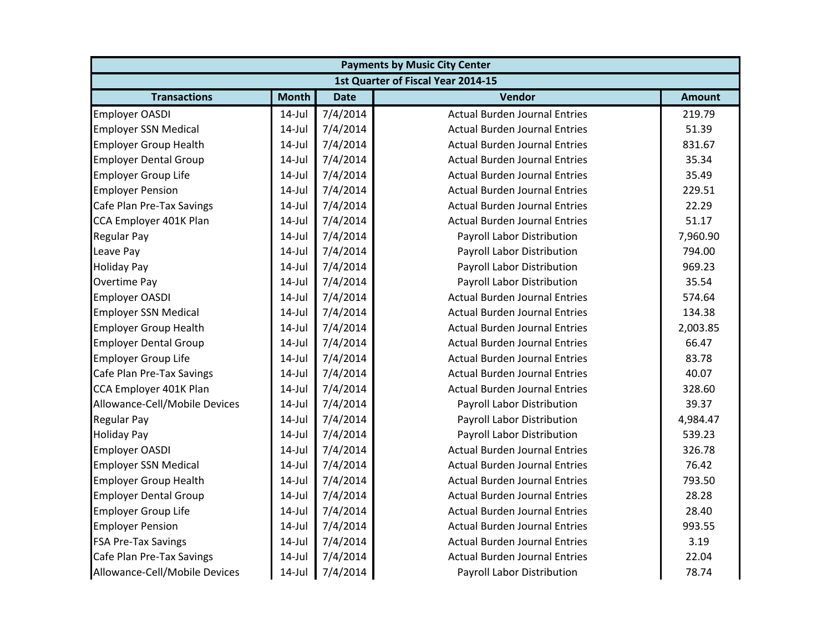|                               |              |             | <b>Payments by Music City Center</b> |               |
|-------------------------------|--------------|-------------|--------------------------------------|---------------|
|                               |              |             | 1st Quarter of Fiscal Year 2014-15   |               |
| <b>Transactions</b>           | <b>Month</b> | <b>Date</b> | Vendor                               | <b>Amount</b> |
| Employer OASDI                | $14$ -Jul    | 7/4/2014    | <b>Actual Burden Journal Entries</b> | 219.79        |
| <b>Employer SSN Medical</b>   | $14$ -Jul    | 7/4/2014    | <b>Actual Burden Journal Entries</b> | 51.39         |
| <b>Employer Group Health</b>  | $14$ -Jul    | 7/4/2014    | <b>Actual Burden Journal Entries</b> | 831.67        |
| <b>Employer Dental Group</b>  | $14$ -Jul    | 7/4/2014    | <b>Actual Burden Journal Entries</b> | 35.34         |
| <b>Employer Group Life</b>    | $14$ -Jul    | 7/4/2014    | <b>Actual Burden Journal Entries</b> | 35.49         |
| <b>Employer Pension</b>       | $14$ -Jul    | 7/4/2014    | <b>Actual Burden Journal Entries</b> | 229.51        |
| Cafe Plan Pre-Tax Savings     | $14$ -Jul    | 7/4/2014    | <b>Actual Burden Journal Entries</b> | 22.29         |
| CCA Employer 401K Plan        | $14$ -Jul    | 7/4/2014    | <b>Actual Burden Journal Entries</b> | 51.17         |
| <b>Regular Pay</b>            | $14$ -Jul    | 7/4/2014    | Payroll Labor Distribution           | 7,960.90      |
| Leave Pay                     | $14$ -Jul    | 7/4/2014    | Payroll Labor Distribution           | 794.00        |
| <b>Holiday Pay</b>            | $14$ -Jul    | 7/4/2014    | Payroll Labor Distribution           | 969.23        |
| Overtime Pay                  | $14$ -Jul    | 7/4/2014    | Payroll Labor Distribution           | 35.54         |
| <b>Employer OASDI</b>         | $14$ -Jul    | 7/4/2014    | <b>Actual Burden Journal Entries</b> | 574.64        |
| <b>Employer SSN Medical</b>   | $14$ -Jul    | 7/4/2014    | <b>Actual Burden Journal Entries</b> | 134.38        |
| <b>Employer Group Health</b>  | $14$ -Jul    | 7/4/2014    | <b>Actual Burden Journal Entries</b> | 2,003.85      |
| <b>Employer Dental Group</b>  | $14$ -Jul    | 7/4/2014    | <b>Actual Burden Journal Entries</b> | 66.47         |
| <b>Employer Group Life</b>    | $14$ -Jul    | 7/4/2014    | <b>Actual Burden Journal Entries</b> | 83.78         |
| Cafe Plan Pre-Tax Savings     | $14$ -Jul    | 7/4/2014    | <b>Actual Burden Journal Entries</b> | 40.07         |
| CCA Employer 401K Plan        | $14$ -Jul    | 7/4/2014    | <b>Actual Burden Journal Entries</b> | 328.60        |
| Allowance-Cell/Mobile Devices | $14$ -Jul    | 7/4/2014    | Payroll Labor Distribution           | 39.37         |
| <b>Regular Pay</b>            | $14$ -Jul    | 7/4/2014    | Payroll Labor Distribution           | 4,984.47      |
| <b>Holiday Pay</b>            | $14$ -Jul    | 7/4/2014    | Payroll Labor Distribution           | 539.23        |
| <b>Employer OASDI</b>         | $14$ -Jul    | 7/4/2014    | <b>Actual Burden Journal Entries</b> | 326.78        |
| <b>Employer SSN Medical</b>   | $14$ -Jul    | 7/4/2014    | <b>Actual Burden Journal Entries</b> | 76.42         |
| <b>Employer Group Health</b>  | $14$ -Jul    | 7/4/2014    | <b>Actual Burden Journal Entries</b> | 793.50        |
| <b>Employer Dental Group</b>  | $14$ -Jul    | 7/4/2014    | <b>Actual Burden Journal Entries</b> | 28.28         |
| <b>Employer Group Life</b>    | $14$ -Jul    | 7/4/2014    | <b>Actual Burden Journal Entries</b> | 28.40         |
| <b>Employer Pension</b>       | $14$ -Jul    | 7/4/2014    | <b>Actual Burden Journal Entries</b> | 993.55        |
| <b>FSA Pre-Tax Savings</b>    | $14$ -Jul    | 7/4/2014    | <b>Actual Burden Journal Entries</b> | 3.19          |
| Cafe Plan Pre-Tax Savings     | $14$ -Jul    | 7/4/2014    | <b>Actual Burden Journal Entries</b> | 22.04         |
| Allowance-Cell/Mobile Devices | $14$ -Jul    | 7/4/2014    | Payroll Labor Distribution           | 78.74         |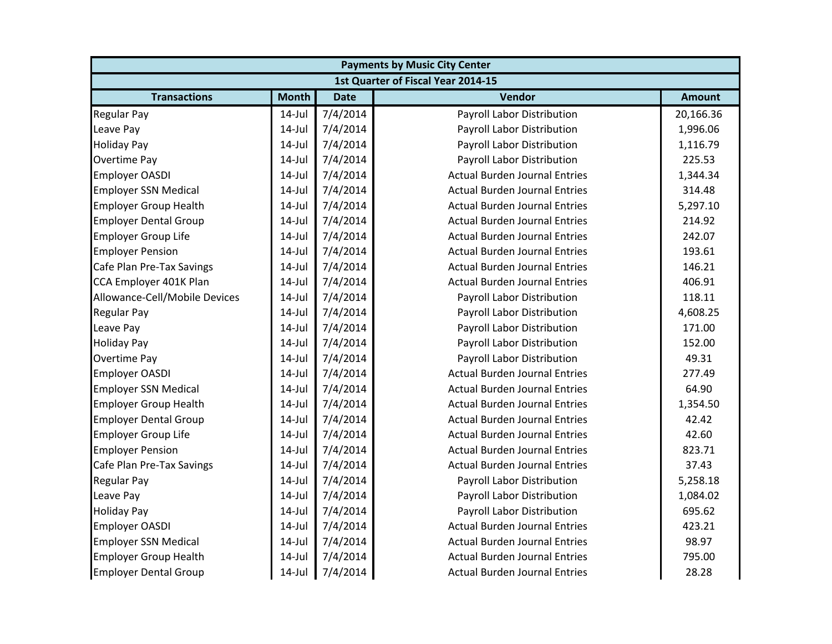| <b>Payments by Music City Center</b> |              |             |                                      |               |  |  |
|--------------------------------------|--------------|-------------|--------------------------------------|---------------|--|--|
|                                      |              |             | 1st Quarter of Fiscal Year 2014-15   |               |  |  |
| <b>Transactions</b>                  | <b>Month</b> | <b>Date</b> | Vendor                               | <b>Amount</b> |  |  |
| <b>Regular Pay</b>                   | $14$ -Jul    | 7/4/2014    | Payroll Labor Distribution           | 20,166.36     |  |  |
| Leave Pay                            | $14$ -Jul    | 7/4/2014    | Payroll Labor Distribution           | 1,996.06      |  |  |
| <b>Holiday Pay</b>                   | $14$ -Jul    | 7/4/2014    | Payroll Labor Distribution           | 1,116.79      |  |  |
| <b>Overtime Pay</b>                  | $14$ -Jul    | 7/4/2014    | Payroll Labor Distribution           | 225.53        |  |  |
| <b>Employer OASDI</b>                | $14$ -Jul    | 7/4/2014    | <b>Actual Burden Journal Entries</b> | 1,344.34      |  |  |
| <b>Employer SSN Medical</b>          | $14$ -Jul    | 7/4/2014    | <b>Actual Burden Journal Entries</b> | 314.48        |  |  |
| <b>Employer Group Health</b>         | $14$ -Jul    | 7/4/2014    | <b>Actual Burden Journal Entries</b> | 5,297.10      |  |  |
| <b>Employer Dental Group</b>         | $14$ -Jul    | 7/4/2014    | <b>Actual Burden Journal Entries</b> | 214.92        |  |  |
| <b>Employer Group Life</b>           | $14$ -Jul    | 7/4/2014    | <b>Actual Burden Journal Entries</b> | 242.07        |  |  |
| <b>Employer Pension</b>              | $14$ -Jul    | 7/4/2014    | <b>Actual Burden Journal Entries</b> | 193.61        |  |  |
| Cafe Plan Pre-Tax Savings            | $14$ -Jul    | 7/4/2014    | <b>Actual Burden Journal Entries</b> | 146.21        |  |  |
| CCA Employer 401K Plan               | $14$ -Jul    | 7/4/2014    | <b>Actual Burden Journal Entries</b> | 406.91        |  |  |
| Allowance-Cell/Mobile Devices        | $14$ -Jul    | 7/4/2014    | Payroll Labor Distribution           | 118.11        |  |  |
| <b>Regular Pay</b>                   | $14$ -Jul    | 7/4/2014    | Payroll Labor Distribution           | 4,608.25      |  |  |
| Leave Pay                            | $14$ -Jul    | 7/4/2014    | Payroll Labor Distribution           | 171.00        |  |  |
| <b>Holiday Pay</b>                   | $14$ -Jul    | 7/4/2014    | Payroll Labor Distribution           | 152.00        |  |  |
| <b>Overtime Pay</b>                  | $14$ -Jul    | 7/4/2014    | Payroll Labor Distribution           | 49.31         |  |  |
| <b>Employer OASDI</b>                | $14$ -Jul    | 7/4/2014    | <b>Actual Burden Journal Entries</b> | 277.49        |  |  |
| <b>Employer SSN Medical</b>          | $14$ -Jul    | 7/4/2014    | <b>Actual Burden Journal Entries</b> | 64.90         |  |  |
| <b>Employer Group Health</b>         | $14$ -Jul    | 7/4/2014    | <b>Actual Burden Journal Entries</b> | 1,354.50      |  |  |
| <b>Employer Dental Group</b>         | $14$ -Jul    | 7/4/2014    | <b>Actual Burden Journal Entries</b> | 42.42         |  |  |
| <b>Employer Group Life</b>           | $14$ -Jul    | 7/4/2014    | <b>Actual Burden Journal Entries</b> | 42.60         |  |  |
| <b>Employer Pension</b>              | $14$ -Jul    | 7/4/2014    | <b>Actual Burden Journal Entries</b> | 823.71        |  |  |
| Cafe Plan Pre-Tax Savings            | $14$ -Jul    | 7/4/2014    | <b>Actual Burden Journal Entries</b> | 37.43         |  |  |
| <b>Regular Pay</b>                   | $14$ -Jul    | 7/4/2014    | Payroll Labor Distribution           | 5,258.18      |  |  |
| Leave Pay                            | $14$ -Jul    | 7/4/2014    | Payroll Labor Distribution           | 1,084.02      |  |  |
| <b>Holiday Pay</b>                   | $14$ -Jul    | 7/4/2014    | Payroll Labor Distribution           | 695.62        |  |  |
| <b>Employer OASDI</b>                | $14$ -Jul    | 7/4/2014    | <b>Actual Burden Journal Entries</b> | 423.21        |  |  |
| <b>Employer SSN Medical</b>          | $14$ -Jul    | 7/4/2014    | <b>Actual Burden Journal Entries</b> | 98.97         |  |  |
| <b>Employer Group Health</b>         | $14$ -Jul    | 7/4/2014    | <b>Actual Burden Journal Entries</b> | 795.00        |  |  |
| <b>Employer Dental Group</b>         | $14$ -Jul    | 7/4/2014    | <b>Actual Burden Journal Entries</b> | 28.28         |  |  |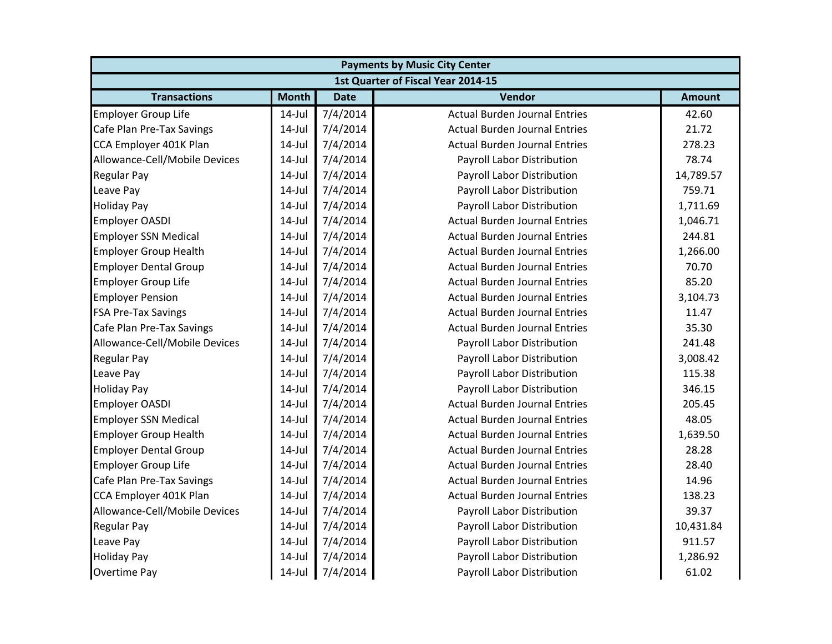|                               |              | <b>Payments by Music City Center</b> |                                      |               |  |  |  |  |
|-------------------------------|--------------|--------------------------------------|--------------------------------------|---------------|--|--|--|--|
|                               |              |                                      | 1st Quarter of Fiscal Year 2014-15   |               |  |  |  |  |
| <b>Transactions</b>           | <b>Month</b> | <b>Date</b>                          | Vendor                               | <b>Amount</b> |  |  |  |  |
| <b>Employer Group Life</b>    | $14$ -Jul    | 7/4/2014                             | <b>Actual Burden Journal Entries</b> | 42.60         |  |  |  |  |
| Cafe Plan Pre-Tax Savings     | $14$ -Jul    | 7/4/2014                             | <b>Actual Burden Journal Entries</b> | 21.72         |  |  |  |  |
| CCA Employer 401K Plan        | $14$ -Jul    | 7/4/2014                             | <b>Actual Burden Journal Entries</b> | 278.23        |  |  |  |  |
| Allowance-Cell/Mobile Devices | $14$ -Jul    | 7/4/2014                             | Payroll Labor Distribution           | 78.74         |  |  |  |  |
| <b>Regular Pay</b>            | $14$ -Jul    | 7/4/2014                             | Payroll Labor Distribution           | 14,789.57     |  |  |  |  |
| Leave Pay                     | $14$ -Jul    | 7/4/2014                             | Payroll Labor Distribution           | 759.71        |  |  |  |  |
| <b>Holiday Pay</b>            | $14$ -Jul    | 7/4/2014                             | Payroll Labor Distribution           | 1,711.69      |  |  |  |  |
| <b>Employer OASDI</b>         | $14$ -Jul    | 7/4/2014                             | <b>Actual Burden Journal Entries</b> | 1,046.71      |  |  |  |  |
| <b>Employer SSN Medical</b>   | $14$ -Jul    | 7/4/2014                             | <b>Actual Burden Journal Entries</b> | 244.81        |  |  |  |  |
| <b>Employer Group Health</b>  | $14$ -Jul    | 7/4/2014                             | <b>Actual Burden Journal Entries</b> | 1,266.00      |  |  |  |  |
| <b>Employer Dental Group</b>  | 14-Jul       | 7/4/2014                             | <b>Actual Burden Journal Entries</b> | 70.70         |  |  |  |  |
| <b>Employer Group Life</b>    | $14$ -Jul    | 7/4/2014                             | <b>Actual Burden Journal Entries</b> | 85.20         |  |  |  |  |
| <b>Employer Pension</b>       | $14$ -Jul    | 7/4/2014                             | <b>Actual Burden Journal Entries</b> | 3,104.73      |  |  |  |  |
| <b>FSA Pre-Tax Savings</b>    | $14$ -Jul    | 7/4/2014                             | <b>Actual Burden Journal Entries</b> | 11.47         |  |  |  |  |
| Cafe Plan Pre-Tax Savings     | $14$ -Jul    | 7/4/2014                             | <b>Actual Burden Journal Entries</b> | 35.30         |  |  |  |  |
| Allowance-Cell/Mobile Devices | $14$ -Jul    | 7/4/2014                             | Payroll Labor Distribution           | 241.48        |  |  |  |  |
| <b>Regular Pay</b>            | $14$ -Jul    | 7/4/2014                             | Payroll Labor Distribution           | 3,008.42      |  |  |  |  |
| Leave Pay                     | $14$ -Jul    | 7/4/2014                             | Payroll Labor Distribution           | 115.38        |  |  |  |  |
| <b>Holiday Pay</b>            | $14$ -Jul    | 7/4/2014                             | <b>Payroll Labor Distribution</b>    | 346.15        |  |  |  |  |
| <b>Employer OASDI</b>         | $14$ -Jul    | 7/4/2014                             | <b>Actual Burden Journal Entries</b> | 205.45        |  |  |  |  |
| <b>Employer SSN Medical</b>   | $14$ -Jul    | 7/4/2014                             | <b>Actual Burden Journal Entries</b> | 48.05         |  |  |  |  |
| <b>Employer Group Health</b>  | $14$ -Jul    | 7/4/2014                             | <b>Actual Burden Journal Entries</b> | 1,639.50      |  |  |  |  |
| <b>Employer Dental Group</b>  | $14$ -Jul    | 7/4/2014                             | <b>Actual Burden Journal Entries</b> | 28.28         |  |  |  |  |
| <b>Employer Group Life</b>    | $14$ -Jul    | 7/4/2014                             | <b>Actual Burden Journal Entries</b> | 28.40         |  |  |  |  |
| Cafe Plan Pre-Tax Savings     | $14$ -Jul    | 7/4/2014                             | <b>Actual Burden Journal Entries</b> | 14.96         |  |  |  |  |
| CCA Employer 401K Plan        | $14$ -Jul    | 7/4/2014                             | <b>Actual Burden Journal Entries</b> | 138.23        |  |  |  |  |
| Allowance-Cell/Mobile Devices | $14$ -Jul    | 7/4/2014                             | Payroll Labor Distribution           | 39.37         |  |  |  |  |
| <b>Regular Pay</b>            | $14$ -Jul    | 7/4/2014                             | Payroll Labor Distribution           | 10,431.84     |  |  |  |  |
| Leave Pay                     | $14$ -Jul    | 7/4/2014                             | Payroll Labor Distribution           | 911.57        |  |  |  |  |
| <b>Holiday Pay</b>            | $14$ -Jul    | 7/4/2014                             | Payroll Labor Distribution           | 1,286.92      |  |  |  |  |
| <b>Overtime Pay</b>           | $14$ -Jul    | 7/4/2014                             | Payroll Labor Distribution           | 61.02         |  |  |  |  |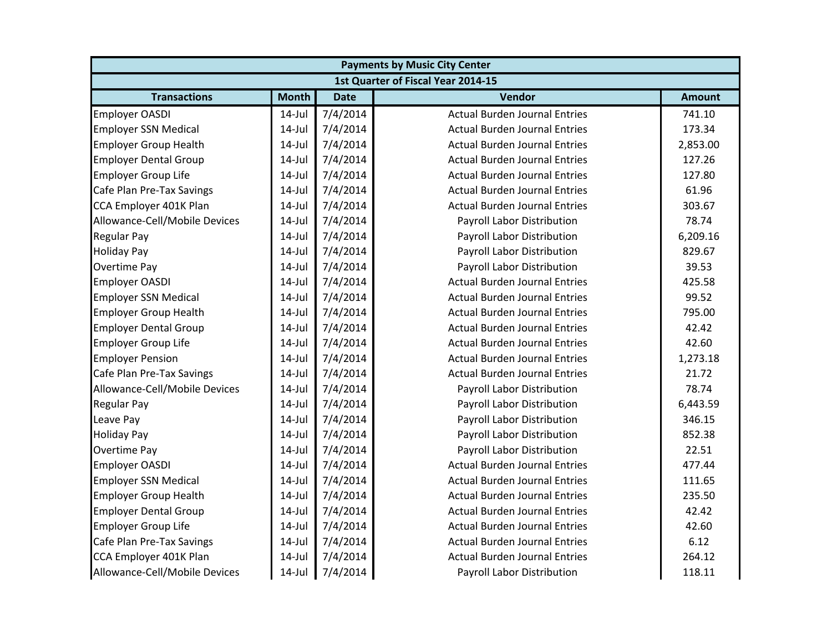|                               | <b>Payments by Music City Center</b> |             |                                      |               |  |  |  |  |
|-------------------------------|--------------------------------------|-------------|--------------------------------------|---------------|--|--|--|--|
|                               |                                      |             | 1st Quarter of Fiscal Year 2014-15   |               |  |  |  |  |
| <b>Transactions</b>           | <b>Month</b>                         | <b>Date</b> | Vendor                               | <b>Amount</b> |  |  |  |  |
| <b>Employer OASDI</b>         | $14$ -Jul                            | 7/4/2014    | <b>Actual Burden Journal Entries</b> | 741.10        |  |  |  |  |
| <b>Employer SSN Medical</b>   | $14$ -Jul                            | 7/4/2014    | <b>Actual Burden Journal Entries</b> | 173.34        |  |  |  |  |
| <b>Employer Group Health</b>  | $14$ -Jul                            | 7/4/2014    | <b>Actual Burden Journal Entries</b> | 2,853.00      |  |  |  |  |
| <b>Employer Dental Group</b>  | $14$ -Jul                            | 7/4/2014    | <b>Actual Burden Journal Entries</b> | 127.26        |  |  |  |  |
| <b>Employer Group Life</b>    | $14$ -Jul                            | 7/4/2014    | <b>Actual Burden Journal Entries</b> | 127.80        |  |  |  |  |
| Cafe Plan Pre-Tax Savings     | $14$ -Jul                            | 7/4/2014    | <b>Actual Burden Journal Entries</b> | 61.96         |  |  |  |  |
| CCA Employer 401K Plan        | $14$ -Jul                            | 7/4/2014    | <b>Actual Burden Journal Entries</b> | 303.67        |  |  |  |  |
| Allowance-Cell/Mobile Devices | $14$ -Jul                            | 7/4/2014    | Payroll Labor Distribution           | 78.74         |  |  |  |  |
| <b>Regular Pay</b>            | $14$ -Jul                            | 7/4/2014    | Payroll Labor Distribution           | 6,209.16      |  |  |  |  |
| <b>Holiday Pay</b>            | $14$ -Jul                            | 7/4/2014    | Payroll Labor Distribution           | 829.67        |  |  |  |  |
| <b>Overtime Pay</b>           | $14$ -Jul                            | 7/4/2014    | Payroll Labor Distribution           | 39.53         |  |  |  |  |
| <b>Employer OASDI</b>         | $14$ -Jul                            | 7/4/2014    | <b>Actual Burden Journal Entries</b> | 425.58        |  |  |  |  |
| <b>Employer SSN Medical</b>   | $14$ -Jul                            | 7/4/2014    | <b>Actual Burden Journal Entries</b> | 99.52         |  |  |  |  |
| <b>Employer Group Health</b>  | $14$ -Jul                            | 7/4/2014    | <b>Actual Burden Journal Entries</b> | 795.00        |  |  |  |  |
| <b>Employer Dental Group</b>  | $14$ -Jul                            | 7/4/2014    | <b>Actual Burden Journal Entries</b> | 42.42         |  |  |  |  |
| <b>Employer Group Life</b>    | $14$ -Jul                            | 7/4/2014    | <b>Actual Burden Journal Entries</b> | 42.60         |  |  |  |  |
| <b>Employer Pension</b>       | $14$ -Jul                            | 7/4/2014    | <b>Actual Burden Journal Entries</b> | 1,273.18      |  |  |  |  |
| Cafe Plan Pre-Tax Savings     | $14$ -Jul                            | 7/4/2014    | <b>Actual Burden Journal Entries</b> | 21.72         |  |  |  |  |
| Allowance-Cell/Mobile Devices | $14$ -Jul                            | 7/4/2014    | Payroll Labor Distribution           | 78.74         |  |  |  |  |
| <b>Regular Pay</b>            | $14$ -Jul                            | 7/4/2014    | Payroll Labor Distribution           | 6,443.59      |  |  |  |  |
| Leave Pay                     | $14$ -Jul                            | 7/4/2014    | Payroll Labor Distribution           | 346.15        |  |  |  |  |
| <b>Holiday Pay</b>            | $14$ -Jul                            | 7/4/2014    | Payroll Labor Distribution           | 852.38        |  |  |  |  |
| <b>Overtime Pay</b>           | $14$ -Jul                            | 7/4/2014    | Payroll Labor Distribution           | 22.51         |  |  |  |  |
| Employer OASDI                | $14$ -Jul                            | 7/4/2014    | <b>Actual Burden Journal Entries</b> | 477.44        |  |  |  |  |
| <b>Employer SSN Medical</b>   | $14$ -Jul                            | 7/4/2014    | <b>Actual Burden Journal Entries</b> | 111.65        |  |  |  |  |
| <b>Employer Group Health</b>  | $14$ -Jul                            | 7/4/2014    | <b>Actual Burden Journal Entries</b> | 235.50        |  |  |  |  |
| <b>Employer Dental Group</b>  | $14$ -Jul                            | 7/4/2014    | <b>Actual Burden Journal Entries</b> | 42.42         |  |  |  |  |
| <b>Employer Group Life</b>    | $14$ -Jul                            | 7/4/2014    | <b>Actual Burden Journal Entries</b> | 42.60         |  |  |  |  |
| Cafe Plan Pre-Tax Savings     | $14$ -Jul                            | 7/4/2014    | <b>Actual Burden Journal Entries</b> | 6.12          |  |  |  |  |
| CCA Employer 401K Plan        | $14$ -Jul                            | 7/4/2014    | <b>Actual Burden Journal Entries</b> | 264.12        |  |  |  |  |
| Allowance-Cell/Mobile Devices | $14$ -Jul                            | 7/4/2014    | Payroll Labor Distribution           | 118.11        |  |  |  |  |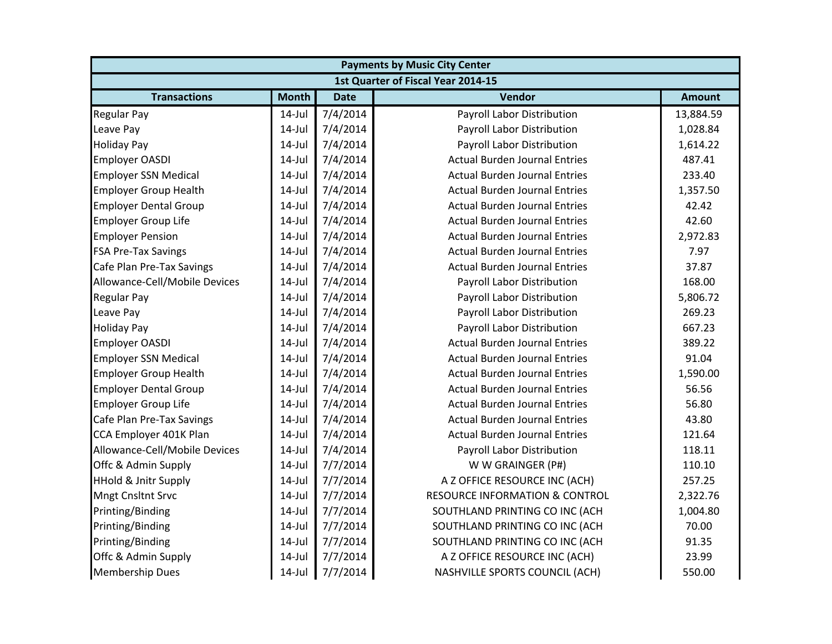| <b>Payments by Music City Center</b> |              |             |                                           |               |  |  |
|--------------------------------------|--------------|-------------|-------------------------------------------|---------------|--|--|
|                                      |              |             | 1st Quarter of Fiscal Year 2014-15        |               |  |  |
| <b>Transactions</b>                  | <b>Month</b> | <b>Date</b> | Vendor                                    | <b>Amount</b> |  |  |
| <b>Regular Pay</b>                   | $14$ -Jul    | 7/4/2014    | Payroll Labor Distribution                | 13,884.59     |  |  |
| Leave Pay                            | $14$ -Jul    | 7/4/2014    | Payroll Labor Distribution                | 1,028.84      |  |  |
| <b>Holiday Pay</b>                   | $14$ -Jul    | 7/4/2014    | Payroll Labor Distribution                | 1,614.22      |  |  |
| <b>Employer OASDI</b>                | $14$ -Jul    | 7/4/2014    | <b>Actual Burden Journal Entries</b>      | 487.41        |  |  |
| <b>Employer SSN Medical</b>          | $14$ -Jul    | 7/4/2014    | <b>Actual Burden Journal Entries</b>      | 233.40        |  |  |
| <b>Employer Group Health</b>         | $14$ -Jul    | 7/4/2014    | <b>Actual Burden Journal Entries</b>      | 1,357.50      |  |  |
| <b>Employer Dental Group</b>         | $14$ -Jul    | 7/4/2014    | <b>Actual Burden Journal Entries</b>      | 42.42         |  |  |
| <b>Employer Group Life</b>           | $14$ -Jul    | 7/4/2014    | <b>Actual Burden Journal Entries</b>      | 42.60         |  |  |
| <b>Employer Pension</b>              | $14$ -Jul    | 7/4/2014    | <b>Actual Burden Journal Entries</b>      | 2,972.83      |  |  |
| <b>FSA Pre-Tax Savings</b>           | $14$ -Jul    | 7/4/2014    | <b>Actual Burden Journal Entries</b>      | 7.97          |  |  |
| Cafe Plan Pre-Tax Savings            | $14$ -Jul    | 7/4/2014    | <b>Actual Burden Journal Entries</b>      | 37.87         |  |  |
| Allowance-Cell/Mobile Devices        | $14$ -Jul    | 7/4/2014    | Payroll Labor Distribution                | 168.00        |  |  |
| <b>Regular Pay</b>                   | $14$ -Jul    | 7/4/2014    | Payroll Labor Distribution                | 5,806.72      |  |  |
| Leave Pay                            | $14$ -Jul    | 7/4/2014    | Payroll Labor Distribution                | 269.23        |  |  |
| <b>Holiday Pay</b>                   | $14$ -Jul    | 7/4/2014    | Payroll Labor Distribution                | 667.23        |  |  |
| <b>Employer OASDI</b>                | $14$ -Jul    | 7/4/2014    | <b>Actual Burden Journal Entries</b>      | 389.22        |  |  |
| <b>Employer SSN Medical</b>          | $14$ -Jul    | 7/4/2014    | <b>Actual Burden Journal Entries</b>      | 91.04         |  |  |
| <b>Employer Group Health</b>         | $14$ -Jul    | 7/4/2014    | <b>Actual Burden Journal Entries</b>      | 1,590.00      |  |  |
| <b>Employer Dental Group</b>         | $14$ -Jul    | 7/4/2014    | <b>Actual Burden Journal Entries</b>      | 56.56         |  |  |
| <b>Employer Group Life</b>           | $14$ -Jul    | 7/4/2014    | <b>Actual Burden Journal Entries</b>      | 56.80         |  |  |
| Cafe Plan Pre-Tax Savings            | $14$ -Jul    | 7/4/2014    | <b>Actual Burden Journal Entries</b>      | 43.80         |  |  |
| CCA Employer 401K Plan               | $14$ -Jul    | 7/4/2014    | <b>Actual Burden Journal Entries</b>      | 121.64        |  |  |
| Allowance-Cell/Mobile Devices        | $14$ -Jul    | 7/4/2014    | Payroll Labor Distribution                | 118.11        |  |  |
| Offc & Admin Supply                  | $14$ -Jul    | 7/7/2014    | W W GRAINGER (P#)                         | 110.10        |  |  |
| <b>HHold &amp; Jnitr Supply</b>      | $14$ -Jul    | 7/7/2014    | A Z OFFICE RESOURCE INC (ACH)             | 257.25        |  |  |
| <b>Mngt Cnsltnt Srvc</b>             | $14$ -Jul    | 7/7/2014    | <b>RESOURCE INFORMATION &amp; CONTROL</b> | 2,322.76      |  |  |
| Printing/Binding                     | $14$ -Jul    | 7/7/2014    | SOUTHLAND PRINTING CO INC (ACH            | 1,004.80      |  |  |
| Printing/Binding                     | $14$ -Jul    | 7/7/2014    | SOUTHLAND PRINTING CO INC (ACH            | 70.00         |  |  |
| Printing/Binding                     | $14$ -Jul    | 7/7/2014    | SOUTHLAND PRINTING CO INC (ACH            | 91.35         |  |  |
| Offc & Admin Supply                  | $14$ -Jul    | 7/7/2014    | A Z OFFICE RESOURCE INC (ACH)             | 23.99         |  |  |
| <b>Membership Dues</b>               | $14$ -Jul    | 7/7/2014    | NASHVILLE SPORTS COUNCIL (ACH)            | 550.00        |  |  |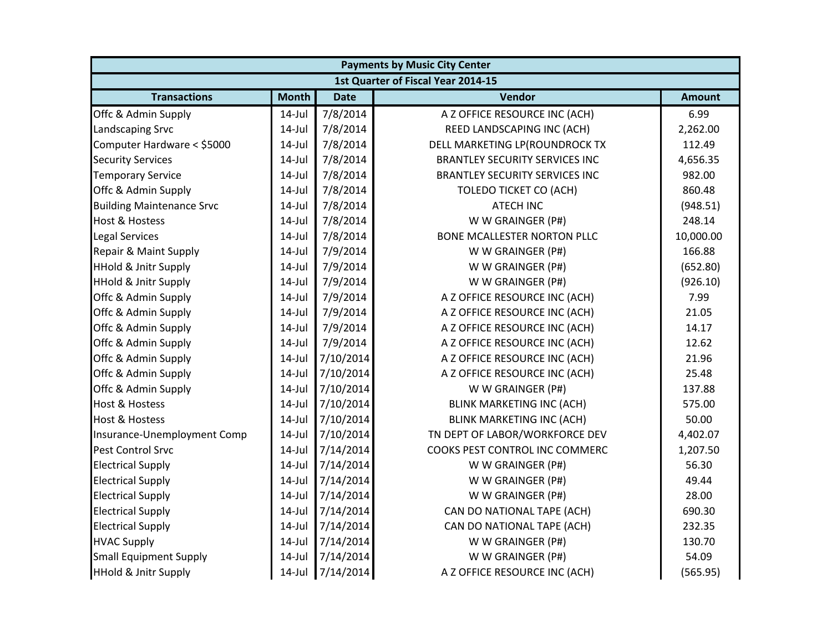|                                  | <b>Payments by Music City Center</b> |             |                                       |               |  |  |
|----------------------------------|--------------------------------------|-------------|---------------------------------------|---------------|--|--|
|                                  |                                      |             | 1st Quarter of Fiscal Year 2014-15    |               |  |  |
| <b>Transactions</b>              | <b>Month</b>                         | <b>Date</b> | Vendor                                | <b>Amount</b> |  |  |
| Offc & Admin Supply              | $14$ -Jul                            | 7/8/2014    | A Z OFFICE RESOURCE INC (ACH)         | 6.99          |  |  |
| Landscaping Srvc                 | $14$ -Jul                            | 7/8/2014    | REED LANDSCAPING INC (ACH)            | 2,262.00      |  |  |
| Computer Hardware < \$5000       | $14$ -Jul                            | 7/8/2014    | DELL MARKETING LP(ROUNDROCK TX        | 112.49        |  |  |
| <b>Security Services</b>         | $14$ -Jul                            | 7/8/2014    | <b>BRANTLEY SECURITY SERVICES INC</b> | 4,656.35      |  |  |
| <b>Temporary Service</b>         | $14$ -Jul                            | 7/8/2014    | <b>BRANTLEY SECURITY SERVICES INC</b> | 982.00        |  |  |
| Offc & Admin Supply              | $14$ -Jul                            | 7/8/2014    | <b>TOLEDO TICKET CO (ACH)</b>         | 860.48        |  |  |
| <b>Building Maintenance Srvc</b> | $14$ -Jul                            | 7/8/2014    | <b>ATECH INC</b>                      | (948.51)      |  |  |
| <b>Host &amp; Hostess</b>        | $14$ -Jul                            | 7/8/2014    | W W GRAINGER (P#)                     | 248.14        |  |  |
| <b>Legal Services</b>            | $14$ -Jul                            | 7/8/2014    | <b>BONE MCALLESTER NORTON PLLC</b>    | 10,000.00     |  |  |
| Repair & Maint Supply            | $14$ -Jul                            | 7/9/2014    | W W GRAINGER (P#)                     | 166.88        |  |  |
| <b>HHold &amp; Jnitr Supply</b>  | $14$ -Jul                            | 7/9/2014    | W W GRAINGER (P#)                     | (652.80)      |  |  |
| <b>HHold &amp; Jnitr Supply</b>  | $14$ -Jul                            | 7/9/2014    | W W GRAINGER (P#)                     | (926.10)      |  |  |
| Offc & Admin Supply              | $14$ -Jul                            | 7/9/2014    | A Z OFFICE RESOURCE INC (ACH)         | 7.99          |  |  |
| Offc & Admin Supply              | $14$ -Jul                            | 7/9/2014    | A Z OFFICE RESOURCE INC (ACH)         | 21.05         |  |  |
| Offc & Admin Supply              | $14$ -Jul                            | 7/9/2014    | A Z OFFICE RESOURCE INC (ACH)         | 14.17         |  |  |
| Offc & Admin Supply              | $14$ -Jul                            | 7/9/2014    | A Z OFFICE RESOURCE INC (ACH)         | 12.62         |  |  |
| Offc & Admin Supply              | $14$ -Jul                            | 7/10/2014   | A Z OFFICE RESOURCE INC (ACH)         | 21.96         |  |  |
| Offc & Admin Supply              | $14$ -Jul                            | 7/10/2014   | A Z OFFICE RESOURCE INC (ACH)         | 25.48         |  |  |
| Offc & Admin Supply              | $14$ -Jul                            | 7/10/2014   | W W GRAINGER (P#)                     | 137.88        |  |  |
| <b>Host &amp; Hostess</b>        | $14$ -Jul                            | 7/10/2014   | <b>BLINK MARKETING INC (ACH)</b>      | 575.00        |  |  |
| <b>Host &amp; Hostess</b>        | $14$ -Jul                            | 7/10/2014   | <b>BLINK MARKETING INC (ACH)</b>      | 50.00         |  |  |
| Insurance-Unemployment Comp      | $14$ -Jul                            | 7/10/2014   | TN DEPT OF LABOR/WORKFORCE DEV        | 4,402.07      |  |  |
| Pest Control Srvc                | $14$ -Jul                            | 7/14/2014   | COOKS PEST CONTROL INC COMMERC        | 1,207.50      |  |  |
| <b>Electrical Supply</b>         | $14$ -Jul                            | 7/14/2014   | W W GRAINGER (P#)                     | 56.30         |  |  |
| <b>Electrical Supply</b>         | $14$ -Jul                            | 7/14/2014   | W W GRAINGER (P#)                     | 49.44         |  |  |
| <b>Electrical Supply</b>         | $14$ -Jul                            | 7/14/2014   | W W GRAINGER (P#)                     | 28.00         |  |  |
| <b>Electrical Supply</b>         | $14$ -Jul                            | 7/14/2014   | CAN DO NATIONAL TAPE (ACH)            | 690.30        |  |  |
| <b>Electrical Supply</b>         | $14$ -Jul                            | 7/14/2014   | CAN DO NATIONAL TAPE (ACH)            | 232.35        |  |  |
| <b>HVAC Supply</b>               | $14$ -Jul                            | 7/14/2014   | W W GRAINGER (P#)                     | 130.70        |  |  |
| <b>Small Equipment Supply</b>    | $14$ -Jul                            | 7/14/2014   | W W GRAINGER (P#)                     | 54.09         |  |  |
| <b>HHold &amp; Jnitr Supply</b>  | $14$ -Jul                            | 7/14/2014   | A Z OFFICE RESOURCE INC (ACH)         | (565.95)      |  |  |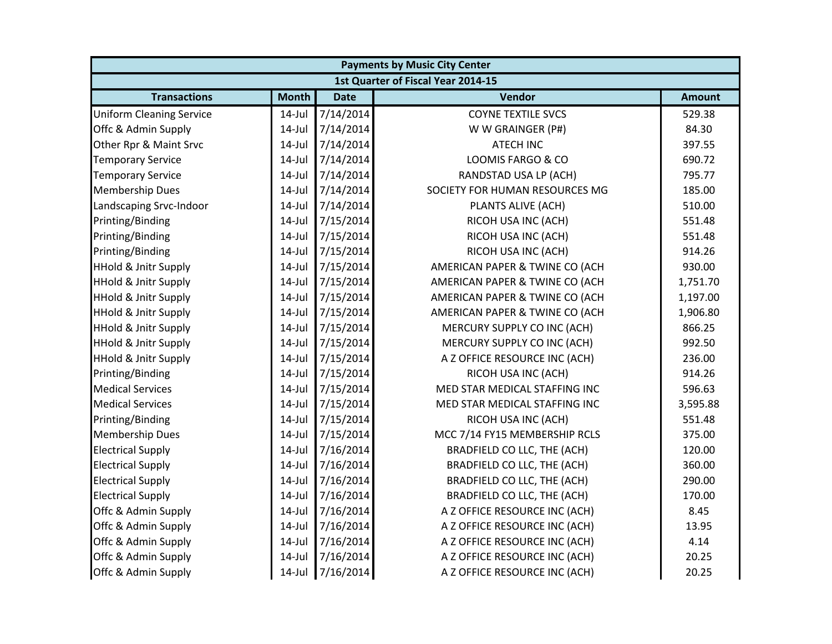| <b>Payments by Music City Center</b> |              |             |                                    |               |  |  |
|--------------------------------------|--------------|-------------|------------------------------------|---------------|--|--|
|                                      |              |             | 1st Quarter of Fiscal Year 2014-15 |               |  |  |
| <b>Transactions</b>                  | <b>Month</b> | <b>Date</b> | Vendor                             | <b>Amount</b> |  |  |
| <b>Uniform Cleaning Service</b>      | $14$ -Jul    | 7/14/2014   | <b>COYNE TEXTILE SVCS</b>          | 529.38        |  |  |
| Offc & Admin Supply                  | $14$ -Jul    | 7/14/2014   | W W GRAINGER (P#)                  | 84.30         |  |  |
| Other Rpr & Maint Srvc               | $14$ -Jul    | 7/14/2014   | <b>ATECH INC</b>                   | 397.55        |  |  |
| <b>Temporary Service</b>             | $14$ -Jul    | 7/14/2014   | LOOMIS FARGO & CO                  | 690.72        |  |  |
| <b>Temporary Service</b>             | $14$ -Jul    | 7/14/2014   | RANDSTAD USA LP (ACH)              | 795.77        |  |  |
| <b>Membership Dues</b>               | $14$ -Jul    | 7/14/2014   | SOCIETY FOR HUMAN RESOURCES MG     | 185.00        |  |  |
| Landscaping Srvc-Indoor              | $14$ -Jul    | 7/14/2014   | PLANTS ALIVE (ACH)                 | 510.00        |  |  |
| Printing/Binding                     | $14$ -Jul    | 7/15/2014   | RICOH USA INC (ACH)                | 551.48        |  |  |
| Printing/Binding                     | $14$ -Jul    | 7/15/2014   | RICOH USA INC (ACH)                | 551.48        |  |  |
| Printing/Binding                     | $14$ -Jul    | 7/15/2014   | RICOH USA INC (ACH)                | 914.26        |  |  |
| <b>HHold &amp; Jnitr Supply</b>      | $14$ -Jul    | 7/15/2014   | AMERICAN PAPER & TWINE CO (ACH     | 930.00        |  |  |
| <b>HHold &amp; Jnitr Supply</b>      | $14$ -Jul    | 7/15/2014   | AMERICAN PAPER & TWINE CO (ACH     | 1,751.70      |  |  |
| <b>HHold &amp; Jnitr Supply</b>      | $14$ -Jul    | 7/15/2014   | AMERICAN PAPER & TWINE CO (ACH     | 1,197.00      |  |  |
| <b>HHold &amp; Jnitr Supply</b>      | $14$ -Jul    | 7/15/2014   | AMERICAN PAPER & TWINE CO (ACH     | 1,906.80      |  |  |
| <b>HHold &amp; Jnitr Supply</b>      | $14$ -Jul    | 7/15/2014   | MERCURY SUPPLY CO INC (ACH)        | 866.25        |  |  |
| <b>HHold &amp; Jnitr Supply</b>      | $14$ -Jul    | 7/15/2014   | MERCURY SUPPLY CO INC (ACH)        | 992.50        |  |  |
| <b>HHold &amp; Jnitr Supply</b>      | $14$ -Jul    | 7/15/2014   | A Z OFFICE RESOURCE INC (ACH)      | 236.00        |  |  |
| Printing/Binding                     | $14$ -Jul    | 7/15/2014   | RICOH USA INC (ACH)                | 914.26        |  |  |
| <b>Medical Services</b>              | $14$ -Jul    | 7/15/2014   | MED STAR MEDICAL STAFFING INC      | 596.63        |  |  |
| <b>Medical Services</b>              | $14$ -Jul    | 7/15/2014   | MED STAR MEDICAL STAFFING INC      | 3,595.88      |  |  |
| Printing/Binding                     | $14$ -Jul    | 7/15/2014   | RICOH USA INC (ACH)                | 551.48        |  |  |
| <b>Membership Dues</b>               | $14$ -Jul    | 7/15/2014   | MCC 7/14 FY15 MEMBERSHIP RCLS      | 375.00        |  |  |
| <b>Electrical Supply</b>             | $14$ -Jul    | 7/16/2014   | BRADFIELD CO LLC, THE (ACH)        | 120.00        |  |  |
| <b>Electrical Supply</b>             | $14$ -Jul    | 7/16/2014   | BRADFIELD CO LLC, THE (ACH)        | 360.00        |  |  |
| <b>Electrical Supply</b>             | $14$ -Jul    | 7/16/2014   | BRADFIELD CO LLC, THE (ACH)        | 290.00        |  |  |
| <b>Electrical Supply</b>             | $14$ -Jul    | 7/16/2014   | BRADFIELD CO LLC, THE (ACH)        | 170.00        |  |  |
| Offc & Admin Supply                  | $14$ -Jul    | 7/16/2014   | A Z OFFICE RESOURCE INC (ACH)      | 8.45          |  |  |
| Offc & Admin Supply                  | $14$ -Jul    | 7/16/2014   | A Z OFFICE RESOURCE INC (ACH)      | 13.95         |  |  |
| Offc & Admin Supply                  | $14$ -Jul    | 7/16/2014   | A Z OFFICE RESOURCE INC (ACH)      | 4.14          |  |  |
| Offc & Admin Supply                  | $14$ -Jul    | 7/16/2014   | A Z OFFICE RESOURCE INC (ACH)      | 20.25         |  |  |
| Offc & Admin Supply                  | 14-Jul       | 7/16/2014   | A Z OFFICE RESOURCE INC (ACH)      | 20.25         |  |  |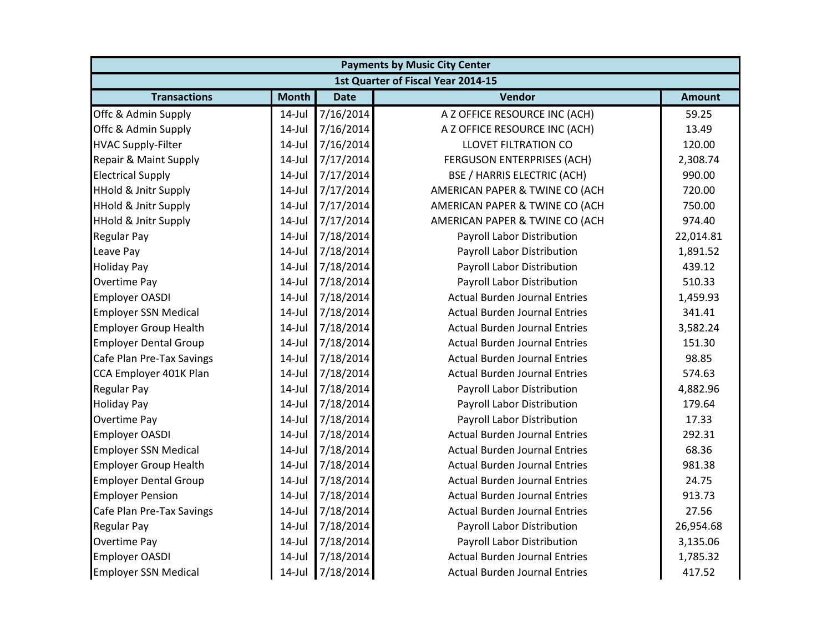| <b>Payments by Music City Center</b> |              |             |                                      |               |  |  |  |  |
|--------------------------------------|--------------|-------------|--------------------------------------|---------------|--|--|--|--|
| 1st Quarter of Fiscal Year 2014-15   |              |             |                                      |               |  |  |  |  |
| <b>Transactions</b>                  | <b>Month</b> | <b>Date</b> | Vendor                               | <b>Amount</b> |  |  |  |  |
| Offc & Admin Supply                  | $14$ -Jul    | 7/16/2014   | A Z OFFICE RESOURCE INC (ACH)        | 59.25         |  |  |  |  |
| Offc & Admin Supply                  | $14$ -Jul    | 7/16/2014   | A Z OFFICE RESOURCE INC (ACH)        | 13.49         |  |  |  |  |
| <b>HVAC Supply-Filter</b>            | $14$ -Jul    | 7/16/2014   | <b>LLOVET FILTRATION CO</b>          | 120.00        |  |  |  |  |
| Repair & Maint Supply                | $14$ -Jul    | 7/17/2014   | <b>FERGUSON ENTERPRISES (ACH)</b>    | 2,308.74      |  |  |  |  |
| <b>Electrical Supply</b>             | $14$ -Jul    | 7/17/2014   | <b>BSE / HARRIS ELECTRIC (ACH)</b>   | 990.00        |  |  |  |  |
| <b>HHold &amp; Jnitr Supply</b>      | $14$ -Jul    | 7/17/2014   | AMERICAN PAPER & TWINE CO (ACH       | 720.00        |  |  |  |  |
| <b>HHold &amp; Jnitr Supply</b>      | $14$ -Jul    | 7/17/2014   | AMERICAN PAPER & TWINE CO (ACH       | 750.00        |  |  |  |  |
| <b>HHold &amp; Jnitr Supply</b>      | $14$ -Jul    | 7/17/2014   | AMERICAN PAPER & TWINE CO (ACH       | 974.40        |  |  |  |  |
| <b>Regular Pay</b>                   | $14$ -Jul    | 7/18/2014   | Payroll Labor Distribution           | 22,014.81     |  |  |  |  |
| Leave Pay                            | $14$ -Jul    | 7/18/2014   | Payroll Labor Distribution           | 1,891.52      |  |  |  |  |
| <b>Holiday Pay</b>                   | 14-Jul       | 7/18/2014   | Payroll Labor Distribution           | 439.12        |  |  |  |  |
| Overtime Pay                         | $14$ -Jul    | 7/18/2014   | Payroll Labor Distribution           | 510.33        |  |  |  |  |
| <b>Employer OASDI</b>                | $14$ -Jul    | 7/18/2014   | <b>Actual Burden Journal Entries</b> | 1,459.93      |  |  |  |  |
| <b>Employer SSN Medical</b>          | $14$ -Jul    | 7/18/2014   | <b>Actual Burden Journal Entries</b> | 341.41        |  |  |  |  |
| <b>Employer Group Health</b>         | $14$ -Jul    | 7/18/2014   | <b>Actual Burden Journal Entries</b> | 3,582.24      |  |  |  |  |
| <b>Employer Dental Group</b>         | $14$ -Jul    | 7/18/2014   | <b>Actual Burden Journal Entries</b> | 151.30        |  |  |  |  |
| Cafe Plan Pre-Tax Savings            | $14$ -Jul    | 7/18/2014   | <b>Actual Burden Journal Entries</b> | 98.85         |  |  |  |  |
| CCA Employer 401K Plan               | $14$ -Jul    | 7/18/2014   | <b>Actual Burden Journal Entries</b> | 574.63        |  |  |  |  |
| <b>Regular Pay</b>                   | $14$ -Jul    | 7/18/2014   | Payroll Labor Distribution           | 4,882.96      |  |  |  |  |
| <b>Holiday Pay</b>                   | $14$ -Jul    | 7/18/2014   | <b>Payroll Labor Distribution</b>    | 179.64        |  |  |  |  |
| <b>Overtime Pay</b>                  | $14$ -Jul    | 7/18/2014   | Payroll Labor Distribution           | 17.33         |  |  |  |  |
| <b>Employer OASDI</b>                | $14$ -Jul    | 7/18/2014   | <b>Actual Burden Journal Entries</b> | 292.31        |  |  |  |  |
| <b>Employer SSN Medical</b>          | $14$ -Jul    | 7/18/2014   | <b>Actual Burden Journal Entries</b> | 68.36         |  |  |  |  |
| <b>Employer Group Health</b>         | $14$ -Jul    | 7/18/2014   | <b>Actual Burden Journal Entries</b> | 981.38        |  |  |  |  |
| <b>Employer Dental Group</b>         | $14$ -Jul    | 7/18/2014   | <b>Actual Burden Journal Entries</b> | 24.75         |  |  |  |  |
| <b>Employer Pension</b>              | $14$ -Jul    | 7/18/2014   | <b>Actual Burden Journal Entries</b> | 913.73        |  |  |  |  |
| Cafe Plan Pre-Tax Savings            | $14$ -Jul    | 7/18/2014   | <b>Actual Burden Journal Entries</b> | 27.56         |  |  |  |  |
| <b>Regular Pay</b>                   | $14$ -Jul    | 7/18/2014   | Payroll Labor Distribution           | 26,954.68     |  |  |  |  |
| Overtime Pay                         | $14$ -Jul    | 7/18/2014   | Payroll Labor Distribution           | 3,135.06      |  |  |  |  |
| <b>Employer OASDI</b>                | $14$ -Jul    | 7/18/2014   | <b>Actual Burden Journal Entries</b> | 1,785.32      |  |  |  |  |
| <b>Employer SSN Medical</b>          | $14$ -Jul    | 7/18/2014   | <b>Actual Burden Journal Entries</b> | 417.52        |  |  |  |  |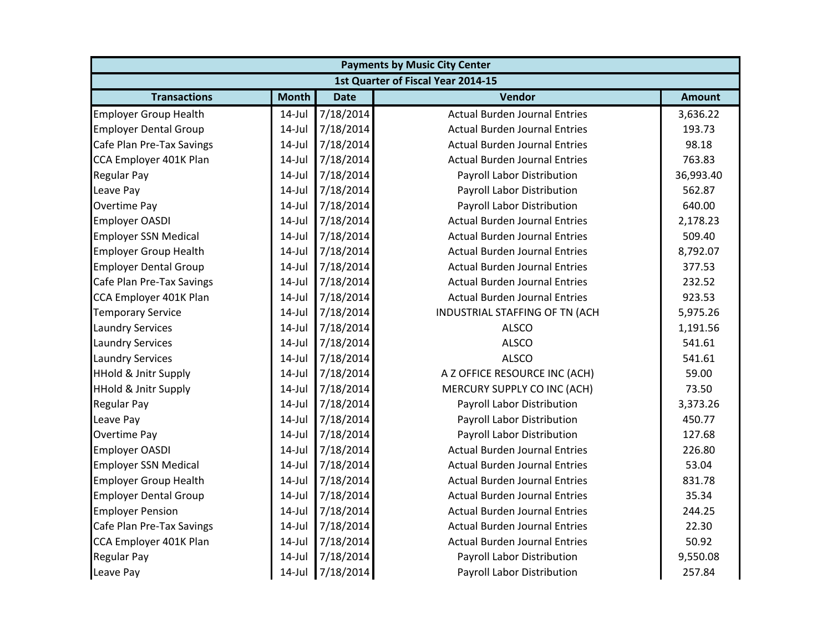| <b>Payments by Music City Center</b> |              |             |                                      |               |  |  |  |
|--------------------------------------|--------------|-------------|--------------------------------------|---------------|--|--|--|
|                                      |              |             | 1st Quarter of Fiscal Year 2014-15   |               |  |  |  |
| <b>Transactions</b>                  | <b>Month</b> | <b>Date</b> | Vendor                               | <b>Amount</b> |  |  |  |
| <b>Employer Group Health</b>         | $14$ -Jul    | 7/18/2014   | <b>Actual Burden Journal Entries</b> | 3,636.22      |  |  |  |
| <b>Employer Dental Group</b>         | $14$ -Jul    | 7/18/2014   | <b>Actual Burden Journal Entries</b> | 193.73        |  |  |  |
| Cafe Plan Pre-Tax Savings            | $14$ -Jul    | 7/18/2014   | <b>Actual Burden Journal Entries</b> | 98.18         |  |  |  |
| CCA Employer 401K Plan               | $14$ -Jul    | 7/18/2014   | <b>Actual Burden Journal Entries</b> | 763.83        |  |  |  |
| <b>Regular Pay</b>                   | $14$ -Jul    | 7/18/2014   | Payroll Labor Distribution           | 36,993.40     |  |  |  |
| Leave Pay                            | $14$ -Jul    | 7/18/2014   | Payroll Labor Distribution           | 562.87        |  |  |  |
| <b>Overtime Pay</b>                  | $14$ -Jul    | 7/18/2014   | Payroll Labor Distribution           | 640.00        |  |  |  |
| <b>Employer OASDI</b>                | $14$ -Jul    | 7/18/2014   | <b>Actual Burden Journal Entries</b> | 2,178.23      |  |  |  |
| <b>Employer SSN Medical</b>          | $14$ -Jul    | 7/18/2014   | <b>Actual Burden Journal Entries</b> | 509.40        |  |  |  |
| <b>Employer Group Health</b>         | $14$ -Jul    | 7/18/2014   | <b>Actual Burden Journal Entries</b> | 8,792.07      |  |  |  |
| <b>Employer Dental Group</b>         | $14$ -Jul    | 7/18/2014   | <b>Actual Burden Journal Entries</b> | 377.53        |  |  |  |
| Cafe Plan Pre-Tax Savings            | $14$ -Jul    | 7/18/2014   | <b>Actual Burden Journal Entries</b> | 232.52        |  |  |  |
| CCA Employer 401K Plan               | $14$ -Jul    | 7/18/2014   | <b>Actual Burden Journal Entries</b> | 923.53        |  |  |  |
| <b>Temporary Service</b>             | $14$ -Jul    | 7/18/2014   | INDUSTRIAL STAFFING OF TN (ACH       | 5,975.26      |  |  |  |
| <b>Laundry Services</b>              | $14$ -Jul    | 7/18/2014   | <b>ALSCO</b>                         | 1,191.56      |  |  |  |
| <b>Laundry Services</b>              | $14$ -Jul    | 7/18/2014   | <b>ALSCO</b>                         | 541.61        |  |  |  |
| <b>Laundry Services</b>              | $14$ -Jul    | 7/18/2014   | <b>ALSCO</b>                         | 541.61        |  |  |  |
| <b>HHold &amp; Jnitr Supply</b>      | $14$ -Jul    | 7/18/2014   | A Z OFFICE RESOURCE INC (ACH)        | 59.00         |  |  |  |
| <b>HHold &amp; Jnitr Supply</b>      | $14$ -Jul    | 7/18/2014   | MERCURY SUPPLY CO INC (ACH)          | 73.50         |  |  |  |
| <b>Regular Pay</b>                   | $14$ -Jul    | 7/18/2014   | Payroll Labor Distribution           | 3,373.26      |  |  |  |
| Leave Pay                            | $14$ -Jul    | 7/18/2014   | Payroll Labor Distribution           | 450.77        |  |  |  |
| <b>Overtime Pay</b>                  | $14$ -Jul    | 7/18/2014   | Payroll Labor Distribution           | 127.68        |  |  |  |
| <b>Employer OASDI</b>                | $14$ -Jul    | 7/18/2014   | <b>Actual Burden Journal Entries</b> | 226.80        |  |  |  |
| <b>Employer SSN Medical</b>          | 14-Jul       | 7/18/2014   | <b>Actual Burden Journal Entries</b> | 53.04         |  |  |  |
| <b>Employer Group Health</b>         | $14$ -Jul    | 7/18/2014   | <b>Actual Burden Journal Entries</b> | 831.78        |  |  |  |
| <b>Employer Dental Group</b>         | $14$ -Jul    | 7/18/2014   | <b>Actual Burden Journal Entries</b> | 35.34         |  |  |  |
| <b>Employer Pension</b>              | $14$ -Jul    | 7/18/2014   | <b>Actual Burden Journal Entries</b> | 244.25        |  |  |  |
| Cafe Plan Pre-Tax Savings            | $14$ -Jul    | 7/18/2014   | <b>Actual Burden Journal Entries</b> | 22.30         |  |  |  |
| CCA Employer 401K Plan               | $14$ -Jul    | 7/18/2014   | <b>Actual Burden Journal Entries</b> | 50.92         |  |  |  |
| <b>Regular Pay</b>                   | $14$ -Jul    | 7/18/2014   | Payroll Labor Distribution           | 9,550.08      |  |  |  |
| Leave Pay                            | $14$ -Jul    | 7/18/2014   | Payroll Labor Distribution           | 257.84        |  |  |  |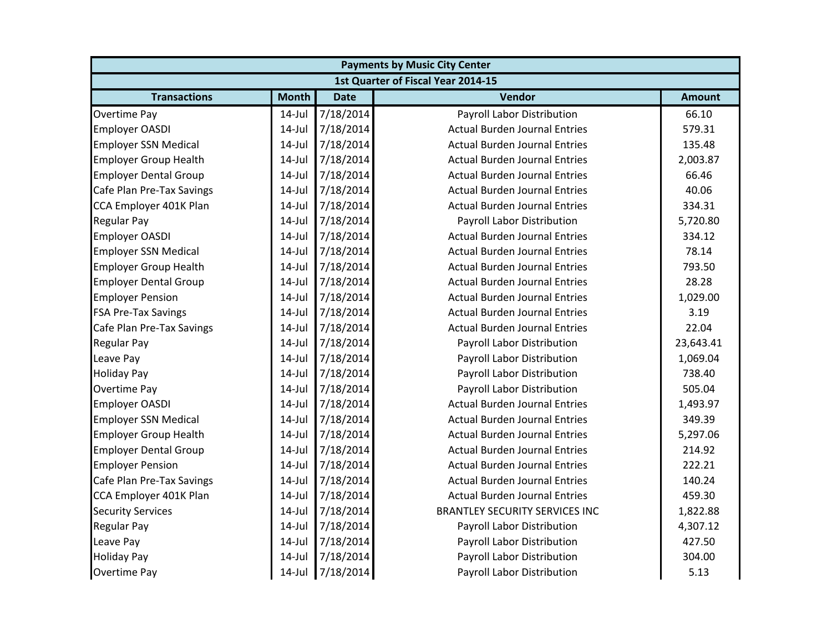| <b>Payments by Music City Center</b> |              |             |                                       |               |  |  |  |  |
|--------------------------------------|--------------|-------------|---------------------------------------|---------------|--|--|--|--|
| 1st Quarter of Fiscal Year 2014-15   |              |             |                                       |               |  |  |  |  |
| <b>Transactions</b>                  | <b>Month</b> | <b>Date</b> | Vendor                                | <b>Amount</b> |  |  |  |  |
| <b>Overtime Pay</b>                  | $14$ -Jul    | 7/18/2014   | Payroll Labor Distribution            | 66.10         |  |  |  |  |
| <b>Employer OASDI</b>                | $14$ -Jul    | 7/18/2014   | <b>Actual Burden Journal Entries</b>  | 579.31        |  |  |  |  |
| <b>Employer SSN Medical</b>          | $14$ -Jul    | 7/18/2014   | <b>Actual Burden Journal Entries</b>  | 135.48        |  |  |  |  |
| <b>Employer Group Health</b>         | $14$ -Jul    | 7/18/2014   | <b>Actual Burden Journal Entries</b>  | 2,003.87      |  |  |  |  |
| <b>Employer Dental Group</b>         | $14$ -Jul    | 7/18/2014   | <b>Actual Burden Journal Entries</b>  | 66.46         |  |  |  |  |
| Cafe Plan Pre-Tax Savings            | $14$ -Jul    | 7/18/2014   | <b>Actual Burden Journal Entries</b>  | 40.06         |  |  |  |  |
| CCA Employer 401K Plan               | $14$ -Jul    | 7/18/2014   | <b>Actual Burden Journal Entries</b>  | 334.31        |  |  |  |  |
| <b>Regular Pay</b>                   | $14$ -Jul    | 7/18/2014   | Payroll Labor Distribution            | 5,720.80      |  |  |  |  |
| <b>Employer OASDI</b>                | $14$ -Jul    | 7/18/2014   | <b>Actual Burden Journal Entries</b>  | 334.12        |  |  |  |  |
| <b>Employer SSN Medical</b>          | $14$ -Jul    | 7/18/2014   | <b>Actual Burden Journal Entries</b>  | 78.14         |  |  |  |  |
| <b>Employer Group Health</b>         | $14$ -Jul    | 7/18/2014   | <b>Actual Burden Journal Entries</b>  | 793.50        |  |  |  |  |
| <b>Employer Dental Group</b>         | $14$ -Jul    | 7/18/2014   | <b>Actual Burden Journal Entries</b>  | 28.28         |  |  |  |  |
| <b>Employer Pension</b>              | $14$ -Jul    | 7/18/2014   | <b>Actual Burden Journal Entries</b>  | 1,029.00      |  |  |  |  |
| <b>FSA Pre-Tax Savings</b>           | $14$ -Jul    | 7/18/2014   | <b>Actual Burden Journal Entries</b>  | 3.19          |  |  |  |  |
| Cafe Plan Pre-Tax Savings            | $14$ -Jul    | 7/18/2014   | <b>Actual Burden Journal Entries</b>  | 22.04         |  |  |  |  |
| <b>Regular Pay</b>                   | $14$ -Jul    | 7/18/2014   | Payroll Labor Distribution            | 23,643.41     |  |  |  |  |
| Leave Pay                            | $14$ -Jul    | 7/18/2014   | Payroll Labor Distribution            | 1,069.04      |  |  |  |  |
| <b>Holiday Pay</b>                   | $14$ -Jul    | 7/18/2014   | Payroll Labor Distribution            | 738.40        |  |  |  |  |
| <b>Overtime Pay</b>                  | $14$ -Jul    | 7/18/2014   | Payroll Labor Distribution            | 505.04        |  |  |  |  |
| <b>Employer OASDI</b>                | $14$ -Jul    | 7/18/2014   | <b>Actual Burden Journal Entries</b>  | 1,493.97      |  |  |  |  |
| <b>Employer SSN Medical</b>          | $14$ -Jul    | 7/18/2014   | <b>Actual Burden Journal Entries</b>  | 349.39        |  |  |  |  |
| <b>Employer Group Health</b>         | $14$ -Jul    | 7/18/2014   | <b>Actual Burden Journal Entries</b>  | 5,297.06      |  |  |  |  |
| <b>Employer Dental Group</b>         | $14$ -Jul    | 7/18/2014   | <b>Actual Burden Journal Entries</b>  | 214.92        |  |  |  |  |
| <b>Employer Pension</b>              | 14-Jul       | 7/18/2014   | <b>Actual Burden Journal Entries</b>  | 222.21        |  |  |  |  |
| Cafe Plan Pre-Tax Savings            | $14$ -Jul    | 7/18/2014   | <b>Actual Burden Journal Entries</b>  | 140.24        |  |  |  |  |
| CCA Employer 401K Plan               | $14$ -Jul    | 7/18/2014   | <b>Actual Burden Journal Entries</b>  | 459.30        |  |  |  |  |
| <b>Security Services</b>             | $14$ -Jul    | 7/18/2014   | <b>BRANTLEY SECURITY SERVICES INC</b> | 1,822.88      |  |  |  |  |
| <b>Regular Pay</b>                   | $14$ -Jul    | 7/18/2014   | Payroll Labor Distribution            | 4,307.12      |  |  |  |  |
| Leave Pay                            | $14$ -Jul    | 7/18/2014   | Payroll Labor Distribution            | 427.50        |  |  |  |  |
| <b>Holiday Pay</b>                   | $14$ -Jul    | 7/18/2014   | Payroll Labor Distribution            | 304.00        |  |  |  |  |
| <b>Overtime Pay</b>                  | $14$ -Jul    | 7/18/2014   | Payroll Labor Distribution            | 5.13          |  |  |  |  |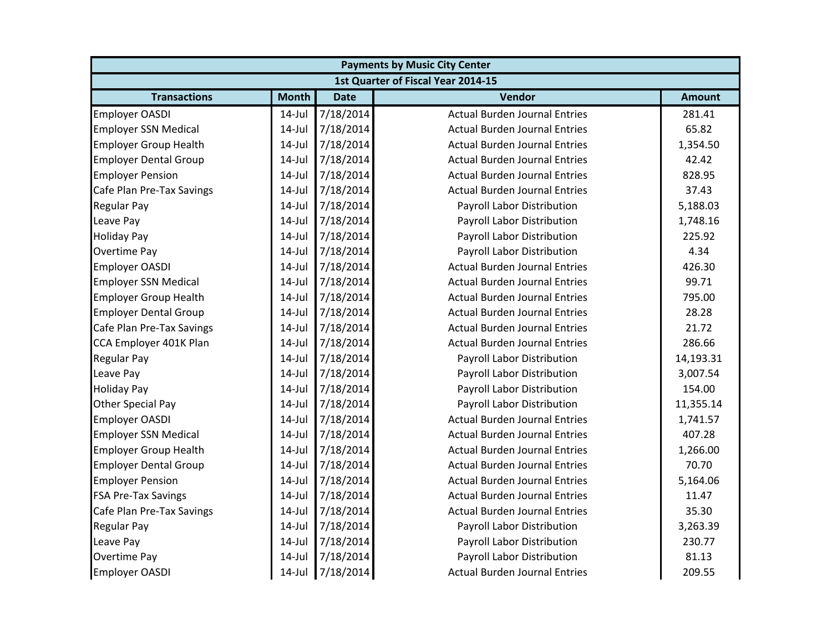| <b>Payments by Music City Center</b> |              |             |                                      |               |  |  |  |  |
|--------------------------------------|--------------|-------------|--------------------------------------|---------------|--|--|--|--|
| 1st Quarter of Fiscal Year 2014-15   |              |             |                                      |               |  |  |  |  |
| <b>Transactions</b>                  | <b>Month</b> | <b>Date</b> | Vendor                               | <b>Amount</b> |  |  |  |  |
| <b>Employer OASDI</b>                | $14$ -Jul    | 7/18/2014   | <b>Actual Burden Journal Entries</b> | 281.41        |  |  |  |  |
| <b>Employer SSN Medical</b>          | $14$ -Jul    | 7/18/2014   | <b>Actual Burden Journal Entries</b> | 65.82         |  |  |  |  |
| <b>Employer Group Health</b>         | $14$ -Jul    | 7/18/2014   | <b>Actual Burden Journal Entries</b> | 1,354.50      |  |  |  |  |
| <b>Employer Dental Group</b>         | $14$ -Jul    | 7/18/2014   | <b>Actual Burden Journal Entries</b> | 42.42         |  |  |  |  |
| <b>Employer Pension</b>              | $14$ -Jul    | 7/18/2014   | <b>Actual Burden Journal Entries</b> | 828.95        |  |  |  |  |
| Cafe Plan Pre-Tax Savings            | 14-Jul       | 7/18/2014   | <b>Actual Burden Journal Entries</b> | 37.43         |  |  |  |  |
| <b>Regular Pay</b>                   | 14-Jul       | 7/18/2014   | Payroll Labor Distribution           | 5,188.03      |  |  |  |  |
| Leave Pay                            | $14$ -Jul    | 7/18/2014   | Payroll Labor Distribution           | 1,748.16      |  |  |  |  |
| <b>Holiday Pay</b>                   | $14$ -Jul    | 7/18/2014   | Payroll Labor Distribution           | 225.92        |  |  |  |  |
| <b>Overtime Pay</b>                  | $14$ -Jul    | 7/18/2014   | Payroll Labor Distribution           | 4.34          |  |  |  |  |
| <b>Employer OASDI</b>                | $14$ -Jul    | 7/18/2014   | <b>Actual Burden Journal Entries</b> | 426.30        |  |  |  |  |
| <b>Employer SSN Medical</b>          | 14-Jul       | 7/18/2014   | <b>Actual Burden Journal Entries</b> | 99.71         |  |  |  |  |
| <b>Employer Group Health</b>         | $14$ -Jul    | 7/18/2014   | <b>Actual Burden Journal Entries</b> | 795.00        |  |  |  |  |
| <b>Employer Dental Group</b>         | $14$ -Jul    | 7/18/2014   | <b>Actual Burden Journal Entries</b> | 28.28         |  |  |  |  |
| Cafe Plan Pre-Tax Savings            | $14$ -Jul    | 7/18/2014   | <b>Actual Burden Journal Entries</b> | 21.72         |  |  |  |  |
| CCA Employer 401K Plan               | $14$ -Jul    | 7/18/2014   | <b>Actual Burden Journal Entries</b> | 286.66        |  |  |  |  |
| <b>Regular Pay</b>                   | $14$ -Jul    | 7/18/2014   | Payroll Labor Distribution           | 14,193.31     |  |  |  |  |
| Leave Pay                            | 14-Jul       | 7/18/2014   | Payroll Labor Distribution           | 3,007.54      |  |  |  |  |
| <b>Holiday Pay</b>                   | $14$ -Jul    | 7/18/2014   | Payroll Labor Distribution           | 154.00        |  |  |  |  |
| <b>Other Special Pay</b>             | $14$ -Jul    | 7/18/2014   | Payroll Labor Distribution           | 11,355.14     |  |  |  |  |
| <b>Employer OASDI</b>                | $14$ -Jul    | 7/18/2014   | <b>Actual Burden Journal Entries</b> | 1,741.57      |  |  |  |  |
| <b>Employer SSN Medical</b>          | $14$ -Jul    | 7/18/2014   | <b>Actual Burden Journal Entries</b> | 407.28        |  |  |  |  |
| <b>Employer Group Health</b>         | $14$ -Jul    | 7/18/2014   | <b>Actual Burden Journal Entries</b> | 1,266.00      |  |  |  |  |
| <b>Employer Dental Group</b>         | $14$ -Jul    | 7/18/2014   | <b>Actual Burden Journal Entries</b> | 70.70         |  |  |  |  |
| <b>Employer Pension</b>              | $14$ -Jul    | 7/18/2014   | <b>Actual Burden Journal Entries</b> | 5,164.06      |  |  |  |  |
| <b>FSA Pre-Tax Savings</b>           | $14$ -Jul    | 7/18/2014   | <b>Actual Burden Journal Entries</b> | 11.47         |  |  |  |  |
| Cafe Plan Pre-Tax Savings            | $14$ -Jul    | 7/18/2014   | <b>Actual Burden Journal Entries</b> | 35.30         |  |  |  |  |
| <b>Regular Pay</b>                   | $14$ -Jul    | 7/18/2014   | Payroll Labor Distribution           | 3,263.39      |  |  |  |  |
| Leave Pay                            | $14$ -Jul    | 7/18/2014   | Payroll Labor Distribution           | 230.77        |  |  |  |  |
| <b>Overtime Pay</b>                  | 14-Jul       | 7/18/2014   | Payroll Labor Distribution           | 81.13         |  |  |  |  |
| <b>Employer OASDI</b>                | $14$ -Jul    | 7/18/2014   | <b>Actual Burden Journal Entries</b> | 209.55        |  |  |  |  |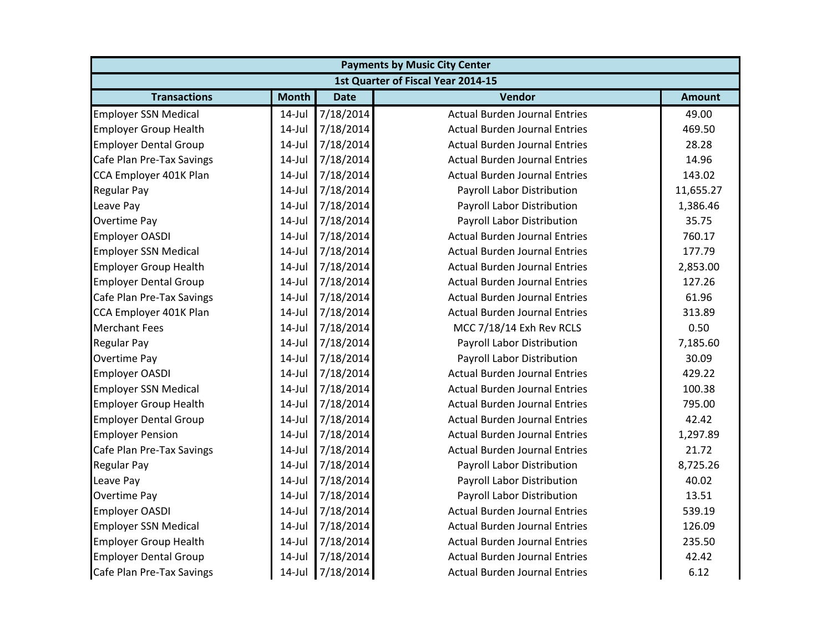| <b>Payments by Music City Center</b> |              |             |                                      |               |  |  |  |  |
|--------------------------------------|--------------|-------------|--------------------------------------|---------------|--|--|--|--|
| 1st Quarter of Fiscal Year 2014-15   |              |             |                                      |               |  |  |  |  |
| <b>Transactions</b>                  | <b>Month</b> | <b>Date</b> | Vendor                               | <b>Amount</b> |  |  |  |  |
| <b>Employer SSN Medical</b>          | $14$ -Jul    | 7/18/2014   | <b>Actual Burden Journal Entries</b> | 49.00         |  |  |  |  |
| <b>Employer Group Health</b>         | $14$ -Jul    | 7/18/2014   | <b>Actual Burden Journal Entries</b> | 469.50        |  |  |  |  |
| <b>Employer Dental Group</b>         | $14$ -Jul    | 7/18/2014   | <b>Actual Burden Journal Entries</b> | 28.28         |  |  |  |  |
| Cafe Plan Pre-Tax Savings            | $14$ -Jul    | 7/18/2014   | <b>Actual Burden Journal Entries</b> | 14.96         |  |  |  |  |
| CCA Employer 401K Plan               | $14$ -Jul    | 7/18/2014   | <b>Actual Burden Journal Entries</b> | 143.02        |  |  |  |  |
| <b>Regular Pay</b>                   | $14$ -Jul    | 7/18/2014   | Payroll Labor Distribution           | 11,655.27     |  |  |  |  |
| Leave Pay                            | $14$ -Jul    | 7/18/2014   | Payroll Labor Distribution           | 1,386.46      |  |  |  |  |
| <b>Overtime Pay</b>                  | $14$ -Jul    | 7/18/2014   | Payroll Labor Distribution           | 35.75         |  |  |  |  |
| <b>Employer OASDI</b>                | $14$ -Jul    | 7/18/2014   | <b>Actual Burden Journal Entries</b> | 760.17        |  |  |  |  |
| <b>Employer SSN Medical</b>          | $14$ -Jul    | 7/18/2014   | <b>Actual Burden Journal Entries</b> | 177.79        |  |  |  |  |
| <b>Employer Group Health</b>         | $14$ -Jul    | 7/18/2014   | <b>Actual Burden Journal Entries</b> | 2,853.00      |  |  |  |  |
| <b>Employer Dental Group</b>         | 14-Jul       | 7/18/2014   | <b>Actual Burden Journal Entries</b> | 127.26        |  |  |  |  |
| Cafe Plan Pre-Tax Savings            | $14$ -Jul    | 7/18/2014   | <b>Actual Burden Journal Entries</b> | 61.96         |  |  |  |  |
| CCA Employer 401K Plan               | $14$ -Jul    | 7/18/2014   | <b>Actual Burden Journal Entries</b> | 313.89        |  |  |  |  |
| <b>Merchant Fees</b>                 | $14$ -Jul    | 7/18/2014   | MCC 7/18/14 Exh Rev RCLS             | 0.50          |  |  |  |  |
| <b>Regular Pay</b>                   | $14$ -Jul    | 7/18/2014   | Payroll Labor Distribution           | 7,185.60      |  |  |  |  |
| <b>Overtime Pay</b>                  | $14$ -Jul    | 7/18/2014   | Payroll Labor Distribution           | 30.09         |  |  |  |  |
| <b>Employer OASDI</b>                | 14-Jul       | 7/18/2014   | <b>Actual Burden Journal Entries</b> | 429.22        |  |  |  |  |
| <b>Employer SSN Medical</b>          | $14$ -Jul    | 7/18/2014   | <b>Actual Burden Journal Entries</b> | 100.38        |  |  |  |  |
| <b>Employer Group Health</b>         | $14$ -Jul    | 7/18/2014   | <b>Actual Burden Journal Entries</b> | 795.00        |  |  |  |  |
| <b>Employer Dental Group</b>         | $14$ -Jul    | 7/18/2014   | <b>Actual Burden Journal Entries</b> | 42.42         |  |  |  |  |
| <b>Employer Pension</b>              | $14$ -Jul    | 7/18/2014   | <b>Actual Burden Journal Entries</b> | 1,297.89      |  |  |  |  |
| Cafe Plan Pre-Tax Savings            | $14$ -Jul    | 7/18/2014   | <b>Actual Burden Journal Entries</b> | 21.72         |  |  |  |  |
| <b>Regular Pay</b>                   | 14-Jul       | 7/18/2014   | Payroll Labor Distribution           | 8,725.26      |  |  |  |  |
| Leave Pay                            | $14$ -Jul    | 7/18/2014   | Payroll Labor Distribution           | 40.02         |  |  |  |  |
| <b>Overtime Pay</b>                  | $14$ -Jul    | 7/18/2014   | Payroll Labor Distribution           | 13.51         |  |  |  |  |
| <b>Employer OASDI</b>                | $14$ -Jul    | 7/18/2014   | <b>Actual Burden Journal Entries</b> | 539.19        |  |  |  |  |
| <b>Employer SSN Medical</b>          | $14$ -Jul    | 7/18/2014   | <b>Actual Burden Journal Entries</b> | 126.09        |  |  |  |  |
| <b>Employer Group Health</b>         | $14$ -Jul    | 7/18/2014   | <b>Actual Burden Journal Entries</b> | 235.50        |  |  |  |  |
| <b>Employer Dental Group</b>         | $14$ -Jul    | 7/18/2014   | <b>Actual Burden Journal Entries</b> | 42.42         |  |  |  |  |
| Cafe Plan Pre-Tax Savings            | $14$ -Jul    | 7/18/2014   | <b>Actual Burden Journal Entries</b> | 6.12          |  |  |  |  |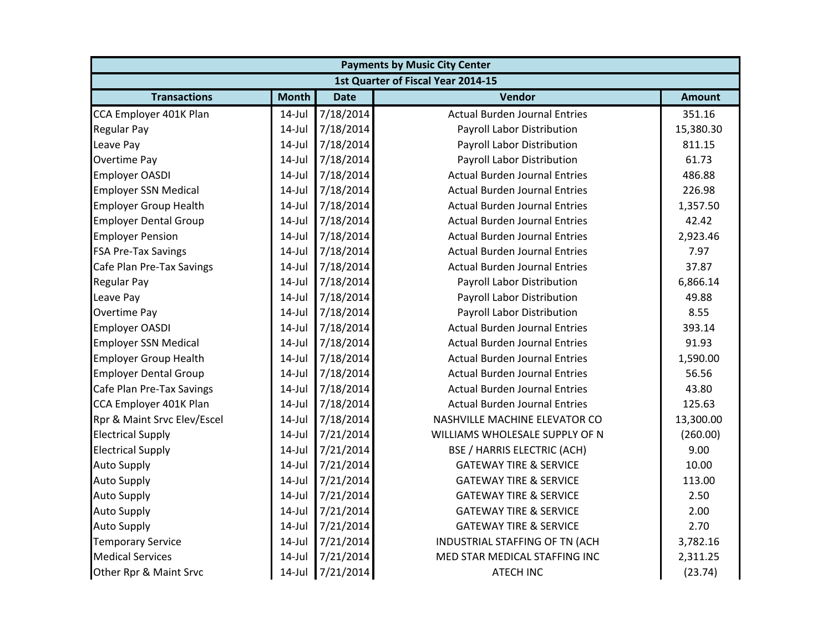|                              |              |             | <b>Payments by Music City Center</b> |               |
|------------------------------|--------------|-------------|--------------------------------------|---------------|
|                              |              |             | 1st Quarter of Fiscal Year 2014-15   |               |
| <b>Transactions</b>          | <b>Month</b> | <b>Date</b> | Vendor                               | <b>Amount</b> |
| CCA Employer 401K Plan       | $14$ -Jul    | 7/18/2014   | <b>Actual Burden Journal Entries</b> | 351.16        |
| <b>Regular Pay</b>           | $14$ -Jul    | 7/18/2014   | Payroll Labor Distribution           | 15,380.30     |
| Leave Pay                    | $14$ -Jul    | 7/18/2014   | Payroll Labor Distribution           | 811.15        |
| <b>Overtime Pay</b>          | $14$ -Jul    | 7/18/2014   | Payroll Labor Distribution           | 61.73         |
| <b>Employer OASDI</b>        | $14$ -Jul    | 7/18/2014   | <b>Actual Burden Journal Entries</b> | 486.88        |
| <b>Employer SSN Medical</b>  | $14$ -Jul    | 7/18/2014   | <b>Actual Burden Journal Entries</b> | 226.98        |
| <b>Employer Group Health</b> | $14$ -Jul    | 7/18/2014   | <b>Actual Burden Journal Entries</b> | 1,357.50      |
| <b>Employer Dental Group</b> | $14$ -Jul    | 7/18/2014   | <b>Actual Burden Journal Entries</b> | 42.42         |
| <b>Employer Pension</b>      | $14$ -Jul    | 7/18/2014   | <b>Actual Burden Journal Entries</b> | 2,923.46      |
| <b>FSA Pre-Tax Savings</b>   | $14$ -Jul    | 7/18/2014   | <b>Actual Burden Journal Entries</b> | 7.97          |
| Cafe Plan Pre-Tax Savings    | $14$ -Jul    | 7/18/2014   | <b>Actual Burden Journal Entries</b> | 37.87         |
| <b>Regular Pay</b>           | $14$ -Jul    | 7/18/2014   | Payroll Labor Distribution           | 6,866.14      |
| Leave Pay                    | $14$ -Jul    | 7/18/2014   | Payroll Labor Distribution           | 49.88         |
| <b>Overtime Pay</b>          | $14$ -Jul    | 7/18/2014   | Payroll Labor Distribution           | 8.55          |
| <b>Employer OASDI</b>        | $14$ -Jul    | 7/18/2014   | <b>Actual Burden Journal Entries</b> | 393.14        |
| <b>Employer SSN Medical</b>  | $14$ -Jul    | 7/18/2014   | <b>Actual Burden Journal Entries</b> | 91.93         |
| <b>Employer Group Health</b> | $14$ -Jul    | 7/18/2014   | <b>Actual Burden Journal Entries</b> | 1,590.00      |
| <b>Employer Dental Group</b> | $14$ -Jul    | 7/18/2014   | <b>Actual Burden Journal Entries</b> | 56.56         |
| Cafe Plan Pre-Tax Savings    | $14$ -Jul    | 7/18/2014   | <b>Actual Burden Journal Entries</b> | 43.80         |
| CCA Employer 401K Plan       | $14$ -Jul    | 7/18/2014   | <b>Actual Burden Journal Entries</b> | 125.63        |
| Rpr & Maint Srvc Elev/Escel  | $14$ -Jul    | 7/18/2014   | NASHVILLE MACHINE ELEVATOR CO        | 13,300.00     |
| <b>Electrical Supply</b>     | $14$ -Jul    | 7/21/2014   | WILLIAMS WHOLESALE SUPPLY OF N       | (260.00)      |
| <b>Electrical Supply</b>     | $14$ -Jul    | 7/21/2014   | <b>BSE / HARRIS ELECTRIC (ACH)</b>   | 9.00          |
| <b>Auto Supply</b>           | $14$ -Jul    | 7/21/2014   | <b>GATEWAY TIRE &amp; SERVICE</b>    | 10.00         |
| <b>Auto Supply</b>           | $14$ -Jul    | 7/21/2014   | <b>GATEWAY TIRE &amp; SERVICE</b>    | 113.00        |
| <b>Auto Supply</b>           | $14$ -Jul    | 7/21/2014   | <b>GATEWAY TIRE &amp; SERVICE</b>    | 2.50          |
| <b>Auto Supply</b>           | $14$ -Jul    | 7/21/2014   | <b>GATEWAY TIRE &amp; SERVICE</b>    | 2.00          |
| <b>Auto Supply</b>           | $14$ -Jul    | 7/21/2014   | <b>GATEWAY TIRE &amp; SERVICE</b>    | 2.70          |
| <b>Temporary Service</b>     | $14$ -Jul    | 7/21/2014   | INDUSTRIAL STAFFING OF TN (ACH       | 3,782.16      |
| <b>Medical Services</b>      | $14$ -Jul    | 7/21/2014   | MED STAR MEDICAL STAFFING INC        | 2,311.25      |
| Other Rpr & Maint Srvc       | $14$ -Jul    | 7/21/2014   | <b>ATECH INC</b>                     | (23.74)       |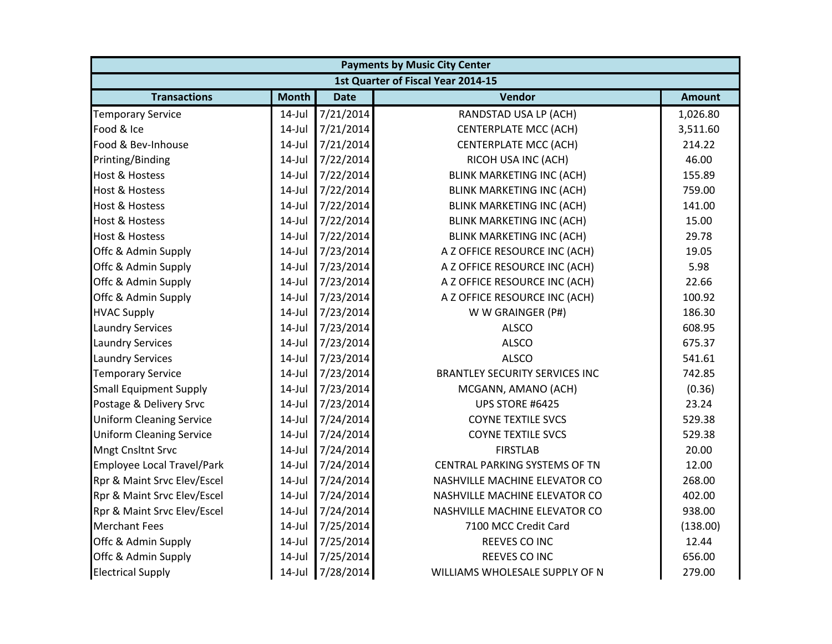| <b>Payments by Music City Center</b> |              |             |                                       |               |  |  |  |
|--------------------------------------|--------------|-------------|---------------------------------------|---------------|--|--|--|
|                                      |              |             | 1st Quarter of Fiscal Year 2014-15    |               |  |  |  |
| <b>Transactions</b>                  | <b>Month</b> | <b>Date</b> | Vendor                                | <b>Amount</b> |  |  |  |
| <b>Temporary Service</b>             | 14-Jul       | 7/21/2014   | RANDSTAD USA LP (ACH)                 | 1,026.80      |  |  |  |
| Food & Ice                           | $14$ -Jul    | 7/21/2014   | <b>CENTERPLATE MCC (ACH)</b>          | 3,511.60      |  |  |  |
| Food & Bev-Inhouse                   | $14$ -Jul    | 7/21/2014   | <b>CENTERPLATE MCC (ACH)</b>          | 214.22        |  |  |  |
| Printing/Binding                     | $14$ -Jul    | 7/22/2014   | RICOH USA INC (ACH)                   | 46.00         |  |  |  |
| <b>Host &amp; Hostess</b>            | $14$ -Jul    | 7/22/2014   | <b>BLINK MARKETING INC (ACH)</b>      | 155.89        |  |  |  |
| <b>Host &amp; Hostess</b>            | $14$ -Jul    | 7/22/2014   | <b>BLINK MARKETING INC (ACH)</b>      | 759.00        |  |  |  |
| <b>Host &amp; Hostess</b>            | $14$ -Jul    | 7/22/2014   | <b>BLINK MARKETING INC (ACH)</b>      | 141.00        |  |  |  |
| <b>Host &amp; Hostess</b>            | $14$ -Jul    | 7/22/2014   | <b>BLINK MARKETING INC (ACH)</b>      | 15.00         |  |  |  |
| <b>Host &amp; Hostess</b>            | $14$ -Jul    | 7/22/2014   | <b>BLINK MARKETING INC (ACH)</b>      | 29.78         |  |  |  |
| Offc & Admin Supply                  | $14$ -Jul    | 7/23/2014   | A Z OFFICE RESOURCE INC (ACH)         | 19.05         |  |  |  |
| Offc & Admin Supply                  | $14$ -Jul    | 7/23/2014   | A Z OFFICE RESOURCE INC (ACH)         | 5.98          |  |  |  |
| Offc & Admin Supply                  | $14$ -Jul    | 7/23/2014   | A Z OFFICE RESOURCE INC (ACH)         | 22.66         |  |  |  |
| Offc & Admin Supply                  | $14$ -Jul    | 7/23/2014   | A Z OFFICE RESOURCE INC (ACH)         | 100.92        |  |  |  |
| <b>HVAC Supply</b>                   | $14$ -Jul    | 7/23/2014   | W W GRAINGER (P#)                     | 186.30        |  |  |  |
| <b>Laundry Services</b>              | $14$ -Jul    | 7/23/2014   | <b>ALSCO</b>                          | 608.95        |  |  |  |
| <b>Laundry Services</b>              | $14$ -Jul    | 7/23/2014   | <b>ALSCO</b>                          | 675.37        |  |  |  |
| <b>Laundry Services</b>              | $14$ -Jul    | 7/23/2014   | <b>ALSCO</b>                          | 541.61        |  |  |  |
| <b>Temporary Service</b>             | $14$ -Jul    | 7/23/2014   | <b>BRANTLEY SECURITY SERVICES INC</b> | 742.85        |  |  |  |
| <b>Small Equipment Supply</b>        | $14$ -Jul    | 7/23/2014   | MCGANN, AMANO (ACH)                   | (0.36)        |  |  |  |
| Postage & Delivery Srvc              | $14$ -Jul    | 7/23/2014   | UPS STORE #6425                       | 23.24         |  |  |  |
| <b>Uniform Cleaning Service</b>      | $14$ -Jul    | 7/24/2014   | <b>COYNE TEXTILE SVCS</b>             | 529.38        |  |  |  |
| <b>Uniform Cleaning Service</b>      | $14$ -Jul    | 7/24/2014   | <b>COYNE TEXTILE SVCS</b>             | 529.38        |  |  |  |
| <b>Mngt Cnsltnt Srvc</b>             | $14$ -Jul    | 7/24/2014   | <b>FIRSTLAB</b>                       | 20.00         |  |  |  |
| <b>Employee Local Travel/Park</b>    | $14$ -Jul    | 7/24/2014   | CENTRAL PARKING SYSTEMS OF TN         | 12.00         |  |  |  |
| Rpr & Maint Srvc Elev/Escel          | $14$ -Jul    | 7/24/2014   | NASHVILLE MACHINE ELEVATOR CO         | 268.00        |  |  |  |
| Rpr & Maint Srvc Elev/Escel          | $14$ -Jul    | 7/24/2014   | NASHVILLE MACHINE ELEVATOR CO         | 402.00        |  |  |  |
| Rpr & Maint Srvc Elev/Escel          | $14$ -Jul    | 7/24/2014   | NASHVILLE MACHINE ELEVATOR CO         | 938.00        |  |  |  |
| <b>Merchant Fees</b>                 | $14$ -Jul    | 7/25/2014   | 7100 MCC Credit Card                  | (138.00)      |  |  |  |
| Offc & Admin Supply                  | $14$ -Jul    | 7/25/2014   | REEVES CO INC                         | 12.44         |  |  |  |
| Offc & Admin Supply                  | $14$ -Jul    | 7/25/2014   | REEVES CO INC                         | 656.00        |  |  |  |
| <b>Electrical Supply</b>             | $14$ -Jul    | 7/28/2014   | WILLIAMS WHOLESALE SUPPLY OF N        | 279.00        |  |  |  |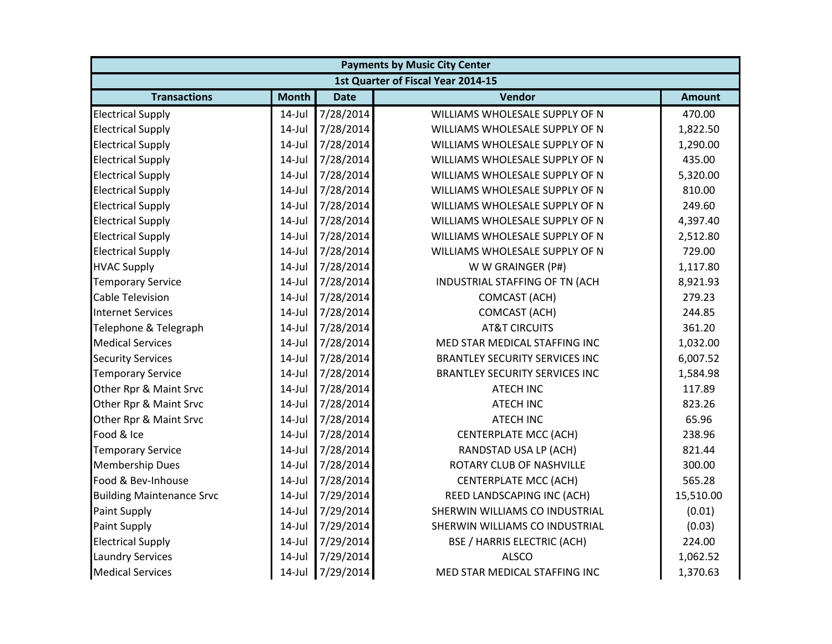|                                  |              |             | <b>Payments by Music City Center</b>  |               |
|----------------------------------|--------------|-------------|---------------------------------------|---------------|
|                                  |              |             | 1st Quarter of Fiscal Year 2014-15    |               |
| <b>Transactions</b>              | <b>Month</b> | <b>Date</b> | Vendor                                | <b>Amount</b> |
| <b>Electrical Supply</b>         | 14-Jul       | 7/28/2014   | WILLIAMS WHOLESALE SUPPLY OF N        | 470.00        |
| <b>Electrical Supply</b>         | $14$ -Jul    | 7/28/2014   | WILLIAMS WHOLESALE SUPPLY OF N        | 1,822.50      |
| <b>Electrical Supply</b>         | $14$ -Jul    | 7/28/2014   | WILLIAMS WHOLESALE SUPPLY OF N        | 1,290.00      |
| <b>Electrical Supply</b>         | $14$ -Jul    | 7/28/2014   | WILLIAMS WHOLESALE SUPPLY OF N        | 435.00        |
| <b>Electrical Supply</b>         | $14$ -Jul    | 7/28/2014   | WILLIAMS WHOLESALE SUPPLY OF N        | 5,320.00      |
| <b>Electrical Supply</b>         | $14$ -Jul    | 7/28/2014   | WILLIAMS WHOLESALE SUPPLY OF N        | 810.00        |
| <b>Electrical Supply</b>         | $14$ -Jul    | 7/28/2014   | WILLIAMS WHOLESALE SUPPLY OF N        | 249.60        |
| <b>Electrical Supply</b>         | $14$ -Jul    | 7/28/2014   | WILLIAMS WHOLESALE SUPPLY OF N        | 4,397.40      |
| <b>Electrical Supply</b>         | $14$ -Jul    | 7/28/2014   | WILLIAMS WHOLESALE SUPPLY OF N        | 2,512.80      |
| <b>Electrical Supply</b>         | $14$ -Jul    | 7/28/2014   | WILLIAMS WHOLESALE SUPPLY OF N        | 729.00        |
| <b>HVAC Supply</b>               | $14$ -Jul    | 7/28/2014   | W W GRAINGER (P#)                     | 1,117.80      |
| <b>Temporary Service</b>         | $14$ -Jul    | 7/28/2014   | INDUSTRIAL STAFFING OF TN (ACH        | 8,921.93      |
| <b>Cable Television</b>          | $14$ -Jul    | 7/28/2014   | <b>COMCAST (ACH)</b>                  | 279.23        |
| <b>Internet Services</b>         | $14$ -Jul    | 7/28/2014   | <b>COMCAST (ACH)</b>                  | 244.85        |
| Telephone & Telegraph            | $14$ -Jul    | 7/28/2014   | <b>AT&amp;T CIRCUITS</b>              | 361.20        |
| <b>Medical Services</b>          | $14$ -Jul    | 7/28/2014   | MED STAR MEDICAL STAFFING INC         | 1,032.00      |
| <b>Security Services</b>         | $14$ -Jul    | 7/28/2014   | <b>BRANTLEY SECURITY SERVICES INC</b> | 6,007.52      |
| <b>Temporary Service</b>         | $14$ -Jul    | 7/28/2014   | <b>BRANTLEY SECURITY SERVICES INC</b> | 1,584.98      |
| Other Rpr & Maint Srvc           | $14$ -Jul    | 7/28/2014   | <b>ATECH INC</b>                      | 117.89        |
| Other Rpr & Maint Srvc           | $14$ -Jul    | 7/28/2014   | <b>ATECH INC</b>                      | 823.26        |
| Other Rpr & Maint Srvc           | $14$ -Jul    | 7/28/2014   | <b>ATECH INC</b>                      | 65.96         |
| Food & Ice                       | $14$ -Jul    | 7/28/2014   | <b>CENTERPLATE MCC (ACH)</b>          | 238.96        |
| <b>Temporary Service</b>         | $14$ -Jul    | 7/28/2014   | RANDSTAD USA LP (ACH)                 | 821.44        |
| <b>Membership Dues</b>           | $14$ -Jul    | 7/28/2014   | ROTARY CLUB OF NASHVILLE              | 300.00        |
| Food & Bev-Inhouse               | $14$ -Jul    | 7/28/2014   | <b>CENTERPLATE MCC (ACH)</b>          | 565.28        |
| <b>Building Maintenance Srvc</b> | $14$ -Jul    | 7/29/2014   | REED LANDSCAPING INC (ACH)            | 15,510.00     |
| Paint Supply                     | $14$ -Jul    | 7/29/2014   | SHERWIN WILLIAMS CO INDUSTRIAL        | (0.01)        |
| Paint Supply                     | $14$ -Jul    | 7/29/2014   | SHERWIN WILLIAMS CO INDUSTRIAL        | (0.03)        |
| <b>Electrical Supply</b>         | $14$ -Jul    | 7/29/2014   | <b>BSE / HARRIS ELECTRIC (ACH)</b>    | 224.00        |
| <b>Laundry Services</b>          | $14$ -Jul    | 7/29/2014   | <b>ALSCO</b>                          | 1,062.52      |
| <b>Medical Services</b>          | $14$ -Jul    | 7/29/2014   | MED STAR MEDICAL STAFFING INC         | 1,370.63      |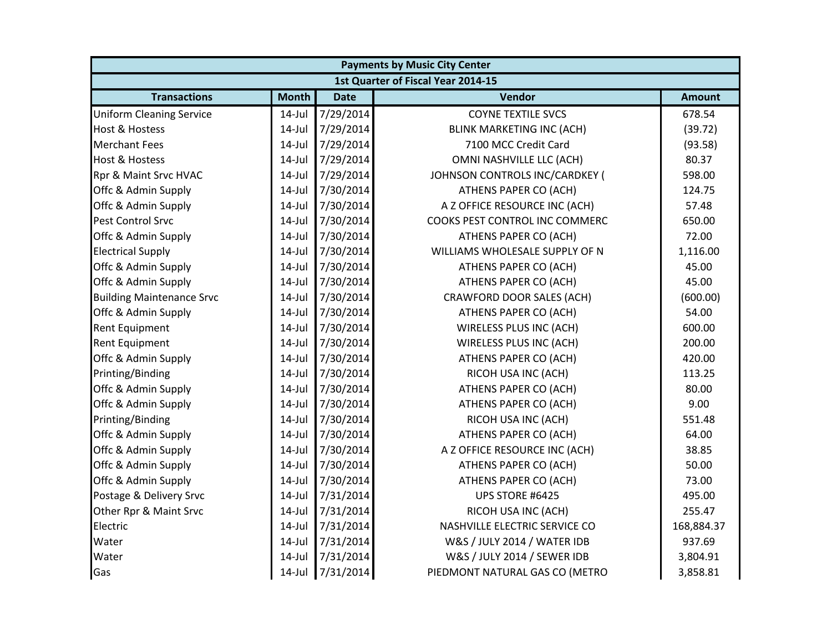| <b>Payments by Music City Center</b> |                                    |             |                                  |               |  |  |  |  |  |
|--------------------------------------|------------------------------------|-------------|----------------------------------|---------------|--|--|--|--|--|
|                                      | 1st Quarter of Fiscal Year 2014-15 |             |                                  |               |  |  |  |  |  |
| <b>Transactions</b>                  | <b>Month</b>                       | <b>Date</b> | Vendor                           | <b>Amount</b> |  |  |  |  |  |
| <b>Uniform Cleaning Service</b>      | $14$ -Jul                          | 7/29/2014   | <b>COYNE TEXTILE SVCS</b>        | 678.54        |  |  |  |  |  |
| <b>Host &amp; Hostess</b>            | $14$ -Jul                          | 7/29/2014   | <b>BLINK MARKETING INC (ACH)</b> | (39.72)       |  |  |  |  |  |
| <b>Merchant Fees</b>                 | $14$ -Jul                          | 7/29/2014   | 7100 MCC Credit Card             | (93.58)       |  |  |  |  |  |
| <b>Host &amp; Hostess</b>            | $14$ -Jul                          | 7/29/2014   | OMNI NASHVILLE LLC (ACH)         | 80.37         |  |  |  |  |  |
| Rpr & Maint Srvc HVAC                | $14$ -Jul                          | 7/29/2014   | JOHNSON CONTROLS INC/CARDKEY (   | 598.00        |  |  |  |  |  |
| Offc & Admin Supply                  | $14$ -Jul                          | 7/30/2014   | ATHENS PAPER CO (ACH)            | 124.75        |  |  |  |  |  |
| Offc & Admin Supply                  | $14$ -Jul                          | 7/30/2014   | A Z OFFICE RESOURCE INC (ACH)    | 57.48         |  |  |  |  |  |
| <b>Pest Control Srvc</b>             | $14$ -Jul                          | 7/30/2014   | COOKS PEST CONTROL INC COMMERC   | 650.00        |  |  |  |  |  |
| Offc & Admin Supply                  | $14$ -Jul                          | 7/30/2014   | ATHENS PAPER CO (ACH)            | 72.00         |  |  |  |  |  |
| <b>Electrical Supply</b>             | $14$ -Jul                          | 7/30/2014   | WILLIAMS WHOLESALE SUPPLY OF N   | 1,116.00      |  |  |  |  |  |
| Offc & Admin Supply                  | $14$ -Jul                          | 7/30/2014   | ATHENS PAPER CO (ACH)            | 45.00         |  |  |  |  |  |
| Offc & Admin Supply                  | $14$ -Jul                          | 7/30/2014   | ATHENS PAPER CO (ACH)            | 45.00         |  |  |  |  |  |
| <b>Building Maintenance Srvc</b>     | $14$ -Jul                          | 7/30/2014   | <b>CRAWFORD DOOR SALES (ACH)</b> | (600.00)      |  |  |  |  |  |
| Offc & Admin Supply                  | $14$ -Jul                          | 7/30/2014   | ATHENS PAPER CO (ACH)            | 54.00         |  |  |  |  |  |
| <b>Rent Equipment</b>                | $14$ -Jul                          | 7/30/2014   | WIRELESS PLUS INC (ACH)          | 600.00        |  |  |  |  |  |
| <b>Rent Equipment</b>                | $14$ -Jul                          | 7/30/2014   | WIRELESS PLUS INC (ACH)          | 200.00        |  |  |  |  |  |
| Offc & Admin Supply                  | $14$ -Jul                          | 7/30/2014   | ATHENS PAPER CO (ACH)            | 420.00        |  |  |  |  |  |
| Printing/Binding                     | $14$ -Jul                          | 7/30/2014   | RICOH USA INC (ACH)              | 113.25        |  |  |  |  |  |
| Offc & Admin Supply                  | $14$ -Jul                          | 7/30/2014   | ATHENS PAPER CO (ACH)            | 80.00         |  |  |  |  |  |
| Offc & Admin Supply                  | $14$ -Jul                          | 7/30/2014   | ATHENS PAPER CO (ACH)            | 9.00          |  |  |  |  |  |
| Printing/Binding                     | $14$ -Jul                          | 7/30/2014   | RICOH USA INC (ACH)              | 551.48        |  |  |  |  |  |
| Offc & Admin Supply                  | $14$ -Jul                          | 7/30/2014   | ATHENS PAPER CO (ACH)            | 64.00         |  |  |  |  |  |
| Offc & Admin Supply                  | $14$ -Jul                          | 7/30/2014   | A Z OFFICE RESOURCE INC (ACH)    | 38.85         |  |  |  |  |  |
| Offc & Admin Supply                  | $14$ -Jul                          | 7/30/2014   | ATHENS PAPER CO (ACH)            | 50.00         |  |  |  |  |  |
| Offc & Admin Supply                  | $14$ -Jul                          | 7/30/2014   | ATHENS PAPER CO (ACH)            | 73.00         |  |  |  |  |  |
| Postage & Delivery Srvc              | $14$ -Jul                          | 7/31/2014   | UPS STORE #6425                  | 495.00        |  |  |  |  |  |
| Other Rpr & Maint Srvc               | $14$ -Jul                          | 7/31/2014   | RICOH USA INC (ACH)              | 255.47        |  |  |  |  |  |
| Electric                             | $14$ -Jul                          | 7/31/2014   | NASHVILLE ELECTRIC SERVICE CO    | 168,884.37    |  |  |  |  |  |
| Water                                | $14$ -Jul                          | 7/31/2014   | W&S / JULY 2014 / WATER IDB      | 937.69        |  |  |  |  |  |
| Water                                | $14$ -Jul                          | 7/31/2014   | W&S / JULY 2014 / SEWER IDB      | 3,804.91      |  |  |  |  |  |
| Gas                                  | $14$ -Jul                          | 7/31/2014   | PIEDMONT NATURAL GAS CO (METRO   | 3,858.81      |  |  |  |  |  |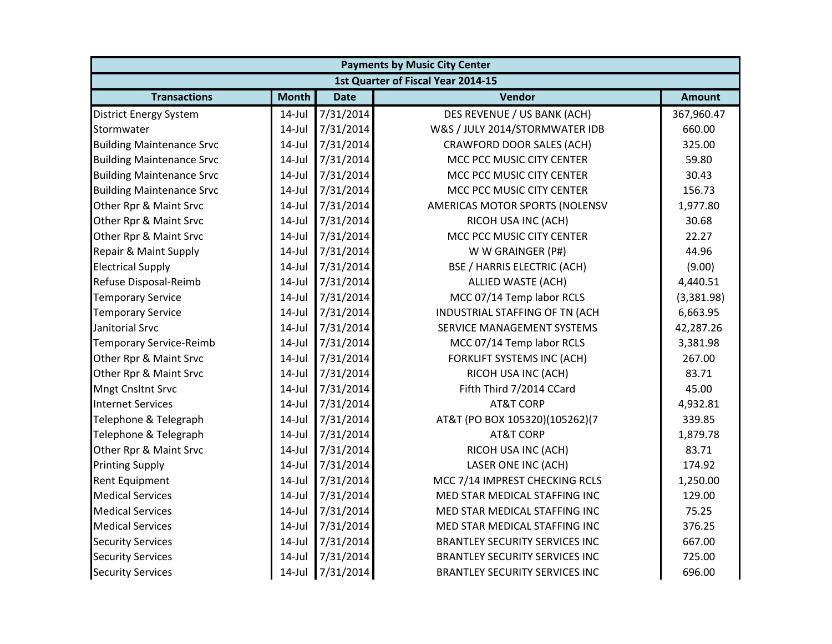| <b>Payments by Music City Center</b> |              |             |                                       |               |  |  |  |  |
|--------------------------------------|--------------|-------------|---------------------------------------|---------------|--|--|--|--|
| 1st Quarter of Fiscal Year 2014-15   |              |             |                                       |               |  |  |  |  |
| <b>Transactions</b>                  | <b>Month</b> | <b>Date</b> | Vendor                                | <b>Amount</b> |  |  |  |  |
| <b>District Energy System</b>        | $14$ -Jul    | 7/31/2014   | DES REVENUE / US BANK (ACH)           | 367,960.47    |  |  |  |  |
| Stormwater                           | $14$ -Jul    | 7/31/2014   | W&S / JULY 2014/STORMWATER IDB        | 660.00        |  |  |  |  |
| <b>Building Maintenance Srvc</b>     | $14$ -Jul    | 7/31/2014   | <b>CRAWFORD DOOR SALES (ACH)</b>      | 325.00        |  |  |  |  |
| <b>Building Maintenance Srvc</b>     | $14$ -Jul    | 7/31/2014   | MCC PCC MUSIC CITY CENTER             | 59.80         |  |  |  |  |
| <b>Building Maintenance Srvc</b>     | $14$ -Jul    | 7/31/2014   | MCC PCC MUSIC CITY CENTER             | 30.43         |  |  |  |  |
| <b>Building Maintenance Srvc</b>     | $14$ -Jul    | 7/31/2014   | MCC PCC MUSIC CITY CENTER             | 156.73        |  |  |  |  |
| Other Rpr & Maint Srvc               | $14$ -Jul    | 7/31/2014   | AMERICAS MOTOR SPORTS (NOLENSV        | 1,977.80      |  |  |  |  |
| Other Rpr & Maint Srvc               | $14$ -Jul    | 7/31/2014   | RICOH USA INC (ACH)                   | 30.68         |  |  |  |  |
| Other Rpr & Maint Srvc               | $14$ -Jul    | 7/31/2014   | MCC PCC MUSIC CITY CENTER             | 22.27         |  |  |  |  |
| Repair & Maint Supply                | $14$ -Jul    | 7/31/2014   | W W GRAINGER (P#)                     | 44.96         |  |  |  |  |
| <b>Electrical Supply</b>             | $14$ -Jul    | 7/31/2014   | <b>BSE / HARRIS ELECTRIC (ACH)</b>    | (9.00)        |  |  |  |  |
| Refuse Disposal-Reimb                | $14$ -Jul    | 7/31/2014   | ALLIED WASTE (ACH)                    | 4,440.51      |  |  |  |  |
| <b>Temporary Service</b>             | $14$ -Jul    | 7/31/2014   | MCC 07/14 Temp labor RCLS             | (3,381.98)    |  |  |  |  |
| <b>Temporary Service</b>             | $14$ -Jul    | 7/31/2014   | INDUSTRIAL STAFFING OF TN (ACH        | 6,663.95      |  |  |  |  |
| Janitorial Srvc                      | $14$ -Jul    | 7/31/2014   | SERVICE MANAGEMENT SYSTEMS            | 42,287.26     |  |  |  |  |
| <b>Temporary Service-Reimb</b>       | $14$ -Jul    | 7/31/2014   | MCC 07/14 Temp labor RCLS             | 3,381.98      |  |  |  |  |
| Other Rpr & Maint Srvc               | $14$ -Jul    | 7/31/2014   | <b>FORKLIFT SYSTEMS INC (ACH)</b>     | 267.00        |  |  |  |  |
| Other Rpr & Maint Srvc               | $14$ -Jul    | 7/31/2014   | RICOH USA INC (ACH)                   | 83.71         |  |  |  |  |
| <b>Mngt Cnsltnt Srvc</b>             | $14$ -Jul    | 7/31/2014   | Fifth Third 7/2014 CCard              | 45.00         |  |  |  |  |
| <b>Internet Services</b>             | $14$ -Jul    | 7/31/2014   | <b>AT&amp;T CORP</b>                  | 4,932.81      |  |  |  |  |
| Telephone & Telegraph                | $14$ -Jul    | 7/31/2014   | AT&T (PO BOX 105320)(105262)(7        | 339.85        |  |  |  |  |
| Telephone & Telegraph                | $14$ -Jul    | 7/31/2014   | <b>AT&amp;T CORP</b>                  | 1,879.78      |  |  |  |  |
| Other Rpr & Maint Srvc               | $14$ -Jul    | 7/31/2014   | RICOH USA INC (ACH)                   | 83.71         |  |  |  |  |
| <b>Printing Supply</b>               | $14$ -Jul    | 7/31/2014   | LASER ONE INC (ACH)                   | 174.92        |  |  |  |  |
| Rent Equipment                       | $14$ -Jul    | 7/31/2014   | MCC 7/14 IMPREST CHECKING RCLS        | 1,250.00      |  |  |  |  |
| <b>Medical Services</b>              | $14$ -Jul    | 7/31/2014   | MED STAR MEDICAL STAFFING INC         | 129.00        |  |  |  |  |
| <b>Medical Services</b>              | $14$ -Jul    | 7/31/2014   | MED STAR MEDICAL STAFFING INC         | 75.25         |  |  |  |  |
| <b>Medical Services</b>              | $14$ -Jul    | 7/31/2014   | MED STAR MEDICAL STAFFING INC         | 376.25        |  |  |  |  |
| <b>Security Services</b>             | $14$ -Jul    | 7/31/2014   | <b>BRANTLEY SECURITY SERVICES INC</b> | 667.00        |  |  |  |  |
| <b>Security Services</b>             | $14$ -Jul    | 7/31/2014   | <b>BRANTLEY SECURITY SERVICES INC</b> | 725.00        |  |  |  |  |
| <b>Security Services</b>             | 14-Jul       | 7/31/2014   | <b>BRANTLEY SECURITY SERVICES INC</b> | 696.00        |  |  |  |  |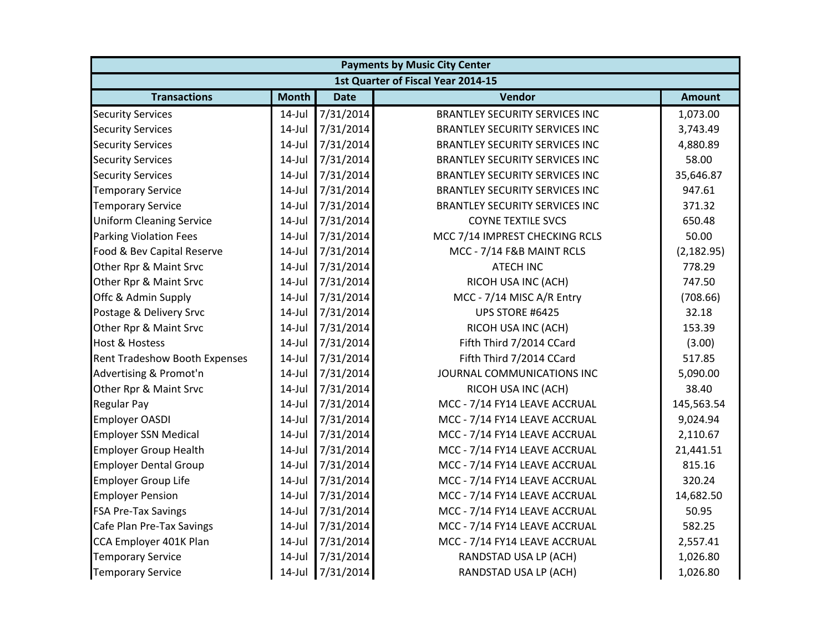| <b>Payments by Music City Center</b> |              |             |                                       |               |  |  |  |  |
|--------------------------------------|--------------|-------------|---------------------------------------|---------------|--|--|--|--|
| 1st Quarter of Fiscal Year 2014-15   |              |             |                                       |               |  |  |  |  |
| <b>Transactions</b>                  | <b>Month</b> | <b>Date</b> | Vendor                                | <b>Amount</b> |  |  |  |  |
| <b>Security Services</b>             | $14$ -Jul    | 7/31/2014   | <b>BRANTLEY SECURITY SERVICES INC</b> | 1,073.00      |  |  |  |  |
| <b>Security Services</b>             | $14$ -Jul    | 7/31/2014   | <b>BRANTLEY SECURITY SERVICES INC</b> | 3,743.49      |  |  |  |  |
| <b>Security Services</b>             | $14$ -Jul    | 7/31/2014   | <b>BRANTLEY SECURITY SERVICES INC</b> | 4,880.89      |  |  |  |  |
| <b>Security Services</b>             | $14$ -Jul    | 7/31/2014   | <b>BRANTLEY SECURITY SERVICES INC</b> | 58.00         |  |  |  |  |
| <b>Security Services</b>             | $14$ -Jul    | 7/31/2014   | <b>BRANTLEY SECURITY SERVICES INC</b> | 35,646.87     |  |  |  |  |
| <b>Temporary Service</b>             | $14$ -Jul    | 7/31/2014   | <b>BRANTLEY SECURITY SERVICES INC</b> | 947.61        |  |  |  |  |
| <b>Temporary Service</b>             | $14$ -Jul    | 7/31/2014   | <b>BRANTLEY SECURITY SERVICES INC</b> | 371.32        |  |  |  |  |
| <b>Uniform Cleaning Service</b>      | $14$ -Jul    | 7/31/2014   | <b>COYNE TEXTILE SVCS</b>             | 650.48        |  |  |  |  |
| <b>Parking Violation Fees</b>        | $14$ -Jul    | 7/31/2014   | MCC 7/14 IMPREST CHECKING RCLS        | 50.00         |  |  |  |  |
| Food & Bev Capital Reserve           | $14$ -Jul    | 7/31/2014   | MCC - 7/14 F&B MAINT RCLS             | (2, 182.95)   |  |  |  |  |
| Other Rpr & Maint Srvc               | $14$ -Jul    | 7/31/2014   | <b>ATECH INC</b>                      | 778.29        |  |  |  |  |
| Other Rpr & Maint Srvc               | $14$ -Jul    | 7/31/2014   | RICOH USA INC (ACH)                   | 747.50        |  |  |  |  |
| Offc & Admin Supply                  | $14$ -Jul    | 7/31/2014   | MCC - 7/14 MISC A/R Entry             | (708.66)      |  |  |  |  |
| Postage & Delivery Srvc              | $14$ -Jul    | 7/31/2014   | UPS STORE #6425                       | 32.18         |  |  |  |  |
| Other Rpr & Maint Srvc               | $14$ -Jul    | 7/31/2014   | RICOH USA INC (ACH)                   | 153.39        |  |  |  |  |
| <b>Host &amp; Hostess</b>            | $14$ -Jul    | 7/31/2014   | Fifth Third 7/2014 CCard              | (3.00)        |  |  |  |  |
| Rent Tradeshow Booth Expenses        | $14$ -Jul    | 7/31/2014   | Fifth Third 7/2014 CCard              | 517.85        |  |  |  |  |
| Advertising & Promot'n               | $14$ -Jul    | 7/31/2014   | JOURNAL COMMUNICATIONS INC            | 5,090.00      |  |  |  |  |
| Other Rpr & Maint Srvc               | $14$ -Jul    | 7/31/2014   | RICOH USA INC (ACH)                   | 38.40         |  |  |  |  |
| <b>Regular Pay</b>                   | $14$ -Jul    | 7/31/2014   | MCC - 7/14 FY14 LEAVE ACCRUAL         | 145,563.54    |  |  |  |  |
| <b>Employer OASDI</b>                | $14$ -Jul    | 7/31/2014   | MCC - 7/14 FY14 LEAVE ACCRUAL         | 9,024.94      |  |  |  |  |
| <b>Employer SSN Medical</b>          | $14$ -Jul    | 7/31/2014   | MCC - 7/14 FY14 LEAVE ACCRUAL         | 2,110.67      |  |  |  |  |
| <b>Employer Group Health</b>         | $14$ -Jul    | 7/31/2014   | MCC - 7/14 FY14 LEAVE ACCRUAL         | 21,441.51     |  |  |  |  |
| <b>Employer Dental Group</b>         | $14$ -Jul    | 7/31/2014   | MCC - 7/14 FY14 LEAVE ACCRUAL         | 815.16        |  |  |  |  |
| <b>Employer Group Life</b>           | $14$ -Jul    | 7/31/2014   | MCC - 7/14 FY14 LEAVE ACCRUAL         | 320.24        |  |  |  |  |
| <b>Employer Pension</b>              | $14$ -Jul    | 7/31/2014   | MCC - 7/14 FY14 LEAVE ACCRUAL         | 14,682.50     |  |  |  |  |
| <b>FSA Pre-Tax Savings</b>           | $14$ -Jul    | 7/31/2014   | MCC - 7/14 FY14 LEAVE ACCRUAL         | 50.95         |  |  |  |  |
| Cafe Plan Pre-Tax Savings            | $14$ -Jul    | 7/31/2014   | MCC - 7/14 FY14 LEAVE ACCRUAL         | 582.25        |  |  |  |  |
| CCA Employer 401K Plan               | $14$ -Jul    | 7/31/2014   | MCC - 7/14 FY14 LEAVE ACCRUAL         | 2,557.41      |  |  |  |  |
| <b>Temporary Service</b>             | $14$ -Jul    | 7/31/2014   | RANDSTAD USA LP (ACH)                 | 1,026.80      |  |  |  |  |
| <b>Temporary Service</b>             | 14-Jul       | 7/31/2014   | RANDSTAD USA LP (ACH)                 | 1,026.80      |  |  |  |  |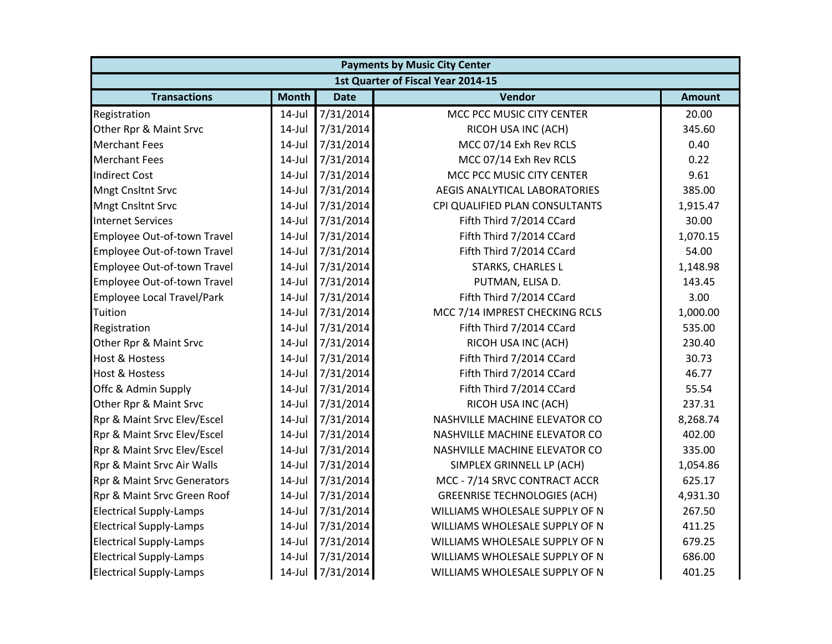| <b>Payments by Music City Center</b>   |              |             |                                     |               |  |  |  |  |
|----------------------------------------|--------------|-------------|-------------------------------------|---------------|--|--|--|--|
| 1st Quarter of Fiscal Year 2014-15     |              |             |                                     |               |  |  |  |  |
| <b>Transactions</b>                    | <b>Month</b> | <b>Date</b> | Vendor                              | <b>Amount</b> |  |  |  |  |
| Registration                           | $14$ -Jul    | 7/31/2014   | MCC PCC MUSIC CITY CENTER           | 20.00         |  |  |  |  |
| Other Rpr & Maint Srvc                 | $14$ -Jul    | 7/31/2014   | RICOH USA INC (ACH)                 | 345.60        |  |  |  |  |
| <b>Merchant Fees</b>                   | $14$ -Jul    | 7/31/2014   | MCC 07/14 Exh Rev RCLS              | 0.40          |  |  |  |  |
| <b>Merchant Fees</b>                   | $14$ -Jul    | 7/31/2014   | MCC 07/14 Exh Rev RCLS              | 0.22          |  |  |  |  |
| <b>Indirect Cost</b>                   | $14$ -Jul    | 7/31/2014   | MCC PCC MUSIC CITY CENTER           | 9.61          |  |  |  |  |
| <b>Mngt Cnsltnt Srvc</b>               | $14$ -Jul    | 7/31/2014   | AEGIS ANALYTICAL LABORATORIES       | 385.00        |  |  |  |  |
| <b>Mngt Cnsltnt Srvc</b>               | $14$ -Jul    | 7/31/2014   | CPI QUALIFIED PLAN CONSULTANTS      | 1,915.47      |  |  |  |  |
| <b>Internet Services</b>               | $14$ -Jul    | 7/31/2014   | Fifth Third 7/2014 CCard            | 30.00         |  |  |  |  |
| Employee Out-of-town Travel            | $14$ -Jul    | 7/31/2014   | Fifth Third 7/2014 CCard            | 1,070.15      |  |  |  |  |
| Employee Out-of-town Travel            | $14$ -Jul    | 7/31/2014   | Fifth Third 7/2014 CCard            | 54.00         |  |  |  |  |
| Employee Out-of-town Travel            | $14$ -Jul    | 7/31/2014   | <b>STARKS, CHARLES L</b>            | 1,148.98      |  |  |  |  |
| Employee Out-of-town Travel            | $14$ -Jul    | 7/31/2014   | PUTMAN, ELISA D.                    | 143.45        |  |  |  |  |
| <b>Employee Local Travel/Park</b>      | $14$ -Jul    | 7/31/2014   | Fifth Third 7/2014 CCard            | 3.00          |  |  |  |  |
| Tuition                                | $14$ -Jul    | 7/31/2014   | MCC 7/14 IMPREST CHECKING RCLS      | 1,000.00      |  |  |  |  |
| Registration                           | $14$ -Jul    | 7/31/2014   | Fifth Third 7/2014 CCard            | 535.00        |  |  |  |  |
| Other Rpr & Maint Srvc                 | $14$ -Jul    | 7/31/2014   | RICOH USA INC (ACH)                 | 230.40        |  |  |  |  |
| <b>Host &amp; Hostess</b>              | $14$ -Jul    | 7/31/2014   | Fifth Third 7/2014 CCard            | 30.73         |  |  |  |  |
| <b>Host &amp; Hostess</b>              | $14$ -Jul    | 7/31/2014   | Fifth Third 7/2014 CCard            | 46.77         |  |  |  |  |
| Offc & Admin Supply                    | $14$ -Jul    | 7/31/2014   | Fifth Third 7/2014 CCard            | 55.54         |  |  |  |  |
| Other Rpr & Maint Srvc                 | $14$ -Jul    | 7/31/2014   | RICOH USA INC (ACH)                 | 237.31        |  |  |  |  |
| Rpr & Maint Srvc Elev/Escel            | $14$ -Jul    | 7/31/2014   | NASHVILLE MACHINE ELEVATOR CO       | 8,268.74      |  |  |  |  |
| Rpr & Maint Srvc Elev/Escel            | $14$ -Jul    | 7/31/2014   | NASHVILLE MACHINE ELEVATOR CO       | 402.00        |  |  |  |  |
| Rpr & Maint Srvc Elev/Escel            | $14$ -Jul    | 7/31/2014   | NASHVILLE MACHINE ELEVATOR CO       | 335.00        |  |  |  |  |
| Rpr & Maint Srvc Air Walls             | $14$ -Jul    | 7/31/2014   | SIMPLEX GRINNELL LP (ACH)           | 1,054.86      |  |  |  |  |
| <b>Rpr &amp; Maint Srvc Generators</b> | $14$ -Jul    | 7/31/2014   | MCC - 7/14 SRVC CONTRACT ACCR       | 625.17        |  |  |  |  |
| Rpr & Maint Srvc Green Roof            | $14$ -Jul    | 7/31/2014   | <b>GREENRISE TECHNOLOGIES (ACH)</b> | 4,931.30      |  |  |  |  |
| <b>Electrical Supply-Lamps</b>         | $14$ -Jul    | 7/31/2014   | WILLIAMS WHOLESALE SUPPLY OF N      | 267.50        |  |  |  |  |
| <b>Electrical Supply-Lamps</b>         | $14$ -Jul    | 7/31/2014   | WILLIAMS WHOLESALE SUPPLY OF N      | 411.25        |  |  |  |  |
| <b>Electrical Supply-Lamps</b>         | $14$ -Jul    | 7/31/2014   | WILLIAMS WHOLESALE SUPPLY OF N      | 679.25        |  |  |  |  |
| <b>Electrical Supply-Lamps</b>         | $14$ -Jul    | 7/31/2014   | WILLIAMS WHOLESALE SUPPLY OF N      | 686.00        |  |  |  |  |
| <b>Electrical Supply-Lamps</b>         | $14$ -Jul    | 7/31/2014   | WILLIAMS WHOLESALE SUPPLY OF N      | 401.25        |  |  |  |  |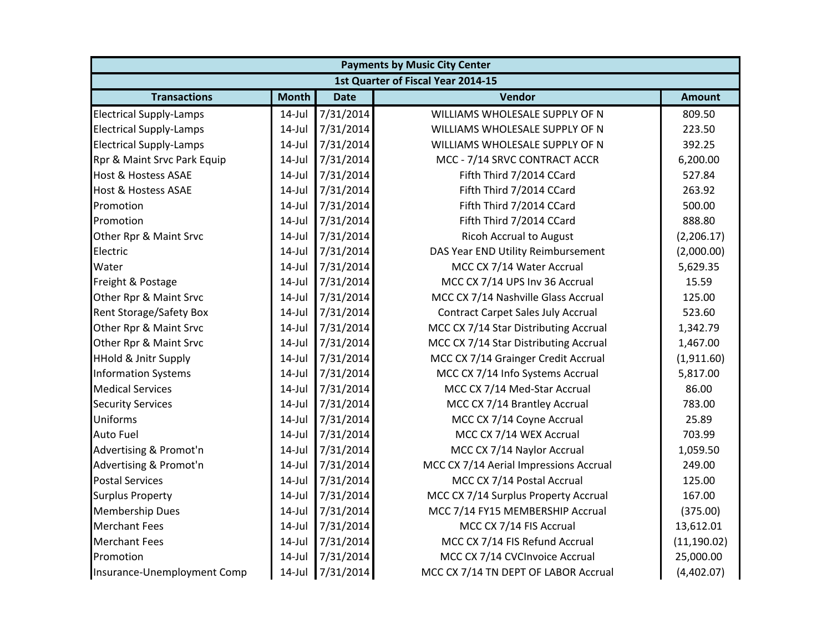| <b>Payments by Music City Center</b> |              |             |                                           |               |  |
|--------------------------------------|--------------|-------------|-------------------------------------------|---------------|--|
|                                      |              |             | 1st Quarter of Fiscal Year 2014-15        |               |  |
| <b>Transactions</b>                  | <b>Month</b> | <b>Date</b> | Vendor                                    | <b>Amount</b> |  |
| <b>Electrical Supply-Lamps</b>       | $14$ -Jul    | 7/31/2014   | WILLIAMS WHOLESALE SUPPLY OF N            | 809.50        |  |
| <b>Electrical Supply-Lamps</b>       | $14$ -Jul    | 7/31/2014   | WILLIAMS WHOLESALE SUPPLY OF N            | 223.50        |  |
| <b>Electrical Supply-Lamps</b>       | 14-Jul       | 7/31/2014   | WILLIAMS WHOLESALE SUPPLY OF N            | 392.25        |  |
| Rpr & Maint Srvc Park Equip          | $14$ -Jul    | 7/31/2014   | MCC - 7/14 SRVC CONTRACT ACCR             | 6,200.00      |  |
| <b>Host &amp; Hostess ASAE</b>       | $14$ -Jul    | 7/31/2014   | Fifth Third 7/2014 CCard                  | 527.84        |  |
| <b>Host &amp; Hostess ASAE</b>       | $14$ -Jul    | 7/31/2014   | Fifth Third 7/2014 CCard                  | 263.92        |  |
| Promotion                            | $14$ -Jul    | 7/31/2014   | Fifth Third 7/2014 CCard                  | 500.00        |  |
| Promotion                            | $14$ -Jul    | 7/31/2014   | Fifth Third 7/2014 CCard                  | 888.80        |  |
| Other Rpr & Maint Srvc               | $14$ -Jul    | 7/31/2014   | <b>Ricoh Accrual to August</b>            | (2,206.17)    |  |
| Electric                             | $14$ -Jul    | 7/31/2014   | DAS Year END Utility Reimbursement        | (2,000.00)    |  |
| Water                                | $14$ -Jul    | 7/31/2014   | MCC CX 7/14 Water Accrual                 | 5,629.35      |  |
| Freight & Postage                    | $14$ -Jul    | 7/31/2014   | MCC CX 7/14 UPS Inv 36 Accrual            | 15.59         |  |
| Other Rpr & Maint Srvc               | $14$ -Jul    | 7/31/2014   | MCC CX 7/14 Nashville Glass Accrual       | 125.00        |  |
| <b>Rent Storage/Safety Box</b>       | $14$ -Jul    | 7/31/2014   | <b>Contract Carpet Sales July Accrual</b> | 523.60        |  |
| Other Rpr & Maint Srvc               | $14$ -Jul    | 7/31/2014   | MCC CX 7/14 Star Distributing Accrual     | 1,342.79      |  |
| Other Rpr & Maint Srvc               | $14$ -Jul    | 7/31/2014   | MCC CX 7/14 Star Distributing Accrual     | 1,467.00      |  |
| <b>HHold &amp; Jnitr Supply</b>      | $14$ -Jul    | 7/31/2014   | MCC CX 7/14 Grainger Credit Accrual       | (1,911.60)    |  |
| <b>Information Systems</b>           | $14$ -Jul    | 7/31/2014   | MCC CX 7/14 Info Systems Accrual          | 5,817.00      |  |
| <b>Medical Services</b>              | $14$ -Jul    | 7/31/2014   | MCC CX 7/14 Med-Star Accrual              | 86.00         |  |
| <b>Security Services</b>             | $14$ -Jul    | 7/31/2014   | MCC CX 7/14 Brantley Accrual              | 783.00        |  |
| Uniforms                             | $14$ -Jul    | 7/31/2014   | MCC CX 7/14 Coyne Accrual                 | 25.89         |  |
| <b>Auto Fuel</b>                     | $14$ -Jul    | 7/31/2014   | MCC CX 7/14 WEX Accrual                   | 703.99        |  |
| Advertising & Promot'n               | $14$ -Jul    | 7/31/2014   | MCC CX 7/14 Naylor Accrual                | 1,059.50      |  |
| Advertising & Promot'n               | $14$ -Jul    | 7/31/2014   | MCC CX 7/14 Aerial Impressions Accrual    | 249.00        |  |
| <b>Postal Services</b>               | $14$ -Jul    | 7/31/2014   | MCC CX 7/14 Postal Accrual                | 125.00        |  |
| <b>Surplus Property</b>              | $14$ -Jul    | 7/31/2014   | MCC CX 7/14 Surplus Property Accrual      | 167.00        |  |
| <b>Membership Dues</b>               | $14$ -Jul    | 7/31/2014   | MCC 7/14 FY15 MEMBERSHIP Accrual          | (375.00)      |  |
| <b>Merchant Fees</b>                 | $14$ -Jul    | 7/31/2014   | MCC CX 7/14 FIS Accrual                   | 13,612.01     |  |
| <b>Merchant Fees</b>                 | $14$ -Jul    | 7/31/2014   | MCC CX 7/14 FIS Refund Accrual            | (11, 190.02)  |  |
| Promotion                            | $14$ -Jul    | 7/31/2014   | MCC CX 7/14 CVCInvoice Accrual            | 25,000.00     |  |
| Insurance-Unemployment Comp          | 14-Jul       | 7/31/2014   | MCC CX 7/14 TN DEPT OF LABOR Accrual      | (4,402.07)    |  |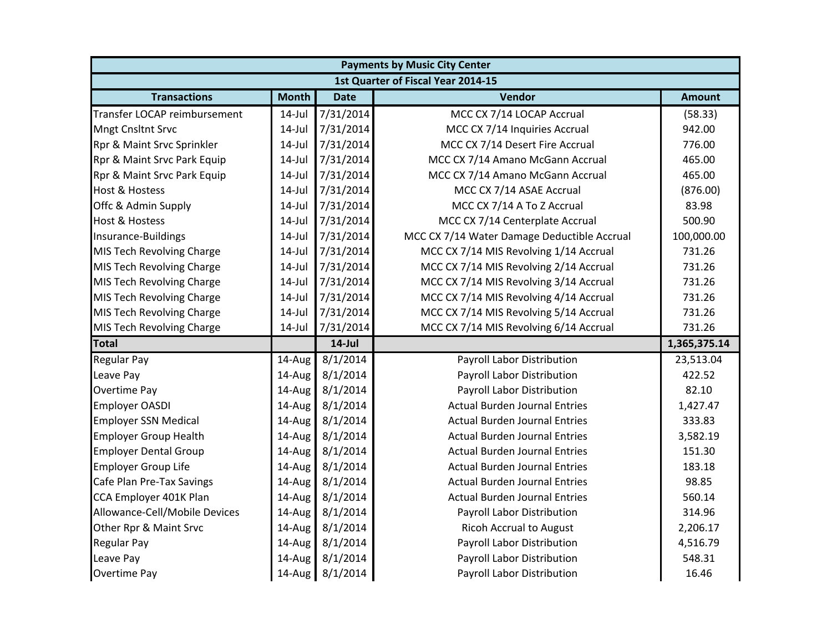|                               | <b>Payments by Music City Center</b> |             |                                             |               |  |  |
|-------------------------------|--------------------------------------|-------------|---------------------------------------------|---------------|--|--|
|                               |                                      |             | 1st Quarter of Fiscal Year 2014-15          |               |  |  |
| <b>Transactions</b>           | <b>Month</b>                         | <b>Date</b> | Vendor                                      | <b>Amount</b> |  |  |
| Transfer LOCAP reimbursement  | $14$ -Jul                            | 7/31/2014   | MCC CX 7/14 LOCAP Accrual                   | (58.33)       |  |  |
| <b>Mngt Cnsltnt Srvc</b>      | $14$ -Jul                            | 7/31/2014   | MCC CX 7/14 Inquiries Accrual               | 942.00        |  |  |
| Rpr & Maint Srvc Sprinkler    | $14$ -Jul                            | 7/31/2014   | MCC CX 7/14 Desert Fire Accrual             | 776.00        |  |  |
| Rpr & Maint Srvc Park Equip   | $14$ -Jul                            | 7/31/2014   | MCC CX 7/14 Amano McGann Accrual            | 465.00        |  |  |
| Rpr & Maint Srvc Park Equip   | $14$ -Jul                            | 7/31/2014   | MCC CX 7/14 Amano McGann Accrual            | 465.00        |  |  |
| <b>Host &amp; Hostess</b>     | $14$ -Jul                            | 7/31/2014   | MCC CX 7/14 ASAE Accrual                    | (876.00)      |  |  |
| Offc & Admin Supply           | $14$ -Jul                            | 7/31/2014   | MCC CX 7/14 A To Z Accrual                  | 83.98         |  |  |
| <b>Host &amp; Hostess</b>     | $14$ -Jul                            | 7/31/2014   | MCC CX 7/14 Centerplate Accrual             | 500.90        |  |  |
| Insurance-Buildings           | $14$ -Jul                            | 7/31/2014   | MCC CX 7/14 Water Damage Deductible Accrual | 100,000.00    |  |  |
| MIS Tech Revolving Charge     | $14$ -Jul                            | 7/31/2014   | MCC CX 7/14 MIS Revolving 1/14 Accrual      | 731.26        |  |  |
| MIS Tech Revolving Charge     | $14$ -Jul                            | 7/31/2014   | MCC CX 7/14 MIS Revolving 2/14 Accrual      | 731.26        |  |  |
| MIS Tech Revolving Charge     | $14$ -Jul                            | 7/31/2014   | MCC CX 7/14 MIS Revolving 3/14 Accrual      | 731.26        |  |  |
| MIS Tech Revolving Charge     | $14$ -Jul                            | 7/31/2014   | MCC CX 7/14 MIS Revolving 4/14 Accrual      | 731.26        |  |  |
| MIS Tech Revolving Charge     | $14$ -Jul                            | 7/31/2014   | MCC CX 7/14 MIS Revolving 5/14 Accrual      | 731.26        |  |  |
| MIS Tech Revolving Charge     | $14$ -Jul                            | 7/31/2014   | MCC CX 7/14 MIS Revolving 6/14 Accrual      | 731.26        |  |  |
| <b>Total</b>                  |                                      | $14$ -Jul   |                                             | 1,365,375.14  |  |  |
| <b>Regular Pay</b>            | 14-Aug                               | 8/1/2014    | Payroll Labor Distribution                  | 23,513.04     |  |  |
| Leave Pay                     | 14-Aug                               | 8/1/2014    | Payroll Labor Distribution                  | 422.52        |  |  |
| Overtime Pay                  | 14-Aug                               | 8/1/2014    | Payroll Labor Distribution                  | 82.10         |  |  |
| <b>Employer OASDI</b>         | 14-Aug                               | 8/1/2014    | <b>Actual Burden Journal Entries</b>        | 1,427.47      |  |  |
| <b>Employer SSN Medical</b>   | 14-Aug                               | 8/1/2014    | <b>Actual Burden Journal Entries</b>        | 333.83        |  |  |
| <b>Employer Group Health</b>  | 14-Aug                               | 8/1/2014    | <b>Actual Burden Journal Entries</b>        | 3,582.19      |  |  |
| <b>Employer Dental Group</b>  | 14-Aug                               | 8/1/2014    | <b>Actual Burden Journal Entries</b>        | 151.30        |  |  |
| <b>Employer Group Life</b>    | 14-Aug                               | 8/1/2014    | <b>Actual Burden Journal Entries</b>        | 183.18        |  |  |
| Cafe Plan Pre-Tax Savings     | 14-Aug                               | 8/1/2014    | <b>Actual Burden Journal Entries</b>        | 98.85         |  |  |
| CCA Employer 401K Plan        | 14-Aug                               | 8/1/2014    | <b>Actual Burden Journal Entries</b>        | 560.14        |  |  |
| Allowance-Cell/Mobile Devices | 14-Aug                               | 8/1/2014    | Payroll Labor Distribution                  | 314.96        |  |  |
| Other Rpr & Maint Srvc        | 14-Aug                               | 8/1/2014    | <b>Ricoh Accrual to August</b>              | 2,206.17      |  |  |
| <b>Regular Pay</b>            | 14-Aug                               | 8/1/2014    | Payroll Labor Distribution                  | 4,516.79      |  |  |
| Leave Pay                     | 14-Aug                               | 8/1/2014    | Payroll Labor Distribution                  | 548.31        |  |  |
| <b>Overtime Pay</b>           | $14$ -Aug                            | 8/1/2014    | Payroll Labor Distribution                  | 16.46         |  |  |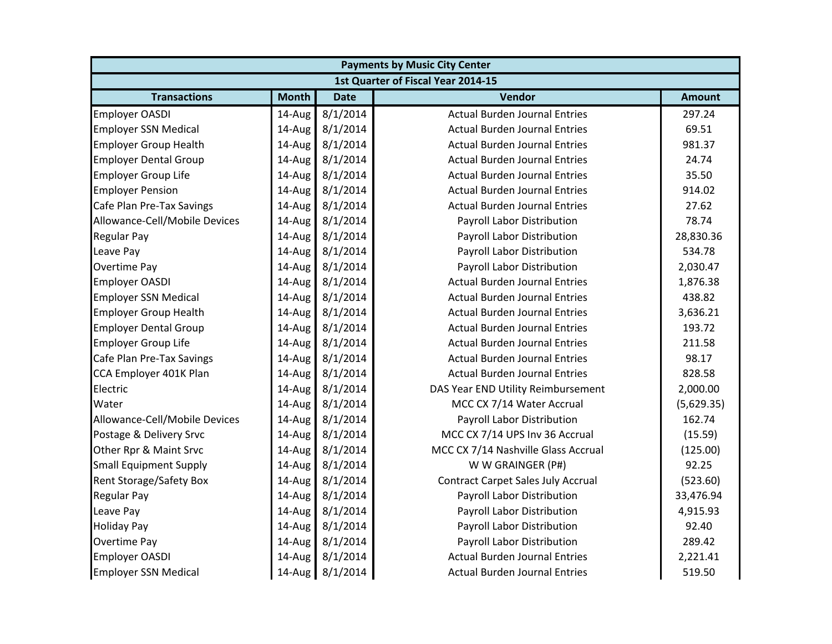| <b>Payments by Music City Center</b> |              |             |                                           |               |  |  |
|--------------------------------------|--------------|-------------|-------------------------------------------|---------------|--|--|
|                                      |              |             | 1st Quarter of Fiscal Year 2014-15        |               |  |  |
| <b>Transactions</b>                  | <b>Month</b> | <b>Date</b> | Vendor                                    | <b>Amount</b> |  |  |
| <b>Employer OASDI</b>                | 14-Aug       | 8/1/2014    | <b>Actual Burden Journal Entries</b>      | 297.24        |  |  |
| <b>Employer SSN Medical</b>          | 14-Aug       | 8/1/2014    | <b>Actual Burden Journal Entries</b>      | 69.51         |  |  |
| <b>Employer Group Health</b>         | 14-Aug       | 8/1/2014    | <b>Actual Burden Journal Entries</b>      | 981.37        |  |  |
| <b>Employer Dental Group</b>         | 14-Aug       | 8/1/2014    | <b>Actual Burden Journal Entries</b>      | 24.74         |  |  |
| <b>Employer Group Life</b>           | 14-Aug       | 8/1/2014    | <b>Actual Burden Journal Entries</b>      | 35.50         |  |  |
| <b>Employer Pension</b>              | 14-Aug       | 8/1/2014    | <b>Actual Burden Journal Entries</b>      | 914.02        |  |  |
| Cafe Plan Pre-Tax Savings            | 14-Aug       | 8/1/2014    | <b>Actual Burden Journal Entries</b>      | 27.62         |  |  |
| Allowance-Cell/Mobile Devices        | 14-Aug       | 8/1/2014    | Payroll Labor Distribution                | 78.74         |  |  |
| <b>Regular Pay</b>                   | 14-Aug       | 8/1/2014    | Payroll Labor Distribution                | 28,830.36     |  |  |
| Leave Pay                            | 14-Aug       | 8/1/2014    | Payroll Labor Distribution                | 534.78        |  |  |
| Overtime Pay                         | 14-Aug       | 8/1/2014    | Payroll Labor Distribution                | 2,030.47      |  |  |
| <b>Employer OASDI</b>                | 14-Aug       | 8/1/2014    | <b>Actual Burden Journal Entries</b>      | 1,876.38      |  |  |
| <b>Employer SSN Medical</b>          | 14-Aug       | 8/1/2014    | <b>Actual Burden Journal Entries</b>      | 438.82        |  |  |
| <b>Employer Group Health</b>         | 14-Aug       | 8/1/2014    | <b>Actual Burden Journal Entries</b>      | 3,636.21      |  |  |
| <b>Employer Dental Group</b>         | 14-Aug       | 8/1/2014    | <b>Actual Burden Journal Entries</b>      | 193.72        |  |  |
| <b>Employer Group Life</b>           | 14-Aug       | 8/1/2014    | <b>Actual Burden Journal Entries</b>      | 211.58        |  |  |
| Cafe Plan Pre-Tax Savings            | 14-Aug       | 8/1/2014    | <b>Actual Burden Journal Entries</b>      | 98.17         |  |  |
| CCA Employer 401K Plan               | 14-Aug       | 8/1/2014    | <b>Actual Burden Journal Entries</b>      | 828.58        |  |  |
| Electric                             | 14-Aug       | 8/1/2014    | DAS Year END Utility Reimbursement        | 2,000.00      |  |  |
| Water                                | 14-Aug       | 8/1/2014    | MCC CX 7/14 Water Accrual                 | (5,629.35)    |  |  |
| Allowance-Cell/Mobile Devices        | 14-Aug       | 8/1/2014    | Payroll Labor Distribution                | 162.74        |  |  |
| Postage & Delivery Srvc              | 14-Aug       | 8/1/2014    | MCC CX 7/14 UPS Inv 36 Accrual            | (15.59)       |  |  |
| Other Rpr & Maint Srvc               | 14-Aug       | 8/1/2014    | MCC CX 7/14 Nashville Glass Accrual       | (125.00)      |  |  |
| <b>Small Equipment Supply</b>        | 14-Aug       | 8/1/2014    | W W GRAINGER (P#)                         | 92.25         |  |  |
| <b>Rent Storage/Safety Box</b>       | 14-Aug       | 8/1/2014    | <b>Contract Carpet Sales July Accrual</b> | (523.60)      |  |  |
| <b>Regular Pay</b>                   | 14-Aug       | 8/1/2014    | Payroll Labor Distribution                | 33,476.94     |  |  |
| Leave Pay                            | 14-Aug       | 8/1/2014    | Payroll Labor Distribution                | 4,915.93      |  |  |
| <b>Holiday Pay</b>                   | 14-Aug       | 8/1/2014    | Payroll Labor Distribution                | 92.40         |  |  |
| Overtime Pay                         | 14-Aug       | 8/1/2014    | Payroll Labor Distribution                | 289.42        |  |  |
| <b>Employer OASDI</b>                | 14-Aug       | 8/1/2014    | <b>Actual Burden Journal Entries</b>      | 2,221.41      |  |  |
| <b>Employer SSN Medical</b>          | 14-Aug       | 8/1/2014    | <b>Actual Burden Journal Entries</b>      | 519.50        |  |  |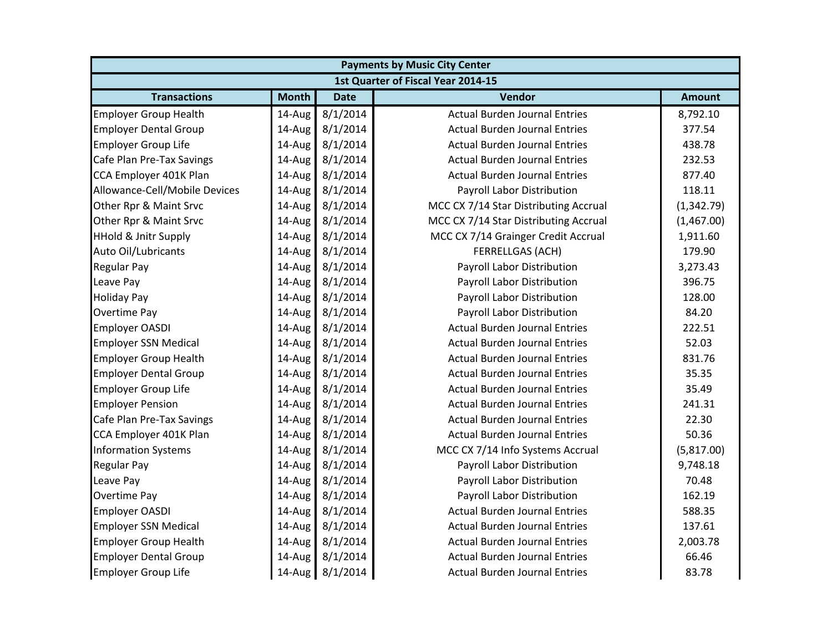|                                 | <b>Payments by Music City Center</b> |             |                                       |               |  |  |
|---------------------------------|--------------------------------------|-------------|---------------------------------------|---------------|--|--|
|                                 |                                      |             | 1st Quarter of Fiscal Year 2014-15    |               |  |  |
| <b>Transactions</b>             | <b>Month</b>                         | <b>Date</b> | Vendor                                | <b>Amount</b> |  |  |
| <b>Employer Group Health</b>    | 14-Aug                               | 8/1/2014    | <b>Actual Burden Journal Entries</b>  | 8,792.10      |  |  |
| <b>Employer Dental Group</b>    | 14-Aug                               | 8/1/2014    | <b>Actual Burden Journal Entries</b>  | 377.54        |  |  |
| <b>Employer Group Life</b>      | 14-Aug                               | 8/1/2014    | <b>Actual Burden Journal Entries</b>  | 438.78        |  |  |
| Cafe Plan Pre-Tax Savings       | 14-Aug                               | 8/1/2014    | <b>Actual Burden Journal Entries</b>  | 232.53        |  |  |
| CCA Employer 401K Plan          | 14-Aug                               | 8/1/2014    | <b>Actual Burden Journal Entries</b>  | 877.40        |  |  |
| Allowance-Cell/Mobile Devices   | 14-Aug                               | 8/1/2014    | Payroll Labor Distribution            | 118.11        |  |  |
| Other Rpr & Maint Srvc          | 14-Aug                               | 8/1/2014    | MCC CX 7/14 Star Distributing Accrual | (1,342.79)    |  |  |
| Other Rpr & Maint Srvc          | 14-Aug                               | 8/1/2014    | MCC CX 7/14 Star Distributing Accrual | (1,467.00)    |  |  |
| <b>HHold &amp; Jnitr Supply</b> | 14-Aug                               | 8/1/2014    | MCC CX 7/14 Grainger Credit Accrual   | 1,911.60      |  |  |
| Auto Oil/Lubricants             | 14-Aug                               | 8/1/2014    | <b>FERRELLGAS (ACH)</b>               | 179.90        |  |  |
| <b>Regular Pay</b>              | 14-Aug                               | 8/1/2014    | Payroll Labor Distribution            | 3,273.43      |  |  |
| Leave Pay                       | 14-Aug                               | 8/1/2014    | Payroll Labor Distribution            | 396.75        |  |  |
| <b>Holiday Pay</b>              | 14-Aug                               | 8/1/2014    | Payroll Labor Distribution            | 128.00        |  |  |
| <b>Overtime Pay</b>             | 14-Aug                               | 8/1/2014    | Payroll Labor Distribution            | 84.20         |  |  |
| <b>Employer OASDI</b>           | 14-Aug                               | 8/1/2014    | <b>Actual Burden Journal Entries</b>  | 222.51        |  |  |
| <b>Employer SSN Medical</b>     | 14-Aug                               | 8/1/2014    | <b>Actual Burden Journal Entries</b>  | 52.03         |  |  |
| <b>Employer Group Health</b>    | 14-Aug                               | 8/1/2014    | <b>Actual Burden Journal Entries</b>  | 831.76        |  |  |
| <b>Employer Dental Group</b>    | 14-Aug                               | 8/1/2014    | <b>Actual Burden Journal Entries</b>  | 35.35         |  |  |
| <b>Employer Group Life</b>      | 14-Aug                               | 8/1/2014    | <b>Actual Burden Journal Entries</b>  | 35.49         |  |  |
| <b>Employer Pension</b>         | 14-Aug                               | 8/1/2014    | <b>Actual Burden Journal Entries</b>  | 241.31        |  |  |
| Cafe Plan Pre-Tax Savings       | 14-Aug                               | 8/1/2014    | <b>Actual Burden Journal Entries</b>  | 22.30         |  |  |
| CCA Employer 401K Plan          | 14-Aug                               | 8/1/2014    | <b>Actual Burden Journal Entries</b>  | 50.36         |  |  |
| <b>Information Systems</b>      | 14-Aug                               | 8/1/2014    | MCC CX 7/14 Info Systems Accrual      | (5,817.00)    |  |  |
| <b>Regular Pay</b>              | 14-Aug                               | 8/1/2014    | Payroll Labor Distribution            | 9,748.18      |  |  |
| Leave Pay                       | 14-Aug                               | 8/1/2014    | Payroll Labor Distribution            | 70.48         |  |  |
| <b>Overtime Pay</b>             | 14-Aug                               | 8/1/2014    | Payroll Labor Distribution            | 162.19        |  |  |
| <b>Employer OASDI</b>           | 14-Aug                               | 8/1/2014    | <b>Actual Burden Journal Entries</b>  | 588.35        |  |  |
| <b>Employer SSN Medical</b>     | 14-Aug                               | 8/1/2014    | <b>Actual Burden Journal Entries</b>  | 137.61        |  |  |
| <b>Employer Group Health</b>    | 14-Aug                               | 8/1/2014    | <b>Actual Burden Journal Entries</b>  | 2,003.78      |  |  |
| <b>Employer Dental Group</b>    | 14-Aug                               | 8/1/2014    | <b>Actual Burden Journal Entries</b>  | 66.46         |  |  |
| <b>Employer Group Life</b>      | 14-Aug                               | 8/1/2014    | <b>Actual Burden Journal Entries</b>  | 83.78         |  |  |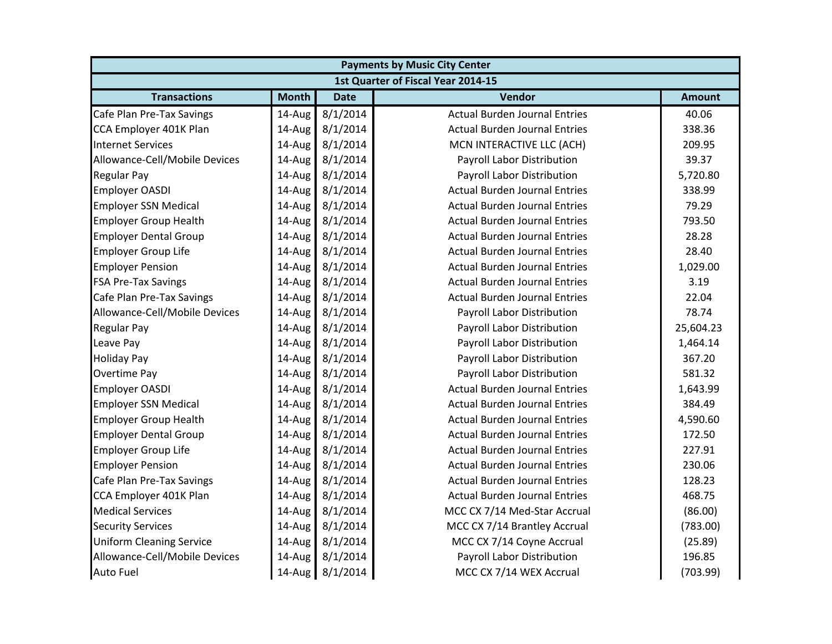| <b>Payments by Music City Center</b> |              |             |                                      |               |  |
|--------------------------------------|--------------|-------------|--------------------------------------|---------------|--|
|                                      |              |             | 1st Quarter of Fiscal Year 2014-15   |               |  |
| <b>Transactions</b>                  | <b>Month</b> | <b>Date</b> | Vendor                               | <b>Amount</b> |  |
| Cafe Plan Pre-Tax Savings            | 14-Aug       | 8/1/2014    | <b>Actual Burden Journal Entries</b> | 40.06         |  |
| CCA Employer 401K Plan               | 14-Aug       | 8/1/2014    | <b>Actual Burden Journal Entries</b> | 338.36        |  |
| <b>Internet Services</b>             | $14$ -Aug    | 8/1/2014    | MCN INTERACTIVE LLC (ACH)            | 209.95        |  |
| Allowance-Cell/Mobile Devices        | 14-Aug       | 8/1/2014    | Payroll Labor Distribution           | 39.37         |  |
| <b>Regular Pay</b>                   | 14-Aug       | 8/1/2014    | Payroll Labor Distribution           | 5,720.80      |  |
| Employer OASDI                       | 14-Aug       | 8/1/2014    | <b>Actual Burden Journal Entries</b> | 338.99        |  |
| <b>Employer SSN Medical</b>          | 14-Aug       | 8/1/2014    | <b>Actual Burden Journal Entries</b> | 79.29         |  |
| <b>Employer Group Health</b>         | 14-Aug       | 8/1/2014    | <b>Actual Burden Journal Entries</b> | 793.50        |  |
| <b>Employer Dental Group</b>         | 14-Aug       | 8/1/2014    | <b>Actual Burden Journal Entries</b> | 28.28         |  |
| <b>Employer Group Life</b>           | 14-Aug       | 8/1/2014    | <b>Actual Burden Journal Entries</b> | 28.40         |  |
| <b>Employer Pension</b>              | 14-Aug       | 8/1/2014    | <b>Actual Burden Journal Entries</b> | 1,029.00      |  |
| <b>FSA Pre-Tax Savings</b>           | 14-Aug       | 8/1/2014    | <b>Actual Burden Journal Entries</b> | 3.19          |  |
| Cafe Plan Pre-Tax Savings            | 14-Aug       | 8/1/2014    | <b>Actual Burden Journal Entries</b> | 22.04         |  |
| Allowance-Cell/Mobile Devices        | 14-Aug       | 8/1/2014    | Payroll Labor Distribution           | 78.74         |  |
| <b>Regular Pay</b>                   | $14$ -Aug    | 8/1/2014    | Payroll Labor Distribution           | 25,604.23     |  |
| Leave Pay                            | 14-Aug       | 8/1/2014    | Payroll Labor Distribution           | 1,464.14      |  |
| <b>Holiday Pay</b>                   | 14-Aug       | 8/1/2014    | Payroll Labor Distribution           | 367.20        |  |
| <b>Overtime Pay</b>                  | 14-Aug       | 8/1/2014    | Payroll Labor Distribution           | 581.32        |  |
| <b>Employer OASDI</b>                | 14-Aug       | 8/1/2014    | <b>Actual Burden Journal Entries</b> | 1,643.99      |  |
| <b>Employer SSN Medical</b>          | $14$ -Aug    | 8/1/2014    | <b>Actual Burden Journal Entries</b> | 384.49        |  |
| <b>Employer Group Health</b>         | 14-Aug       | 8/1/2014    | <b>Actual Burden Journal Entries</b> | 4,590.60      |  |
| <b>Employer Dental Group</b>         | 14-Aug       | 8/1/2014    | <b>Actual Burden Journal Entries</b> | 172.50        |  |
| <b>Employer Group Life</b>           | 14-Aug       | 8/1/2014    | <b>Actual Burden Journal Entries</b> | 227.91        |  |
| <b>Employer Pension</b>              | 14-Aug       | 8/1/2014    | <b>Actual Burden Journal Entries</b> | 230.06        |  |
| Cafe Plan Pre-Tax Savings            | 14-Aug       | 8/1/2014    | <b>Actual Burden Journal Entries</b> | 128.23        |  |
| CCA Employer 401K Plan               | $14$ -Aug    | 8/1/2014    | <b>Actual Burden Journal Entries</b> | 468.75        |  |
| <b>Medical Services</b>              | $14$ -Aug    | 8/1/2014    | MCC CX 7/14 Med-Star Accrual         | (86.00)       |  |
| <b>Security Services</b>             | 14-Aug       | 8/1/2014    | MCC CX 7/14 Brantley Accrual         | (783.00)      |  |
| <b>Uniform Cleaning Service</b>      | 14-Aug       | 8/1/2014    | MCC CX 7/14 Coyne Accrual            | (25.89)       |  |
| Allowance-Cell/Mobile Devices        | 14-Aug       | 8/1/2014    | Payroll Labor Distribution           | 196.85        |  |
| Auto Fuel                            | 14-Aug       | 8/1/2014    | MCC CX 7/14 WEX Accrual              | (703.99)      |  |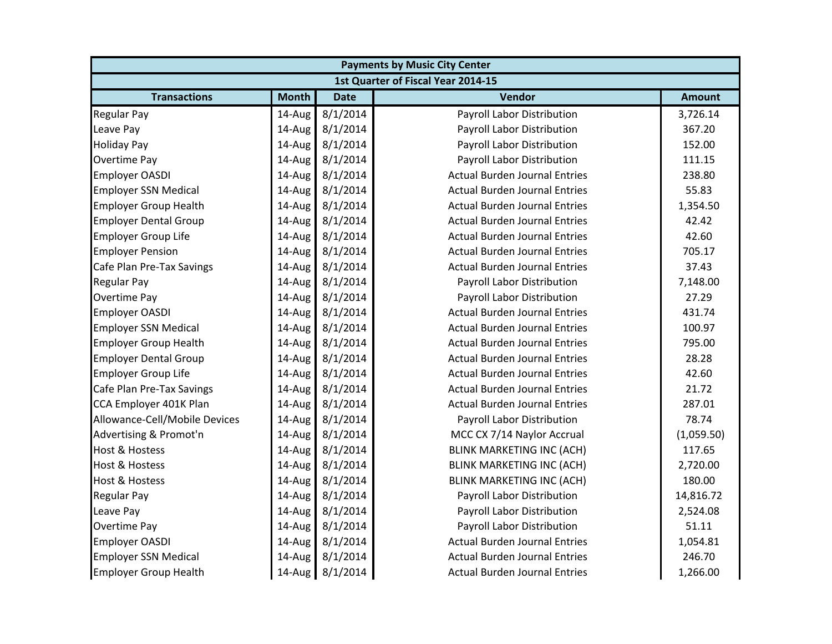|                               | <b>Payments by Music City Center</b> |             |                                      |               |  |  |  |
|-------------------------------|--------------------------------------|-------------|--------------------------------------|---------------|--|--|--|
|                               |                                      |             | 1st Quarter of Fiscal Year 2014-15   |               |  |  |  |
| <b>Transactions</b>           | <b>Month</b>                         | <b>Date</b> | Vendor                               | <b>Amount</b> |  |  |  |
| <b>Regular Pay</b>            | 14-Aug                               | 8/1/2014    | Payroll Labor Distribution           | 3,726.14      |  |  |  |
| Leave Pay                     | 14-Aug                               | 8/1/2014    | Payroll Labor Distribution           | 367.20        |  |  |  |
| <b>Holiday Pay</b>            | 14-Aug                               | 8/1/2014    | Payroll Labor Distribution           | 152.00        |  |  |  |
| <b>Overtime Pay</b>           | 14-Aug                               | 8/1/2014    | Payroll Labor Distribution           | 111.15        |  |  |  |
| <b>Employer OASDI</b>         | 14-Aug                               | 8/1/2014    | <b>Actual Burden Journal Entries</b> | 238.80        |  |  |  |
| <b>Employer SSN Medical</b>   | 14-Aug                               | 8/1/2014    | <b>Actual Burden Journal Entries</b> | 55.83         |  |  |  |
| <b>Employer Group Health</b>  | 14-Aug                               | 8/1/2014    | <b>Actual Burden Journal Entries</b> | 1,354.50      |  |  |  |
| <b>Employer Dental Group</b>  | 14-Aug                               | 8/1/2014    | <b>Actual Burden Journal Entries</b> | 42.42         |  |  |  |
| <b>Employer Group Life</b>    | 14-Aug                               | 8/1/2014    | <b>Actual Burden Journal Entries</b> | 42.60         |  |  |  |
| <b>Employer Pension</b>       | 14-Aug                               | 8/1/2014    | <b>Actual Burden Journal Entries</b> | 705.17        |  |  |  |
| Cafe Plan Pre-Tax Savings     | 14-Aug                               | 8/1/2014    | <b>Actual Burden Journal Entries</b> | 37.43         |  |  |  |
| <b>Regular Pay</b>            | 14-Aug                               | 8/1/2014    | Payroll Labor Distribution           | 7,148.00      |  |  |  |
| Overtime Pay                  | 14-Aug                               | 8/1/2014    | Payroll Labor Distribution           | 27.29         |  |  |  |
| <b>Employer OASDI</b>         | 14-Aug                               | 8/1/2014    | <b>Actual Burden Journal Entries</b> | 431.74        |  |  |  |
| <b>Employer SSN Medical</b>   | 14-Aug                               | 8/1/2014    | <b>Actual Burden Journal Entries</b> | 100.97        |  |  |  |
| <b>Employer Group Health</b>  | 14-Aug                               | 8/1/2014    | <b>Actual Burden Journal Entries</b> | 795.00        |  |  |  |
| <b>Employer Dental Group</b>  | 14-Aug                               | 8/1/2014    | <b>Actual Burden Journal Entries</b> | 28.28         |  |  |  |
| <b>Employer Group Life</b>    | 14-Aug                               | 8/1/2014    | <b>Actual Burden Journal Entries</b> | 42.60         |  |  |  |
| Cafe Plan Pre-Tax Savings     | 14-Aug                               | 8/1/2014    | <b>Actual Burden Journal Entries</b> | 21.72         |  |  |  |
| CCA Employer 401K Plan        | 14-Aug                               | 8/1/2014    | <b>Actual Burden Journal Entries</b> | 287.01        |  |  |  |
| Allowance-Cell/Mobile Devices | 14-Aug                               | 8/1/2014    | Payroll Labor Distribution           | 78.74         |  |  |  |
| Advertising & Promot'n        | 14-Aug                               | 8/1/2014    | MCC CX 7/14 Naylor Accrual           | (1,059.50)    |  |  |  |
| <b>Host &amp; Hostess</b>     | 14-Aug                               | 8/1/2014    | <b>BLINK MARKETING INC (ACH)</b>     | 117.65        |  |  |  |
| <b>Host &amp; Hostess</b>     | 14-Aug                               | 8/1/2014    | <b>BLINK MARKETING INC (ACH)</b>     | 2,720.00      |  |  |  |
| <b>Host &amp; Hostess</b>     | 14-Aug                               | 8/1/2014    | <b>BLINK MARKETING INC (ACH)</b>     | 180.00        |  |  |  |
| <b>Regular Pay</b>            | 14-Aug                               | 8/1/2014    | Payroll Labor Distribution           | 14,816.72     |  |  |  |
| Leave Pay                     | 14-Aug                               | 8/1/2014    | Payroll Labor Distribution           | 2,524.08      |  |  |  |
| <b>Overtime Pay</b>           | 14-Aug                               | 8/1/2014    | Payroll Labor Distribution           | 51.11         |  |  |  |
| <b>Employer OASDI</b>         | 14-Aug                               | 8/1/2014    | <b>Actual Burden Journal Entries</b> | 1,054.81      |  |  |  |
| <b>Employer SSN Medical</b>   | 14-Aug                               | 8/1/2014    | <b>Actual Burden Journal Entries</b> | 246.70        |  |  |  |
| <b>Employer Group Health</b>  | 14-Aug                               | 8/1/2014    | <b>Actual Burden Journal Entries</b> | 1,266.00      |  |  |  |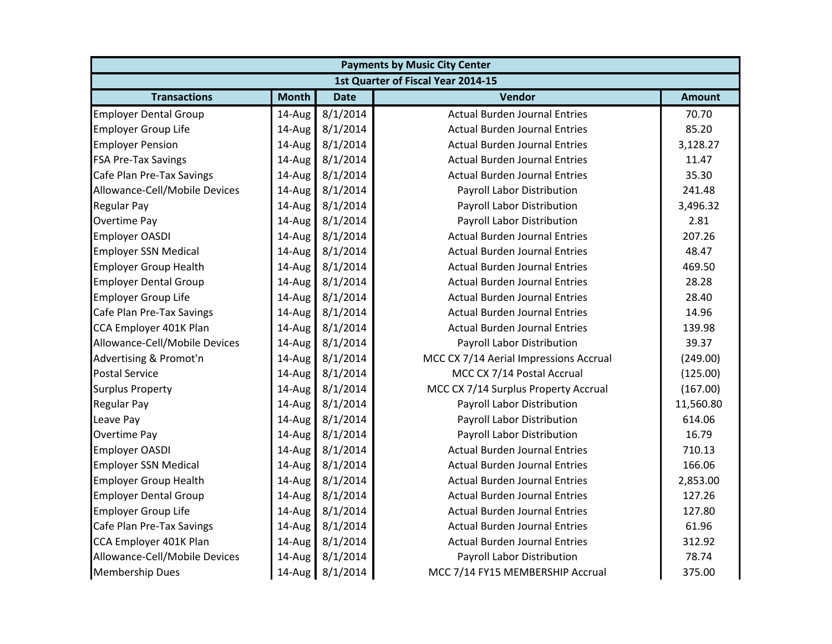|                               | <b>Payments by Music City Center</b> |             |                                        |               |  |  |
|-------------------------------|--------------------------------------|-------------|----------------------------------------|---------------|--|--|
|                               |                                      |             | 1st Quarter of Fiscal Year 2014-15     |               |  |  |
| <b>Transactions</b>           | <b>Month</b>                         | <b>Date</b> | Vendor                                 | <b>Amount</b> |  |  |
| <b>Employer Dental Group</b>  | 14-Aug                               | 8/1/2014    | <b>Actual Burden Journal Entries</b>   | 70.70         |  |  |
| <b>Employer Group Life</b>    | 14-Aug                               | 8/1/2014    | <b>Actual Burden Journal Entries</b>   | 85.20         |  |  |
| <b>Employer Pension</b>       | 14-Aug                               | 8/1/2014    | <b>Actual Burden Journal Entries</b>   | 3,128.27      |  |  |
| <b>FSA Pre-Tax Savings</b>    | 14-Aug                               | 8/1/2014    | <b>Actual Burden Journal Entries</b>   | 11.47         |  |  |
| Cafe Plan Pre-Tax Savings     | 14-Aug                               | 8/1/2014    | <b>Actual Burden Journal Entries</b>   | 35.30         |  |  |
| Allowance-Cell/Mobile Devices | 14-Aug                               | 8/1/2014    | Payroll Labor Distribution             | 241.48        |  |  |
| <b>Regular Pay</b>            | 14-Aug                               | 8/1/2014    | Payroll Labor Distribution             | 3,496.32      |  |  |
| Overtime Pay                  | 14-Aug                               | 8/1/2014    | Payroll Labor Distribution             | 2.81          |  |  |
| <b>Employer OASDI</b>         | 14-Aug                               | 8/1/2014    | <b>Actual Burden Journal Entries</b>   | 207.26        |  |  |
| <b>Employer SSN Medical</b>   | 14-Aug                               | 8/1/2014    | <b>Actual Burden Journal Entries</b>   | 48.47         |  |  |
| <b>Employer Group Health</b>  | 14-Aug                               | 8/1/2014    | <b>Actual Burden Journal Entries</b>   | 469.50        |  |  |
| <b>Employer Dental Group</b>  | 14-Aug                               | 8/1/2014    | <b>Actual Burden Journal Entries</b>   | 28.28         |  |  |
| <b>Employer Group Life</b>    | 14-Aug                               | 8/1/2014    | <b>Actual Burden Journal Entries</b>   | 28.40         |  |  |
| Cafe Plan Pre-Tax Savings     | 14-Aug                               | 8/1/2014    | <b>Actual Burden Journal Entries</b>   | 14.96         |  |  |
| CCA Employer 401K Plan        | 14-Aug                               | 8/1/2014    | <b>Actual Burden Journal Entries</b>   | 139.98        |  |  |
| Allowance-Cell/Mobile Devices | 14-Aug                               | 8/1/2014    | Payroll Labor Distribution             | 39.37         |  |  |
| Advertising & Promot'n        | 14-Aug                               | 8/1/2014    | MCC CX 7/14 Aerial Impressions Accrual | (249.00)      |  |  |
| <b>Postal Service</b>         | 14-Aug                               | 8/1/2014    | MCC CX 7/14 Postal Accrual             | (125.00)      |  |  |
| <b>Surplus Property</b>       | 14-Aug                               | 8/1/2014    | MCC CX 7/14 Surplus Property Accrual   | (167.00)      |  |  |
| <b>Regular Pay</b>            | 14-Aug                               | 8/1/2014    | Payroll Labor Distribution             | 11,560.80     |  |  |
| Leave Pay                     | 14-Aug                               | 8/1/2014    | Payroll Labor Distribution             | 614.06        |  |  |
| <b>Overtime Pay</b>           | 14-Aug                               | 8/1/2014    | <b>Payroll Labor Distribution</b>      | 16.79         |  |  |
| <b>Employer OASDI</b>         | 14-Aug                               | 8/1/2014    | <b>Actual Burden Journal Entries</b>   | 710.13        |  |  |
| <b>Employer SSN Medical</b>   | 14-Aug                               | 8/1/2014    | <b>Actual Burden Journal Entries</b>   | 166.06        |  |  |
| <b>Employer Group Health</b>  | 14-Aug                               | 8/1/2014    | <b>Actual Burden Journal Entries</b>   | 2,853.00      |  |  |
| <b>Employer Dental Group</b>  | $14$ -Aug                            | 8/1/2014    | <b>Actual Burden Journal Entries</b>   | 127.26        |  |  |
| <b>Employer Group Life</b>    | 14-Aug                               | 8/1/2014    | <b>Actual Burden Journal Entries</b>   | 127.80        |  |  |
| Cafe Plan Pre-Tax Savings     | 14-Aug                               | 8/1/2014    | <b>Actual Burden Journal Entries</b>   | 61.96         |  |  |
| CCA Employer 401K Plan        | 14-Aug                               | 8/1/2014    | <b>Actual Burden Journal Entries</b>   | 312.92        |  |  |
| Allowance-Cell/Mobile Devices | 14-Aug                               | 8/1/2014    | Payroll Labor Distribution             | 78.74         |  |  |
| <b>Membership Dues</b>        | 14-Aug                               | 8/1/2014    | MCC 7/14 FY15 MEMBERSHIP Accrual       | 375.00        |  |  |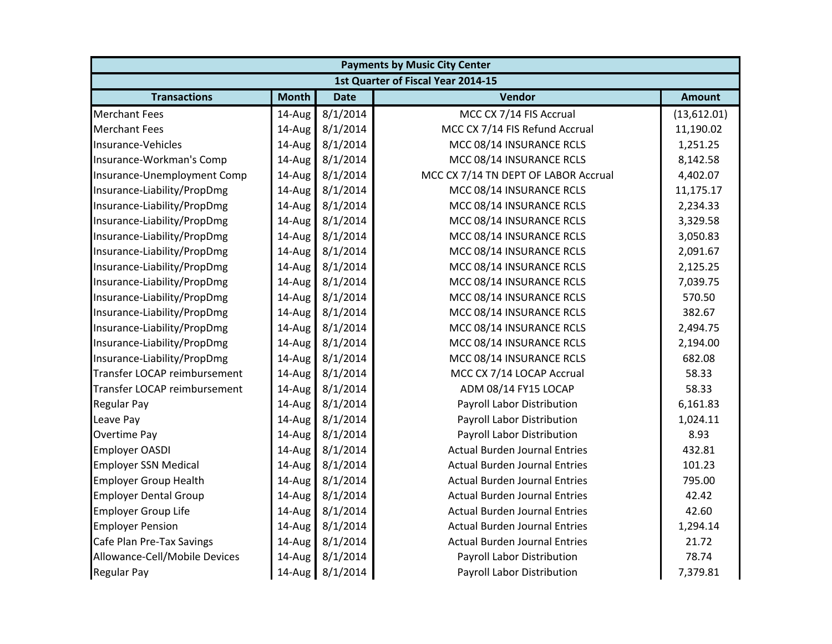| <b>Payments by Music City Center</b> |              |             |                                      |               |  |  |
|--------------------------------------|--------------|-------------|--------------------------------------|---------------|--|--|
|                                      |              |             | 1st Quarter of Fiscal Year 2014-15   |               |  |  |
| <b>Transactions</b>                  | <b>Month</b> | <b>Date</b> | Vendor                               | <b>Amount</b> |  |  |
| <b>Merchant Fees</b>                 | 14-Aug       | 8/1/2014    | MCC CX 7/14 FIS Accrual              | (13, 612.01)  |  |  |
| <b>Merchant Fees</b>                 | 14-Aug       | 8/1/2014    | MCC CX 7/14 FIS Refund Accrual       | 11,190.02     |  |  |
| Insurance-Vehicles                   | 14-Aug       | 8/1/2014    | MCC 08/14 INSURANCE RCLS             | 1,251.25      |  |  |
| Insurance-Workman's Comp             | 14-Aug       | 8/1/2014    | MCC 08/14 INSURANCE RCLS             | 8,142.58      |  |  |
| Insurance-Unemployment Comp          | 14-Aug       | 8/1/2014    | MCC CX 7/14 TN DEPT OF LABOR Accrual | 4,402.07      |  |  |
| Insurance-Liability/PropDmg          | 14-Aug       | 8/1/2014    | MCC 08/14 INSURANCE RCLS             | 11,175.17     |  |  |
| Insurance-Liability/PropDmg          | 14-Aug       | 8/1/2014    | MCC 08/14 INSURANCE RCLS             | 2,234.33      |  |  |
| Insurance-Liability/PropDmg          | 14-Aug       | 8/1/2014    | MCC 08/14 INSURANCE RCLS             | 3,329.58      |  |  |
| Insurance-Liability/PropDmg          | 14-Aug       | 8/1/2014    | MCC 08/14 INSURANCE RCLS             | 3,050.83      |  |  |
| Insurance-Liability/PropDmg          | 14-Aug       | 8/1/2014    | MCC 08/14 INSURANCE RCLS             | 2,091.67      |  |  |
| Insurance-Liability/PropDmg          | 14-Aug       | 8/1/2014    | MCC 08/14 INSURANCE RCLS             | 2,125.25      |  |  |
| Insurance-Liability/PropDmg          | 14-Aug       | 8/1/2014    | MCC 08/14 INSURANCE RCLS             | 7,039.75      |  |  |
| Insurance-Liability/PropDmg          | 14-Aug       | 8/1/2014    | MCC 08/14 INSURANCE RCLS             | 570.50        |  |  |
| Insurance-Liability/PropDmg          | 14-Aug       | 8/1/2014    | MCC 08/14 INSURANCE RCLS             | 382.67        |  |  |
| Insurance-Liability/PropDmg          | 14-Aug       | 8/1/2014    | MCC 08/14 INSURANCE RCLS             | 2,494.75      |  |  |
| Insurance-Liability/PropDmg          | 14-Aug       | 8/1/2014    | MCC 08/14 INSURANCE RCLS             | 2,194.00      |  |  |
| Insurance-Liability/PropDmg          | 14-Aug       | 8/1/2014    | MCC 08/14 INSURANCE RCLS             | 682.08        |  |  |
| Transfer LOCAP reimbursement         | 14-Aug       | 8/1/2014    | MCC CX 7/14 LOCAP Accrual            | 58.33         |  |  |
| Transfer LOCAP reimbursement         | 14-Aug       | 8/1/2014    | ADM 08/14 FY15 LOCAP                 | 58.33         |  |  |
| <b>Regular Pay</b>                   | 14-Aug       | 8/1/2014    | Payroll Labor Distribution           | 6,161.83      |  |  |
| Leave Pay                            | 14-Aug       | 8/1/2014    | Payroll Labor Distribution           | 1,024.11      |  |  |
| <b>Overtime Pay</b>                  | 14-Aug       | 8/1/2014    | Payroll Labor Distribution           | 8.93          |  |  |
| Employer OASDI                       | 14-Aug       | 8/1/2014    | <b>Actual Burden Journal Entries</b> | 432.81        |  |  |
| <b>Employer SSN Medical</b>          | 14-Aug       | 8/1/2014    | <b>Actual Burden Journal Entries</b> | 101.23        |  |  |
| <b>Employer Group Health</b>         | 14-Aug       | 8/1/2014    | <b>Actual Burden Journal Entries</b> | 795.00        |  |  |
| <b>Employer Dental Group</b>         | 14-Aug       | 8/1/2014    | <b>Actual Burden Journal Entries</b> | 42.42         |  |  |
| <b>Employer Group Life</b>           | 14-Aug       | 8/1/2014    | <b>Actual Burden Journal Entries</b> | 42.60         |  |  |
| <b>Employer Pension</b>              | 14-Aug       | 8/1/2014    | <b>Actual Burden Journal Entries</b> | 1,294.14      |  |  |
| Cafe Plan Pre-Tax Savings            | 14-Aug       | 8/1/2014    | <b>Actual Burden Journal Entries</b> | 21.72         |  |  |
| Allowance-Cell/Mobile Devices        | 14-Aug       | 8/1/2014    | Payroll Labor Distribution           | 78.74         |  |  |
| <b>Regular Pay</b>                   | 14-Aug       | 8/1/2014    | Payroll Labor Distribution           | 7,379.81      |  |  |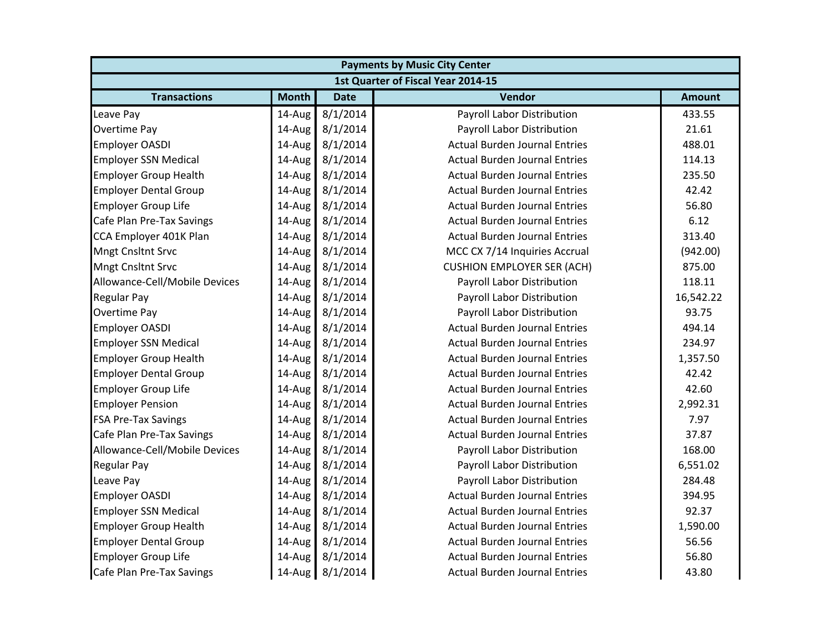| <b>Payments by Music City Center</b> |              |             |                                      |               |  |
|--------------------------------------|--------------|-------------|--------------------------------------|---------------|--|
|                                      |              |             | 1st Quarter of Fiscal Year 2014-15   |               |  |
| <b>Transactions</b>                  | <b>Month</b> | <b>Date</b> | Vendor                               | <b>Amount</b> |  |
| Leave Pay                            | 14-Aug       | 8/1/2014    | Payroll Labor Distribution           | 433.55        |  |
| <b>Overtime Pay</b>                  | 14-Aug       | 8/1/2014    | Payroll Labor Distribution           | 21.61         |  |
| <b>Employer OASDI</b>                | 14-Aug       | 8/1/2014    | <b>Actual Burden Journal Entries</b> | 488.01        |  |
| <b>Employer SSN Medical</b>          | 14-Aug       | 8/1/2014    | <b>Actual Burden Journal Entries</b> | 114.13        |  |
| <b>Employer Group Health</b>         | 14-Aug       | 8/1/2014    | <b>Actual Burden Journal Entries</b> | 235.50        |  |
| <b>Employer Dental Group</b>         | 14-Aug       | 8/1/2014    | <b>Actual Burden Journal Entries</b> | 42.42         |  |
| <b>Employer Group Life</b>           | 14-Aug       | 8/1/2014    | <b>Actual Burden Journal Entries</b> | 56.80         |  |
| Cafe Plan Pre-Tax Savings            | 14-Aug       | 8/1/2014    | <b>Actual Burden Journal Entries</b> | 6.12          |  |
| CCA Employer 401K Plan               | 14-Aug       | 8/1/2014    | <b>Actual Burden Journal Entries</b> | 313.40        |  |
| <b>Mngt Cnsltnt Srvc</b>             | 14-Aug       | 8/1/2014    | MCC CX 7/14 Inquiries Accrual        | (942.00)      |  |
| <b>Mngt Cnsltnt Srvc</b>             | 14-Aug       | 8/1/2014    | <b>CUSHION EMPLOYER SER (ACH)</b>    | 875.00        |  |
| Allowance-Cell/Mobile Devices        | 14-Aug       | 8/1/2014    | Payroll Labor Distribution           | 118.11        |  |
| <b>Regular Pay</b>                   | 14-Aug       | 8/1/2014    | Payroll Labor Distribution           | 16,542.22     |  |
| <b>Overtime Pay</b>                  | 14-Aug       | 8/1/2014    | Payroll Labor Distribution           | 93.75         |  |
| <b>Employer OASDI</b>                | 14-Aug       | 8/1/2014    | <b>Actual Burden Journal Entries</b> | 494.14        |  |
| <b>Employer SSN Medical</b>          | 14-Aug       | 8/1/2014    | <b>Actual Burden Journal Entries</b> | 234.97        |  |
| <b>Employer Group Health</b>         | 14-Aug       | 8/1/2014    | <b>Actual Burden Journal Entries</b> | 1,357.50      |  |
| <b>Employer Dental Group</b>         | 14-Aug       | 8/1/2014    | <b>Actual Burden Journal Entries</b> | 42.42         |  |
| <b>Employer Group Life</b>           | 14-Aug       | 8/1/2014    | <b>Actual Burden Journal Entries</b> | 42.60         |  |
| <b>Employer Pension</b>              | 14-Aug       | 8/1/2014    | <b>Actual Burden Journal Entries</b> | 2,992.31      |  |
| <b>FSA Pre-Tax Savings</b>           | 14-Aug       | 8/1/2014    | <b>Actual Burden Journal Entries</b> | 7.97          |  |
| Cafe Plan Pre-Tax Savings            | 14-Aug       | 8/1/2014    | <b>Actual Burden Journal Entries</b> | 37.87         |  |
| Allowance-Cell/Mobile Devices        | 14-Aug       | 8/1/2014    | Payroll Labor Distribution           | 168.00        |  |
| <b>Regular Pay</b>                   | 14-Aug       | 8/1/2014    | Payroll Labor Distribution           | 6,551.02      |  |
| Leave Pay                            | 14-Aug       | 8/1/2014    | Payroll Labor Distribution           | 284.48        |  |
| <b>Employer OASDI</b>                | 14-Aug       | 8/1/2014    | <b>Actual Burden Journal Entries</b> | 394.95        |  |
| <b>Employer SSN Medical</b>          | 14-Aug       | 8/1/2014    | <b>Actual Burden Journal Entries</b> | 92.37         |  |
| <b>Employer Group Health</b>         | 14-Aug       | 8/1/2014    | <b>Actual Burden Journal Entries</b> | 1,590.00      |  |
| <b>Employer Dental Group</b>         | 14-Aug       | 8/1/2014    | <b>Actual Burden Journal Entries</b> | 56.56         |  |
| <b>Employer Group Life</b>           | 14-Aug       | 8/1/2014    | <b>Actual Burden Journal Entries</b> | 56.80         |  |
| Cafe Plan Pre-Tax Savings            | 14-Aug       | 8/1/2014    | <b>Actual Burden Journal Entries</b> | 43.80         |  |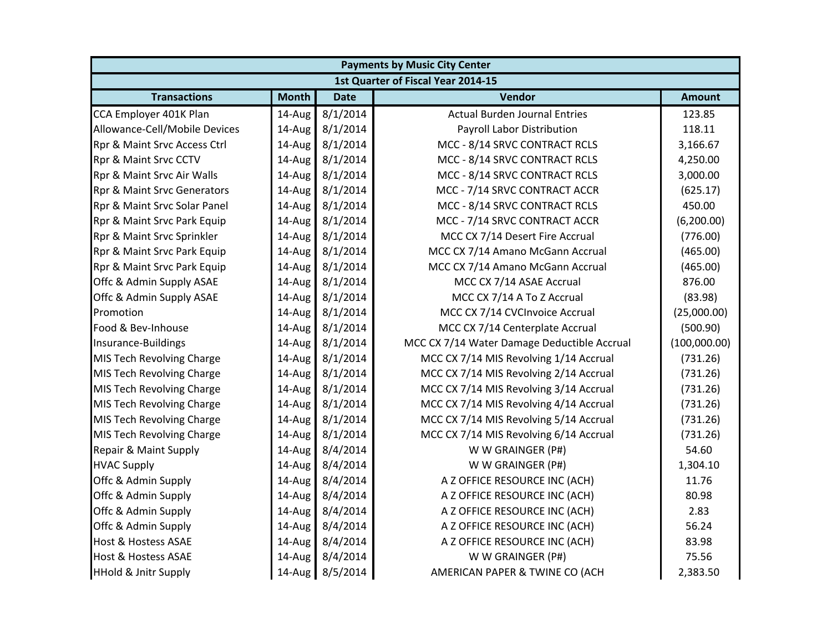| <b>Payments by Music City Center</b>   |              |             |                                             |               |  |
|----------------------------------------|--------------|-------------|---------------------------------------------|---------------|--|
|                                        |              |             | 1st Quarter of Fiscal Year 2014-15          |               |  |
| <b>Transactions</b>                    | <b>Month</b> | <b>Date</b> | Vendor                                      | <b>Amount</b> |  |
| CCA Employer 401K Plan                 | 14-Aug       | 8/1/2014    | <b>Actual Burden Journal Entries</b>        | 123.85        |  |
| Allowance-Cell/Mobile Devices          | 14-Aug       | 8/1/2014    | Payroll Labor Distribution                  | 118.11        |  |
| Rpr & Maint Srvc Access Ctrl           | 14-Aug       | 8/1/2014    | MCC - 8/14 SRVC CONTRACT RCLS               | 3,166.67      |  |
| Rpr & Maint Srvc CCTV                  | 14-Aug       | 8/1/2014    | MCC - 8/14 SRVC CONTRACT RCLS               | 4,250.00      |  |
| Rpr & Maint Srvc Air Walls             | 14-Aug       | 8/1/2014    | MCC - 8/14 SRVC CONTRACT RCLS               | 3,000.00      |  |
| <b>Rpr &amp; Maint Srvc Generators</b> | 14-Aug       | 8/1/2014    | MCC - 7/14 SRVC CONTRACT ACCR               | (625.17)      |  |
| Rpr & Maint Srvc Solar Panel           | 14-Aug       | 8/1/2014    | MCC - 8/14 SRVC CONTRACT RCLS               | 450.00        |  |
| Rpr & Maint Srvc Park Equip            | 14-Aug       | 8/1/2014    | MCC - 7/14 SRVC CONTRACT ACCR               | (6, 200.00)   |  |
| Rpr & Maint Srvc Sprinkler             | 14-Aug       | 8/1/2014    | MCC CX 7/14 Desert Fire Accrual             | (776.00)      |  |
| Rpr & Maint Srvc Park Equip            | 14-Aug       | 8/1/2014    | MCC CX 7/14 Amano McGann Accrual            | (465.00)      |  |
| Rpr & Maint Srvc Park Equip            | 14-Aug       | 8/1/2014    | MCC CX 7/14 Amano McGann Accrual            | (465.00)      |  |
| Offc & Admin Supply ASAE               | 14-Aug       | 8/1/2014    | MCC CX 7/14 ASAE Accrual                    | 876.00        |  |
| Offc & Admin Supply ASAE               | 14-Aug       | 8/1/2014    | MCC CX 7/14 A To Z Accrual                  | (83.98)       |  |
| Promotion                              | 14-Aug       | 8/1/2014    | MCC CX 7/14 CVCInvoice Accrual              | (25,000.00)   |  |
| Food & Bev-Inhouse                     | 14-Aug       | 8/1/2014    | MCC CX 7/14 Centerplate Accrual             | (500.90)      |  |
| Insurance-Buildings                    | 14-Aug       | 8/1/2014    | MCC CX 7/14 Water Damage Deductible Accrual | (100,000.00)  |  |
| MIS Tech Revolving Charge              | 14-Aug       | 8/1/2014    | MCC CX 7/14 MIS Revolving 1/14 Accrual      | (731.26)      |  |
| MIS Tech Revolving Charge              | 14-Aug       | 8/1/2014    | MCC CX 7/14 MIS Revolving 2/14 Accrual      | (731.26)      |  |
| MIS Tech Revolving Charge              | 14-Aug       | 8/1/2014    | MCC CX 7/14 MIS Revolving 3/14 Accrual      | (731.26)      |  |
| MIS Tech Revolving Charge              | 14-Aug       | 8/1/2014    | MCC CX 7/14 MIS Revolving 4/14 Accrual      | (731.26)      |  |
| MIS Tech Revolving Charge              | 14-Aug       | 8/1/2014    | MCC CX 7/14 MIS Revolving 5/14 Accrual      | (731.26)      |  |
| MIS Tech Revolving Charge              | 14-Aug       | 8/1/2014    | MCC CX 7/14 MIS Revolving 6/14 Accrual      | (731.26)      |  |
| Repair & Maint Supply                  | 14-Aug       | 8/4/2014    | W W GRAINGER (P#)                           | 54.60         |  |
| <b>HVAC Supply</b>                     | 14-Aug       | 8/4/2014    | W W GRAINGER (P#)                           | 1,304.10      |  |
| Offc & Admin Supply                    | 14-Aug       | 8/4/2014    | A Z OFFICE RESOURCE INC (ACH)               | 11.76         |  |
| Offc & Admin Supply                    | 14-Aug       | 8/4/2014    | A Z OFFICE RESOURCE INC (ACH)               | 80.98         |  |
| Offc & Admin Supply                    | 14-Aug       | 8/4/2014    | A Z OFFICE RESOURCE INC (ACH)               | 2.83          |  |
| Offc & Admin Supply                    | 14-Aug       | 8/4/2014    | A Z OFFICE RESOURCE INC (ACH)               | 56.24         |  |
| <b>Host &amp; Hostess ASAE</b>         | 14-Aug       | 8/4/2014    | A Z OFFICE RESOURCE INC (ACH)               | 83.98         |  |
| <b>Host &amp; Hostess ASAE</b>         | 14-Aug       | 8/4/2014    | W W GRAINGER (P#)                           | 75.56         |  |
| <b>HHold &amp; Jnitr Supply</b>        | 14-Aug       | 8/5/2014    | AMERICAN PAPER & TWINE CO (ACH              | 2,383.50      |  |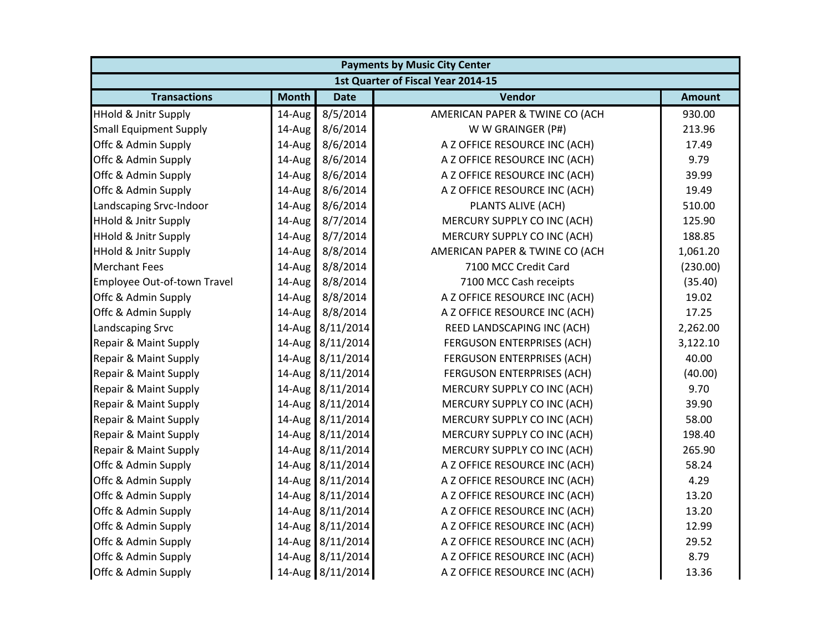|                                 | <b>Payments by Music City Center</b> |                  |                                    |               |  |  |
|---------------------------------|--------------------------------------|------------------|------------------------------------|---------------|--|--|
|                                 |                                      |                  | 1st Quarter of Fiscal Year 2014-15 |               |  |  |
| <b>Transactions</b>             | <b>Month</b>                         | <b>Date</b>      | Vendor                             | <b>Amount</b> |  |  |
| <b>HHold &amp; Jnitr Supply</b> | 14-Aug                               | 8/5/2014         | AMERICAN PAPER & TWINE CO (ACH     | 930.00        |  |  |
| <b>Small Equipment Supply</b>   | 14-Aug                               | 8/6/2014         | W W GRAINGER (P#)                  | 213.96        |  |  |
| Offc & Admin Supply             | 14-Aug                               | 8/6/2014         | A Z OFFICE RESOURCE INC (ACH)      | 17.49         |  |  |
| Offc & Admin Supply             | 14-Aug                               | 8/6/2014         | A Z OFFICE RESOURCE INC (ACH)      | 9.79          |  |  |
| Offc & Admin Supply             | 14-Aug                               | 8/6/2014         | A Z OFFICE RESOURCE INC (ACH)      | 39.99         |  |  |
| Offc & Admin Supply             | 14-Aug                               | 8/6/2014         | A Z OFFICE RESOURCE INC (ACH)      | 19.49         |  |  |
| Landscaping Srvc-Indoor         | 14-Aug                               | 8/6/2014         | PLANTS ALIVE (ACH)                 | 510.00        |  |  |
| <b>HHold &amp; Jnitr Supply</b> | 14-Aug                               | 8/7/2014         | MERCURY SUPPLY CO INC (ACH)        | 125.90        |  |  |
| <b>HHold &amp; Jnitr Supply</b> | 14-Aug                               | 8/7/2014         | MERCURY SUPPLY CO INC (ACH)        | 188.85        |  |  |
| <b>HHold &amp; Jnitr Supply</b> | 14-Aug                               | 8/8/2014         | AMERICAN PAPER & TWINE CO (ACH     | 1,061.20      |  |  |
| <b>Merchant Fees</b>            | 14-Aug                               | 8/8/2014         | 7100 MCC Credit Card               | (230.00)      |  |  |
| Employee Out-of-town Travel     | 14-Aug                               | 8/8/2014         | 7100 MCC Cash receipts             | (35.40)       |  |  |
| Offc & Admin Supply             | 14-Aug                               | 8/8/2014         | A Z OFFICE RESOURCE INC (ACH)      | 19.02         |  |  |
| Offc & Admin Supply             | 14-Aug                               | 8/8/2014         | A Z OFFICE RESOURCE INC (ACH)      | 17.25         |  |  |
| Landscaping Srvc                |                                      | 14-Aug 8/11/2014 | REED LANDSCAPING INC (ACH)         | 2,262.00      |  |  |
| Repair & Maint Supply           |                                      | 14-Aug 8/11/2014 | FERGUSON ENTERPRISES (ACH)         | 3,122.10      |  |  |
| Repair & Maint Supply           |                                      | 14-Aug 8/11/2014 | FERGUSON ENTERPRISES (ACH)         | 40.00         |  |  |
| Repair & Maint Supply           |                                      | 14-Aug 8/11/2014 | FERGUSON ENTERPRISES (ACH)         | (40.00)       |  |  |
| Repair & Maint Supply           |                                      | 14-Aug 8/11/2014 | MERCURY SUPPLY CO INC (ACH)        | 9.70          |  |  |
| Repair & Maint Supply           |                                      | 14-Aug 8/11/2014 | MERCURY SUPPLY CO INC (ACH)        | 39.90         |  |  |
| Repair & Maint Supply           |                                      | 14-Aug 8/11/2014 | MERCURY SUPPLY CO INC (ACH)        | 58.00         |  |  |
| Repair & Maint Supply           |                                      | 14-Aug 8/11/2014 | MERCURY SUPPLY CO INC (ACH)        | 198.40        |  |  |
| Repair & Maint Supply           |                                      | 14-Aug 8/11/2014 | MERCURY SUPPLY CO INC (ACH)        | 265.90        |  |  |
| Offc & Admin Supply             |                                      | 14-Aug 8/11/2014 | A Z OFFICE RESOURCE INC (ACH)      | 58.24         |  |  |
| Offc & Admin Supply             |                                      | 14-Aug 8/11/2014 | A Z OFFICE RESOURCE INC (ACH)      | 4.29          |  |  |
| Offc & Admin Supply             |                                      | 14-Aug 8/11/2014 | A Z OFFICE RESOURCE INC (ACH)      | 13.20         |  |  |
| Offc & Admin Supply             |                                      | 14-Aug 8/11/2014 | A Z OFFICE RESOURCE INC (ACH)      | 13.20         |  |  |
| Offc & Admin Supply             |                                      | 14-Aug 8/11/2014 | A Z OFFICE RESOURCE INC (ACH)      | 12.99         |  |  |
| Offc & Admin Supply             |                                      | 14-Aug 8/11/2014 | A Z OFFICE RESOURCE INC (ACH)      | 29.52         |  |  |
| Offc & Admin Supply             |                                      | 14-Aug 8/11/2014 | A Z OFFICE RESOURCE INC (ACH)      | 8.79          |  |  |
| Offc & Admin Supply             |                                      | 14-Aug 8/11/2014 | A Z OFFICE RESOURCE INC (ACH)      | 13.36         |  |  |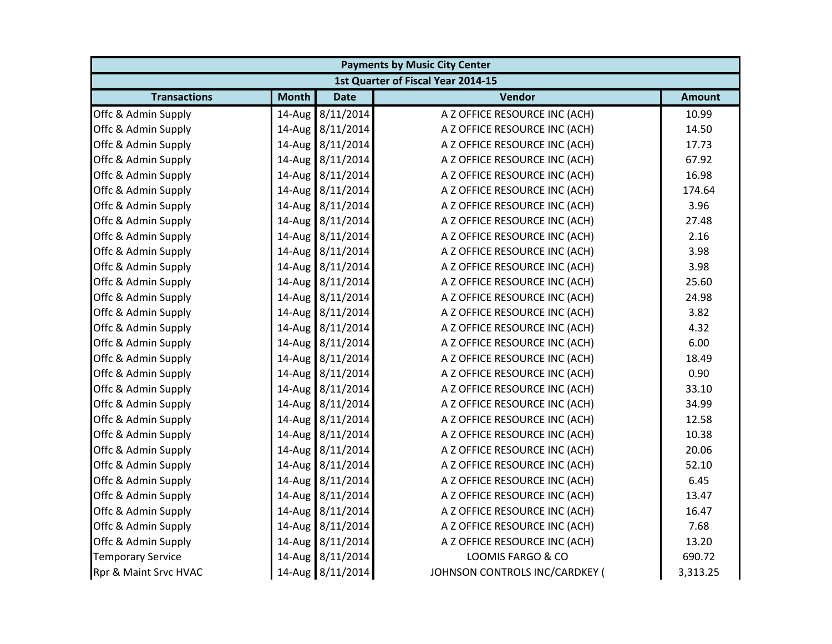|                          | <b>Payments by Music City Center</b> |                  |                                    |               |  |  |
|--------------------------|--------------------------------------|------------------|------------------------------------|---------------|--|--|
|                          |                                      |                  | 1st Quarter of Fiscal Year 2014-15 |               |  |  |
| <b>Transactions</b>      | <b>Month</b>                         | <b>Date</b>      | Vendor                             | <b>Amount</b> |  |  |
| Offc & Admin Supply      | 14-Aug                               | 8/11/2014        | A Z OFFICE RESOURCE INC (ACH)      | 10.99         |  |  |
| Offc & Admin Supply      | $14$ -Aug                            | 8/11/2014        | A Z OFFICE RESOURCE INC (ACH)      | 14.50         |  |  |
| Offc & Admin Supply      |                                      | 14-Aug 8/11/2014 | A Z OFFICE RESOURCE INC (ACH)      | 17.73         |  |  |
| Offc & Admin Supply      |                                      | 14-Aug 8/11/2014 | A Z OFFICE RESOURCE INC (ACH)      | 67.92         |  |  |
| Offc & Admin Supply      |                                      | 14-Aug 8/11/2014 | A Z OFFICE RESOURCE INC (ACH)      | 16.98         |  |  |
| Offc & Admin Supply      |                                      | 14-Aug 8/11/2014 | A Z OFFICE RESOURCE INC (ACH)      | 174.64        |  |  |
| Offc & Admin Supply      |                                      | 14-Aug 8/11/2014 | A Z OFFICE RESOURCE INC (ACH)      | 3.96          |  |  |
| Offc & Admin Supply      |                                      | 14-Aug 8/11/2014 | A Z OFFICE RESOURCE INC (ACH)      | 27.48         |  |  |
| Offc & Admin Supply      |                                      | 14-Aug 8/11/2014 | A Z OFFICE RESOURCE INC (ACH)      | 2.16          |  |  |
| Offc & Admin Supply      |                                      | 14-Aug 8/11/2014 | A Z OFFICE RESOURCE INC (ACH)      | 3.98          |  |  |
| Offc & Admin Supply      |                                      | 14-Aug 8/11/2014 | A Z OFFICE RESOURCE INC (ACH)      | 3.98          |  |  |
| Offc & Admin Supply      | $14$ -Aug                            | 8/11/2014        | A Z OFFICE RESOURCE INC (ACH)      | 25.60         |  |  |
| Offc & Admin Supply      |                                      | 14-Aug 8/11/2014 | A Z OFFICE RESOURCE INC (ACH)      | 24.98         |  |  |
| Offc & Admin Supply      |                                      | 14-Aug 8/11/2014 | A Z OFFICE RESOURCE INC (ACH)      | 3.82          |  |  |
| Offc & Admin Supply      |                                      | 14-Aug 8/11/2014 | A Z OFFICE RESOURCE INC (ACH)      | 4.32          |  |  |
| Offc & Admin Supply      |                                      | 14-Aug 8/11/2014 | A Z OFFICE RESOURCE INC (ACH)      | 6.00          |  |  |
| Offc & Admin Supply      |                                      | 14-Aug 8/11/2014 | A Z OFFICE RESOURCE INC (ACH)      | 18.49         |  |  |
| Offc & Admin Supply      |                                      | 14-Aug 8/11/2014 | A Z OFFICE RESOURCE INC (ACH)      | 0.90          |  |  |
| Offc & Admin Supply      |                                      | 14-Aug 8/11/2014 | A Z OFFICE RESOURCE INC (ACH)      | 33.10         |  |  |
| Offc & Admin Supply      |                                      | 14-Aug 8/11/2014 | A Z OFFICE RESOURCE INC (ACH)      | 34.99         |  |  |
| Offc & Admin Supply      |                                      | 14-Aug 8/11/2014 | A Z OFFICE RESOURCE INC (ACH)      | 12.58         |  |  |
| Offc & Admin Supply      |                                      | 14-Aug 8/11/2014 | A Z OFFICE RESOURCE INC (ACH)      | 10.38         |  |  |
| Offc & Admin Supply      |                                      | 14-Aug 8/11/2014 | A Z OFFICE RESOURCE INC (ACH)      | 20.06         |  |  |
| Offc & Admin Supply      |                                      | 14-Aug 8/11/2014 | A Z OFFICE RESOURCE INC (ACH)      | 52.10         |  |  |
| Offc & Admin Supply      |                                      | 14-Aug 8/11/2014 | A Z OFFICE RESOURCE INC (ACH)      | 6.45          |  |  |
| Offc & Admin Supply      |                                      | 14-Aug 8/11/2014 | A Z OFFICE RESOURCE INC (ACH)      | 13.47         |  |  |
| Offc & Admin Supply      |                                      | 14-Aug 8/11/2014 | A Z OFFICE RESOURCE INC (ACH)      | 16.47         |  |  |
| Offc & Admin Supply      |                                      | 14-Aug 8/11/2014 | A Z OFFICE RESOURCE INC (ACH)      | 7.68          |  |  |
| Offc & Admin Supply      |                                      | 14-Aug 8/11/2014 | A Z OFFICE RESOURCE INC (ACH)      | 13.20         |  |  |
| <b>Temporary Service</b> |                                      | 14-Aug 8/11/2014 | LOOMIS FARGO & CO                  | 690.72        |  |  |
| Rpr & Maint Srvc HVAC    |                                      | 14-Aug 8/11/2014 | JOHNSON CONTROLS INC/CARDKEY (     | 3,313.25      |  |  |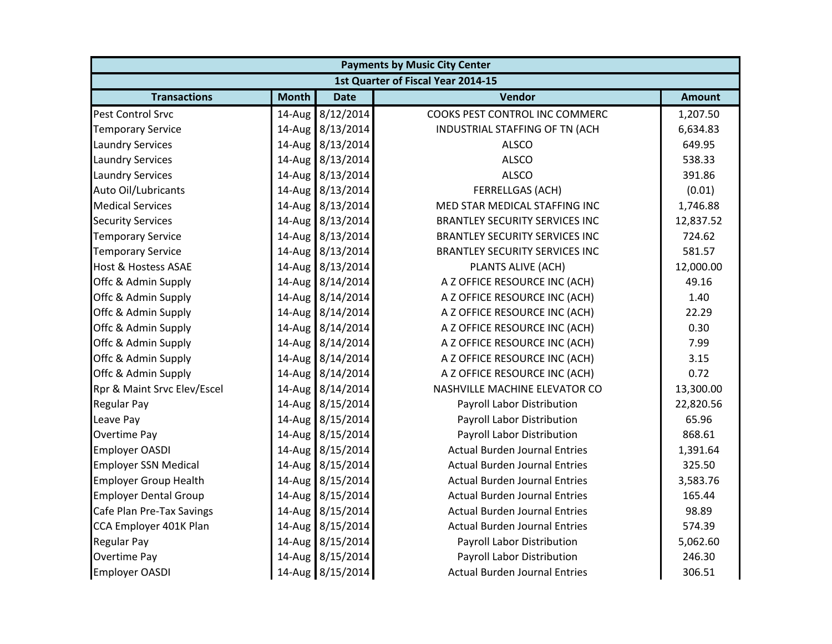| <b>Payments by Music City Center</b> |              |                  |                                       |               |  |
|--------------------------------------|--------------|------------------|---------------------------------------|---------------|--|
|                                      |              |                  | 1st Quarter of Fiscal Year 2014-15    |               |  |
| <b>Transactions</b>                  | <b>Month</b> | <b>Date</b>      | Vendor                                | <b>Amount</b> |  |
| <b>Pest Control Srvc</b>             | 14-Aug       | 8/12/2014        | COOKS PEST CONTROL INC COMMERC        | 1,207.50      |  |
| <b>Temporary Service</b>             |              | 14-Aug 8/13/2014 | INDUSTRIAL STAFFING OF TN (ACH        | 6,634.83      |  |
| <b>Laundry Services</b>              |              | 14-Aug 8/13/2014 | <b>ALSCO</b>                          | 649.95        |  |
| <b>Laundry Services</b>              |              | 14-Aug 8/13/2014 | <b>ALSCO</b>                          | 538.33        |  |
| <b>Laundry Services</b>              |              | 14-Aug 8/13/2014 | <b>ALSCO</b>                          | 391.86        |  |
| Auto Oil/Lubricants                  |              | 14-Aug 8/13/2014 | <b>FERRELLGAS (ACH)</b>               | (0.01)        |  |
| <b>Medical Services</b>              |              | 14-Aug 8/13/2014 | MED STAR MEDICAL STAFFING INC         | 1,746.88      |  |
| <b>Security Services</b>             |              | 14-Aug 8/13/2014 | <b>BRANTLEY SECURITY SERVICES INC</b> | 12,837.52     |  |
| <b>Temporary Service</b>             |              | 14-Aug 8/13/2014 | <b>BRANTLEY SECURITY SERVICES INC</b> | 724.62        |  |
| <b>Temporary Service</b>             |              | 14-Aug 8/13/2014 | <b>BRANTLEY SECURITY SERVICES INC</b> | 581.57        |  |
| <b>Host &amp; Hostess ASAE</b>       |              | 14-Aug 8/13/2014 | PLANTS ALIVE (ACH)                    | 12,000.00     |  |
| Offc & Admin Supply                  |              | 14-Aug 8/14/2014 | A Z OFFICE RESOURCE INC (ACH)         | 49.16         |  |
| Offc & Admin Supply                  |              | 14-Aug 8/14/2014 | A Z OFFICE RESOURCE INC (ACH)         | 1.40          |  |
| Offc & Admin Supply                  |              | 14-Aug 8/14/2014 | A Z OFFICE RESOURCE INC (ACH)         | 22.29         |  |
| Offc & Admin Supply                  |              | 14-Aug 8/14/2014 | A Z OFFICE RESOURCE INC (ACH)         | 0.30          |  |
| Offc & Admin Supply                  |              | 14-Aug 8/14/2014 | A Z OFFICE RESOURCE INC (ACH)         | 7.99          |  |
| Offc & Admin Supply                  |              | 14-Aug 8/14/2014 | A Z OFFICE RESOURCE INC (ACH)         | 3.15          |  |
| Offc & Admin Supply                  |              | 14-Aug 8/14/2014 | A Z OFFICE RESOURCE INC (ACH)         | 0.72          |  |
| Rpr & Maint Srvc Elev/Escel          |              | 14-Aug 8/14/2014 | NASHVILLE MACHINE ELEVATOR CO         | 13,300.00     |  |
| <b>Regular Pay</b>                   |              | 14-Aug 8/15/2014 | Payroll Labor Distribution            | 22,820.56     |  |
| Leave Pay                            |              | 14-Aug 8/15/2014 | Payroll Labor Distribution            | 65.96         |  |
| <b>Overtime Pay</b>                  |              | 14-Aug 8/15/2014 | Payroll Labor Distribution            | 868.61        |  |
| <b>Employer OASDI</b>                |              | 14-Aug 8/15/2014 | <b>Actual Burden Journal Entries</b>  | 1,391.64      |  |
| <b>Employer SSN Medical</b>          |              | 14-Aug 8/15/2014 | <b>Actual Burden Journal Entries</b>  | 325.50        |  |
| <b>Employer Group Health</b>         |              | 14-Aug 8/15/2014 | <b>Actual Burden Journal Entries</b>  | 3,583.76      |  |
| <b>Employer Dental Group</b>         |              | 14-Aug 8/15/2014 | <b>Actual Burden Journal Entries</b>  | 165.44        |  |
| Cafe Plan Pre-Tax Savings            |              | 14-Aug 8/15/2014 | <b>Actual Burden Journal Entries</b>  | 98.89         |  |
| CCA Employer 401K Plan               |              | 14-Aug 8/15/2014 | <b>Actual Burden Journal Entries</b>  | 574.39        |  |
| <b>Regular Pay</b>                   |              | 14-Aug 8/15/2014 | Payroll Labor Distribution            | 5,062.60      |  |
| <b>Overtime Pay</b>                  |              | 14-Aug 8/15/2014 | Payroll Labor Distribution            | 246.30        |  |
| <b>Employer OASDI</b>                |              | 14-Aug 8/15/2014 | <b>Actual Burden Journal Entries</b>  | 306.51        |  |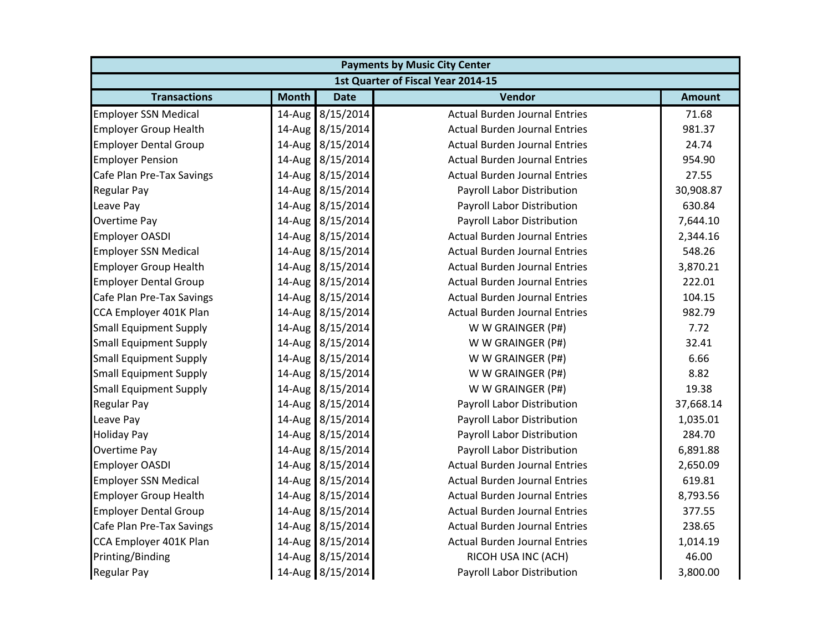| <b>Payments by Music City Center</b> |              |                  |                                      |               |  |
|--------------------------------------|--------------|------------------|--------------------------------------|---------------|--|
|                                      |              |                  | 1st Quarter of Fiscal Year 2014-15   |               |  |
| <b>Transactions</b>                  | <b>Month</b> | <b>Date</b>      | Vendor                               | <b>Amount</b> |  |
| <b>Employer SSN Medical</b>          | 14-Aug       | 8/15/2014        | <b>Actual Burden Journal Entries</b> | 71.68         |  |
| <b>Employer Group Health</b>         |              | 14-Aug 8/15/2014 | <b>Actual Burden Journal Entries</b> | 981.37        |  |
| <b>Employer Dental Group</b>         |              | 14-Aug 8/15/2014 | <b>Actual Burden Journal Entries</b> | 24.74         |  |
| <b>Employer Pension</b>              |              | 14-Aug 8/15/2014 | <b>Actual Burden Journal Entries</b> | 954.90        |  |
| Cafe Plan Pre-Tax Savings            |              | 14-Aug 8/15/2014 | <b>Actual Burden Journal Entries</b> | 27.55         |  |
| <b>Regular Pay</b>                   |              | 14-Aug 8/15/2014 | Payroll Labor Distribution           | 30,908.87     |  |
| Leave Pay                            |              | 14-Aug 8/15/2014 | Payroll Labor Distribution           | 630.84        |  |
| <b>Overtime Pay</b>                  |              | 14-Aug 8/15/2014 | Payroll Labor Distribution           | 7,644.10      |  |
| <b>Employer OASDI</b>                |              | 14-Aug 8/15/2014 | <b>Actual Burden Journal Entries</b> | 2,344.16      |  |
| <b>Employer SSN Medical</b>          |              | 14-Aug 8/15/2014 | <b>Actual Burden Journal Entries</b> | 548.26        |  |
| <b>Employer Group Health</b>         |              | 14-Aug 8/15/2014 | <b>Actual Burden Journal Entries</b> | 3,870.21      |  |
| <b>Employer Dental Group</b>         | $14$ -Aug    | 8/15/2014        | <b>Actual Burden Journal Entries</b> | 222.01        |  |
| Cafe Plan Pre-Tax Savings            |              | 14-Aug 8/15/2014 | <b>Actual Burden Journal Entries</b> | 104.15        |  |
| CCA Employer 401K Plan               |              | 14-Aug 8/15/2014 | <b>Actual Burden Journal Entries</b> | 982.79        |  |
| <b>Small Equipment Supply</b>        |              | 14-Aug 8/15/2014 | W W GRAINGER (P#)                    | 7.72          |  |
| <b>Small Equipment Supply</b>        |              | 14-Aug 8/15/2014 | W W GRAINGER (P#)                    | 32.41         |  |
| <b>Small Equipment Supply</b>        |              | 14-Aug 8/15/2014 | W W GRAINGER (P#)                    | 6.66          |  |
| <b>Small Equipment Supply</b>        |              | 14-Aug 8/15/2014 | W W GRAINGER (P#)                    | 8.82          |  |
| <b>Small Equipment Supply</b>        |              | 14-Aug 8/15/2014 | W W GRAINGER (P#)                    | 19.38         |  |
| <b>Regular Pay</b>                   |              | 14-Aug 8/15/2014 | Payroll Labor Distribution           | 37,668.14     |  |
| Leave Pay                            |              | 14-Aug 8/15/2014 | Payroll Labor Distribution           | 1,035.01      |  |
| <b>Holiday Pay</b>                   |              | 14-Aug 8/15/2014 | Payroll Labor Distribution           | 284.70        |  |
| Overtime Pay                         |              | 14-Aug 8/15/2014 | Payroll Labor Distribution           | 6,891.88      |  |
| <b>Employer OASDI</b>                |              | 14-Aug 8/15/2014 | <b>Actual Burden Journal Entries</b> | 2,650.09      |  |
| <b>Employer SSN Medical</b>          |              | 14-Aug 8/15/2014 | <b>Actual Burden Journal Entries</b> | 619.81        |  |
| <b>Employer Group Health</b>         |              | 14-Aug 8/15/2014 | <b>Actual Burden Journal Entries</b> | 8,793.56      |  |
| <b>Employer Dental Group</b>         |              | 14-Aug 8/15/2014 | <b>Actual Burden Journal Entries</b> | 377.55        |  |
| Cafe Plan Pre-Tax Savings            |              | 14-Aug 8/15/2014 | <b>Actual Burden Journal Entries</b> | 238.65        |  |
| CCA Employer 401K Plan               |              | 14-Aug 8/15/2014 | <b>Actual Burden Journal Entries</b> | 1,014.19      |  |
| Printing/Binding                     |              | 14-Aug 8/15/2014 | RICOH USA INC (ACH)                  | 46.00         |  |
| <b>Regular Pay</b>                   |              | 14-Aug 8/15/2014 | Payroll Labor Distribution           | 3,800.00      |  |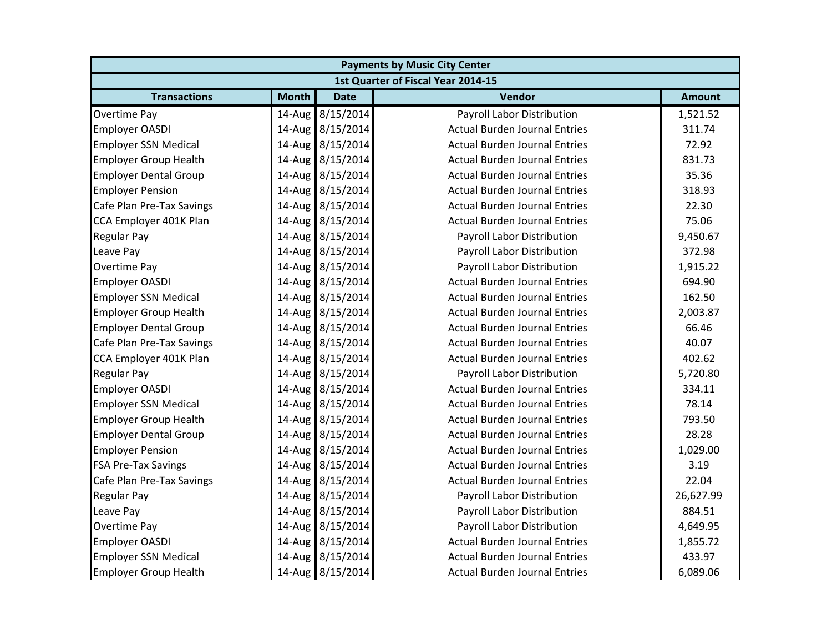| <b>Payments by Music City Center</b> |              |                  |                                      |               |  |
|--------------------------------------|--------------|------------------|--------------------------------------|---------------|--|
|                                      |              |                  | 1st Quarter of Fiscal Year 2014-15   |               |  |
| <b>Transactions</b>                  | <b>Month</b> | <b>Date</b>      | Vendor                               | <b>Amount</b> |  |
| <b>Overtime Pay</b>                  | 14-Aug       | 8/15/2014        | Payroll Labor Distribution           | 1,521.52      |  |
| <b>Employer OASDI</b>                |              | 14-Aug 8/15/2014 | <b>Actual Burden Journal Entries</b> | 311.74        |  |
| <b>Employer SSN Medical</b>          |              | 14-Aug 8/15/2014 | <b>Actual Burden Journal Entries</b> | 72.92         |  |
| <b>Employer Group Health</b>         |              | 14-Aug 8/15/2014 | <b>Actual Burden Journal Entries</b> | 831.73        |  |
| <b>Employer Dental Group</b>         |              | 14-Aug 8/15/2014 | <b>Actual Burden Journal Entries</b> | 35.36         |  |
| <b>Employer Pension</b>              |              | 14-Aug 8/15/2014 | <b>Actual Burden Journal Entries</b> | 318.93        |  |
| Cafe Plan Pre-Tax Savings            |              | 14-Aug 8/15/2014 | <b>Actual Burden Journal Entries</b> | 22.30         |  |
| CCA Employer 401K Plan               |              | 14-Aug 8/15/2014 | <b>Actual Burden Journal Entries</b> | 75.06         |  |
| <b>Regular Pay</b>                   |              | 14-Aug 8/15/2014 | Payroll Labor Distribution           | 9,450.67      |  |
| Leave Pay                            |              | 14-Aug 8/15/2014 | Payroll Labor Distribution           | 372.98        |  |
| <b>Overtime Pay</b>                  |              | 14-Aug 8/15/2014 | Payroll Labor Distribution           | 1,915.22      |  |
| <b>Employer OASDI</b>                |              | 14-Aug 8/15/2014 | <b>Actual Burden Journal Entries</b> | 694.90        |  |
| <b>Employer SSN Medical</b>          |              | 14-Aug 8/15/2014 | <b>Actual Burden Journal Entries</b> | 162.50        |  |
| <b>Employer Group Health</b>         |              | 14-Aug 8/15/2014 | <b>Actual Burden Journal Entries</b> | 2,003.87      |  |
| <b>Employer Dental Group</b>         |              | 14-Aug 8/15/2014 | <b>Actual Burden Journal Entries</b> | 66.46         |  |
| Cafe Plan Pre-Tax Savings            |              | 14-Aug 8/15/2014 | <b>Actual Burden Journal Entries</b> | 40.07         |  |
| CCA Employer 401K Plan               |              | 14-Aug 8/15/2014 | <b>Actual Burden Journal Entries</b> | 402.62        |  |
| <b>Regular Pay</b>                   |              | 14-Aug 8/15/2014 | Payroll Labor Distribution           | 5,720.80      |  |
| <b>Employer OASDI</b>                |              | 14-Aug 8/15/2014 | <b>Actual Burden Journal Entries</b> | 334.11        |  |
| <b>Employer SSN Medical</b>          |              | 14-Aug 8/15/2014 | <b>Actual Burden Journal Entries</b> | 78.14         |  |
| <b>Employer Group Health</b>         |              | 14-Aug 8/15/2014 | <b>Actual Burden Journal Entries</b> | 793.50        |  |
| <b>Employer Dental Group</b>         |              | 14-Aug 8/15/2014 | <b>Actual Burden Journal Entries</b> | 28.28         |  |
| <b>Employer Pension</b>              |              | 14-Aug 8/15/2014 | <b>Actual Burden Journal Entries</b> | 1,029.00      |  |
| <b>FSA Pre-Tax Savings</b>           |              | 14-Aug 8/15/2014 | <b>Actual Burden Journal Entries</b> | 3.19          |  |
| Cafe Plan Pre-Tax Savings            |              | 14-Aug 8/15/2014 | <b>Actual Burden Journal Entries</b> | 22.04         |  |
| <b>Regular Pay</b>                   |              | 14-Aug 8/15/2014 | Payroll Labor Distribution           | 26,627.99     |  |
| Leave Pay                            |              | 14-Aug 8/15/2014 | Payroll Labor Distribution           | 884.51        |  |
| <b>Overtime Pay</b>                  |              | 14-Aug 8/15/2014 | Payroll Labor Distribution           | 4,649.95      |  |
| <b>Employer OASDI</b>                |              | 14-Aug 8/15/2014 | <b>Actual Burden Journal Entries</b> | 1,855.72      |  |
| <b>Employer SSN Medical</b>          |              | 14-Aug 8/15/2014 | <b>Actual Burden Journal Entries</b> | 433.97        |  |
| <b>Employer Group Health</b>         |              | 14-Aug 8/15/2014 | <b>Actual Burden Journal Entries</b> | 6,089.06      |  |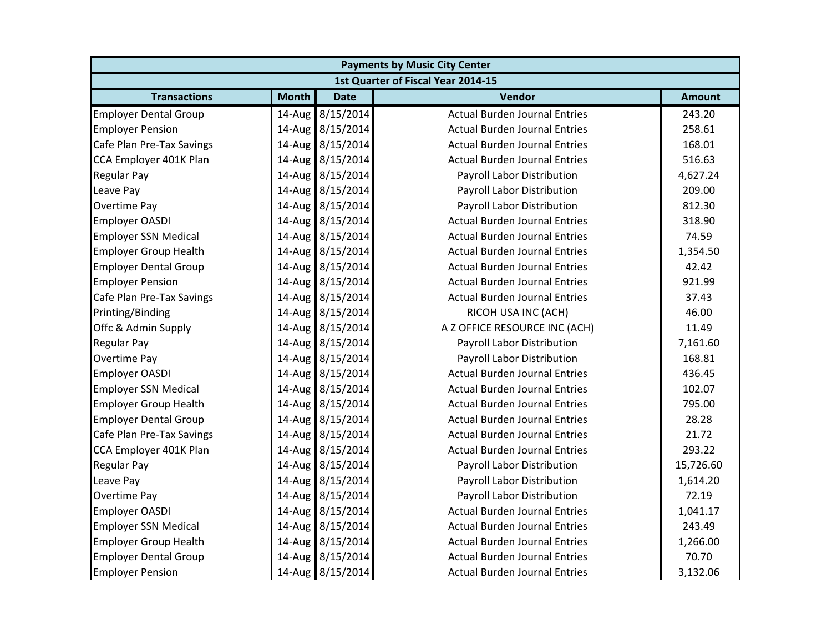| <b>Payments by Music City Center</b> |                                    |                  |                                      |               |  |  |  |
|--------------------------------------|------------------------------------|------------------|--------------------------------------|---------------|--|--|--|
|                                      | 1st Quarter of Fiscal Year 2014-15 |                  |                                      |               |  |  |  |
| <b>Transactions</b>                  | <b>Month</b>                       | <b>Date</b>      | Vendor                               | <b>Amount</b> |  |  |  |
| <b>Employer Dental Group</b>         | 14-Aug                             | 8/15/2014        | <b>Actual Burden Journal Entries</b> | 243.20        |  |  |  |
| <b>Employer Pension</b>              |                                    | 14-Aug 8/15/2014 | <b>Actual Burden Journal Entries</b> | 258.61        |  |  |  |
| Cafe Plan Pre-Tax Savings            |                                    | 14-Aug 8/15/2014 | <b>Actual Burden Journal Entries</b> | 168.01        |  |  |  |
| CCA Employer 401K Plan               |                                    | 14-Aug 8/15/2014 | <b>Actual Burden Journal Entries</b> | 516.63        |  |  |  |
| <b>Regular Pay</b>                   |                                    | 14-Aug 8/15/2014 | Payroll Labor Distribution           | 4,627.24      |  |  |  |
| Leave Pay                            |                                    | 14-Aug 8/15/2014 | Payroll Labor Distribution           | 209.00        |  |  |  |
| <b>Overtime Pay</b>                  |                                    | 14-Aug 8/15/2014 | Payroll Labor Distribution           | 812.30        |  |  |  |
| <b>Employer OASDI</b>                |                                    | 14-Aug 8/15/2014 | <b>Actual Burden Journal Entries</b> | 318.90        |  |  |  |
| <b>Employer SSN Medical</b>          |                                    | 14-Aug 8/15/2014 | <b>Actual Burden Journal Entries</b> | 74.59         |  |  |  |
| <b>Employer Group Health</b>         |                                    | 14-Aug 8/15/2014 | <b>Actual Burden Journal Entries</b> | 1,354.50      |  |  |  |
| <b>Employer Dental Group</b>         |                                    | 14-Aug 8/15/2014 | <b>Actual Burden Journal Entries</b> | 42.42         |  |  |  |
| <b>Employer Pension</b>              |                                    | 14-Aug 8/15/2014 | <b>Actual Burden Journal Entries</b> | 921.99        |  |  |  |
| Cafe Plan Pre-Tax Savings            |                                    | 14-Aug 8/15/2014 | <b>Actual Burden Journal Entries</b> | 37.43         |  |  |  |
| Printing/Binding                     |                                    | 14-Aug 8/15/2014 | RICOH USA INC (ACH)                  | 46.00         |  |  |  |
| Offc & Admin Supply                  |                                    | 14-Aug 8/15/2014 | A Z OFFICE RESOURCE INC (ACH)        | 11.49         |  |  |  |
| <b>Regular Pay</b>                   |                                    | 14-Aug 8/15/2014 | Payroll Labor Distribution           | 7,161.60      |  |  |  |
| <b>Overtime Pay</b>                  |                                    | 14-Aug 8/15/2014 | Payroll Labor Distribution           | 168.81        |  |  |  |
| <b>Employer OASDI</b>                |                                    | 14-Aug 8/15/2014 | <b>Actual Burden Journal Entries</b> | 436.45        |  |  |  |
| <b>Employer SSN Medical</b>          |                                    | 14-Aug 8/15/2014 | <b>Actual Burden Journal Entries</b> | 102.07        |  |  |  |
| <b>Employer Group Health</b>         |                                    | 14-Aug 8/15/2014 | <b>Actual Burden Journal Entries</b> | 795.00        |  |  |  |
| <b>Employer Dental Group</b>         |                                    | 14-Aug 8/15/2014 | <b>Actual Burden Journal Entries</b> | 28.28         |  |  |  |
| Cafe Plan Pre-Tax Savings            |                                    | 14-Aug 8/15/2014 | <b>Actual Burden Journal Entries</b> | 21.72         |  |  |  |
| CCA Employer 401K Plan               |                                    | 14-Aug 8/15/2014 | <b>Actual Burden Journal Entries</b> | 293.22        |  |  |  |
| <b>Regular Pay</b>                   |                                    | 14-Aug 8/15/2014 | Payroll Labor Distribution           | 15,726.60     |  |  |  |
| Leave Pay                            |                                    | 14-Aug 8/15/2014 | Payroll Labor Distribution           | 1,614.20      |  |  |  |
| <b>Overtime Pay</b>                  |                                    | 14-Aug 8/15/2014 | Payroll Labor Distribution           | 72.19         |  |  |  |
| <b>Employer OASDI</b>                |                                    | 14-Aug 8/15/2014 | <b>Actual Burden Journal Entries</b> | 1,041.17      |  |  |  |
| <b>Employer SSN Medical</b>          |                                    | 14-Aug 8/15/2014 | <b>Actual Burden Journal Entries</b> | 243.49        |  |  |  |
| <b>Employer Group Health</b>         |                                    | 14-Aug 8/15/2014 | <b>Actual Burden Journal Entries</b> | 1,266.00      |  |  |  |
| <b>Employer Dental Group</b>         |                                    | 14-Aug 8/15/2014 | <b>Actual Burden Journal Entries</b> | 70.70         |  |  |  |
| <b>Employer Pension</b>              |                                    | 14-Aug 8/15/2014 | <b>Actual Burden Journal Entries</b> | 3,132.06      |  |  |  |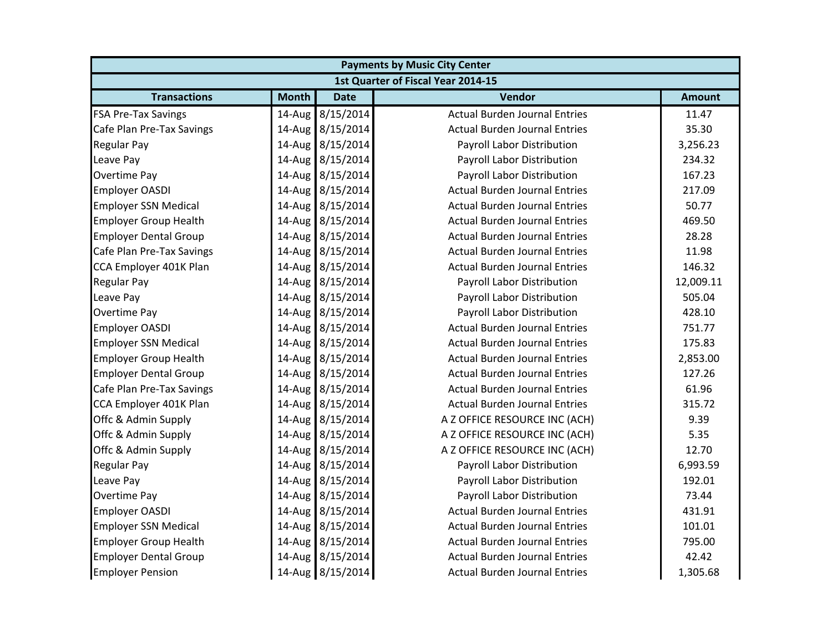| <b>Payments by Music City Center</b> |              |                  |                                      |               |  |
|--------------------------------------|--------------|------------------|--------------------------------------|---------------|--|
|                                      |              |                  | 1st Quarter of Fiscal Year 2014-15   |               |  |
| <b>Transactions</b>                  | <b>Month</b> | <b>Date</b>      | Vendor                               | <b>Amount</b> |  |
| <b>FSA Pre-Tax Savings</b>           | 14-Aug       | 8/15/2014        | <b>Actual Burden Journal Entries</b> | 11.47         |  |
| Cafe Plan Pre-Tax Savings            |              | 14-Aug 8/15/2014 | <b>Actual Burden Journal Entries</b> | 35.30         |  |
| <b>Regular Pay</b>                   |              | 14-Aug 8/15/2014 | Payroll Labor Distribution           | 3,256.23      |  |
| Leave Pay                            |              | 14-Aug 8/15/2014 | Payroll Labor Distribution           | 234.32        |  |
| <b>Overtime Pay</b>                  |              | 14-Aug 8/15/2014 | Payroll Labor Distribution           | 167.23        |  |
| <b>Employer OASDI</b>                |              | 14-Aug 8/15/2014 | <b>Actual Burden Journal Entries</b> | 217.09        |  |
| <b>Employer SSN Medical</b>          |              | 14-Aug 8/15/2014 | <b>Actual Burden Journal Entries</b> | 50.77         |  |
| <b>Employer Group Health</b>         |              | 14-Aug 8/15/2014 | <b>Actual Burden Journal Entries</b> | 469.50        |  |
| <b>Employer Dental Group</b>         |              | 14-Aug 8/15/2014 | <b>Actual Burden Journal Entries</b> | 28.28         |  |
| Cafe Plan Pre-Tax Savings            |              | 14-Aug 8/15/2014 | <b>Actual Burden Journal Entries</b> | 11.98         |  |
| CCA Employer 401K Plan               |              | 14-Aug 8/15/2014 | <b>Actual Burden Journal Entries</b> | 146.32        |  |
| <b>Regular Pay</b>                   | $14$ -Aug    | 8/15/2014        | Payroll Labor Distribution           | 12,009.11     |  |
| Leave Pay                            |              | 14-Aug 8/15/2014 | Payroll Labor Distribution           | 505.04        |  |
| <b>Overtime Pay</b>                  |              | 14-Aug 8/15/2014 | Payroll Labor Distribution           | 428.10        |  |
| <b>Employer OASDI</b>                |              | 14-Aug 8/15/2014 | <b>Actual Burden Journal Entries</b> | 751.77        |  |
| <b>Employer SSN Medical</b>          |              | 14-Aug 8/15/2014 | <b>Actual Burden Journal Entries</b> | 175.83        |  |
| <b>Employer Group Health</b>         |              | 14-Aug 8/15/2014 | <b>Actual Burden Journal Entries</b> | 2,853.00      |  |
| <b>Employer Dental Group</b>         |              | 14-Aug 8/15/2014 | <b>Actual Burden Journal Entries</b> | 127.26        |  |
| Cafe Plan Pre-Tax Savings            |              | 14-Aug 8/15/2014 | <b>Actual Burden Journal Entries</b> | 61.96         |  |
| CCA Employer 401K Plan               |              | 14-Aug 8/15/2014 | <b>Actual Burden Journal Entries</b> | 315.72        |  |
| Offc & Admin Supply                  |              | 14-Aug 8/15/2014 | A Z OFFICE RESOURCE INC (ACH)        | 9.39          |  |
| Offc & Admin Supply                  |              | 14-Aug 8/15/2014 | A Z OFFICE RESOURCE INC (ACH)        | 5.35          |  |
| Offc & Admin Supply                  |              | 14-Aug 8/15/2014 | A Z OFFICE RESOURCE INC (ACH)        | 12.70         |  |
| <b>Regular Pay</b>                   |              | 14-Aug 8/15/2014 | Payroll Labor Distribution           | 6,993.59      |  |
| Leave Pay                            |              | 14-Aug 8/15/2014 | Payroll Labor Distribution           | 192.01        |  |
| <b>Overtime Pay</b>                  |              | 14-Aug 8/15/2014 | Payroll Labor Distribution           | 73.44         |  |
| <b>Employer OASDI</b>                |              | 14-Aug 8/15/2014 | <b>Actual Burden Journal Entries</b> | 431.91        |  |
| <b>Employer SSN Medical</b>          |              | 14-Aug 8/15/2014 | <b>Actual Burden Journal Entries</b> | 101.01        |  |
| <b>Employer Group Health</b>         |              | 14-Aug 8/15/2014 | <b>Actual Burden Journal Entries</b> | 795.00        |  |
| <b>Employer Dental Group</b>         |              | 14-Aug 8/15/2014 | <b>Actual Burden Journal Entries</b> | 42.42         |  |
| <b>Employer Pension</b>              |              | 14-Aug 8/15/2014 | <b>Actual Burden Journal Entries</b> | 1,305.68      |  |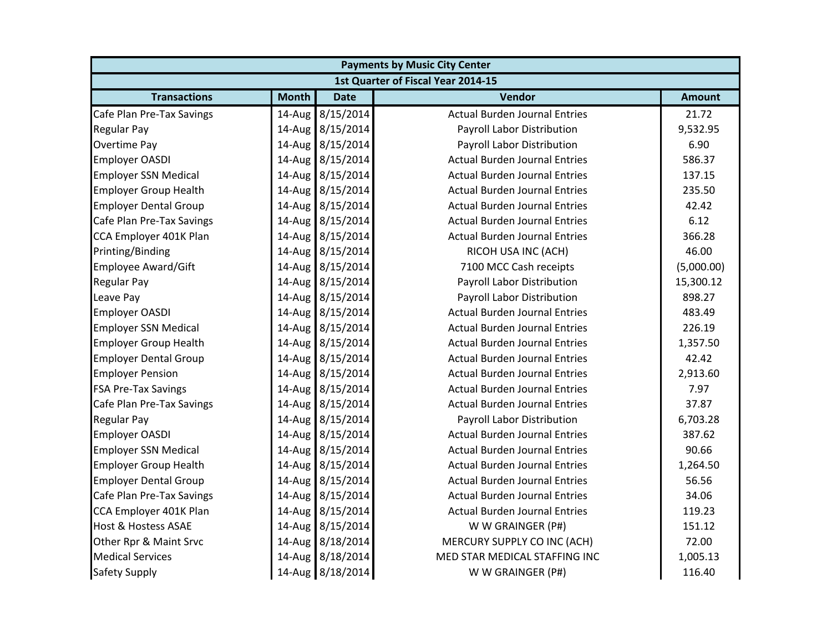| <b>Payments by Music City Center</b> |              |                  |                                      |               |  |
|--------------------------------------|--------------|------------------|--------------------------------------|---------------|--|
|                                      |              |                  | 1st Quarter of Fiscal Year 2014-15   |               |  |
| <b>Transactions</b>                  | <b>Month</b> | <b>Date</b>      | Vendor                               | <b>Amount</b> |  |
| Cafe Plan Pre-Tax Savings            |              | 14-Aug 8/15/2014 | <b>Actual Burden Journal Entries</b> | 21.72         |  |
| <b>Regular Pay</b>                   |              | 14-Aug 8/15/2014 | Payroll Labor Distribution           | 9,532.95      |  |
| <b>Overtime Pay</b>                  |              | 14-Aug 8/15/2014 | Payroll Labor Distribution           | 6.90          |  |
| <b>Employer OASDI</b>                |              | 14-Aug 8/15/2014 | <b>Actual Burden Journal Entries</b> | 586.37        |  |
| <b>Employer SSN Medical</b>          |              | 14-Aug 8/15/2014 | <b>Actual Burden Journal Entries</b> | 137.15        |  |
| <b>Employer Group Health</b>         |              | 14-Aug 8/15/2014 | <b>Actual Burden Journal Entries</b> | 235.50        |  |
| <b>Employer Dental Group</b>         |              | 14-Aug 8/15/2014 | <b>Actual Burden Journal Entries</b> | 42.42         |  |
| Cafe Plan Pre-Tax Savings            |              | 14-Aug 8/15/2014 | <b>Actual Burden Journal Entries</b> | 6.12          |  |
| CCA Employer 401K Plan               |              | 14-Aug 8/15/2014 | <b>Actual Burden Journal Entries</b> | 366.28        |  |
| Printing/Binding                     |              | 14-Aug 8/15/2014 | RICOH USA INC (ACH)                  | 46.00         |  |
| <b>Employee Award/Gift</b>           |              | 14-Aug 8/15/2014 | 7100 MCC Cash receipts               | (5,000.00)    |  |
| <b>Regular Pay</b>                   |              | 14-Aug 8/15/2014 | Payroll Labor Distribution           | 15,300.12     |  |
| Leave Pay                            |              | 14-Aug 8/15/2014 | <b>Payroll Labor Distribution</b>    | 898.27        |  |
| <b>Employer OASDI</b>                |              | 14-Aug 8/15/2014 | <b>Actual Burden Journal Entries</b> | 483.49        |  |
| <b>Employer SSN Medical</b>          |              | 14-Aug 8/15/2014 | <b>Actual Burden Journal Entries</b> | 226.19        |  |
| <b>Employer Group Health</b>         |              | 14-Aug 8/15/2014 | <b>Actual Burden Journal Entries</b> | 1,357.50      |  |
| <b>Employer Dental Group</b>         |              | 14-Aug 8/15/2014 | <b>Actual Burden Journal Entries</b> | 42.42         |  |
| <b>Employer Pension</b>              |              | 14-Aug 8/15/2014 | <b>Actual Burden Journal Entries</b> | 2,913.60      |  |
| <b>FSA Pre-Tax Savings</b>           |              | 14-Aug 8/15/2014 | <b>Actual Burden Journal Entries</b> | 7.97          |  |
| Cafe Plan Pre-Tax Savings            |              | 14-Aug 8/15/2014 | <b>Actual Burden Journal Entries</b> | 37.87         |  |
| <b>Regular Pay</b>                   |              | 14-Aug 8/15/2014 | Payroll Labor Distribution           | 6,703.28      |  |
| Employer OASDI                       |              | 14-Aug 8/15/2014 | <b>Actual Burden Journal Entries</b> | 387.62        |  |
| <b>Employer SSN Medical</b>          |              | 14-Aug 8/15/2014 | <b>Actual Burden Journal Entries</b> | 90.66         |  |
| <b>Employer Group Health</b>         |              | 14-Aug 8/15/2014 | <b>Actual Burden Journal Entries</b> | 1,264.50      |  |
| <b>Employer Dental Group</b>         |              | 14-Aug 8/15/2014 | <b>Actual Burden Journal Entries</b> | 56.56         |  |
| Cafe Plan Pre-Tax Savings            |              | 14-Aug 8/15/2014 | <b>Actual Burden Journal Entries</b> | 34.06         |  |
| CCA Employer 401K Plan               |              | 14-Aug 8/15/2014 | <b>Actual Burden Journal Entries</b> | 119.23        |  |
| <b>Host &amp; Hostess ASAE</b>       |              | 14-Aug 8/15/2014 | W W GRAINGER (P#)                    | 151.12        |  |
| Other Rpr & Maint Srvc               |              | 14-Aug 8/18/2014 | MERCURY SUPPLY CO INC (ACH)          | 72.00         |  |
| <b>Medical Services</b>              |              | 14-Aug 8/18/2014 | MED STAR MEDICAL STAFFING INC        | 1,005.13      |  |
| Safety Supply                        |              | 14-Aug 8/18/2014 | W W GRAINGER (P#)                    | 116.40        |  |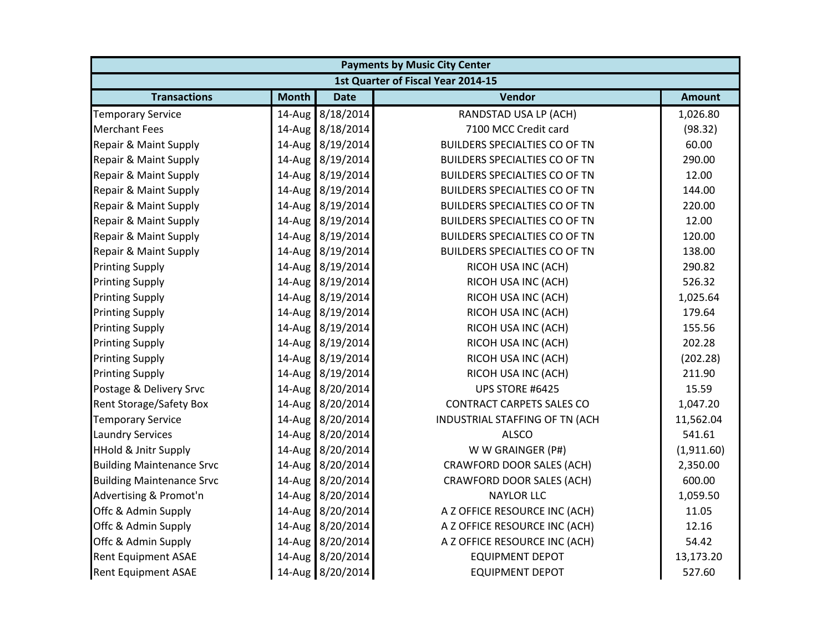| <b>Payments by Music City Center</b> |              |                  |                                      |               |  |
|--------------------------------------|--------------|------------------|--------------------------------------|---------------|--|
|                                      |              |                  | 1st Quarter of Fiscal Year 2014-15   |               |  |
| <b>Transactions</b>                  | <b>Month</b> | <b>Date</b>      | Vendor                               | <b>Amount</b> |  |
| <b>Temporary Service</b>             |              | 14-Aug 8/18/2014 | RANDSTAD USA LP (ACH)                | 1,026.80      |  |
| <b>Merchant Fees</b>                 |              | 14-Aug 8/18/2014 | 7100 MCC Credit card                 | (98.32)       |  |
| Repair & Maint Supply                |              | 14-Aug 8/19/2014 | <b>BUILDERS SPECIALTIES CO OF TN</b> | 60.00         |  |
| Repair & Maint Supply                |              | 14-Aug 8/19/2014 | <b>BUILDERS SPECIALTIES CO OF TN</b> | 290.00        |  |
| Repair & Maint Supply                |              | 14-Aug 8/19/2014 | <b>BUILDERS SPECIALTIES CO OF TN</b> | 12.00         |  |
| Repair & Maint Supply                |              | 14-Aug 8/19/2014 | <b>BUILDERS SPECIALTIES CO OF TN</b> | 144.00        |  |
| Repair & Maint Supply                |              | 14-Aug 8/19/2014 | <b>BUILDERS SPECIALTIES CO OF TN</b> | 220.00        |  |
| Repair & Maint Supply                |              | 14-Aug 8/19/2014 | <b>BUILDERS SPECIALTIES CO OF TN</b> | 12.00         |  |
| Repair & Maint Supply                |              | 14-Aug 8/19/2014 | <b>BUILDERS SPECIALTIES CO OF TN</b> | 120.00        |  |
| Repair & Maint Supply                |              | 14-Aug 8/19/2014 | <b>BUILDERS SPECIALTIES CO OF TN</b> | 138.00        |  |
| <b>Printing Supply</b>               |              | 14-Aug 8/19/2014 | RICOH USA INC (ACH)                  | 290.82        |  |
| <b>Printing Supply</b>               |              | 14-Aug 8/19/2014 | RICOH USA INC (ACH)                  | 526.32        |  |
| <b>Printing Supply</b>               |              | 14-Aug 8/19/2014 | RICOH USA INC (ACH)                  | 1,025.64      |  |
| <b>Printing Supply</b>               |              | 14-Aug 8/19/2014 | RICOH USA INC (ACH)                  | 179.64        |  |
| <b>Printing Supply</b>               |              | 14-Aug 8/19/2014 | RICOH USA INC (ACH)                  | 155.56        |  |
| <b>Printing Supply</b>               |              | 14-Aug 8/19/2014 | RICOH USA INC (ACH)                  | 202.28        |  |
| <b>Printing Supply</b>               |              | 14-Aug 8/19/2014 | RICOH USA INC (ACH)                  | (202.28)      |  |
| <b>Printing Supply</b>               |              | 14-Aug 8/19/2014 | RICOH USA INC (ACH)                  | 211.90        |  |
| Postage & Delivery Srvc              |              | 14-Aug 8/20/2014 | UPS STORE #6425                      | 15.59         |  |
| <b>Rent Storage/Safety Box</b>       |              | 14-Aug 8/20/2014 | <b>CONTRACT CARPETS SALES CO</b>     | 1,047.20      |  |
| <b>Temporary Service</b>             |              | 14-Aug 8/20/2014 | INDUSTRIAL STAFFING OF TN (ACH       | 11,562.04     |  |
| <b>Laundry Services</b>              |              | 14-Aug 8/20/2014 | <b>ALSCO</b>                         | 541.61        |  |
| <b>HHold &amp; Jnitr Supply</b>      |              | 14-Aug 8/20/2014 | W W GRAINGER (P#)                    | (1,911.60)    |  |
| <b>Building Maintenance Srvc</b>     |              | 14-Aug 8/20/2014 | CRAWFORD DOOR SALES (ACH)            | 2,350.00      |  |
| <b>Building Maintenance Srvc</b>     |              | 14-Aug 8/20/2014 | CRAWFORD DOOR SALES (ACH)            | 600.00        |  |
| Advertising & Promot'n               |              | 14-Aug 8/20/2014 | <b>NAYLOR LLC</b>                    | 1,059.50      |  |
| Offc & Admin Supply                  |              | 14-Aug 8/20/2014 | A Z OFFICE RESOURCE INC (ACH)        | 11.05         |  |
| Offc & Admin Supply                  |              | 14-Aug 8/20/2014 | A Z OFFICE RESOURCE INC (ACH)        | 12.16         |  |
| Offc & Admin Supply                  |              | 14-Aug 8/20/2014 | A Z OFFICE RESOURCE INC (ACH)        | 54.42         |  |
| <b>Rent Equipment ASAE</b>           |              | 14-Aug 8/20/2014 | <b>EQUIPMENT DEPOT</b>               | 13,173.20     |  |
| <b>Rent Equipment ASAE</b>           |              | 14-Aug 8/20/2014 | <b>EQUIPMENT DEPOT</b>               | 527.60        |  |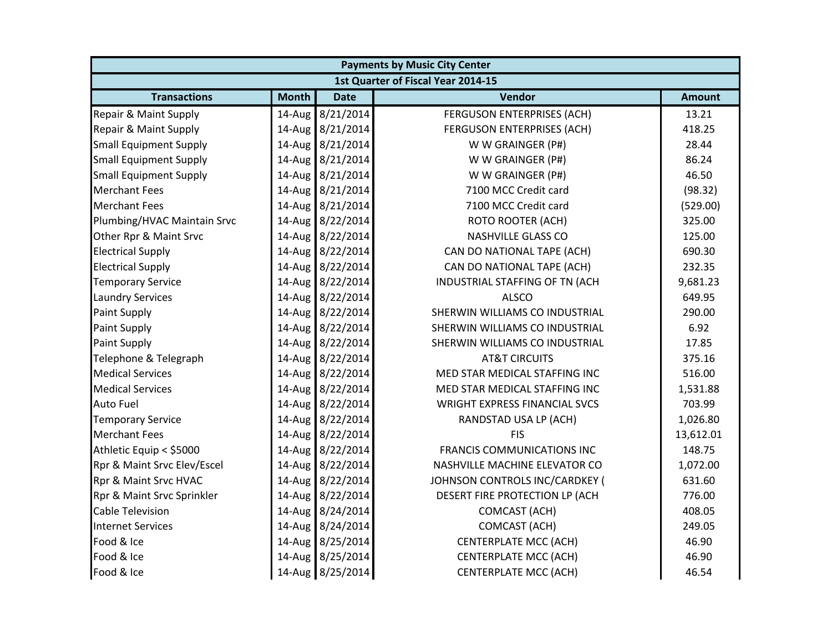|                               | <b>Payments by Music City Center</b> |                  |                                      |               |  |  |
|-------------------------------|--------------------------------------|------------------|--------------------------------------|---------------|--|--|
|                               |                                      |                  | 1st Quarter of Fiscal Year 2014-15   |               |  |  |
| <b>Transactions</b>           | <b>Month</b>                         | <b>Date</b>      | Vendor                               | <b>Amount</b> |  |  |
| Repair & Maint Supply         | $14$ -Aug                            | 8/21/2014        | FERGUSON ENTERPRISES (ACH)           | 13.21         |  |  |
| Repair & Maint Supply         |                                      | 14-Aug 8/21/2014 | FERGUSON ENTERPRISES (ACH)           | 418.25        |  |  |
| <b>Small Equipment Supply</b> |                                      | 14-Aug 8/21/2014 | W W GRAINGER (P#)                    | 28.44         |  |  |
| <b>Small Equipment Supply</b> |                                      | 14-Aug 8/21/2014 | W W GRAINGER (P#)                    | 86.24         |  |  |
| <b>Small Equipment Supply</b> |                                      | 14-Aug 8/21/2014 | W W GRAINGER (P#)                    | 46.50         |  |  |
| <b>Merchant Fees</b>          |                                      | 14-Aug 8/21/2014 | 7100 MCC Credit card                 | (98.32)       |  |  |
| <b>Merchant Fees</b>          |                                      | 14-Aug 8/21/2014 | 7100 MCC Credit card                 | (529.00)      |  |  |
| Plumbing/HVAC Maintain Srvc   |                                      | 14-Aug 8/22/2014 | <b>ROTO ROOTER (ACH)</b>             | 325.00        |  |  |
| Other Rpr & Maint Srvc        |                                      | 14-Aug 8/22/2014 | <b>NASHVILLE GLASS CO</b>            | 125.00        |  |  |
| <b>Electrical Supply</b>      |                                      | 14-Aug 8/22/2014 | CAN DO NATIONAL TAPE (ACH)           | 690.30        |  |  |
| <b>Electrical Supply</b>      |                                      | 14-Aug 8/22/2014 | CAN DO NATIONAL TAPE (ACH)           | 232.35        |  |  |
| <b>Temporary Service</b>      |                                      | 14-Aug 8/22/2014 | INDUSTRIAL STAFFING OF TN (ACH       | 9,681.23      |  |  |
| <b>Laundry Services</b>       |                                      | 14-Aug 8/22/2014 | <b>ALSCO</b>                         | 649.95        |  |  |
| <b>Paint Supply</b>           |                                      | 14-Aug 8/22/2014 | SHERWIN WILLIAMS CO INDUSTRIAL       | 290.00        |  |  |
| <b>Paint Supply</b>           |                                      | 14-Aug 8/22/2014 | SHERWIN WILLIAMS CO INDUSTRIAL       | 6.92          |  |  |
| <b>Paint Supply</b>           |                                      | 14-Aug 8/22/2014 | SHERWIN WILLIAMS CO INDUSTRIAL       | 17.85         |  |  |
| Telephone & Telegraph         |                                      | 14-Aug 8/22/2014 | <b>AT&amp;T CIRCUITS</b>             | 375.16        |  |  |
| <b>Medical Services</b>       |                                      | 14-Aug 8/22/2014 | MED STAR MEDICAL STAFFING INC        | 516.00        |  |  |
| <b>Medical Services</b>       |                                      | 14-Aug 8/22/2014 | MED STAR MEDICAL STAFFING INC        | 1,531.88      |  |  |
| <b>Auto Fuel</b>              |                                      | 14-Aug 8/22/2014 | <b>WRIGHT EXPRESS FINANCIAL SVCS</b> | 703.99        |  |  |
| <b>Temporary Service</b>      |                                      | 14-Aug 8/22/2014 | RANDSTAD USA LP (ACH)                | 1,026.80      |  |  |
| <b>Merchant Fees</b>          |                                      | 14-Aug 8/22/2014 | <b>FIS</b>                           | 13,612.01     |  |  |
| Athletic Equip < \$5000       |                                      | 14-Aug 8/22/2014 | <b>FRANCIS COMMUNICATIONS INC</b>    | 148.75        |  |  |
| Rpr & Maint Srvc Elev/Escel   |                                      | 14-Aug 8/22/2014 | NASHVILLE MACHINE ELEVATOR CO        | 1,072.00      |  |  |
| Rpr & Maint Srvc HVAC         |                                      | 14-Aug 8/22/2014 | JOHNSON CONTROLS INC/CARDKEY (       | 631.60        |  |  |
| Rpr & Maint Srvc Sprinkler    |                                      | 14-Aug 8/22/2014 | DESERT FIRE PROTECTION LP (ACH       | 776.00        |  |  |
| <b>Cable Television</b>       |                                      | 14-Aug 8/24/2014 | <b>COMCAST (ACH)</b>                 | 408.05        |  |  |
| <b>Internet Services</b>      |                                      | 14-Aug 8/24/2014 | <b>COMCAST (ACH)</b>                 | 249.05        |  |  |
| Food & Ice                    |                                      | 14-Aug 8/25/2014 | <b>CENTERPLATE MCC (ACH)</b>         | 46.90         |  |  |
| Food & Ice                    |                                      | 14-Aug 8/25/2014 | <b>CENTERPLATE MCC (ACH)</b>         | 46.90         |  |  |
| Food & Ice                    |                                      | 14-Aug 8/25/2014 | <b>CENTERPLATE MCC (ACH)</b>         | 46.54         |  |  |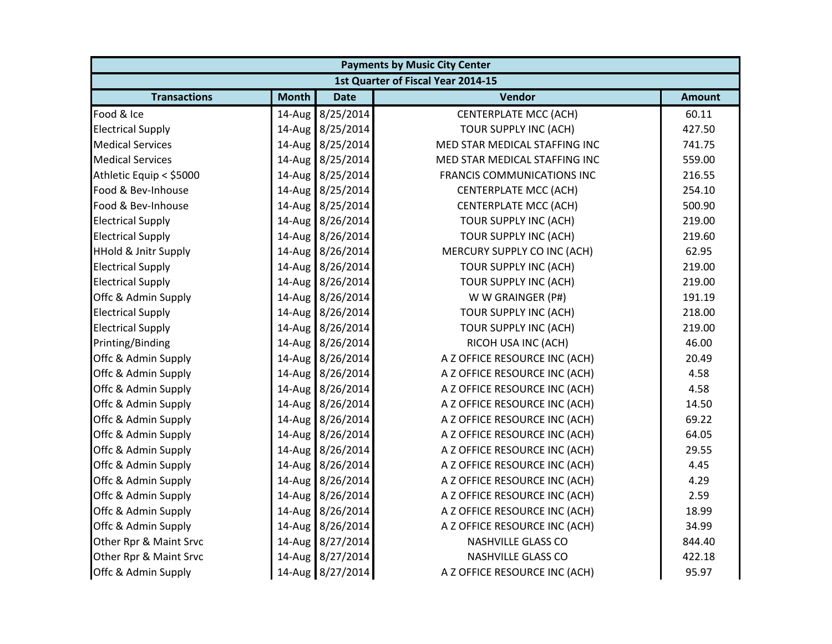| <b>Payments by Music City Center</b> |              |                  |                                    |               |  |
|--------------------------------------|--------------|------------------|------------------------------------|---------------|--|
|                                      |              |                  | 1st Quarter of Fiscal Year 2014-15 |               |  |
| <b>Transactions</b>                  | <b>Month</b> | <b>Date</b>      | Vendor                             | <b>Amount</b> |  |
| Food & Ice                           | 14-Aug       | 8/25/2014        | <b>CENTERPLATE MCC (ACH)</b>       | 60.11         |  |
| <b>Electrical Supply</b>             |              | 14-Aug 8/25/2014 | TOUR SUPPLY INC (ACH)              | 427.50        |  |
| <b>Medical Services</b>              |              | 14-Aug 8/25/2014 | MED STAR MEDICAL STAFFING INC      | 741.75        |  |
| <b>Medical Services</b>              |              | 14-Aug 8/25/2014 | MED STAR MEDICAL STAFFING INC      | 559.00        |  |
| Athletic Equip < \$5000              |              | 14-Aug 8/25/2014 | <b>FRANCIS COMMUNICATIONS INC</b>  | 216.55        |  |
| Food & Bev-Inhouse                   |              | 14-Aug 8/25/2014 | <b>CENTERPLATE MCC (ACH)</b>       | 254.10        |  |
| Food & Bev-Inhouse                   |              | 14-Aug 8/25/2014 | <b>CENTERPLATE MCC (ACH)</b>       | 500.90        |  |
| <b>Electrical Supply</b>             |              | 14-Aug 8/26/2014 | TOUR SUPPLY INC (ACH)              | 219.00        |  |
| <b>Electrical Supply</b>             |              | 14-Aug 8/26/2014 | TOUR SUPPLY INC (ACH)              | 219.60        |  |
| <b>HHold &amp; Jnitr Supply</b>      |              | 14-Aug 8/26/2014 | MERCURY SUPPLY CO INC (ACH)        | 62.95         |  |
| <b>Electrical Supply</b>             |              | 14-Aug 8/26/2014 | TOUR SUPPLY INC (ACH)              | 219.00        |  |
| <b>Electrical Supply</b>             |              | 14-Aug 8/26/2014 | TOUR SUPPLY INC (ACH)              | 219.00        |  |
| Offc & Admin Supply                  |              | 14-Aug 8/26/2014 | W W GRAINGER (P#)                  | 191.19        |  |
| <b>Electrical Supply</b>             |              | 14-Aug 8/26/2014 | TOUR SUPPLY INC (ACH)              | 218.00        |  |
| <b>Electrical Supply</b>             |              | 14-Aug 8/26/2014 | TOUR SUPPLY INC (ACH)              | 219.00        |  |
| Printing/Binding                     |              | 14-Aug 8/26/2014 | RICOH USA INC (ACH)                | 46.00         |  |
| Offc & Admin Supply                  |              | 14-Aug 8/26/2014 | A Z OFFICE RESOURCE INC (ACH)      | 20.49         |  |
| Offc & Admin Supply                  |              | 14-Aug 8/26/2014 | A Z OFFICE RESOURCE INC (ACH)      | 4.58          |  |
| Offc & Admin Supply                  |              | 14-Aug 8/26/2014 | A Z OFFICE RESOURCE INC (ACH)      | 4.58          |  |
| Offc & Admin Supply                  |              | 14-Aug 8/26/2014 | A Z OFFICE RESOURCE INC (ACH)      | 14.50         |  |
| Offc & Admin Supply                  |              | 14-Aug 8/26/2014 | A Z OFFICE RESOURCE INC (ACH)      | 69.22         |  |
| Offc & Admin Supply                  |              | 14-Aug 8/26/2014 | A Z OFFICE RESOURCE INC (ACH)      | 64.05         |  |
| Offc & Admin Supply                  |              | 14-Aug 8/26/2014 | A Z OFFICE RESOURCE INC (ACH)      | 29.55         |  |
| Offc & Admin Supply                  |              | 14-Aug 8/26/2014 | A Z OFFICE RESOURCE INC (ACH)      | 4.45          |  |
| Offc & Admin Supply                  |              | 14-Aug 8/26/2014 | A Z OFFICE RESOURCE INC (ACH)      | 4.29          |  |
| Offc & Admin Supply                  |              | 14-Aug 8/26/2014 | A Z OFFICE RESOURCE INC (ACH)      | 2.59          |  |
| Offc & Admin Supply                  |              | 14-Aug 8/26/2014 | A Z OFFICE RESOURCE INC (ACH)      | 18.99         |  |
| Offc & Admin Supply                  |              | 14-Aug 8/26/2014 | A Z OFFICE RESOURCE INC (ACH)      | 34.99         |  |
| Other Rpr & Maint Srvc               |              | 14-Aug 8/27/2014 | <b>NASHVILLE GLASS CO</b>          | 844.40        |  |
| Other Rpr & Maint Srvc               |              | 14-Aug 8/27/2014 | <b>NASHVILLE GLASS CO</b>          | 422.18        |  |
| Offc & Admin Supply                  |              | 14-Aug 8/27/2014 | A Z OFFICE RESOURCE INC (ACH)      | 95.97         |  |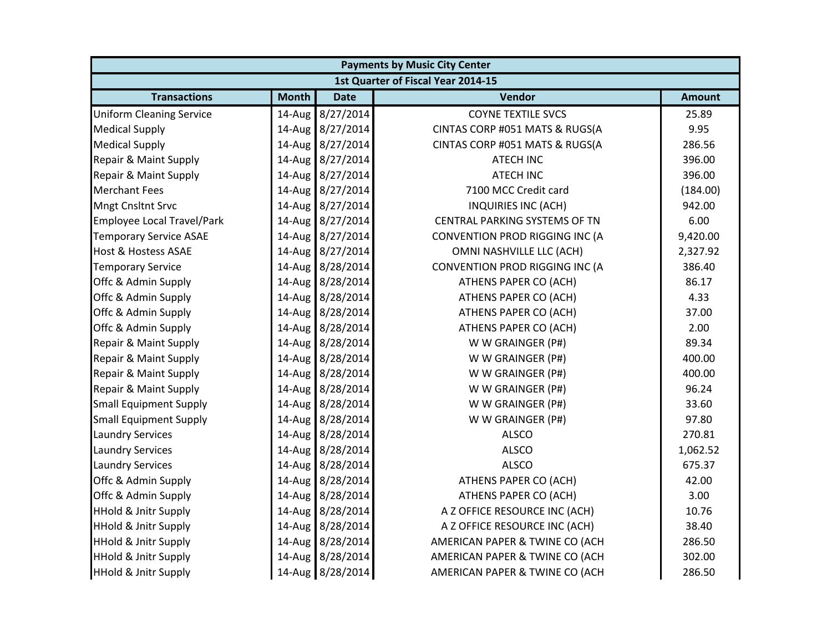| <b>Payments by Music City Center</b> |              |                  |                                       |               |  |
|--------------------------------------|--------------|------------------|---------------------------------------|---------------|--|
|                                      |              |                  | 1st Quarter of Fiscal Year 2014-15    |               |  |
| <b>Transactions</b>                  | <b>Month</b> | <b>Date</b>      | Vendor                                | <b>Amount</b> |  |
| <b>Uniform Cleaning Service</b>      |              | 14-Aug 8/27/2014 | <b>COYNE TEXTILE SVCS</b>             | 25.89         |  |
| <b>Medical Supply</b>                |              | 14-Aug 8/27/2014 | CINTAS CORP #051 MATS & RUGS(A        | 9.95          |  |
| <b>Medical Supply</b>                |              | 14-Aug 8/27/2014 | CINTAS CORP #051 MATS & RUGS(A        | 286.56        |  |
| Repair & Maint Supply                |              | 14-Aug 8/27/2014 | <b>ATECH INC</b>                      | 396.00        |  |
| Repair & Maint Supply                |              | 14-Aug 8/27/2014 | <b>ATECH INC</b>                      | 396.00        |  |
| <b>Merchant Fees</b>                 |              | 14-Aug 8/27/2014 | 7100 MCC Credit card                  | (184.00)      |  |
| <b>Mngt Cnsltnt Srvc</b>             |              | 14-Aug 8/27/2014 | INQUIRIES INC (ACH)                   | 942.00        |  |
| <b>Employee Local Travel/Park</b>    |              | 14-Aug 8/27/2014 | CENTRAL PARKING SYSTEMS OF TN         | 6.00          |  |
| <b>Temporary Service ASAE</b>        |              | 14-Aug 8/27/2014 | <b>CONVENTION PROD RIGGING INC (A</b> | 9,420.00      |  |
| <b>Host &amp; Hostess ASAE</b>       |              | 14-Aug 8/27/2014 | OMNI NASHVILLE LLC (ACH)              | 2,327.92      |  |
| <b>Temporary Service</b>             |              | 14-Aug 8/28/2014 | <b>CONVENTION PROD RIGGING INC (A</b> | 386.40        |  |
| Offc & Admin Supply                  |              | 14-Aug 8/28/2014 | ATHENS PAPER CO (ACH)                 | 86.17         |  |
| Offc & Admin Supply                  |              | 14-Aug 8/28/2014 | ATHENS PAPER CO (ACH)                 | 4.33          |  |
| Offc & Admin Supply                  |              | 14-Aug 8/28/2014 | ATHENS PAPER CO (ACH)                 | 37.00         |  |
| Offc & Admin Supply                  |              | 14-Aug 8/28/2014 | ATHENS PAPER CO (ACH)                 | 2.00          |  |
| Repair & Maint Supply                |              | 14-Aug 8/28/2014 | W W GRAINGER (P#)                     | 89.34         |  |
| Repair & Maint Supply                |              | 14-Aug 8/28/2014 | W W GRAINGER (P#)                     | 400.00        |  |
| Repair & Maint Supply                |              | 14-Aug 8/28/2014 | W W GRAINGER (P#)                     | 400.00        |  |
| Repair & Maint Supply                |              | 14-Aug 8/28/2014 | W W GRAINGER (P#)                     | 96.24         |  |
| <b>Small Equipment Supply</b>        |              | 14-Aug 8/28/2014 | W W GRAINGER (P#)                     | 33.60         |  |
| <b>Small Equipment Supply</b>        |              | 14-Aug 8/28/2014 | W W GRAINGER (P#)                     | 97.80         |  |
| <b>Laundry Services</b>              |              | 14-Aug 8/28/2014 | <b>ALSCO</b>                          | 270.81        |  |
| <b>Laundry Services</b>              |              | 14-Aug 8/28/2014 | <b>ALSCO</b>                          | 1,062.52      |  |
| <b>Laundry Services</b>              |              | 14-Aug 8/28/2014 | <b>ALSCO</b>                          | 675.37        |  |
| Offc & Admin Supply                  |              | 14-Aug 8/28/2014 | ATHENS PAPER CO (ACH)                 | 42.00         |  |
| Offc & Admin Supply                  |              | 14-Aug 8/28/2014 | ATHENS PAPER CO (ACH)                 | 3.00          |  |
| <b>HHold &amp; Jnitr Supply</b>      |              | 14-Aug 8/28/2014 | A Z OFFICE RESOURCE INC (ACH)         | 10.76         |  |
| <b>HHold &amp; Jnitr Supply</b>      |              | 14-Aug 8/28/2014 | A Z OFFICE RESOURCE INC (ACH)         | 38.40         |  |
| <b>HHold &amp; Jnitr Supply</b>      |              | 14-Aug 8/28/2014 | AMERICAN PAPER & TWINE CO (ACH        | 286.50        |  |
| <b>HHold &amp; Jnitr Supply</b>      |              | 14-Aug 8/28/2014 | AMERICAN PAPER & TWINE CO (ACH        | 302.00        |  |
| <b>HHold &amp; Jnitr Supply</b>      |              | 14-Aug 8/28/2014 | AMERICAN PAPER & TWINE CO (ACH        | 286.50        |  |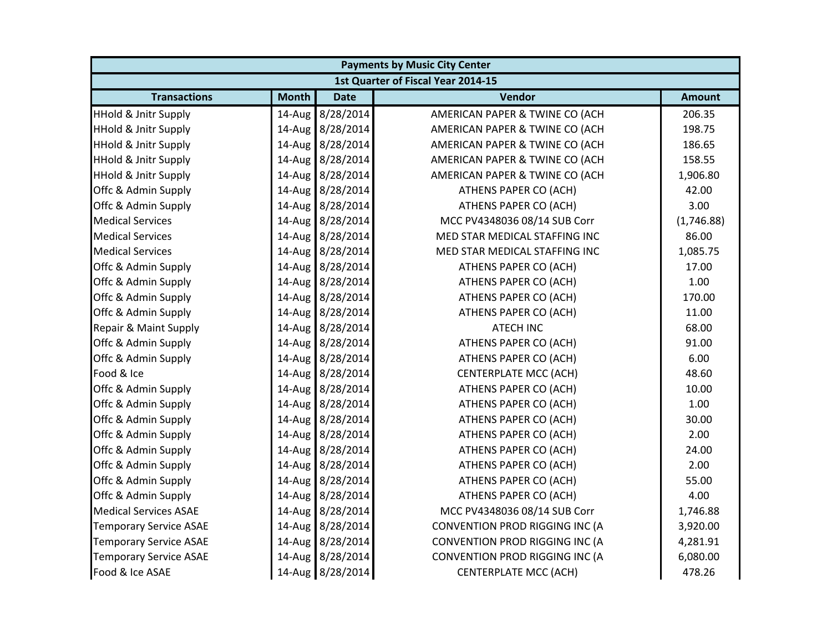| <b>Payments by Music City Center</b> |              |                  |                                       |               |  |  |
|--------------------------------------|--------------|------------------|---------------------------------------|---------------|--|--|
|                                      |              |                  | 1st Quarter of Fiscal Year 2014-15    |               |  |  |
| <b>Transactions</b>                  | <b>Month</b> | <b>Date</b>      | Vendor                                | <b>Amount</b> |  |  |
| <b>HHold &amp; Jnitr Supply</b>      | 14-Aug       | 8/28/2014        | AMERICAN PAPER & TWINE CO (ACH        | 206.35        |  |  |
| <b>HHold &amp; Jnitr Supply</b>      | 14-Aug       | 8/28/2014        | AMERICAN PAPER & TWINE CO (ACH        | 198.75        |  |  |
| <b>HHold &amp; Jnitr Supply</b>      |              | 14-Aug 8/28/2014 | AMERICAN PAPER & TWINE CO (ACH        | 186.65        |  |  |
| <b>HHold &amp; Jnitr Supply</b>      |              | 14-Aug 8/28/2014 | AMERICAN PAPER & TWINE CO (ACH        | 158.55        |  |  |
| <b>HHold &amp; Jnitr Supply</b>      |              | 14-Aug 8/28/2014 | AMERICAN PAPER & TWINE CO (ACH        | 1,906.80      |  |  |
| Offc & Admin Supply                  |              | 14-Aug 8/28/2014 | ATHENS PAPER CO (ACH)                 | 42.00         |  |  |
| Offc & Admin Supply                  | 14-Aug       | 8/28/2014        | ATHENS PAPER CO (ACH)                 | 3.00          |  |  |
| <b>Medical Services</b>              |              | 14-Aug 8/28/2014 | MCC PV4348036 08/14 SUB Corr          | (1,746.88)    |  |  |
| <b>Medical Services</b>              |              | 14-Aug 8/28/2014 | MED STAR MEDICAL STAFFING INC         | 86.00         |  |  |
| <b>Medical Services</b>              |              | 14-Aug 8/28/2014 | MED STAR MEDICAL STAFFING INC         | 1,085.75      |  |  |
| Offc & Admin Supply                  |              | 14-Aug 8/28/2014 | ATHENS PAPER CO (ACH)                 | 17.00         |  |  |
| Offc & Admin Supply                  | $14$ -Aug    | 8/28/2014        | ATHENS PAPER CO (ACH)                 | 1.00          |  |  |
| Offc & Admin Supply                  |              | 14-Aug 8/28/2014 | ATHENS PAPER CO (ACH)                 | 170.00        |  |  |
| Offc & Admin Supply                  |              | 14-Aug 8/28/2014 | ATHENS PAPER CO (ACH)                 | 11.00         |  |  |
| Repair & Maint Supply                |              | 14-Aug 8/28/2014 | <b>ATECH INC</b>                      | 68.00         |  |  |
| Offc & Admin Supply                  |              | 14-Aug 8/28/2014 | ATHENS PAPER CO (ACH)                 | 91.00         |  |  |
| Offc & Admin Supply                  |              | 14-Aug 8/28/2014 | ATHENS PAPER CO (ACH)                 | 6.00          |  |  |
| Food & Ice                           |              | 14-Aug 8/28/2014 | <b>CENTERPLATE MCC (ACH)</b>          | 48.60         |  |  |
| Offc & Admin Supply                  |              | 14-Aug 8/28/2014 | ATHENS PAPER CO (ACH)                 | 10.00         |  |  |
| Offc & Admin Supply                  |              | 14-Aug 8/28/2014 | ATHENS PAPER CO (ACH)                 | 1.00          |  |  |
| Offc & Admin Supply                  |              | 14-Aug 8/28/2014 | ATHENS PAPER CO (ACH)                 | 30.00         |  |  |
| Offc & Admin Supply                  |              | 14-Aug 8/28/2014 | ATHENS PAPER CO (ACH)                 | 2.00          |  |  |
| Offc & Admin Supply                  |              | 14-Aug 8/28/2014 | ATHENS PAPER CO (ACH)                 | 24.00         |  |  |
| Offc & Admin Supply                  | 14-Aug       | 8/28/2014        | ATHENS PAPER CO (ACH)                 | 2.00          |  |  |
| Offc & Admin Supply                  |              | 14-Aug 8/28/2014 | ATHENS PAPER CO (ACH)                 | 55.00         |  |  |
| Offc & Admin Supply                  |              | 14-Aug 8/28/2014 | ATHENS PAPER CO (ACH)                 | 4.00          |  |  |
| <b>Medical Services ASAE</b>         |              | 14-Aug 8/28/2014 | MCC PV4348036 08/14 SUB Corr          | 1,746.88      |  |  |
| <b>Temporary Service ASAE</b>        |              | 14-Aug 8/28/2014 | <b>CONVENTION PROD RIGGING INC (A</b> | 3,920.00      |  |  |
| <b>Temporary Service ASAE</b>        |              | 14-Aug 8/28/2014 | <b>CONVENTION PROD RIGGING INC (A</b> | 4,281.91      |  |  |
| <b>Temporary Service ASAE</b>        |              | 14-Aug 8/28/2014 | <b>CONVENTION PROD RIGGING INC (A</b> | 6,080.00      |  |  |
| Food & Ice ASAE                      |              | 14-Aug 8/28/2014 | <b>CENTERPLATE MCC (ACH)</b>          | 478.26        |  |  |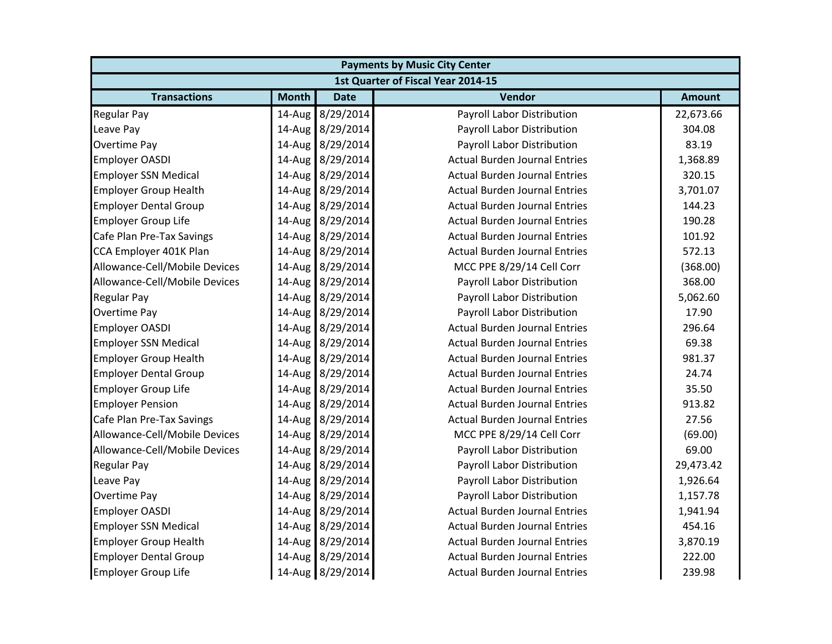| <b>Payments by Music City Center</b> |              |                  |                                      |               |  |
|--------------------------------------|--------------|------------------|--------------------------------------|---------------|--|
|                                      |              |                  | 1st Quarter of Fiscal Year 2014-15   |               |  |
| <b>Transactions</b>                  | <b>Month</b> | <b>Date</b>      | Vendor                               | <b>Amount</b> |  |
| <b>Regular Pay</b>                   | 14-Aug       | 8/29/2014        | Payroll Labor Distribution           | 22,673.66     |  |
| Leave Pay                            |              | 14-Aug 8/29/2014 | Payroll Labor Distribution           | 304.08        |  |
| <b>Overtime Pay</b>                  |              | 14-Aug 8/29/2014 | Payroll Labor Distribution           | 83.19         |  |
| <b>Employer OASDI</b>                |              | 14-Aug 8/29/2014 | <b>Actual Burden Journal Entries</b> | 1,368.89      |  |
| <b>Employer SSN Medical</b>          |              | 14-Aug 8/29/2014 | <b>Actual Burden Journal Entries</b> | 320.15        |  |
| <b>Employer Group Health</b>         |              | 14-Aug 8/29/2014 | <b>Actual Burden Journal Entries</b> | 3,701.07      |  |
| <b>Employer Dental Group</b>         |              | 14-Aug 8/29/2014 | <b>Actual Burden Journal Entries</b> | 144.23        |  |
| <b>Employer Group Life</b>           |              | 14-Aug 8/29/2014 | <b>Actual Burden Journal Entries</b> | 190.28        |  |
| Cafe Plan Pre-Tax Savings            |              | 14-Aug 8/29/2014 | <b>Actual Burden Journal Entries</b> | 101.92        |  |
| CCA Employer 401K Plan               |              | 14-Aug 8/29/2014 | <b>Actual Burden Journal Entries</b> | 572.13        |  |
| Allowance-Cell/Mobile Devices        |              | 14-Aug 8/29/2014 | MCC PPE 8/29/14 Cell Corr            | (368.00)      |  |
| Allowance-Cell/Mobile Devices        | 14-Aug       | 8/29/2014        | Payroll Labor Distribution           | 368.00        |  |
| <b>Regular Pay</b>                   |              | 14-Aug 8/29/2014 | Payroll Labor Distribution           | 5,062.60      |  |
| <b>Overtime Pay</b>                  |              | 14-Aug 8/29/2014 | Payroll Labor Distribution           | 17.90         |  |
| <b>Employer OASDI</b>                |              | 14-Aug 8/29/2014 | <b>Actual Burden Journal Entries</b> | 296.64        |  |
| <b>Employer SSN Medical</b>          |              | 14-Aug 8/29/2014 | <b>Actual Burden Journal Entries</b> | 69.38         |  |
| <b>Employer Group Health</b>         |              | 14-Aug 8/29/2014 | <b>Actual Burden Journal Entries</b> | 981.37        |  |
| <b>Employer Dental Group</b>         |              | 14-Aug 8/29/2014 | <b>Actual Burden Journal Entries</b> | 24.74         |  |
| <b>Employer Group Life</b>           |              | 14-Aug 8/29/2014 | <b>Actual Burden Journal Entries</b> | 35.50         |  |
| <b>Employer Pension</b>              |              | 14-Aug 8/29/2014 | <b>Actual Burden Journal Entries</b> | 913.82        |  |
| Cafe Plan Pre-Tax Savings            |              | 14-Aug 8/29/2014 | <b>Actual Burden Journal Entries</b> | 27.56         |  |
| Allowance-Cell/Mobile Devices        |              | 14-Aug 8/29/2014 | MCC PPE 8/29/14 Cell Corr            | (69.00)       |  |
| Allowance-Cell/Mobile Devices        |              | 14-Aug 8/29/2014 | Payroll Labor Distribution           | 69.00         |  |
| <b>Regular Pay</b>                   | 14-Aug       | 8/29/2014        | Payroll Labor Distribution           | 29,473.42     |  |
| Leave Pay                            |              | 14-Aug 8/29/2014 | Payroll Labor Distribution           | 1,926.64      |  |
| <b>Overtime Pay</b>                  |              | 14-Aug 8/29/2014 | Payroll Labor Distribution           | 1,157.78      |  |
| <b>Employer OASDI</b>                |              | 14-Aug 8/29/2014 | <b>Actual Burden Journal Entries</b> | 1,941.94      |  |
| <b>Employer SSN Medical</b>          |              | 14-Aug 8/29/2014 | <b>Actual Burden Journal Entries</b> | 454.16        |  |
| <b>Employer Group Health</b>         |              | 14-Aug 8/29/2014 | <b>Actual Burden Journal Entries</b> | 3,870.19      |  |
| <b>Employer Dental Group</b>         |              | 14-Aug 8/29/2014 | <b>Actual Burden Journal Entries</b> | 222.00        |  |
| <b>Employer Group Life</b>           |              | 14-Aug 8/29/2014 | <b>Actual Burden Journal Entries</b> | 239.98        |  |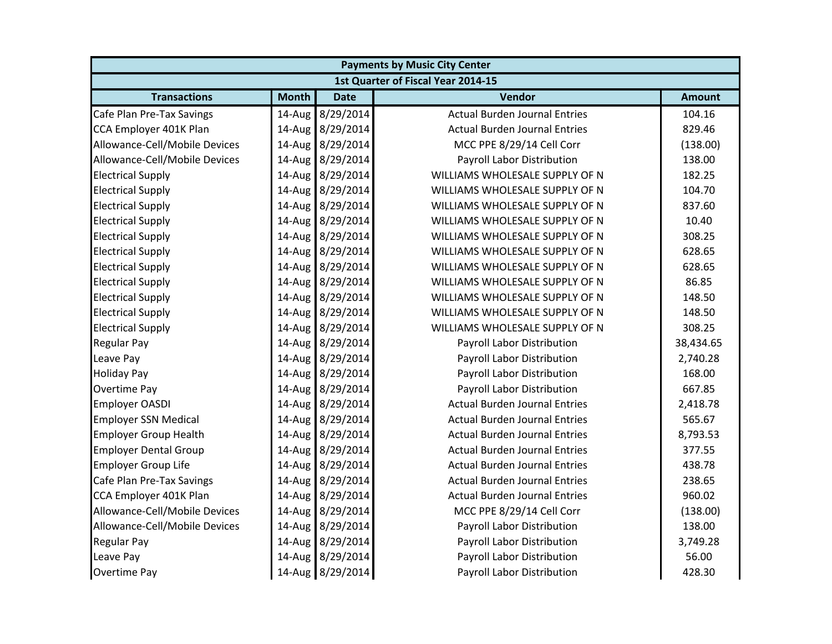| <b>Payments by Music City Center</b> |              |                  |                                      |               |  |
|--------------------------------------|--------------|------------------|--------------------------------------|---------------|--|
|                                      |              |                  | 1st Quarter of Fiscal Year 2014-15   |               |  |
| <b>Transactions</b>                  | <b>Month</b> | <b>Date</b>      | Vendor                               | <b>Amount</b> |  |
| Cafe Plan Pre-Tax Savings            | 14-Aug       | 8/29/2014        | <b>Actual Burden Journal Entries</b> | 104.16        |  |
| CCA Employer 401K Plan               |              | 14-Aug 8/29/2014 | <b>Actual Burden Journal Entries</b> | 829.46        |  |
| Allowance-Cell/Mobile Devices        |              | 14-Aug 8/29/2014 | MCC PPE 8/29/14 Cell Corr            | (138.00)      |  |
| Allowance-Cell/Mobile Devices        |              | 14-Aug 8/29/2014 | Payroll Labor Distribution           | 138.00        |  |
| <b>Electrical Supply</b>             |              | 14-Aug 8/29/2014 | WILLIAMS WHOLESALE SUPPLY OF N       | 182.25        |  |
| <b>Electrical Supply</b>             |              | 14-Aug 8/29/2014 | WILLIAMS WHOLESALE SUPPLY OF N       | 104.70        |  |
| <b>Electrical Supply</b>             |              | 14-Aug 8/29/2014 | WILLIAMS WHOLESALE SUPPLY OF N       | 837.60        |  |
| <b>Electrical Supply</b>             |              | 14-Aug 8/29/2014 | WILLIAMS WHOLESALE SUPPLY OF N       | 10.40         |  |
| <b>Electrical Supply</b>             |              | 14-Aug 8/29/2014 | WILLIAMS WHOLESALE SUPPLY OF N       | 308.25        |  |
| <b>Electrical Supply</b>             |              | 14-Aug 8/29/2014 | WILLIAMS WHOLESALE SUPPLY OF N       | 628.65        |  |
| <b>Electrical Supply</b>             |              | 14-Aug 8/29/2014 | WILLIAMS WHOLESALE SUPPLY OF N       | 628.65        |  |
| <b>Electrical Supply</b>             | 14-Aug       | 8/29/2014        | WILLIAMS WHOLESALE SUPPLY OF N       | 86.85         |  |
| <b>Electrical Supply</b>             |              | 14-Aug 8/29/2014 | WILLIAMS WHOLESALE SUPPLY OF N       | 148.50        |  |
| <b>Electrical Supply</b>             |              | 14-Aug 8/29/2014 | WILLIAMS WHOLESALE SUPPLY OF N       | 148.50        |  |
| <b>Electrical Supply</b>             |              | 14-Aug 8/29/2014 | WILLIAMS WHOLESALE SUPPLY OF N       | 308.25        |  |
| <b>Regular Pay</b>                   |              | 14-Aug 8/29/2014 | Payroll Labor Distribution           | 38,434.65     |  |
| Leave Pay                            |              | 14-Aug 8/29/2014 | Payroll Labor Distribution           | 2,740.28      |  |
| <b>Holiday Pay</b>                   |              | 14-Aug 8/29/2014 | Payroll Labor Distribution           | 168.00        |  |
| <b>Overtime Pay</b>                  |              | 14-Aug 8/29/2014 | Payroll Labor Distribution           | 667.85        |  |
| <b>Employer OASDI</b>                |              | 14-Aug 8/29/2014 | <b>Actual Burden Journal Entries</b> | 2,418.78      |  |
| <b>Employer SSN Medical</b>          |              | 14-Aug 8/29/2014 | <b>Actual Burden Journal Entries</b> | 565.67        |  |
| <b>Employer Group Health</b>         |              | 14-Aug 8/29/2014 | <b>Actual Burden Journal Entries</b> | 8,793.53      |  |
| <b>Employer Dental Group</b>         |              | 14-Aug 8/29/2014 | <b>Actual Burden Journal Entries</b> | 377.55        |  |
| <b>Employer Group Life</b>           |              | 14-Aug 8/29/2014 | <b>Actual Burden Journal Entries</b> | 438.78        |  |
| Cafe Plan Pre-Tax Savings            |              | 14-Aug 8/29/2014 | <b>Actual Burden Journal Entries</b> | 238.65        |  |
| CCA Employer 401K Plan               |              | 14-Aug 8/29/2014 | <b>Actual Burden Journal Entries</b> | 960.02        |  |
| Allowance-Cell/Mobile Devices        |              | 14-Aug 8/29/2014 | MCC PPE 8/29/14 Cell Corr            | (138.00)      |  |
| Allowance-Cell/Mobile Devices        |              | 14-Aug 8/29/2014 | Payroll Labor Distribution           | 138.00        |  |
| <b>Regular Pay</b>                   |              | 14-Aug 8/29/2014 | Payroll Labor Distribution           | 3,749.28      |  |
| Leave Pay                            |              | 14-Aug 8/29/2014 | Payroll Labor Distribution           | 56.00         |  |
| <b>Overtime Pay</b>                  |              | 14-Aug 8/29/2014 | Payroll Labor Distribution           | 428.30        |  |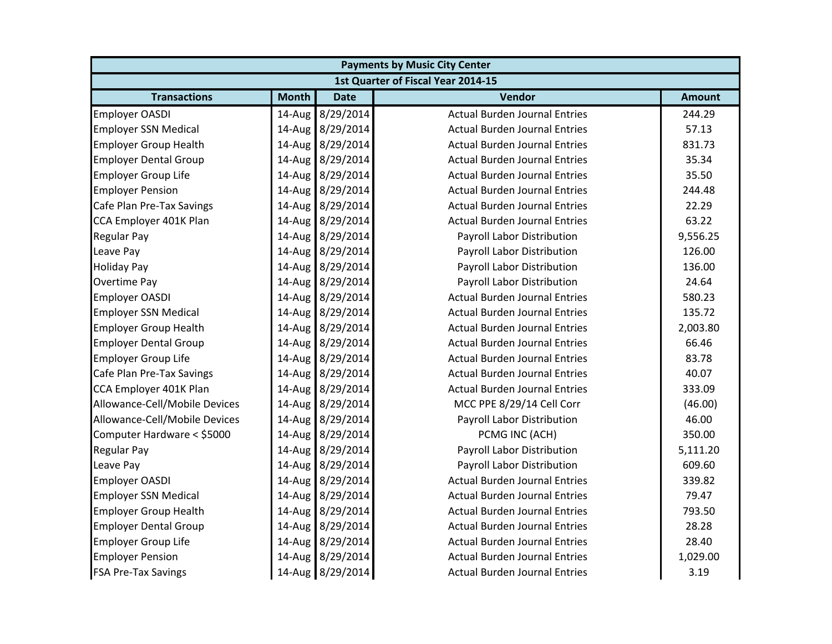| <b>Payments by Music City Center</b> |              |                  |                                      |               |  |
|--------------------------------------|--------------|------------------|--------------------------------------|---------------|--|
|                                      |              |                  | 1st Quarter of Fiscal Year 2014-15   |               |  |
| <b>Transactions</b>                  | <b>Month</b> | <b>Date</b>      | Vendor                               | <b>Amount</b> |  |
| <b>Employer OASDI</b>                | 14-Aug       | 8/29/2014        | <b>Actual Burden Journal Entries</b> | 244.29        |  |
| <b>Employer SSN Medical</b>          |              | 14-Aug 8/29/2014 | <b>Actual Burden Journal Entries</b> | 57.13         |  |
| <b>Employer Group Health</b>         |              | 14-Aug 8/29/2014 | <b>Actual Burden Journal Entries</b> | 831.73        |  |
| <b>Employer Dental Group</b>         |              | 14-Aug 8/29/2014 | <b>Actual Burden Journal Entries</b> | 35.34         |  |
| <b>Employer Group Life</b>           |              | 14-Aug 8/29/2014 | <b>Actual Burden Journal Entries</b> | 35.50         |  |
| <b>Employer Pension</b>              |              | 14-Aug 8/29/2014 | <b>Actual Burden Journal Entries</b> | 244.48        |  |
| Cafe Plan Pre-Tax Savings            |              | 14-Aug 8/29/2014 | <b>Actual Burden Journal Entries</b> | 22.29         |  |
| CCA Employer 401K Plan               |              | 14-Aug 8/29/2014 | <b>Actual Burden Journal Entries</b> | 63.22         |  |
| <b>Regular Pay</b>                   |              | 14-Aug 8/29/2014 | Payroll Labor Distribution           | 9,556.25      |  |
| Leave Pay                            |              | 14-Aug 8/29/2014 | Payroll Labor Distribution           | 126.00        |  |
| <b>Holiday Pay</b>                   |              | 14-Aug 8/29/2014 | Payroll Labor Distribution           | 136.00        |  |
| Overtime Pay                         |              | 14-Aug 8/29/2014 | Payroll Labor Distribution           | 24.64         |  |
| <b>Employer OASDI</b>                |              | 14-Aug 8/29/2014 | <b>Actual Burden Journal Entries</b> | 580.23        |  |
| <b>Employer SSN Medical</b>          |              | 14-Aug 8/29/2014 | <b>Actual Burden Journal Entries</b> | 135.72        |  |
| <b>Employer Group Health</b>         |              | 14-Aug 8/29/2014 | <b>Actual Burden Journal Entries</b> | 2,003.80      |  |
| <b>Employer Dental Group</b>         |              | 14-Aug 8/29/2014 | <b>Actual Burden Journal Entries</b> | 66.46         |  |
| <b>Employer Group Life</b>           |              | 14-Aug 8/29/2014 | <b>Actual Burden Journal Entries</b> | 83.78         |  |
| Cafe Plan Pre-Tax Savings            |              | 14-Aug 8/29/2014 | <b>Actual Burden Journal Entries</b> | 40.07         |  |
| CCA Employer 401K Plan               |              | 14-Aug 8/29/2014 | <b>Actual Burden Journal Entries</b> | 333.09        |  |
| Allowance-Cell/Mobile Devices        |              | 14-Aug 8/29/2014 | MCC PPE 8/29/14 Cell Corr            | (46.00)       |  |
| Allowance-Cell/Mobile Devices        |              | 14-Aug 8/29/2014 | Payroll Labor Distribution           | 46.00         |  |
| Computer Hardware < \$5000           |              | 14-Aug 8/29/2014 | PCMG INC (ACH)                       | 350.00        |  |
| <b>Regular Pay</b>                   |              | 14-Aug 8/29/2014 | Payroll Labor Distribution           | 5,111.20      |  |
| Leave Pay                            |              | 14-Aug 8/29/2014 | Payroll Labor Distribution           | 609.60        |  |
| <b>Employer OASDI</b>                |              | 14-Aug 8/29/2014 | <b>Actual Burden Journal Entries</b> | 339.82        |  |
| <b>Employer SSN Medical</b>          |              | 14-Aug 8/29/2014 | <b>Actual Burden Journal Entries</b> | 79.47         |  |
| <b>Employer Group Health</b>         |              | 14-Aug 8/29/2014 | <b>Actual Burden Journal Entries</b> | 793.50        |  |
| <b>Employer Dental Group</b>         |              | 14-Aug 8/29/2014 | <b>Actual Burden Journal Entries</b> | 28.28         |  |
| <b>Employer Group Life</b>           |              | 14-Aug 8/29/2014 | <b>Actual Burden Journal Entries</b> | 28.40         |  |
| <b>Employer Pension</b>              |              | 14-Aug 8/29/2014 | <b>Actual Burden Journal Entries</b> | 1,029.00      |  |
| <b>FSA Pre-Tax Savings</b>           |              | 14-Aug 8/29/2014 | <b>Actual Burden Journal Entries</b> | 3.19          |  |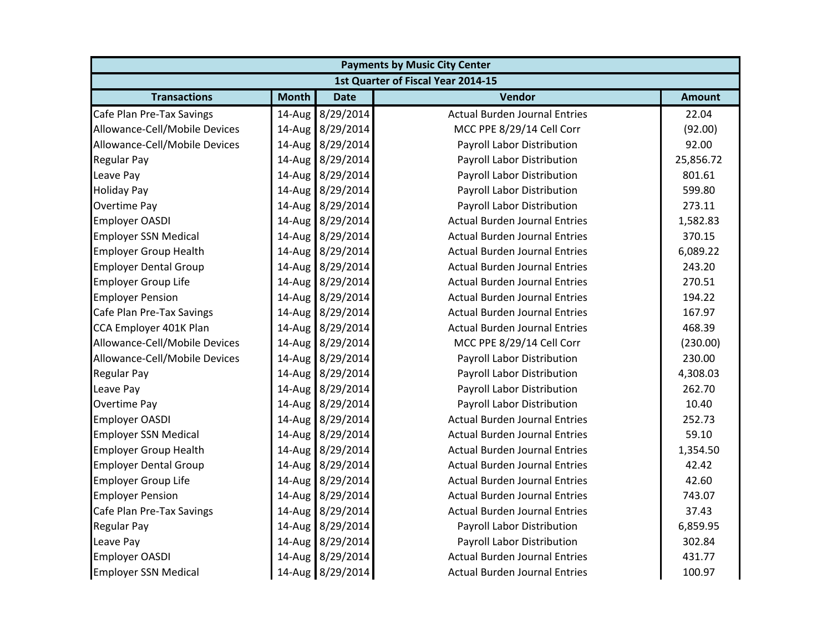| <b>Payments by Music City Center</b> |              |                  |                                      |               |  |
|--------------------------------------|--------------|------------------|--------------------------------------|---------------|--|
|                                      |              |                  | 1st Quarter of Fiscal Year 2014-15   |               |  |
| <b>Transactions</b>                  | <b>Month</b> | <b>Date</b>      | Vendor                               | <b>Amount</b> |  |
| Cafe Plan Pre-Tax Savings            | 14-Aug       | 8/29/2014        | <b>Actual Burden Journal Entries</b> | 22.04         |  |
| Allowance-Cell/Mobile Devices        |              | 14-Aug 8/29/2014 | MCC PPE 8/29/14 Cell Corr            | (92.00)       |  |
| Allowance-Cell/Mobile Devices        |              | 14-Aug 8/29/2014 | Payroll Labor Distribution           | 92.00         |  |
| <b>Regular Pay</b>                   |              | 14-Aug 8/29/2014 | Payroll Labor Distribution           | 25,856.72     |  |
| Leave Pay                            |              | 14-Aug 8/29/2014 | Payroll Labor Distribution           | 801.61        |  |
| <b>Holiday Pay</b>                   |              | 14-Aug 8/29/2014 | Payroll Labor Distribution           | 599.80        |  |
| Overtime Pay                         |              | 14-Aug 8/29/2014 | Payroll Labor Distribution           | 273.11        |  |
| <b>Employer OASDI</b>                |              | 14-Aug 8/29/2014 | <b>Actual Burden Journal Entries</b> | 1,582.83      |  |
| <b>Employer SSN Medical</b>          |              | 14-Aug 8/29/2014 | <b>Actual Burden Journal Entries</b> | 370.15        |  |
| <b>Employer Group Health</b>         |              | 14-Aug 8/29/2014 | <b>Actual Burden Journal Entries</b> | 6,089.22      |  |
| <b>Employer Dental Group</b>         |              | 14-Aug 8/29/2014 | <b>Actual Burden Journal Entries</b> | 243.20        |  |
| <b>Employer Group Life</b>           |              | 14-Aug 8/29/2014 | <b>Actual Burden Journal Entries</b> | 270.51        |  |
| <b>Employer Pension</b>              |              | 14-Aug 8/29/2014 | <b>Actual Burden Journal Entries</b> | 194.22        |  |
| Cafe Plan Pre-Tax Savings            |              | 14-Aug 8/29/2014 | <b>Actual Burden Journal Entries</b> | 167.97        |  |
| CCA Employer 401K Plan               |              | 14-Aug 8/29/2014 | <b>Actual Burden Journal Entries</b> | 468.39        |  |
| Allowance-Cell/Mobile Devices        |              | 14-Aug 8/29/2014 | MCC PPE 8/29/14 Cell Corr            | (230.00)      |  |
| Allowance-Cell/Mobile Devices        |              | 14-Aug 8/29/2014 | Payroll Labor Distribution           | 230.00        |  |
| <b>Regular Pay</b>                   |              | 14-Aug 8/29/2014 | Payroll Labor Distribution           | 4,308.03      |  |
| Leave Pay                            |              | 14-Aug 8/29/2014 | Payroll Labor Distribution           | 262.70        |  |
| Overtime Pay                         |              | 14-Aug 8/29/2014 | Payroll Labor Distribution           | 10.40         |  |
| <b>Employer OASDI</b>                |              | 14-Aug 8/29/2014 | <b>Actual Burden Journal Entries</b> | 252.73        |  |
| <b>Employer SSN Medical</b>          |              | 14-Aug 8/29/2014 | <b>Actual Burden Journal Entries</b> | 59.10         |  |
| <b>Employer Group Health</b>         |              | 14-Aug 8/29/2014 | <b>Actual Burden Journal Entries</b> | 1,354.50      |  |
| <b>Employer Dental Group</b>         |              | 14-Aug 8/29/2014 | <b>Actual Burden Journal Entries</b> | 42.42         |  |
| <b>Employer Group Life</b>           |              | 14-Aug 8/29/2014 | <b>Actual Burden Journal Entries</b> | 42.60         |  |
| <b>Employer Pension</b>              |              | 14-Aug 8/29/2014 | <b>Actual Burden Journal Entries</b> | 743.07        |  |
| Cafe Plan Pre-Tax Savings            |              | 14-Aug 8/29/2014 | <b>Actual Burden Journal Entries</b> | 37.43         |  |
| <b>Regular Pay</b>                   |              | 14-Aug 8/29/2014 | Payroll Labor Distribution           | 6,859.95      |  |
| Leave Pay                            |              | 14-Aug 8/29/2014 | Payroll Labor Distribution           | 302.84        |  |
| <b>Employer OASDI</b>                |              | 14-Aug 8/29/2014 | <b>Actual Burden Journal Entries</b> | 431.77        |  |
| <b>Employer SSN Medical</b>          |              | 14-Aug 8/29/2014 | <b>Actual Burden Journal Entries</b> | 100.97        |  |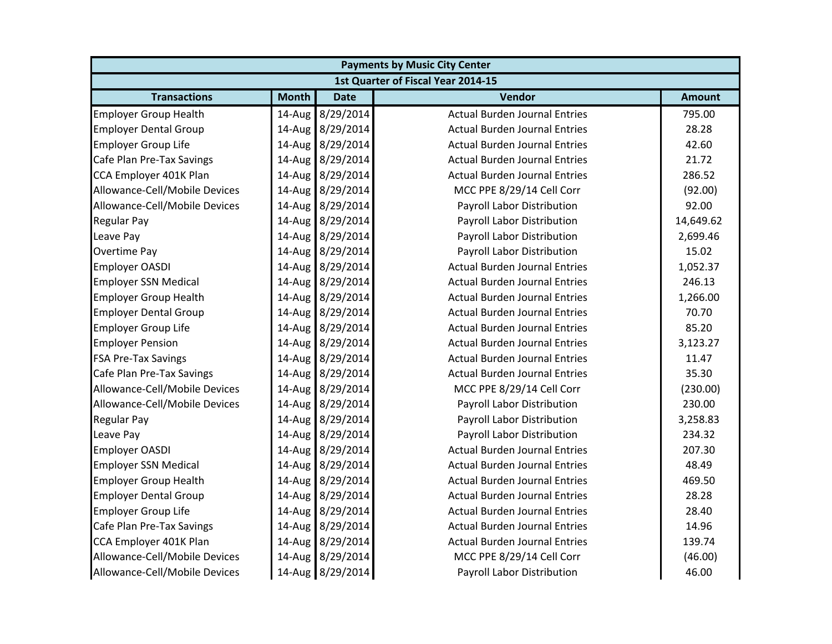|                               | <b>Payments by Music City Center</b> |                  |                                      |               |  |  |
|-------------------------------|--------------------------------------|------------------|--------------------------------------|---------------|--|--|
|                               |                                      |                  | 1st Quarter of Fiscal Year 2014-15   |               |  |  |
| <b>Transactions</b>           | <b>Month</b>                         | <b>Date</b>      | Vendor                               | <b>Amount</b> |  |  |
| <b>Employer Group Health</b>  | 14-Aug                               | 8/29/2014        | <b>Actual Burden Journal Entries</b> | 795.00        |  |  |
| <b>Employer Dental Group</b>  |                                      | 14-Aug 8/29/2014 | <b>Actual Burden Journal Entries</b> | 28.28         |  |  |
| <b>Employer Group Life</b>    |                                      | 14-Aug 8/29/2014 | <b>Actual Burden Journal Entries</b> | 42.60         |  |  |
| Cafe Plan Pre-Tax Savings     |                                      | 14-Aug 8/29/2014 | <b>Actual Burden Journal Entries</b> | 21.72         |  |  |
| CCA Employer 401K Plan        |                                      | 14-Aug 8/29/2014 | <b>Actual Burden Journal Entries</b> | 286.52        |  |  |
| Allowance-Cell/Mobile Devices | 14-Aug                               | 8/29/2014        | MCC PPE 8/29/14 Cell Corr            | (92.00)       |  |  |
| Allowance-Cell/Mobile Devices |                                      | 14-Aug 8/29/2014 | Payroll Labor Distribution           | 92.00         |  |  |
| <b>Regular Pay</b>            |                                      | 14-Aug 8/29/2014 | Payroll Labor Distribution           | 14,649.62     |  |  |
| Leave Pay                     |                                      | 14-Aug 8/29/2014 | Payroll Labor Distribution           | 2,699.46      |  |  |
| <b>Overtime Pay</b>           |                                      | 14-Aug 8/29/2014 | Payroll Labor Distribution           | 15.02         |  |  |
| <b>Employer OASDI</b>         |                                      | 14-Aug 8/29/2014 | <b>Actual Burden Journal Entries</b> | 1,052.37      |  |  |
| <b>Employer SSN Medical</b>   | 14-Aug                               | 8/29/2014        | <b>Actual Burden Journal Entries</b> | 246.13        |  |  |
| <b>Employer Group Health</b>  |                                      | 14-Aug 8/29/2014 | <b>Actual Burden Journal Entries</b> | 1,266.00      |  |  |
| <b>Employer Dental Group</b>  |                                      | 14-Aug 8/29/2014 | <b>Actual Burden Journal Entries</b> | 70.70         |  |  |
| <b>Employer Group Life</b>    |                                      | 14-Aug 8/29/2014 | <b>Actual Burden Journal Entries</b> | 85.20         |  |  |
| <b>Employer Pension</b>       |                                      | 14-Aug 8/29/2014 | <b>Actual Burden Journal Entries</b> | 3,123.27      |  |  |
| <b>FSA Pre-Tax Savings</b>    |                                      | 14-Aug 8/29/2014 | <b>Actual Burden Journal Entries</b> | 11.47         |  |  |
| Cafe Plan Pre-Tax Savings     | 14-Aug                               | 8/29/2014        | <b>Actual Burden Journal Entries</b> | 35.30         |  |  |
| Allowance-Cell/Mobile Devices |                                      | 14-Aug 8/29/2014 | MCC PPE 8/29/14 Cell Corr            | (230.00)      |  |  |
| Allowance-Cell/Mobile Devices |                                      | 14-Aug 8/29/2014 | Payroll Labor Distribution           | 230.00        |  |  |
| <b>Regular Pay</b>            |                                      | 14-Aug 8/29/2014 | Payroll Labor Distribution           | 3,258.83      |  |  |
| Leave Pay                     |                                      | 14-Aug 8/29/2014 | Payroll Labor Distribution           | 234.32        |  |  |
| <b>Employer OASDI</b>         |                                      | 14-Aug 8/29/2014 | <b>Actual Burden Journal Entries</b> | 207.30        |  |  |
| <b>Employer SSN Medical</b>   | 14-Aug                               | 8/29/2014        | <b>Actual Burden Journal Entries</b> | 48.49         |  |  |
| <b>Employer Group Health</b>  |                                      | 14-Aug 8/29/2014 | <b>Actual Burden Journal Entries</b> | 469.50        |  |  |
| <b>Employer Dental Group</b>  |                                      | 14-Aug 8/29/2014 | <b>Actual Burden Journal Entries</b> | 28.28         |  |  |
| <b>Employer Group Life</b>    |                                      | 14-Aug 8/29/2014 | <b>Actual Burden Journal Entries</b> | 28.40         |  |  |
| Cafe Plan Pre-Tax Savings     |                                      | 14-Aug 8/29/2014 | <b>Actual Burden Journal Entries</b> | 14.96         |  |  |
| CCA Employer 401K Plan        |                                      | 14-Aug 8/29/2014 | <b>Actual Burden Journal Entries</b> | 139.74        |  |  |
| Allowance-Cell/Mobile Devices |                                      | 14-Aug 8/29/2014 | MCC PPE 8/29/14 Cell Corr            | (46.00)       |  |  |
| Allowance-Cell/Mobile Devices |                                      | 14-Aug 8/29/2014 | Payroll Labor Distribution           | 46.00         |  |  |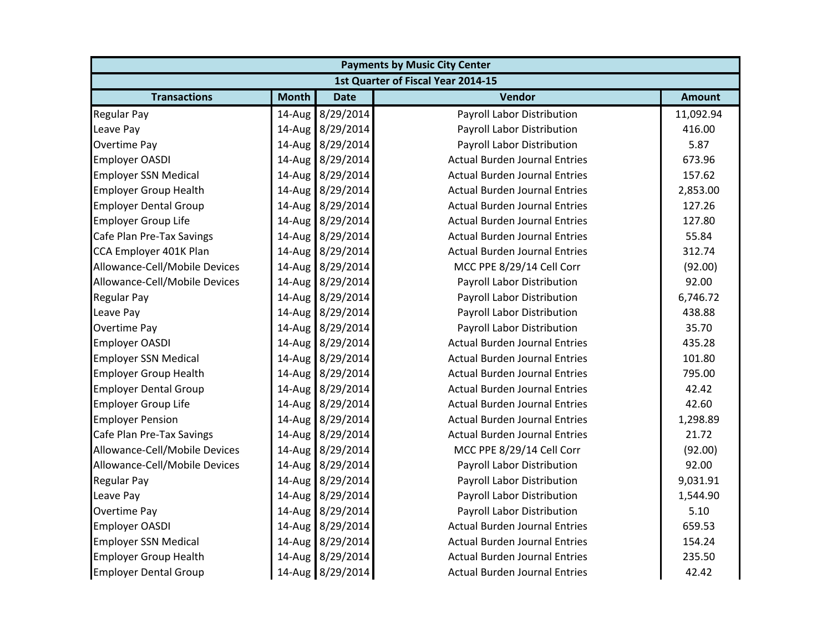| <b>Payments by Music City Center</b> |              |                  |                                      |               |  |
|--------------------------------------|--------------|------------------|--------------------------------------|---------------|--|
|                                      |              |                  | 1st Quarter of Fiscal Year 2014-15   |               |  |
| <b>Transactions</b>                  | <b>Month</b> | <b>Date</b>      | Vendor                               | <b>Amount</b> |  |
| <b>Regular Pay</b>                   | 14-Aug       | 8/29/2014        | Payroll Labor Distribution           | 11,092.94     |  |
| Leave Pay                            |              | 14-Aug 8/29/2014 | Payroll Labor Distribution           | 416.00        |  |
| <b>Overtime Pay</b>                  |              | 14-Aug 8/29/2014 | Payroll Labor Distribution           | 5.87          |  |
| <b>Employer OASDI</b>                |              | 14-Aug 8/29/2014 | <b>Actual Burden Journal Entries</b> | 673.96        |  |
| <b>Employer SSN Medical</b>          |              | 14-Aug 8/29/2014 | <b>Actual Burden Journal Entries</b> | 157.62        |  |
| <b>Employer Group Health</b>         |              | 14-Aug 8/29/2014 | <b>Actual Burden Journal Entries</b> | 2,853.00      |  |
| <b>Employer Dental Group</b>         |              | 14-Aug 8/29/2014 | <b>Actual Burden Journal Entries</b> | 127.26        |  |
| <b>Employer Group Life</b>           |              | 14-Aug 8/29/2014 | <b>Actual Burden Journal Entries</b> | 127.80        |  |
| Cafe Plan Pre-Tax Savings            |              | 14-Aug 8/29/2014 | <b>Actual Burden Journal Entries</b> | 55.84         |  |
| CCA Employer 401K Plan               |              | 14-Aug 8/29/2014 | <b>Actual Burden Journal Entries</b> | 312.74        |  |
| Allowance-Cell/Mobile Devices        |              | 14-Aug 8/29/2014 | MCC PPE 8/29/14 Cell Corr            | (92.00)       |  |
| Allowance-Cell/Mobile Devices        | 14-Aug       | 8/29/2014        | Payroll Labor Distribution           | 92.00         |  |
| <b>Regular Pay</b>                   |              | 14-Aug 8/29/2014 | Payroll Labor Distribution           | 6,746.72      |  |
| Leave Pay                            |              | 14-Aug 8/29/2014 | Payroll Labor Distribution           | 438.88        |  |
| <b>Overtime Pay</b>                  |              | 14-Aug 8/29/2014 | Payroll Labor Distribution           | 35.70         |  |
| <b>Employer OASDI</b>                |              | 14-Aug 8/29/2014 | <b>Actual Burden Journal Entries</b> | 435.28        |  |
| <b>Employer SSN Medical</b>          |              | 14-Aug 8/29/2014 | <b>Actual Burden Journal Entries</b> | 101.80        |  |
| <b>Employer Group Health</b>         |              | 14-Aug 8/29/2014 | <b>Actual Burden Journal Entries</b> | 795.00        |  |
| <b>Employer Dental Group</b>         |              | 14-Aug 8/29/2014 | <b>Actual Burden Journal Entries</b> | 42.42         |  |
| <b>Employer Group Life</b>           |              | 14-Aug 8/29/2014 | <b>Actual Burden Journal Entries</b> | 42.60         |  |
| <b>Employer Pension</b>              |              | 14-Aug 8/29/2014 | <b>Actual Burden Journal Entries</b> | 1,298.89      |  |
| Cafe Plan Pre-Tax Savings            |              | 14-Aug 8/29/2014 | <b>Actual Burden Journal Entries</b> | 21.72         |  |
| Allowance-Cell/Mobile Devices        |              | 14-Aug 8/29/2014 | MCC PPE 8/29/14 Cell Corr            | (92.00)       |  |
| Allowance-Cell/Mobile Devices        | $14$ -Aug    | 8/29/2014        | Payroll Labor Distribution           | 92.00         |  |
| <b>Regular Pay</b>                   |              | 14-Aug 8/29/2014 | Payroll Labor Distribution           | 9,031.91      |  |
| Leave Pay                            |              | 14-Aug 8/29/2014 | Payroll Labor Distribution           | 1,544.90      |  |
| <b>Overtime Pay</b>                  |              | 14-Aug 8/29/2014 | Payroll Labor Distribution           | 5.10          |  |
| <b>Employer OASDI</b>                |              | 14-Aug 8/29/2014 | <b>Actual Burden Journal Entries</b> | 659.53        |  |
| <b>Employer SSN Medical</b>          |              | 14-Aug 8/29/2014 | <b>Actual Burden Journal Entries</b> | 154.24        |  |
| <b>Employer Group Health</b>         |              | 14-Aug 8/29/2014 | <b>Actual Burden Journal Entries</b> | 235.50        |  |
| <b>Employer Dental Group</b>         |              | 14-Aug 8/29/2014 | <b>Actual Burden Journal Entries</b> | 42.42         |  |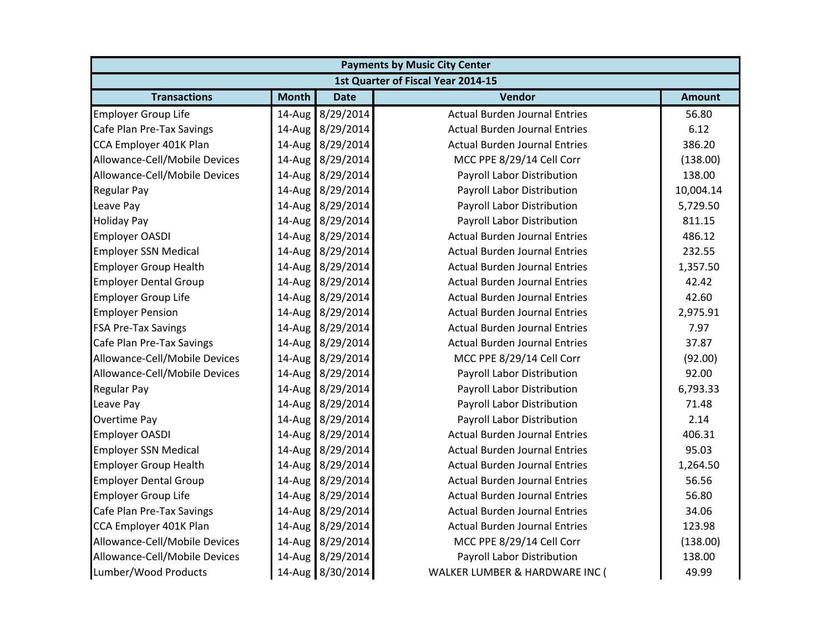| <b>Payments by Music City Center</b> |              |                  |                                      |               |  |
|--------------------------------------|--------------|------------------|--------------------------------------|---------------|--|
|                                      |              |                  | 1st Quarter of Fiscal Year 2014-15   |               |  |
| <b>Transactions</b>                  | <b>Month</b> | <b>Date</b>      | Vendor                               | <b>Amount</b> |  |
| <b>Employer Group Life</b>           | 14-Aug       | 8/29/2014        | <b>Actual Burden Journal Entries</b> | 56.80         |  |
| Cafe Plan Pre-Tax Savings            |              | 14-Aug 8/29/2014 | <b>Actual Burden Journal Entries</b> | 6.12          |  |
| CCA Employer 401K Plan               |              | 14-Aug 8/29/2014 | <b>Actual Burden Journal Entries</b> | 386.20        |  |
| Allowance-Cell/Mobile Devices        |              | 14-Aug 8/29/2014 | MCC PPE 8/29/14 Cell Corr            | (138.00)      |  |
| Allowance-Cell/Mobile Devices        |              | 14-Aug 8/29/2014 | Payroll Labor Distribution           | 138.00        |  |
| <b>Regular Pay</b>                   | $14$ -Aug    | 8/29/2014        | Payroll Labor Distribution           | 10,004.14     |  |
| Leave Pay                            |              | 14-Aug 8/29/2014 | Payroll Labor Distribution           | 5,729.50      |  |
| <b>Holiday Pay</b>                   |              | 14-Aug 8/29/2014 | Payroll Labor Distribution           | 811.15        |  |
| <b>Employer OASDI</b>                |              | 14-Aug 8/29/2014 | <b>Actual Burden Journal Entries</b> | 486.12        |  |
| <b>Employer SSN Medical</b>          |              | 14-Aug 8/29/2014 | <b>Actual Burden Journal Entries</b> | 232.55        |  |
| <b>Employer Group Health</b>         |              | 14-Aug 8/29/2014 | <b>Actual Burden Journal Entries</b> | 1,357.50      |  |
| <b>Employer Dental Group</b>         | $14$ -Aug    | 8/29/2014        | <b>Actual Burden Journal Entries</b> | 42.42         |  |
| <b>Employer Group Life</b>           |              | 14-Aug 8/29/2014 | <b>Actual Burden Journal Entries</b> | 42.60         |  |
| <b>Employer Pension</b>              |              | 14-Aug 8/29/2014 | <b>Actual Burden Journal Entries</b> | 2,975.91      |  |
| <b>FSA Pre-Tax Savings</b>           |              | 14-Aug 8/29/2014 | <b>Actual Burden Journal Entries</b> | 7.97          |  |
| Cafe Plan Pre-Tax Savings            |              | 14-Aug 8/29/2014 | <b>Actual Burden Journal Entries</b> | 37.87         |  |
| Allowance-Cell/Mobile Devices        |              | 14-Aug 8/29/2014 | MCC PPE 8/29/14 Cell Corr            | (92.00)       |  |
| Allowance-Cell/Mobile Devices        | $14$ -Aug    | 8/29/2014        | Payroll Labor Distribution           | 92.00         |  |
| <b>Regular Pay</b>                   |              | 14-Aug 8/29/2014 | Payroll Labor Distribution           | 6,793.33      |  |
| Leave Pay                            |              | 14-Aug 8/29/2014 | Payroll Labor Distribution           | 71.48         |  |
| <b>Overtime Pay</b>                  |              | 14-Aug 8/29/2014 | Payroll Labor Distribution           | 2.14          |  |
| <b>Employer OASDI</b>                |              | 14-Aug 8/29/2014 | <b>Actual Burden Journal Entries</b> | 406.31        |  |
| <b>Employer SSN Medical</b>          |              | 14-Aug 8/29/2014 | <b>Actual Burden Journal Entries</b> | 95.03         |  |
| <b>Employer Group Health</b>         | 14-Aug       | 8/29/2014        | <b>Actual Burden Journal Entries</b> | 1,264.50      |  |
| <b>Employer Dental Group</b>         |              | 14-Aug 8/29/2014 | <b>Actual Burden Journal Entries</b> | 56.56         |  |
| <b>Employer Group Life</b>           |              | 14-Aug 8/29/2014 | <b>Actual Burden Journal Entries</b> | 56.80         |  |
| Cafe Plan Pre-Tax Savings            |              | 14-Aug 8/29/2014 | <b>Actual Burden Journal Entries</b> | 34.06         |  |
| CCA Employer 401K Plan               |              | 14-Aug 8/29/2014 | <b>Actual Burden Journal Entries</b> | 123.98        |  |
| Allowance-Cell/Mobile Devices        |              | 14-Aug 8/29/2014 | MCC PPE 8/29/14 Cell Corr            | (138.00)      |  |
| Allowance-Cell/Mobile Devices        |              | 14-Aug 8/29/2014 | Payroll Labor Distribution           | 138.00        |  |
| Lumber/Wood Products                 |              | 14-Aug 8/30/2014 | WALKER LUMBER & HARDWARE INC (       | 49.99         |  |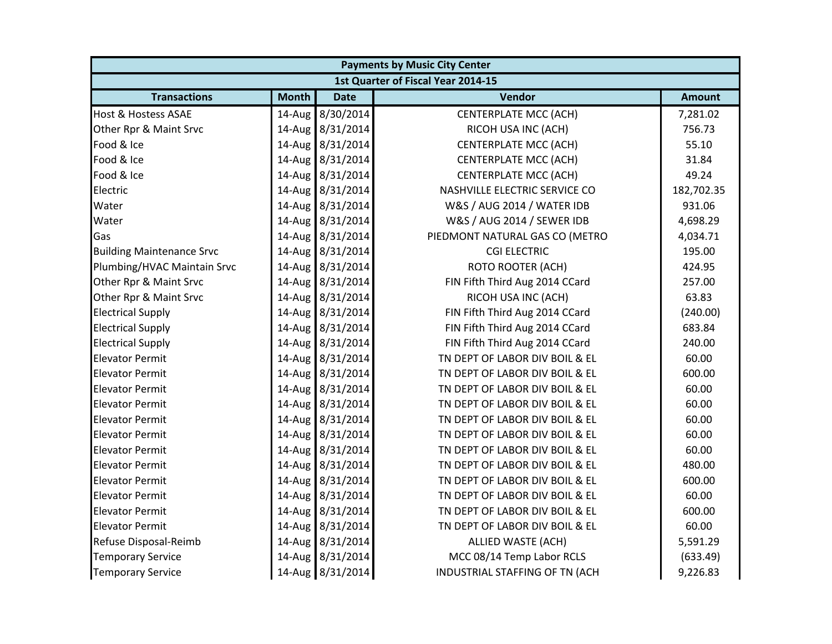|                                  |              |                  | <b>Payments by Music City Center</b> |               |
|----------------------------------|--------------|------------------|--------------------------------------|---------------|
|                                  |              |                  | 1st Quarter of Fiscal Year 2014-15   |               |
| <b>Transactions</b>              | <b>Month</b> | <b>Date</b>      | Vendor                               | <b>Amount</b> |
| <b>Host &amp; Hostess ASAE</b>   |              | 14-Aug 8/30/2014 | <b>CENTERPLATE MCC (ACH)</b>         | 7,281.02      |
| Other Rpr & Maint Srvc           |              | 14-Aug 8/31/2014 | RICOH USA INC (ACH)                  | 756.73        |
| Food & Ice                       |              | 14-Aug 8/31/2014 | <b>CENTERPLATE MCC (ACH)</b>         | 55.10         |
| Food & Ice                       |              | 14-Aug 8/31/2014 | <b>CENTERPLATE MCC (ACH)</b>         | 31.84         |
| Food & Ice                       |              | 14-Aug 8/31/2014 | <b>CENTERPLATE MCC (ACH)</b>         | 49.24         |
| Electric                         |              | 14-Aug 8/31/2014 | NASHVILLE ELECTRIC SERVICE CO        | 182,702.35    |
| Water                            |              | 14-Aug 8/31/2014 | W&S / AUG 2014 / WATER IDB           | 931.06        |
| Water                            |              | 14-Aug 8/31/2014 | W&S / AUG 2014 / SEWER IDB           | 4,698.29      |
| Gas                              |              | 14-Aug 8/31/2014 | PIEDMONT NATURAL GAS CO (METRO       | 4,034.71      |
| <b>Building Maintenance Srvc</b> |              | 14-Aug 8/31/2014 | <b>CGI ELECTRIC</b>                  | 195.00        |
| Plumbing/HVAC Maintain Srvc      |              | 14-Aug 8/31/2014 | <b>ROTO ROOTER (ACH)</b>             | 424.95        |
| Other Rpr & Maint Srvc           |              | 14-Aug 8/31/2014 | FIN Fifth Third Aug 2014 CCard       | 257.00        |
| Other Rpr & Maint Srvc           |              | 14-Aug 8/31/2014 | RICOH USA INC (ACH)                  | 63.83         |
| <b>Electrical Supply</b>         |              | 14-Aug 8/31/2014 | FIN Fifth Third Aug 2014 CCard       | (240.00)      |
| <b>Electrical Supply</b>         |              | 14-Aug 8/31/2014 | FIN Fifth Third Aug 2014 CCard       | 683.84        |
| <b>Electrical Supply</b>         |              | 14-Aug 8/31/2014 | FIN Fifth Third Aug 2014 CCard       | 240.00        |
| <b>Elevator Permit</b>           |              | 14-Aug 8/31/2014 | TN DEPT OF LABOR DIV BOIL & EL       | 60.00         |
| <b>Elevator Permit</b>           |              | 14-Aug 8/31/2014 | TN DEPT OF LABOR DIV BOIL & EL       | 600.00        |
| <b>Elevator Permit</b>           |              | 14-Aug 8/31/2014 | TN DEPT OF LABOR DIV BOIL & EL       | 60.00         |
| <b>Elevator Permit</b>           |              | 14-Aug 8/31/2014 | TN DEPT OF LABOR DIV BOIL & EL       | 60.00         |
| <b>Elevator Permit</b>           |              | 14-Aug 8/31/2014 | TN DEPT OF LABOR DIV BOIL & EL       | 60.00         |
| <b>Elevator Permit</b>           |              | 14-Aug 8/31/2014 | TN DEPT OF LABOR DIV BOIL & EL       | 60.00         |
| <b>Elevator Permit</b>           |              | 14-Aug 8/31/2014 | TN DEPT OF LABOR DIV BOIL & EL       | 60.00         |
| <b>Elevator Permit</b>           |              | 14-Aug 8/31/2014 | TN DEPT OF LABOR DIV BOIL & EL       | 480.00        |
| <b>Elevator Permit</b>           |              | 14-Aug 8/31/2014 | TN DEPT OF LABOR DIV BOIL & EL       | 600.00        |
| <b>Elevator Permit</b>           |              | 14-Aug 8/31/2014 | TN DEPT OF LABOR DIV BOIL & EL       | 60.00         |
| <b>Elevator Permit</b>           |              | 14-Aug 8/31/2014 | TN DEPT OF LABOR DIV BOIL & EL       | 600.00        |
| <b>Elevator Permit</b>           |              | 14-Aug 8/31/2014 | TN DEPT OF LABOR DIV BOIL & EL       | 60.00         |
| Refuse Disposal-Reimb            |              | 14-Aug 8/31/2014 | ALLIED WASTE (ACH)                   | 5,591.29      |
| <b>Temporary Service</b>         |              | 14-Aug 8/31/2014 | MCC 08/14 Temp Labor RCLS            | (633.49)      |
| <b>Temporary Service</b>         |              | 14-Aug 8/31/2014 | INDUSTRIAL STAFFING OF TN (ACH       | 9,226.83      |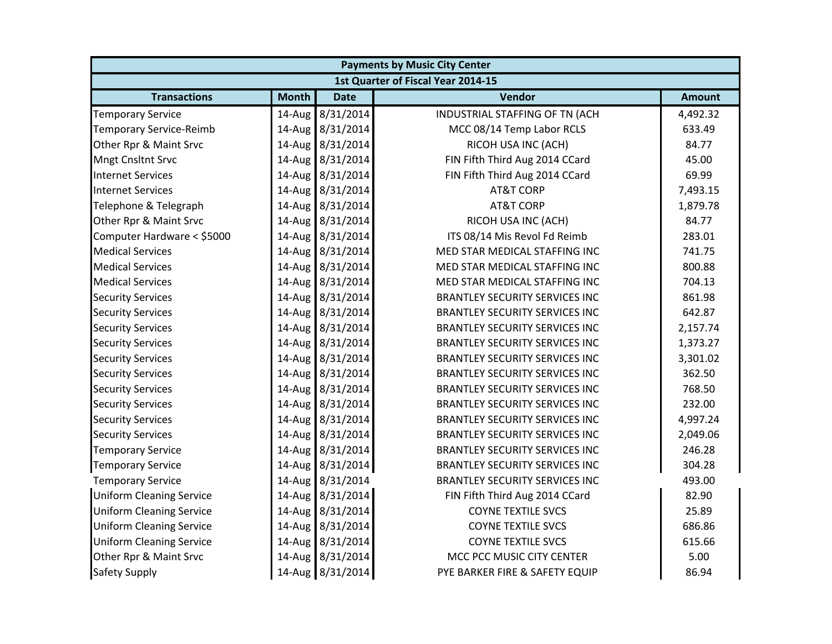| <b>Payments by Music City Center</b> |              |                  |                                       |               |  |  |
|--------------------------------------|--------------|------------------|---------------------------------------|---------------|--|--|
|                                      |              |                  | 1st Quarter of Fiscal Year 2014-15    |               |  |  |
| <b>Transactions</b>                  | <b>Month</b> | <b>Date</b>      | Vendor                                | <b>Amount</b> |  |  |
| <b>Temporary Service</b>             |              | 14-Aug 8/31/2014 | INDUSTRIAL STAFFING OF TN (ACH        | 4,492.32      |  |  |
| <b>Temporary Service-Reimb</b>       |              | 14-Aug 8/31/2014 | MCC 08/14 Temp Labor RCLS             | 633.49        |  |  |
| Other Rpr & Maint Srvc               |              | 14-Aug 8/31/2014 | RICOH USA INC (ACH)                   | 84.77         |  |  |
| <b>Mngt Cnsltnt Srvc</b>             |              | 14-Aug 8/31/2014 | FIN Fifth Third Aug 2014 CCard        | 45.00         |  |  |
| <b>Internet Services</b>             |              | 14-Aug 8/31/2014 | FIN Fifth Third Aug 2014 CCard        | 69.99         |  |  |
| <b>Internet Services</b>             |              | 14-Aug 8/31/2014 | <b>AT&amp;T CORP</b>                  | 7,493.15      |  |  |
| Telephone & Telegraph                |              | 14-Aug 8/31/2014 | <b>AT&amp;T CORP</b>                  | 1,879.78      |  |  |
| Other Rpr & Maint Srvc               |              | 14-Aug 8/31/2014 | RICOH USA INC (ACH)                   | 84.77         |  |  |
| Computer Hardware < \$5000           |              | 14-Aug 8/31/2014 | ITS 08/14 Mis Revol Fd Reimb          | 283.01        |  |  |
| <b>Medical Services</b>              |              | 14-Aug 8/31/2014 | MED STAR MEDICAL STAFFING INC         | 741.75        |  |  |
| <b>Medical Services</b>              |              | 14-Aug 8/31/2014 | MED STAR MEDICAL STAFFING INC         | 800.88        |  |  |
| <b>Medical Services</b>              |              | 14-Aug 8/31/2014 | MED STAR MEDICAL STAFFING INC         | 704.13        |  |  |
| <b>Security Services</b>             |              | 14-Aug 8/31/2014 | <b>BRANTLEY SECURITY SERVICES INC</b> | 861.98        |  |  |
| <b>Security Services</b>             |              | 14-Aug 8/31/2014 | <b>BRANTLEY SECURITY SERVICES INC</b> | 642.87        |  |  |
| <b>Security Services</b>             |              | 14-Aug 8/31/2014 | <b>BRANTLEY SECURITY SERVICES INC</b> | 2,157.74      |  |  |
| <b>Security Services</b>             |              | 14-Aug 8/31/2014 | <b>BRANTLEY SECURITY SERVICES INC</b> | 1,373.27      |  |  |
| <b>Security Services</b>             |              | 14-Aug 8/31/2014 | <b>BRANTLEY SECURITY SERVICES INC</b> | 3,301.02      |  |  |
| <b>Security Services</b>             |              | 14-Aug 8/31/2014 | <b>BRANTLEY SECURITY SERVICES INC</b> | 362.50        |  |  |
| <b>Security Services</b>             |              | 14-Aug 8/31/2014 | <b>BRANTLEY SECURITY SERVICES INC</b> | 768.50        |  |  |
| <b>Security Services</b>             |              | 14-Aug 8/31/2014 | <b>BRANTLEY SECURITY SERVICES INC</b> | 232.00        |  |  |
| <b>Security Services</b>             |              | 14-Aug 8/31/2014 | <b>BRANTLEY SECURITY SERVICES INC</b> | 4,997.24      |  |  |
| <b>Security Services</b>             |              | 14-Aug 8/31/2014 | <b>BRANTLEY SECURITY SERVICES INC</b> | 2,049.06      |  |  |
| <b>Temporary Service</b>             |              | 14-Aug 8/31/2014 | <b>BRANTLEY SECURITY SERVICES INC</b> | 246.28        |  |  |
| <b>Temporary Service</b>             |              | 14-Aug 8/31/2014 | <b>BRANTLEY SECURITY SERVICES INC</b> | 304.28        |  |  |
| <b>Temporary Service</b>             |              | 14-Aug 8/31/2014 | <b>BRANTLEY SECURITY SERVICES INC</b> | 493.00        |  |  |
| <b>Uniform Cleaning Service</b>      |              | 14-Aug 8/31/2014 | FIN Fifth Third Aug 2014 CCard        | 82.90         |  |  |
| <b>Uniform Cleaning Service</b>      |              | 14-Aug 8/31/2014 | <b>COYNE TEXTILE SVCS</b>             | 25.89         |  |  |
| <b>Uniform Cleaning Service</b>      |              | 14-Aug 8/31/2014 | <b>COYNE TEXTILE SVCS</b>             | 686.86        |  |  |
| <b>Uniform Cleaning Service</b>      |              | 14-Aug 8/31/2014 | <b>COYNE TEXTILE SVCS</b>             | 615.66        |  |  |
| Other Rpr & Maint Srvc               |              | 14-Aug 8/31/2014 | MCC PCC MUSIC CITY CENTER             | 5.00          |  |  |
| <b>Safety Supply</b>                 |              | 14-Aug 8/31/2014 | PYE BARKER FIRE & SAFETY EQUIP        | 86.94         |  |  |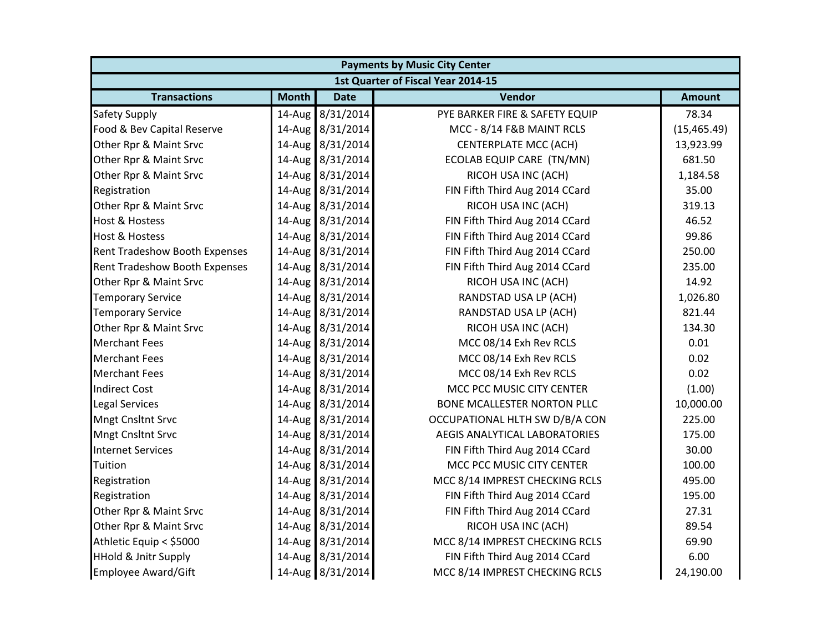| <b>Payments by Music City Center</b> |              |                  |                                    |               |  |  |
|--------------------------------------|--------------|------------------|------------------------------------|---------------|--|--|
|                                      |              |                  | 1st Quarter of Fiscal Year 2014-15 |               |  |  |
| <b>Transactions</b>                  | <b>Month</b> | <b>Date</b>      | Vendor                             | <b>Amount</b> |  |  |
| <b>Safety Supply</b>                 | 14-Aug       | 8/31/2014        | PYE BARKER FIRE & SAFETY EQUIP     | 78.34         |  |  |
| Food & Bev Capital Reserve           |              | 14-Aug 8/31/2014 | MCC - 8/14 F&B MAINT RCLS          | (15, 465.49)  |  |  |
| Other Rpr & Maint Srvc               |              | 14-Aug 8/31/2014 | <b>CENTERPLATE MCC (ACH)</b>       | 13,923.99     |  |  |
| Other Rpr & Maint Srvc               |              | 14-Aug 8/31/2014 | ECOLAB EQUIP CARE (TN/MN)          | 681.50        |  |  |
| Other Rpr & Maint Srvc               |              | 14-Aug 8/31/2014 | RICOH USA INC (ACH)                | 1,184.58      |  |  |
| Registration                         |              | 14-Aug 8/31/2014 | FIN Fifth Third Aug 2014 CCard     | 35.00         |  |  |
| Other Rpr & Maint Srvc               |              | 14-Aug 8/31/2014 | RICOH USA INC (ACH)                | 319.13        |  |  |
| <b>Host &amp; Hostess</b>            |              | 14-Aug 8/31/2014 | FIN Fifth Third Aug 2014 CCard     | 46.52         |  |  |
| <b>Host &amp; Hostess</b>            |              | 14-Aug 8/31/2014 | FIN Fifth Third Aug 2014 CCard     | 99.86         |  |  |
| Rent Tradeshow Booth Expenses        |              | 14-Aug 8/31/2014 | FIN Fifth Third Aug 2014 CCard     | 250.00        |  |  |
| Rent Tradeshow Booth Expenses        |              | 14-Aug 8/31/2014 | FIN Fifth Third Aug 2014 CCard     | 235.00        |  |  |
| Other Rpr & Maint Srvc               |              | 14-Aug 8/31/2014 | RICOH USA INC (ACH)                | 14.92         |  |  |
| <b>Temporary Service</b>             |              | 14-Aug 8/31/2014 | RANDSTAD USA LP (ACH)              | 1,026.80      |  |  |
| <b>Temporary Service</b>             |              | 14-Aug 8/31/2014 | RANDSTAD USA LP (ACH)              | 821.44        |  |  |
| Other Rpr & Maint Srvc               |              | 14-Aug 8/31/2014 | RICOH USA INC (ACH)                | 134.30        |  |  |
| <b>Merchant Fees</b>                 |              | 14-Aug 8/31/2014 | MCC 08/14 Exh Rev RCLS             | 0.01          |  |  |
| <b>Merchant Fees</b>                 |              | 14-Aug 8/31/2014 | MCC 08/14 Exh Rev RCLS             | 0.02          |  |  |
| <b>Merchant Fees</b>                 |              | 14-Aug 8/31/2014 | MCC 08/14 Exh Rev RCLS             | 0.02          |  |  |
| <b>Indirect Cost</b>                 |              | 14-Aug 8/31/2014 | MCC PCC MUSIC CITY CENTER          | (1.00)        |  |  |
| Legal Services                       |              | 14-Aug 8/31/2014 | <b>BONE MCALLESTER NORTON PLLC</b> | 10,000.00     |  |  |
| <b>Mngt Cnsltnt Srvc</b>             |              | 14-Aug 8/31/2014 | OCCUPATIONAL HLTH SW D/B/A CON     | 225.00        |  |  |
| <b>Mngt Cnsltnt Srvc</b>             |              | 14-Aug 8/31/2014 | AEGIS ANALYTICAL LABORATORIES      | 175.00        |  |  |
| <b>Internet Services</b>             |              | 14-Aug 8/31/2014 | FIN Fifth Third Aug 2014 CCard     | 30.00         |  |  |
| Tuition                              |              | 14-Aug 8/31/2014 | MCC PCC MUSIC CITY CENTER          | 100.00        |  |  |
| Registration                         |              | 14-Aug 8/31/2014 | MCC 8/14 IMPREST CHECKING RCLS     | 495.00        |  |  |
| Registration                         |              | 14-Aug 8/31/2014 | FIN Fifth Third Aug 2014 CCard     | 195.00        |  |  |
| Other Rpr & Maint Srvc               |              | 14-Aug 8/31/2014 | FIN Fifth Third Aug 2014 CCard     | 27.31         |  |  |
| Other Rpr & Maint Srvc               |              | 14-Aug 8/31/2014 | RICOH USA INC (ACH)                | 89.54         |  |  |
| Athletic Equip < \$5000              |              | 14-Aug 8/31/2014 | MCC 8/14 IMPREST CHECKING RCLS     | 69.90         |  |  |
| <b>HHold &amp; Jnitr Supply</b>      |              | 14-Aug 8/31/2014 | FIN Fifth Third Aug 2014 CCard     | 6.00          |  |  |
| <b>Employee Award/Gift</b>           |              | 14-Aug 8/31/2014 | MCC 8/14 IMPREST CHECKING RCLS     | 24,190.00     |  |  |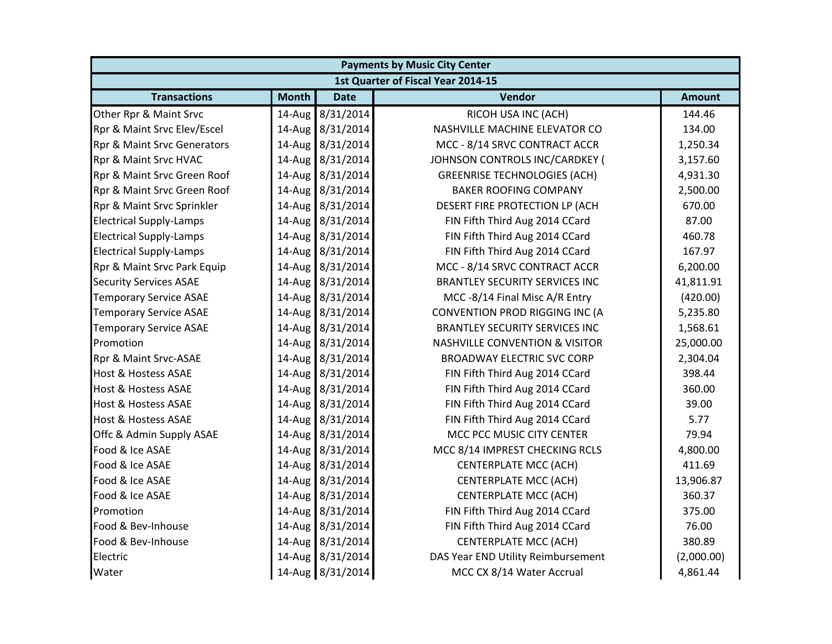| <b>Payments by Music City Center</b> |              |                  |                                           |               |  |  |
|--------------------------------------|--------------|------------------|-------------------------------------------|---------------|--|--|
|                                      |              |                  | 1st Quarter of Fiscal Year 2014-15        |               |  |  |
| <b>Transactions</b>                  | <b>Month</b> | <b>Date</b>      | Vendor                                    | <b>Amount</b> |  |  |
| Other Rpr & Maint Srvc               | $14$ -Aug    | 8/31/2014        | RICOH USA INC (ACH)                       | 144.46        |  |  |
| Rpr & Maint Srvc Elev/Escel          |              | 14-Aug 8/31/2014 | NASHVILLE MACHINE ELEVATOR CO             | 134.00        |  |  |
| Rpr & Maint Srvc Generators          |              | 14-Aug 8/31/2014 | MCC - 8/14 SRVC CONTRACT ACCR             | 1,250.34      |  |  |
| Rpr & Maint Srvc HVAC                |              | 14-Aug 8/31/2014 | JOHNSON CONTROLS INC/CARDKEY (            | 3,157.60      |  |  |
| Rpr & Maint Srvc Green Roof          |              | 14-Aug 8/31/2014 | <b>GREENRISE TECHNOLOGIES (ACH)</b>       | 4,931.30      |  |  |
| Rpr & Maint Srvc Green Roof          |              | 14-Aug 8/31/2014 | <b>BAKER ROOFING COMPANY</b>              | 2,500.00      |  |  |
| Rpr & Maint Srvc Sprinkler           |              | 14-Aug 8/31/2014 | DESERT FIRE PROTECTION LP (ACH            | 670.00        |  |  |
| <b>Electrical Supply-Lamps</b>       |              | 14-Aug 8/31/2014 | FIN Fifth Third Aug 2014 CCard            | 87.00         |  |  |
| <b>Electrical Supply-Lamps</b>       |              | 14-Aug 8/31/2014 | FIN Fifth Third Aug 2014 CCard            | 460.78        |  |  |
| <b>Electrical Supply-Lamps</b>       |              | 14-Aug 8/31/2014 | FIN Fifth Third Aug 2014 CCard            | 167.97        |  |  |
| Rpr & Maint Srvc Park Equip          |              | 14-Aug 8/31/2014 | MCC - 8/14 SRVC CONTRACT ACCR             | 6,200.00      |  |  |
| <b>Security Services ASAE</b>        |              | 14-Aug 8/31/2014 | <b>BRANTLEY SECURITY SERVICES INC</b>     | 41,811.91     |  |  |
| <b>Temporary Service ASAE</b>        |              | 14-Aug 8/31/2014 | MCC-8/14 Final Misc A/R Entry             | (420.00)      |  |  |
| <b>Temporary Service ASAE</b>        |              | 14-Aug 8/31/2014 | CONVENTION PROD RIGGING INC (A            | 5,235.80      |  |  |
| <b>Temporary Service ASAE</b>        |              | 14-Aug 8/31/2014 | <b>BRANTLEY SECURITY SERVICES INC</b>     | 1,568.61      |  |  |
| Promotion                            |              | 14-Aug 8/31/2014 | <b>NASHVILLE CONVENTION &amp; VISITOR</b> | 25,000.00     |  |  |
| Rpr & Maint Srvc-ASAE                |              | 14-Aug 8/31/2014 | <b>BROADWAY ELECTRIC SVC CORP</b>         | 2,304.04      |  |  |
| <b>Host &amp; Hostess ASAE</b>       |              | 14-Aug 8/31/2014 | FIN Fifth Third Aug 2014 CCard            | 398.44        |  |  |
| <b>Host &amp; Hostess ASAE</b>       |              | 14-Aug 8/31/2014 | FIN Fifth Third Aug 2014 CCard            | 360.00        |  |  |
| <b>Host &amp; Hostess ASAE</b>       |              | 14-Aug 8/31/2014 | FIN Fifth Third Aug 2014 CCard            | 39.00         |  |  |
| <b>Host &amp; Hostess ASAE</b>       |              | 14-Aug 8/31/2014 | FIN Fifth Third Aug 2014 CCard            | 5.77          |  |  |
| Offc & Admin Supply ASAE             |              | 14-Aug 8/31/2014 | MCC PCC MUSIC CITY CENTER                 | 79.94         |  |  |
| Food & Ice ASAE                      |              | 14-Aug 8/31/2014 | MCC 8/14 IMPREST CHECKING RCLS            | 4,800.00      |  |  |
| Food & Ice ASAE                      |              | 14-Aug 8/31/2014 | <b>CENTERPLATE MCC (ACH)</b>              | 411.69        |  |  |
| Food & Ice ASAE                      |              | 14-Aug 8/31/2014 | <b>CENTERPLATE MCC (ACH)</b>              | 13,906.87     |  |  |
| Food & Ice ASAE                      |              | 14-Aug 8/31/2014 | <b>CENTERPLATE MCC (ACH)</b>              | 360.37        |  |  |
| Promotion                            |              | 14-Aug 8/31/2014 | FIN Fifth Third Aug 2014 CCard            | 375.00        |  |  |
| Food & Bev-Inhouse                   |              | 14-Aug 8/31/2014 | FIN Fifth Third Aug 2014 CCard            | 76.00         |  |  |
| Food & Bev-Inhouse                   |              | 14-Aug 8/31/2014 | <b>CENTERPLATE MCC (ACH)</b>              | 380.89        |  |  |
| Electric                             |              | 14-Aug 8/31/2014 | DAS Year END Utility Reimbursement        | (2,000.00)    |  |  |
| Water                                |              | 14-Aug 8/31/2014 | MCC CX 8/14 Water Accrual                 | 4,861.44      |  |  |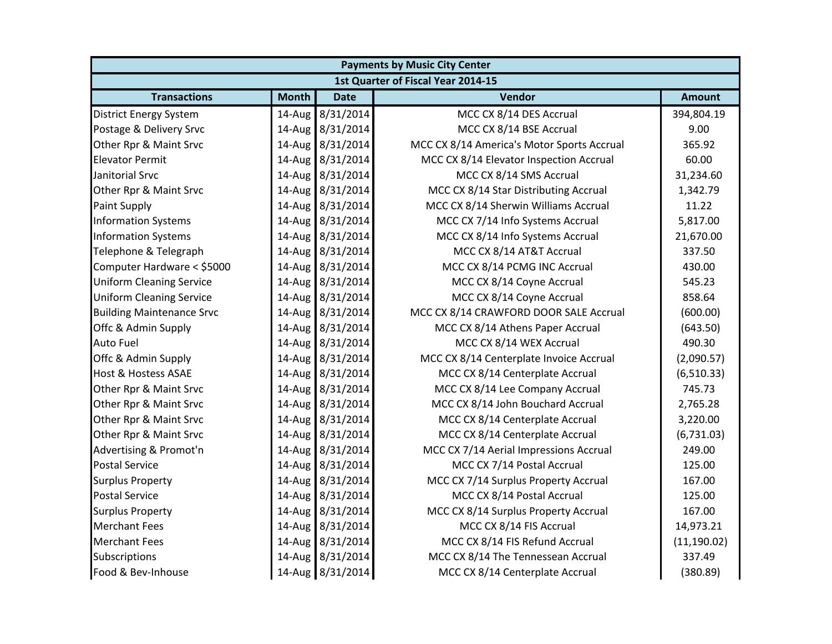| <b>Payments by Music City Center</b> |              |                  |                                            |               |  |
|--------------------------------------|--------------|------------------|--------------------------------------------|---------------|--|
|                                      |              |                  | 1st Quarter of Fiscal Year 2014-15         |               |  |
| <b>Transactions</b>                  | <b>Month</b> | <b>Date</b>      | Vendor                                     | <b>Amount</b> |  |
| <b>District Energy System</b>        | 14-Aug       | 8/31/2014        | MCC CX 8/14 DES Accrual                    | 394,804.19    |  |
| Postage & Delivery Srvc              |              | 14-Aug 8/31/2014 | MCC CX 8/14 BSE Accrual                    | 9.00          |  |
| Other Rpr & Maint Srvc               |              | 14-Aug 8/31/2014 | MCC CX 8/14 America's Motor Sports Accrual | 365.92        |  |
| <b>Elevator Permit</b>               |              | 14-Aug 8/31/2014 | MCC CX 8/14 Elevator Inspection Accrual    | 60.00         |  |
| Janitorial Srvc                      |              | 14-Aug 8/31/2014 | MCC CX 8/14 SMS Accrual                    | 31,234.60     |  |
| Other Rpr & Maint Srvc               |              | 14-Aug 8/31/2014 | MCC CX 8/14 Star Distributing Accrual      | 1,342.79      |  |
| <b>Paint Supply</b>                  |              | 14-Aug 8/31/2014 | MCC CX 8/14 Sherwin Williams Accrual       | 11.22         |  |
| <b>Information Systems</b>           |              | 14-Aug 8/31/2014 | MCC CX 7/14 Info Systems Accrual           | 5,817.00      |  |
| <b>Information Systems</b>           |              | 14-Aug 8/31/2014 | MCC CX 8/14 Info Systems Accrual           | 21,670.00     |  |
| Telephone & Telegraph                |              | 14-Aug 8/31/2014 | MCC CX 8/14 AT&T Accrual                   | 337.50        |  |
| Computer Hardware < \$5000           |              | 14-Aug 8/31/2014 | MCC CX 8/14 PCMG INC Accrual               | 430.00        |  |
| <b>Uniform Cleaning Service</b>      |              | 14-Aug 8/31/2014 | MCC CX 8/14 Coyne Accrual                  | 545.23        |  |
| Uniform Cleaning Service             |              | 14-Aug 8/31/2014 | MCC CX 8/14 Coyne Accrual                  | 858.64        |  |
| <b>Building Maintenance Srvc</b>     |              | 14-Aug 8/31/2014 | MCC CX 8/14 CRAWFORD DOOR SALE Accrual     | (600.00)      |  |
| Offc & Admin Supply                  |              | 14-Aug 8/31/2014 | MCC CX 8/14 Athens Paper Accrual           | (643.50)      |  |
| <b>Auto Fuel</b>                     |              | 14-Aug 8/31/2014 | MCC CX 8/14 WEX Accrual                    | 490.30        |  |
| Offc & Admin Supply                  |              | 14-Aug 8/31/2014 | MCC CX 8/14 Centerplate Invoice Accrual    | (2,090.57)    |  |
| <b>Host &amp; Hostess ASAE</b>       |              | 14-Aug 8/31/2014 | MCC CX 8/14 Centerplate Accrual            | (6,510.33)    |  |
| Other Rpr & Maint Srvc               |              | 14-Aug 8/31/2014 | MCC CX 8/14 Lee Company Accrual            | 745.73        |  |
| Other Rpr & Maint Srvc               |              | 14-Aug 8/31/2014 | MCC CX 8/14 John Bouchard Accrual          | 2,765.28      |  |
| Other Rpr & Maint Srvc               |              | 14-Aug 8/31/2014 | MCC CX 8/14 Centerplate Accrual            | 3,220.00      |  |
| Other Rpr & Maint Srvc               |              | 14-Aug 8/31/2014 | MCC CX 8/14 Centerplate Accrual            | (6,731.03)    |  |
| Advertising & Promot'n               |              | 14-Aug 8/31/2014 | MCC CX 7/14 Aerial Impressions Accrual     | 249.00        |  |
| <b>Postal Service</b>                |              | 14-Aug 8/31/2014 | MCC CX 7/14 Postal Accrual                 | 125.00        |  |
| <b>Surplus Property</b>              |              | 14-Aug 8/31/2014 | MCC CX 7/14 Surplus Property Accrual       | 167.00        |  |
| <b>Postal Service</b>                |              | 14-Aug 8/31/2014 | MCC CX 8/14 Postal Accrual                 | 125.00        |  |
| <b>Surplus Property</b>              |              | 14-Aug 8/31/2014 | MCC CX 8/14 Surplus Property Accrual       | 167.00        |  |
| <b>Merchant Fees</b>                 |              | 14-Aug 8/31/2014 | MCC CX 8/14 FIS Accrual                    | 14,973.21     |  |
| <b>Merchant Fees</b>                 |              | 14-Aug 8/31/2014 | MCC CX 8/14 FIS Refund Accrual             | (11, 190.02)  |  |
| Subscriptions                        |              | 14-Aug 8/31/2014 | MCC CX 8/14 The Tennessean Accrual         | 337.49        |  |
| Food & Bev-Inhouse                   |              | 14-Aug 8/31/2014 | MCC CX 8/14 Centerplate Accrual            | (380.89)      |  |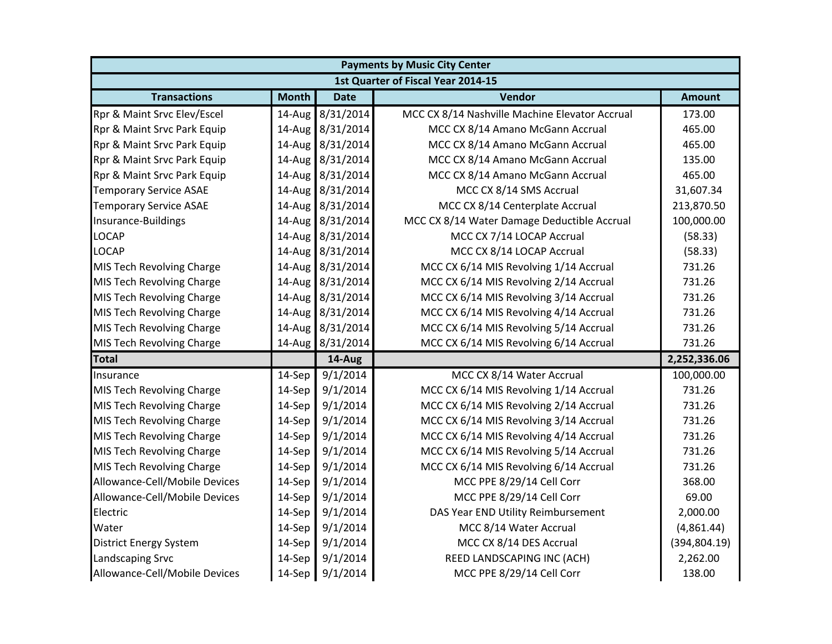| <b>Payments by Music City Center</b> |              |                  |                                                |               |  |
|--------------------------------------|--------------|------------------|------------------------------------------------|---------------|--|
|                                      |              |                  | 1st Quarter of Fiscal Year 2014-15             |               |  |
| <b>Transactions</b>                  | <b>Month</b> | <b>Date</b>      | Vendor                                         | <b>Amount</b> |  |
| Rpr & Maint Srvc Elev/Escel          | 14-Aug       | 8/31/2014        | MCC CX 8/14 Nashville Machine Elevator Accrual | 173.00        |  |
| Rpr & Maint Srvc Park Equip          | 14-Aug       | 8/31/2014        | MCC CX 8/14 Amano McGann Accrual               | 465.00        |  |
| Rpr & Maint Srvc Park Equip          |              | 14-Aug 8/31/2014 | MCC CX 8/14 Amano McGann Accrual               | 465.00        |  |
| Rpr & Maint Srvc Park Equip          |              | 14-Aug 8/31/2014 | MCC CX 8/14 Amano McGann Accrual               | 135.00        |  |
| Rpr & Maint Srvc Park Equip          |              | 14-Aug 8/31/2014 | MCC CX 8/14 Amano McGann Accrual               | 465.00        |  |
| <b>Temporary Service ASAE</b>        | 14-Aug       | 8/31/2014        | MCC CX 8/14 SMS Accrual                        | 31,607.34     |  |
| <b>Temporary Service ASAE</b>        | $14$ -Aug    | 8/31/2014        | MCC CX 8/14 Centerplate Accrual                | 213,870.50    |  |
| Insurance-Buildings                  | 14-Aug       | 8/31/2014        | MCC CX 8/14 Water Damage Deductible Accrual    | 100,000.00    |  |
| <b>LOCAP</b>                         |              | 14-Aug 8/31/2014 | MCC CX 7/14 LOCAP Accrual                      | (58.33)       |  |
| <b>LOCAP</b>                         |              | 14-Aug 8/31/2014 | MCC CX 8/14 LOCAP Accrual                      | (58.33)       |  |
| MIS Tech Revolving Charge            |              | 14-Aug 8/31/2014 | MCC CX 6/14 MIS Revolving 1/14 Accrual         | 731.26        |  |
| MIS Tech Revolving Charge            | 14-Aug       | 8/31/2014        | MCC CX 6/14 MIS Revolving 2/14 Accrual         | 731.26        |  |
| MIS Tech Revolving Charge            | 14-Aug       | 8/31/2014        | MCC CX 6/14 MIS Revolving 3/14 Accrual         | 731.26        |  |
| MIS Tech Revolving Charge            | $14$ -Aug    | 8/31/2014        | MCC CX 6/14 MIS Revolving 4/14 Accrual         | 731.26        |  |
| MIS Tech Revolving Charge            |              | 14-Aug 8/31/2014 | MCC CX 6/14 MIS Revolving 5/14 Accrual         | 731.26        |  |
| MIS Tech Revolving Charge            |              | 14-Aug 8/31/2014 | MCC CX 6/14 MIS Revolving 6/14 Accrual         | 731.26        |  |
| <b>Total</b>                         |              | 14-Aug           |                                                | 2,252,336.06  |  |
| Insurance                            | 14-Sep       | 9/1/2014         | MCC CX 8/14 Water Accrual                      | 100,000.00    |  |
| MIS Tech Revolving Charge            | 14-Sep       | 9/1/2014         | MCC CX 6/14 MIS Revolving 1/14 Accrual         | 731.26        |  |
| MIS Tech Revolving Charge            | 14-Sep       | 9/1/2014         | MCC CX 6/14 MIS Revolving 2/14 Accrual         | 731.26        |  |
| MIS Tech Revolving Charge            | 14-Sep       | 9/1/2014         | MCC CX 6/14 MIS Revolving 3/14 Accrual         | 731.26        |  |
| MIS Tech Revolving Charge            | 14-Sep       | 9/1/2014         | MCC CX 6/14 MIS Revolving 4/14 Accrual         | 731.26        |  |
| MIS Tech Revolving Charge            | 14-Sep       | 9/1/2014         | MCC CX 6/14 MIS Revolving 5/14 Accrual         | 731.26        |  |
| MIS Tech Revolving Charge            | 14-Sep       | 9/1/2014         | MCC CX 6/14 MIS Revolving 6/14 Accrual         | 731.26        |  |
| Allowance-Cell/Mobile Devices        | 14-Sep       | 9/1/2014         | MCC PPE 8/29/14 Cell Corr                      | 368.00        |  |
| Allowance-Cell/Mobile Devices        | 14-Sep       | 9/1/2014         | MCC PPE 8/29/14 Cell Corr                      | 69.00         |  |
| Electric                             | 14-Sep       | 9/1/2014         | DAS Year END Utility Reimbursement             | 2,000.00      |  |
| Water                                | 14-Sep       | 9/1/2014         | MCC 8/14 Water Accrual                         | (4,861.44)    |  |
| <b>District Energy System</b>        | 14-Sep       | 9/1/2014         | MCC CX 8/14 DES Accrual                        | (394, 804.19) |  |
| Landscaping Srvc                     | 14-Sep       | 9/1/2014         | REED LANDSCAPING INC (ACH)                     | 2,262.00      |  |
| Allowance-Cell/Mobile Devices        | 14-Sep       | 9/1/2014         | MCC PPE 8/29/14 Cell Corr                      | 138.00        |  |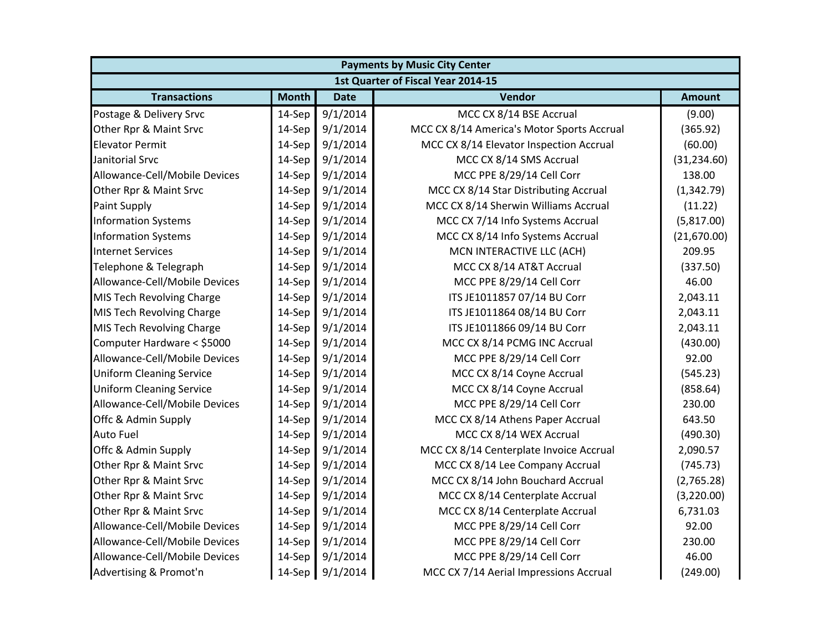| <b>Payments by Music City Center</b> |              |             |                                            |               |
|--------------------------------------|--------------|-------------|--------------------------------------------|---------------|
|                                      |              |             | 1st Quarter of Fiscal Year 2014-15         |               |
| <b>Transactions</b>                  | <b>Month</b> | <b>Date</b> | Vendor                                     | <b>Amount</b> |
| Postage & Delivery Srvc              | 14-Sep       | 9/1/2014    | MCC CX 8/14 BSE Accrual                    | (9.00)        |
| Other Rpr & Maint Srvc               | 14-Sep       | 9/1/2014    | MCC CX 8/14 America's Motor Sports Accrual | (365.92)      |
| <b>Elevator Permit</b>               | 14-Sep       | 9/1/2014    | MCC CX 8/14 Elevator Inspection Accrual    | (60.00)       |
| Janitorial Srvc                      | 14-Sep       | 9/1/2014    | MCC CX 8/14 SMS Accrual                    | (31, 234.60)  |
| Allowance-Cell/Mobile Devices        | 14-Sep       | 9/1/2014    | MCC PPE 8/29/14 Cell Corr                  | 138.00        |
| Other Rpr & Maint Srvc               | 14-Sep       | 9/1/2014    | MCC CX 8/14 Star Distributing Accrual      | (1,342.79)    |
| <b>Paint Supply</b>                  | 14-Sep       | 9/1/2014    | MCC CX 8/14 Sherwin Williams Accrual       | (11.22)       |
| <b>Information Systems</b>           | 14-Sep       | 9/1/2014    | MCC CX 7/14 Info Systems Accrual           | (5,817.00)    |
| <b>Information Systems</b>           | 14-Sep       | 9/1/2014    | MCC CX 8/14 Info Systems Accrual           | (21,670.00)   |
| <b>Internet Services</b>             | 14-Sep       | 9/1/2014    | MCN INTERACTIVE LLC (ACH)                  | 209.95        |
| Telephone & Telegraph                | 14-Sep       | 9/1/2014    | MCC CX 8/14 AT&T Accrual                   | (337.50)      |
| Allowance-Cell/Mobile Devices        | 14-Sep       | 9/1/2014    | MCC PPE 8/29/14 Cell Corr                  | 46.00         |
| MIS Tech Revolving Charge            | 14-Sep       | 9/1/2014    | ITS JE1011857 07/14 BU Corr                | 2,043.11      |
| MIS Tech Revolving Charge            | 14-Sep       | 9/1/2014    | ITS JE1011864 08/14 BU Corr                | 2,043.11      |
| MIS Tech Revolving Charge            | 14-Sep       | 9/1/2014    | ITS JE1011866 09/14 BU Corr                | 2,043.11      |
| Computer Hardware < \$5000           | 14-Sep       | 9/1/2014    | MCC CX 8/14 PCMG INC Accrual               | (430.00)      |
| Allowance-Cell/Mobile Devices        | 14-Sep       | 9/1/2014    | MCC PPE 8/29/14 Cell Corr                  | 92.00         |
| <b>Uniform Cleaning Service</b>      | 14-Sep       | 9/1/2014    | MCC CX 8/14 Coyne Accrual                  | (545.23)      |
| <b>Uniform Cleaning Service</b>      | 14-Sep       | 9/1/2014    | MCC CX 8/14 Coyne Accrual                  | (858.64)      |
| Allowance-Cell/Mobile Devices        | 14-Sep       | 9/1/2014    | MCC PPE 8/29/14 Cell Corr                  | 230.00        |
| Offc & Admin Supply                  | 14-Sep       | 9/1/2014    | MCC CX 8/14 Athens Paper Accrual           | 643.50        |
| <b>Auto Fuel</b>                     | 14-Sep       | 9/1/2014    | MCC CX 8/14 WEX Accrual                    | (490.30)      |
| Offc & Admin Supply                  | 14-Sep       | 9/1/2014    | MCC CX 8/14 Centerplate Invoice Accrual    | 2,090.57      |
| Other Rpr & Maint Srvc               | 14-Sep       | 9/1/2014    | MCC CX 8/14 Lee Company Accrual            | (745.73)      |
| Other Rpr & Maint Srvc               | 14-Sep       | 9/1/2014    | MCC CX 8/14 John Bouchard Accrual          | (2,765.28)    |
| Other Rpr & Maint Srvc               | 14-Sep       | 9/1/2014    | MCC CX 8/14 Centerplate Accrual            | (3,220.00)    |
| Other Rpr & Maint Srvc               | 14-Sep       | 9/1/2014    | MCC CX 8/14 Centerplate Accrual            | 6,731.03      |
| Allowance-Cell/Mobile Devices        | 14-Sep       | 9/1/2014    | MCC PPE 8/29/14 Cell Corr                  | 92.00         |
| Allowance-Cell/Mobile Devices        | 14-Sep       | 9/1/2014    | MCC PPE 8/29/14 Cell Corr                  | 230.00        |
| Allowance-Cell/Mobile Devices        | 14-Sep       | 9/1/2014    | MCC PPE 8/29/14 Cell Corr                  | 46.00         |
| Advertising & Promot'n               | 14-Sep       | 9/1/2014    | MCC CX 7/14 Aerial Impressions Accrual     | (249.00)      |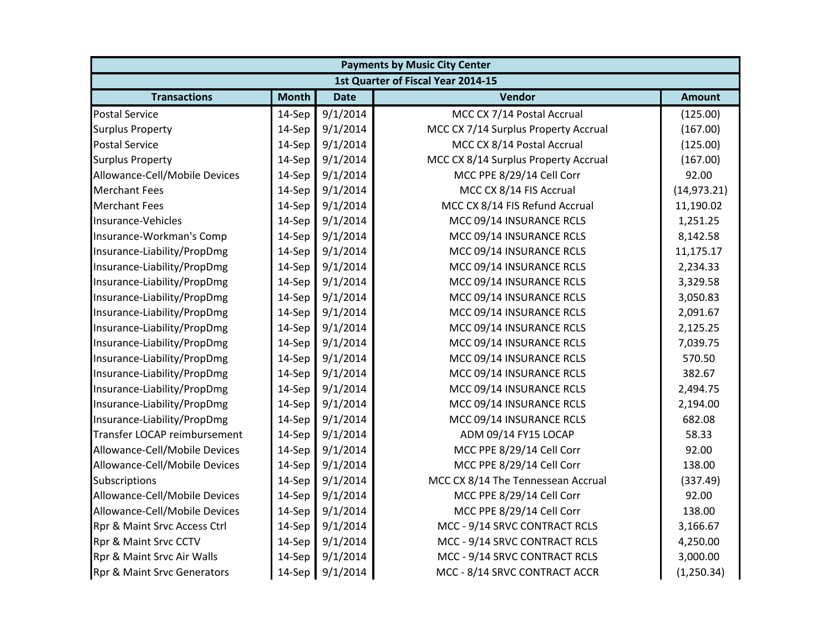| <b>Payments by Music City Center</b> |              |             |                                      |               |
|--------------------------------------|--------------|-------------|--------------------------------------|---------------|
|                                      |              |             | 1st Quarter of Fiscal Year 2014-15   |               |
| <b>Transactions</b>                  | <b>Month</b> | <b>Date</b> | Vendor                               | <b>Amount</b> |
| <b>Postal Service</b>                | 14-Sep       | 9/1/2014    | MCC CX 7/14 Postal Accrual           | (125.00)      |
| <b>Surplus Property</b>              | 14-Sep       | 9/1/2014    | MCC CX 7/14 Surplus Property Accrual | (167.00)      |
| <b>Postal Service</b>                | 14-Sep       | 9/1/2014    | MCC CX 8/14 Postal Accrual           | (125.00)      |
| <b>Surplus Property</b>              | 14-Sep       | 9/1/2014    | MCC CX 8/14 Surplus Property Accrual | (167.00)      |
| Allowance-Cell/Mobile Devices        | 14-Sep       | 9/1/2014    | MCC PPE 8/29/14 Cell Corr            | 92.00         |
| <b>Merchant Fees</b>                 | 14-Sep       | 9/1/2014    | MCC CX 8/14 FIS Accrual              | (14, 973.21)  |
| <b>Merchant Fees</b>                 | 14-Sep       | 9/1/2014    | MCC CX 8/14 FIS Refund Accrual       | 11,190.02     |
| Insurance-Vehicles                   | 14-Sep       | 9/1/2014    | MCC 09/14 INSURANCE RCLS             | 1,251.25      |
| Insurance-Workman's Comp             | 14-Sep       | 9/1/2014    | MCC 09/14 INSURANCE RCLS             | 8,142.58      |
| Insurance-Liability/PropDmg          | 14-Sep       | 9/1/2014    | MCC 09/14 INSURANCE RCLS             | 11,175.17     |
| Insurance-Liability/PropDmg          | 14-Sep       | 9/1/2014    | MCC 09/14 INSURANCE RCLS             | 2,234.33      |
| Insurance-Liability/PropDmg          | 14-Sep       | 9/1/2014    | MCC 09/14 INSURANCE RCLS             | 3,329.58      |
| Insurance-Liability/PropDmg          | 14-Sep       | 9/1/2014    | MCC 09/14 INSURANCE RCLS             | 3,050.83      |
| Insurance-Liability/PropDmg          | 14-Sep       | 9/1/2014    | MCC 09/14 INSURANCE RCLS             | 2,091.67      |
| Insurance-Liability/PropDmg          | 14-Sep       | 9/1/2014    | MCC 09/14 INSURANCE RCLS             | 2,125.25      |
| Insurance-Liability/PropDmg          | 14-Sep       | 9/1/2014    | MCC 09/14 INSURANCE RCLS             | 7,039.75      |
| Insurance-Liability/PropDmg          | 14-Sep       | 9/1/2014    | MCC 09/14 INSURANCE RCLS             | 570.50        |
| Insurance-Liability/PropDmg          | 14-Sep       | 9/1/2014    | MCC 09/14 INSURANCE RCLS             | 382.67        |
| Insurance-Liability/PropDmg          | 14-Sep       | 9/1/2014    | MCC 09/14 INSURANCE RCLS             | 2,494.75      |
| Insurance-Liability/PropDmg          | 14-Sep       | 9/1/2014    | MCC 09/14 INSURANCE RCLS             | 2,194.00      |
| Insurance-Liability/PropDmg          | 14-Sep       | 9/1/2014    | MCC 09/14 INSURANCE RCLS             | 682.08        |
| Transfer LOCAP reimbursement         | 14-Sep       | 9/1/2014    | ADM 09/14 FY15 LOCAP                 | 58.33         |
| Allowance-Cell/Mobile Devices        | 14-Sep       | 9/1/2014    | MCC PPE 8/29/14 Cell Corr            | 92.00         |
| Allowance-Cell/Mobile Devices        | 14-Sep       | 9/1/2014    | MCC PPE 8/29/14 Cell Corr            | 138.00        |
| Subscriptions                        | 14-Sep       | 9/1/2014    | MCC CX 8/14 The Tennessean Accrual   | (337.49)      |
| Allowance-Cell/Mobile Devices        | 14-Sep       | 9/1/2014    | MCC PPE 8/29/14 Cell Corr            | 92.00         |
| Allowance-Cell/Mobile Devices        | 14-Sep       | 9/1/2014    | MCC PPE 8/29/14 Cell Corr            | 138.00        |
| Rpr & Maint Srvc Access Ctrl         | 14-Sep       | 9/1/2014    | MCC - 9/14 SRVC CONTRACT RCLS        | 3,166.67      |
| Rpr & Maint Srvc CCTV                | 14-Sep       | 9/1/2014    | MCC - 9/14 SRVC CONTRACT RCLS        | 4,250.00      |
| Rpr & Maint Srvc Air Walls           | 14-Sep       | 9/1/2014    | MCC - 9/14 SRVC CONTRACT RCLS        | 3,000.00      |
| Rpr & Maint Srvc Generators          | 14-Sep       | 9/1/2014    | MCC - 8/14 SRVC CONTRACT ACCR        | (1, 250.34)   |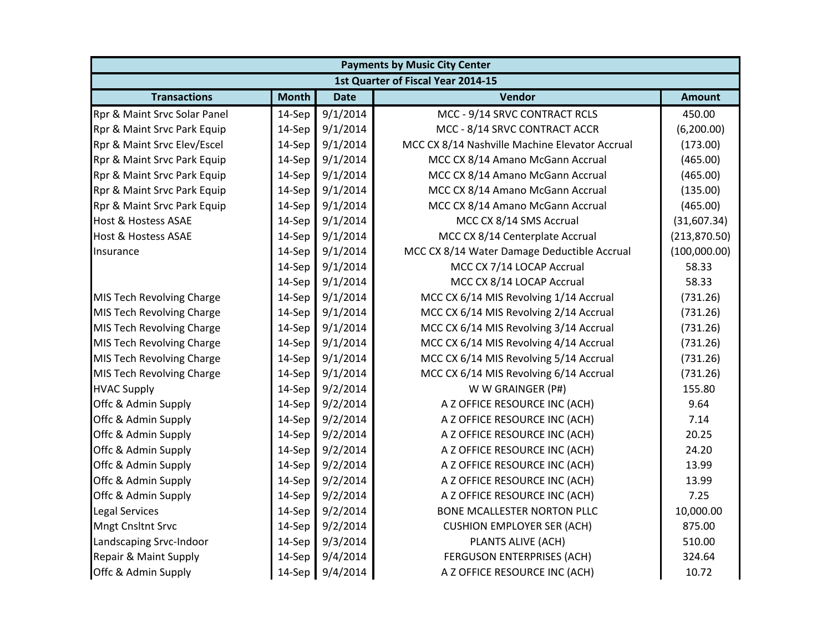| <b>Payments by Music City Center</b> |              |             |                                                |               |
|--------------------------------------|--------------|-------------|------------------------------------------------|---------------|
|                                      |              |             | 1st Quarter of Fiscal Year 2014-15             |               |
| <b>Transactions</b>                  | <b>Month</b> | <b>Date</b> | Vendor                                         | <b>Amount</b> |
| Rpr & Maint Srvc Solar Panel         | 14-Sep       | 9/1/2014    | MCC - 9/14 SRVC CONTRACT RCLS                  | 450.00        |
| Rpr & Maint Srvc Park Equip          | 14-Sep       | 9/1/2014    | MCC - 8/14 SRVC CONTRACT ACCR                  | (6, 200.00)   |
| Rpr & Maint Srvc Elev/Escel          | 14-Sep       | 9/1/2014    | MCC CX 8/14 Nashville Machine Elevator Accrual | (173.00)      |
| Rpr & Maint Srvc Park Equip          | 14-Sep       | 9/1/2014    | MCC CX 8/14 Amano McGann Accrual               | (465.00)      |
| Rpr & Maint Srvc Park Equip          | 14-Sep       | 9/1/2014    | MCC CX 8/14 Amano McGann Accrual               | (465.00)      |
| Rpr & Maint Srvc Park Equip          | 14-Sep       | 9/1/2014    | MCC CX 8/14 Amano McGann Accrual               | (135.00)      |
| Rpr & Maint Srvc Park Equip          | 14-Sep       | 9/1/2014    | MCC CX 8/14 Amano McGann Accrual               | (465.00)      |
| <b>Host &amp; Hostess ASAE</b>       | 14-Sep       | 9/1/2014    | MCC CX 8/14 SMS Accrual                        | (31,607.34)   |
| <b>Host &amp; Hostess ASAE</b>       | 14-Sep       | 9/1/2014    | MCC CX 8/14 Centerplate Accrual                | (213,870.50)  |
| Insurance                            | 14-Sep       | 9/1/2014    | MCC CX 8/14 Water Damage Deductible Accrual    | (100,000.00)  |
|                                      | 14-Sep       | 9/1/2014    | MCC CX 7/14 LOCAP Accrual                      | 58.33         |
|                                      | 14-Sep       | 9/1/2014    | MCC CX 8/14 LOCAP Accrual                      | 58.33         |
| MIS Tech Revolving Charge            | 14-Sep       | 9/1/2014    | MCC CX 6/14 MIS Revolving 1/14 Accrual         | (731.26)      |
| MIS Tech Revolving Charge            | 14-Sep       | 9/1/2014    | MCC CX 6/14 MIS Revolving 2/14 Accrual         | (731.26)      |
| MIS Tech Revolving Charge            | 14-Sep       | 9/1/2014    | MCC CX 6/14 MIS Revolving 3/14 Accrual         | (731.26)      |
| MIS Tech Revolving Charge            | 14-Sep       | 9/1/2014    | MCC CX 6/14 MIS Revolving 4/14 Accrual         | (731.26)      |
| MIS Tech Revolving Charge            | 14-Sep       | 9/1/2014    | MCC CX 6/14 MIS Revolving 5/14 Accrual         | (731.26)      |
| MIS Tech Revolving Charge            | 14-Sep       | 9/1/2014    | MCC CX 6/14 MIS Revolving 6/14 Accrual         | (731.26)      |
| <b>HVAC Supply</b>                   | 14-Sep       | 9/2/2014    | W W GRAINGER (P#)                              | 155.80        |
| Offc & Admin Supply                  | 14-Sep       | 9/2/2014    | A Z OFFICE RESOURCE INC (ACH)                  | 9.64          |
| Offc & Admin Supply                  | 14-Sep       | 9/2/2014    | A Z OFFICE RESOURCE INC (ACH)                  | 7.14          |
| Offc & Admin Supply                  | 14-Sep       | 9/2/2014    | A Z OFFICE RESOURCE INC (ACH)                  | 20.25         |
| Offc & Admin Supply                  | 14-Sep       | 9/2/2014    | A Z OFFICE RESOURCE INC (ACH)                  | 24.20         |
| Offc & Admin Supply                  | 14-Sep       | 9/2/2014    | A Z OFFICE RESOURCE INC (ACH)                  | 13.99         |
| Offc & Admin Supply                  | 14-Sep       | 9/2/2014    | A Z OFFICE RESOURCE INC (ACH)                  | 13.99         |
| Offc & Admin Supply                  | 14-Sep       | 9/2/2014    | A Z OFFICE RESOURCE INC (ACH)                  | 7.25          |
| <b>Legal Services</b>                | 14-Sep       | 9/2/2014    | <b>BONE MCALLESTER NORTON PLLC</b>             | 10,000.00     |
| Mngt Cnsltnt Srvc                    | 14-Sep       | 9/2/2014    | <b>CUSHION EMPLOYER SER (ACH)</b>              | 875.00        |
| Landscaping Srvc-Indoor              | 14-Sep       | 9/3/2014    | PLANTS ALIVE (ACH)                             | 510.00        |
| Repair & Maint Supply                | 14-Sep       | 9/4/2014    | FERGUSON ENTERPRISES (ACH)                     | 324.64        |
| Offc & Admin Supply                  | 14-Sep       | 9/4/2014    | A Z OFFICE RESOURCE INC (ACH)                  | 10.72         |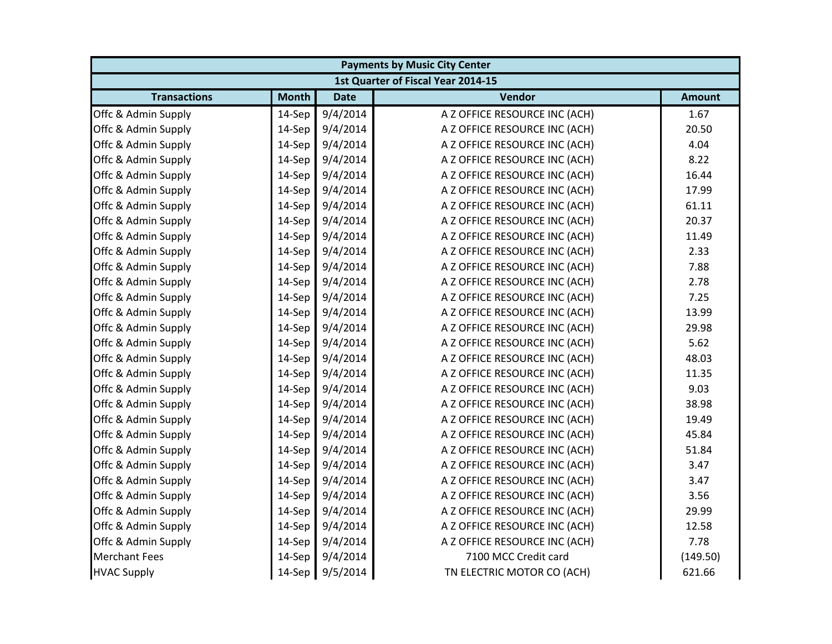| <b>Payments by Music City Center</b> |              |             |                                    |               |
|--------------------------------------|--------------|-------------|------------------------------------|---------------|
|                                      |              |             | 1st Quarter of Fiscal Year 2014-15 |               |
| <b>Transactions</b>                  | <b>Month</b> | <b>Date</b> | Vendor                             | <b>Amount</b> |
| Offc & Admin Supply                  | 14-Sep       | 9/4/2014    | A Z OFFICE RESOURCE INC (ACH)      | 1.67          |
| Offc & Admin Supply                  | 14-Sep       | 9/4/2014    | A Z OFFICE RESOURCE INC (ACH)      | 20.50         |
| Offc & Admin Supply                  | 14-Sep       | 9/4/2014    | A Z OFFICE RESOURCE INC (ACH)      | 4.04          |
| Offc & Admin Supply                  | 14-Sep       | 9/4/2014    | A Z OFFICE RESOURCE INC (ACH)      | 8.22          |
| Offc & Admin Supply                  | 14-Sep       | 9/4/2014    | A Z OFFICE RESOURCE INC (ACH)      | 16.44         |
| Offc & Admin Supply                  | 14-Sep       | 9/4/2014    | A Z OFFICE RESOURCE INC (ACH)      | 17.99         |
| Offc & Admin Supply                  | 14-Sep       | 9/4/2014    | A Z OFFICE RESOURCE INC (ACH)      | 61.11         |
| Offc & Admin Supply                  | 14-Sep       | 9/4/2014    | A Z OFFICE RESOURCE INC (ACH)      | 20.37         |
| Offc & Admin Supply                  | 14-Sep       | 9/4/2014    | A Z OFFICE RESOURCE INC (ACH)      | 11.49         |
| Offc & Admin Supply                  | 14-Sep       | 9/4/2014    | A Z OFFICE RESOURCE INC (ACH)      | 2.33          |
| Offc & Admin Supply                  | 14-Sep       | 9/4/2014    | A Z OFFICE RESOURCE INC (ACH)      | 7.88          |
| Offc & Admin Supply                  | 14-Sep       | 9/4/2014    | A Z OFFICE RESOURCE INC (ACH)      | 2.78          |
| Offc & Admin Supply                  | 14-Sep       | 9/4/2014    | A Z OFFICE RESOURCE INC (ACH)      | 7.25          |
| Offc & Admin Supply                  | 14-Sep       | 9/4/2014    | A Z OFFICE RESOURCE INC (ACH)      | 13.99         |
| Offc & Admin Supply                  | 14-Sep       | 9/4/2014    | A Z OFFICE RESOURCE INC (ACH)      | 29.98         |
| Offc & Admin Supply                  | 14-Sep       | 9/4/2014    | A Z OFFICE RESOURCE INC (ACH)      | 5.62          |
| Offc & Admin Supply                  | 14-Sep       | 9/4/2014    | A Z OFFICE RESOURCE INC (ACH)      | 48.03         |
| Offc & Admin Supply                  | 14-Sep       | 9/4/2014    | A Z OFFICE RESOURCE INC (ACH)      | 11.35         |
| Offc & Admin Supply                  | 14-Sep       | 9/4/2014    | A Z OFFICE RESOURCE INC (ACH)      | 9.03          |
| Offc & Admin Supply                  | 14-Sep       | 9/4/2014    | A Z OFFICE RESOURCE INC (ACH)      | 38.98         |
| Offc & Admin Supply                  | 14-Sep       | 9/4/2014    | A Z OFFICE RESOURCE INC (ACH)      | 19.49         |
| Offc & Admin Supply                  | 14-Sep       | 9/4/2014    | A Z OFFICE RESOURCE INC (ACH)      | 45.84         |
| Offc & Admin Supply                  | 14-Sep       | 9/4/2014    | A Z OFFICE RESOURCE INC (ACH)      | 51.84         |
| Offc & Admin Supply                  | 14-Sep       | 9/4/2014    | A Z OFFICE RESOURCE INC (ACH)      | 3.47          |
| Offc & Admin Supply                  | 14-Sep       | 9/4/2014    | A Z OFFICE RESOURCE INC (ACH)      | 3.47          |
| Offc & Admin Supply                  | 14-Sep       | 9/4/2014    | A Z OFFICE RESOURCE INC (ACH)      | 3.56          |
| Offc & Admin Supply                  | $14-Sep$     | 9/4/2014    | A Z OFFICE RESOURCE INC (ACH)      | 29.99         |
| Offc & Admin Supply                  | $14-Sep$     | 9/4/2014    | A Z OFFICE RESOURCE INC (ACH)      | 12.58         |
| Offc & Admin Supply                  | 14-Sep       | 9/4/2014    | A Z OFFICE RESOURCE INC (ACH)      | 7.78          |
| <b>Merchant Fees</b>                 | 14-Sep       | 9/4/2014    | 7100 MCC Credit card               | (149.50)      |
| <b>HVAC Supply</b>                   | 14-Sep       | 9/5/2014    | TN ELECTRIC MOTOR CO (ACH)         | 621.66        |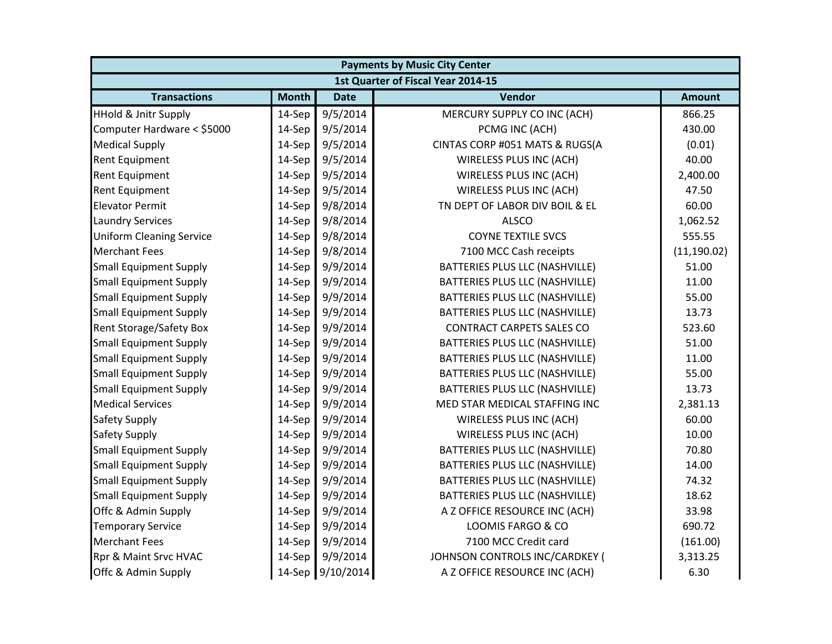| <b>Payments by Music City Center</b> |              |                  |                                    |               |
|--------------------------------------|--------------|------------------|------------------------------------|---------------|
|                                      |              |                  | 1st Quarter of Fiscal Year 2014-15 |               |
| <b>Transactions</b>                  | <b>Month</b> | <b>Date</b>      | Vendor                             | <b>Amount</b> |
| <b>HHold &amp; Jnitr Supply</b>      | 14-Sep       | 9/5/2014         | MERCURY SUPPLY CO INC (ACH)        | 866.25        |
| Computer Hardware < \$5000           | 14-Sep       | 9/5/2014         | PCMG INC (ACH)                     | 430.00        |
| <b>Medical Supply</b>                | 14-Sep       | 9/5/2014         | CINTAS CORP #051 MATS & RUGS(A     | (0.01)        |
| <b>Rent Equipment</b>                | 14-Sep       | 9/5/2014         | WIRELESS PLUS INC (ACH)            | 40.00         |
| <b>Rent Equipment</b>                | 14-Sep       | 9/5/2014         | WIRELESS PLUS INC (ACH)            | 2,400.00      |
| <b>Rent Equipment</b>                | 14-Sep       | 9/5/2014         | WIRELESS PLUS INC (ACH)            | 47.50         |
| <b>Elevator Permit</b>               | 14-Sep       | 9/8/2014         | TN DEPT OF LABOR DIV BOIL & EL     | 60.00         |
| <b>Laundry Services</b>              | 14-Sep       | 9/8/2014         | <b>ALSCO</b>                       | 1,062.52      |
| <b>Uniform Cleaning Service</b>      | 14-Sep       | 9/8/2014         | <b>COYNE TEXTILE SVCS</b>          | 555.55        |
| <b>Merchant Fees</b>                 | 14-Sep       | 9/8/2014         | 7100 MCC Cash receipts             | (11, 190.02)  |
| <b>Small Equipment Supply</b>        | 14-Sep       | 9/9/2014         | BATTERIES PLUS LLC (NASHVILLE)     | 51.00         |
| <b>Small Equipment Supply</b>        | 14-Sep       | 9/9/2014         | BATTERIES PLUS LLC (NASHVILLE)     | 11.00         |
| <b>Small Equipment Supply</b>        | 14-Sep       | 9/9/2014         | BATTERIES PLUS LLC (NASHVILLE)     | 55.00         |
| <b>Small Equipment Supply</b>        | 14-Sep       | 9/9/2014         | BATTERIES PLUS LLC (NASHVILLE)     | 13.73         |
| <b>Rent Storage/Safety Box</b>       | 14-Sep       | 9/9/2014         | <b>CONTRACT CARPETS SALES CO</b>   | 523.60        |
| <b>Small Equipment Supply</b>        | 14-Sep       | 9/9/2014         | BATTERIES PLUS LLC (NASHVILLE)     | 51.00         |
| <b>Small Equipment Supply</b>        | 14-Sep       | 9/9/2014         | BATTERIES PLUS LLC (NASHVILLE)     | 11.00         |
| <b>Small Equipment Supply</b>        | 14-Sep       | 9/9/2014         | BATTERIES PLUS LLC (NASHVILLE)     | 55.00         |
| <b>Small Equipment Supply</b>        | 14-Sep       | 9/9/2014         | BATTERIES PLUS LLC (NASHVILLE)     | 13.73         |
| <b>Medical Services</b>              | 14-Sep       | 9/9/2014         | MED STAR MEDICAL STAFFING INC      | 2,381.13      |
| <b>Safety Supply</b>                 | 14-Sep       | 9/9/2014         | WIRELESS PLUS INC (ACH)            | 60.00         |
| <b>Safety Supply</b>                 | 14-Sep       | 9/9/2014         | WIRELESS PLUS INC (ACH)            | 10.00         |
| <b>Small Equipment Supply</b>        | 14-Sep       | 9/9/2014         | BATTERIES PLUS LLC (NASHVILLE)     | 70.80         |
| <b>Small Equipment Supply</b>        | 14-Sep       | 9/9/2014         | BATTERIES PLUS LLC (NASHVILLE)     | 14.00         |
| <b>Small Equipment Supply</b>        | 14-Sep       | 9/9/2014         | BATTERIES PLUS LLC (NASHVILLE)     | 74.32         |
| <b>Small Equipment Supply</b>        | 14-Sep       | 9/9/2014         | BATTERIES PLUS LLC (NASHVILLE)     | 18.62         |
| Offc & Admin Supply                  | 14-Sep       | 9/9/2014         | A Z OFFICE RESOURCE INC (ACH)      | 33.98         |
| <b>Temporary Service</b>             | 14-Sep       | 9/9/2014         | LOOMIS FARGO & CO                  | 690.72        |
| <b>Merchant Fees</b>                 | 14-Sep       | 9/9/2014         | 7100 MCC Credit card               | (161.00)      |
| Rpr & Maint Srvc HVAC                | 14-Sep       | 9/9/2014         | JOHNSON CONTROLS INC/CARDKEY (     | 3,313.25      |
| Offc & Admin Supply                  |              | 14-Sep 9/10/2014 | A Z OFFICE RESOURCE INC (ACH)      | 6.30          |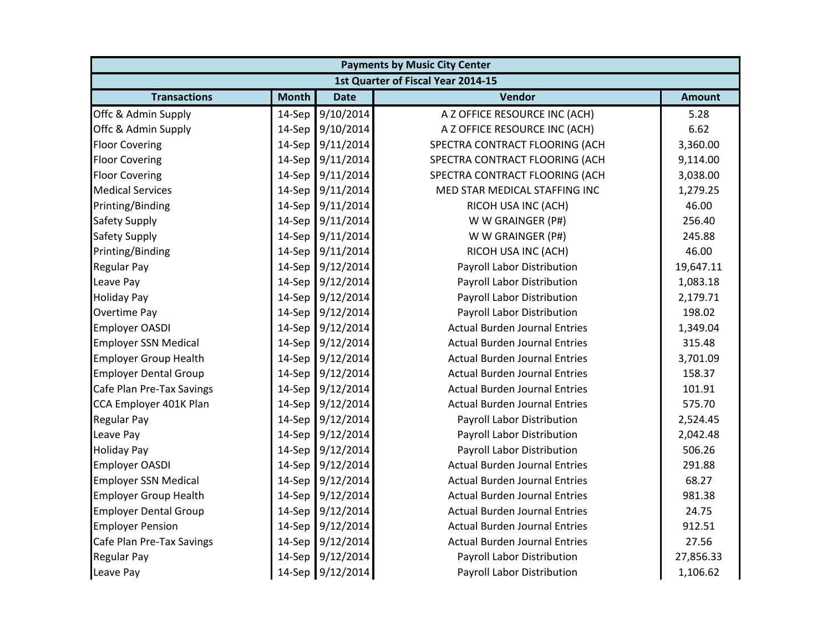| <b>Payments by Music City Center</b> |              |                  |                                      |               |
|--------------------------------------|--------------|------------------|--------------------------------------|---------------|
|                                      |              |                  | 1st Quarter of Fiscal Year 2014-15   |               |
| <b>Transactions</b>                  | <b>Month</b> | <b>Date</b>      | Vendor                               | <b>Amount</b> |
| Offc & Admin Supply                  | 14-Sep       | 9/10/2014        | A Z OFFICE RESOURCE INC (ACH)        | 5.28          |
| Offc & Admin Supply                  |              | 14-Sep 9/10/2014 | A Z OFFICE RESOURCE INC (ACH)        | 6.62          |
| <b>Floor Covering</b>                |              | 14-Sep 9/11/2014 | SPECTRA CONTRACT FLOORING (ACH       | 3,360.00      |
| <b>Floor Covering</b>                |              | 14-Sep 9/11/2014 | SPECTRA CONTRACT FLOORING (ACH       | 9,114.00      |
| <b>Floor Covering</b>                |              | 14-Sep 9/11/2014 | SPECTRA CONTRACT FLOORING (ACH       | 3,038.00      |
| <b>Medical Services</b>              |              | 14-Sep 9/11/2014 | MED STAR MEDICAL STAFFING INC        | 1,279.25      |
| Printing/Binding                     |              | 14-Sep 9/11/2014 | RICOH USA INC (ACH)                  | 46.00         |
| <b>Safety Supply</b>                 |              | 14-Sep 9/11/2014 | W W GRAINGER (P#)                    | 256.40        |
| <b>Safety Supply</b>                 |              | 14-Sep 9/11/2014 | W W GRAINGER (P#)                    | 245.88        |
| Printing/Binding                     |              | 14-Sep 9/11/2014 | RICOH USA INC (ACH)                  | 46.00         |
| <b>Regular Pay</b>                   |              | 14-Sep 9/12/2014 | Payroll Labor Distribution           | 19,647.11     |
| Leave Pay                            |              | 14-Sep 9/12/2014 | Payroll Labor Distribution           | 1,083.18      |
| <b>Holiday Pay</b>                   |              | 14-Sep 9/12/2014 | Payroll Labor Distribution           | 2,179.71      |
| <b>Overtime Pay</b>                  |              | 14-Sep 9/12/2014 | Payroll Labor Distribution           | 198.02        |
| <b>Employer OASDI</b>                |              | 14-Sep 9/12/2014 | <b>Actual Burden Journal Entries</b> | 1,349.04      |
| <b>Employer SSN Medical</b>          |              | 14-Sep 9/12/2014 | <b>Actual Burden Journal Entries</b> | 315.48        |
| <b>Employer Group Health</b>         |              | 14-Sep 9/12/2014 | <b>Actual Burden Journal Entries</b> | 3,701.09      |
| <b>Employer Dental Group</b>         |              | 14-Sep 9/12/2014 | <b>Actual Burden Journal Entries</b> | 158.37        |
| Cafe Plan Pre-Tax Savings            |              | 14-Sep 9/12/2014 | <b>Actual Burden Journal Entries</b> | 101.91        |
| CCA Employer 401K Plan               |              | 14-Sep 9/12/2014 | <b>Actual Burden Journal Entries</b> | 575.70        |
| <b>Regular Pay</b>                   |              | 14-Sep 9/12/2014 | Payroll Labor Distribution           | 2,524.45      |
| Leave Pay                            |              | 14-Sep 9/12/2014 | Payroll Labor Distribution           | 2,042.48      |
| <b>Holiday Pay</b>                   |              | 14-Sep 9/12/2014 | Payroll Labor Distribution           | 506.26        |
| <b>Employer OASDI</b>                |              | 14-Sep 9/12/2014 | <b>Actual Burden Journal Entries</b> | 291.88        |
| <b>Employer SSN Medical</b>          |              | 14-Sep 9/12/2014 | <b>Actual Burden Journal Entries</b> | 68.27         |
| <b>Employer Group Health</b>         |              | 14-Sep 9/12/2014 | <b>Actual Burden Journal Entries</b> | 981.38        |
| <b>Employer Dental Group</b>         |              | 14-Sep 9/12/2014 | <b>Actual Burden Journal Entries</b> | 24.75         |
| <b>Employer Pension</b>              |              | 14-Sep 9/12/2014 | <b>Actual Burden Journal Entries</b> | 912.51        |
| Cafe Plan Pre-Tax Savings            |              | 14-Sep 9/12/2014 | <b>Actual Burden Journal Entries</b> | 27.56         |
| <b>Regular Pay</b>                   |              | 14-Sep 9/12/2014 | Payroll Labor Distribution           | 27,856.33     |
| Leave Pay                            |              | 14-Sep 9/12/2014 | Payroll Labor Distribution           | 1,106.62      |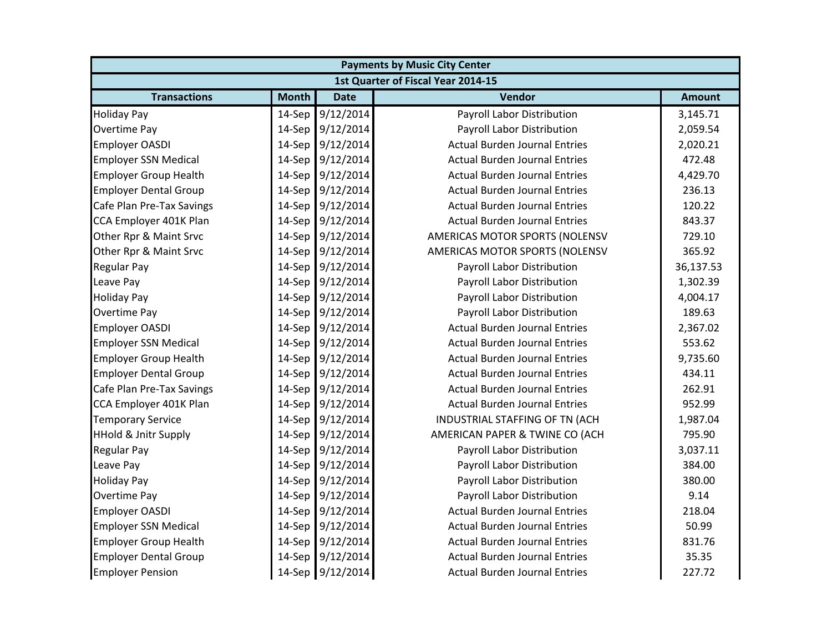| <b>Payments by Music City Center</b> |              |                  |                                      |               |
|--------------------------------------|--------------|------------------|--------------------------------------|---------------|
|                                      |              |                  | 1st Quarter of Fiscal Year 2014-15   |               |
| <b>Transactions</b>                  | <b>Month</b> | <b>Date</b>      | Vendor                               | <b>Amount</b> |
| <b>Holiday Pay</b>                   | 14-Sep       | 9/12/2014        | Payroll Labor Distribution           | 3,145.71      |
| <b>Overtime Pay</b>                  |              | 14-Sep 9/12/2014 | Payroll Labor Distribution           | 2,059.54      |
| Employer OASDI                       |              | 14-Sep 9/12/2014 | <b>Actual Burden Journal Entries</b> | 2,020.21      |
| <b>Employer SSN Medical</b>          |              | 14-Sep 9/12/2014 | <b>Actual Burden Journal Entries</b> | 472.48        |
| <b>Employer Group Health</b>         |              | 14-Sep 9/12/2014 | <b>Actual Burden Journal Entries</b> | 4,429.70      |
| <b>Employer Dental Group</b>         |              | 14-Sep 9/12/2014 | <b>Actual Burden Journal Entries</b> | 236.13        |
| Cafe Plan Pre-Tax Savings            |              | 14-Sep 9/12/2014 | <b>Actual Burden Journal Entries</b> | 120.22        |
| CCA Employer 401K Plan               |              | 14-Sep 9/12/2014 | <b>Actual Burden Journal Entries</b> | 843.37        |
| Other Rpr & Maint Srvc               |              | 14-Sep 9/12/2014 | AMERICAS MOTOR SPORTS (NOLENSV       | 729.10        |
| Other Rpr & Maint Srvc               |              | 14-Sep 9/12/2014 | AMERICAS MOTOR SPORTS (NOLENSV       | 365.92        |
| <b>Regular Pay</b>                   |              | 14-Sep 9/12/2014 | Payroll Labor Distribution           | 36,137.53     |
| Leave Pay                            |              | 14-Sep 9/12/2014 | Payroll Labor Distribution           | 1,302.39      |
| <b>Holiday Pay</b>                   |              | 14-Sep 9/12/2014 | Payroll Labor Distribution           | 4,004.17      |
| <b>Overtime Pay</b>                  |              | 14-Sep 9/12/2014 | Payroll Labor Distribution           | 189.63        |
| <b>Employer OASDI</b>                |              | 14-Sep 9/12/2014 | <b>Actual Burden Journal Entries</b> | 2,367.02      |
| <b>Employer SSN Medical</b>          |              | 14-Sep 9/12/2014 | <b>Actual Burden Journal Entries</b> | 553.62        |
| <b>Employer Group Health</b>         |              | 14-Sep 9/12/2014 | <b>Actual Burden Journal Entries</b> | 9,735.60      |
| <b>Employer Dental Group</b>         |              | 14-Sep 9/12/2014 | <b>Actual Burden Journal Entries</b> | 434.11        |
| Cafe Plan Pre-Tax Savings            |              | 14-Sep 9/12/2014 | <b>Actual Burden Journal Entries</b> | 262.91        |
| CCA Employer 401K Plan               |              | 14-Sep 9/12/2014 | <b>Actual Burden Journal Entries</b> | 952.99        |
| <b>Temporary Service</b>             |              | 14-Sep 9/12/2014 | INDUSTRIAL STAFFING OF TN (ACH       | 1,987.04      |
| <b>HHold &amp; Jnitr Supply</b>      |              | 14-Sep 9/12/2014 | AMERICAN PAPER & TWINE CO (ACH       | 795.90        |
| <b>Regular Pay</b>                   |              | 14-Sep 9/12/2014 | Payroll Labor Distribution           | 3,037.11      |
| Leave Pay                            |              | 14-Sep 9/12/2014 | Payroll Labor Distribution           | 384.00        |
| <b>Holiday Pay</b>                   |              | 14-Sep 9/12/2014 | Payroll Labor Distribution           | 380.00        |
| <b>Overtime Pay</b>                  |              | 14-Sep 9/12/2014 | Payroll Labor Distribution           | 9.14          |
| <b>Employer OASDI</b>                |              | 14-Sep 9/12/2014 | <b>Actual Burden Journal Entries</b> | 218.04        |
| <b>Employer SSN Medical</b>          |              | 14-Sep 9/12/2014 | <b>Actual Burden Journal Entries</b> | 50.99         |
| <b>Employer Group Health</b>         |              | 14-Sep 9/12/2014 | <b>Actual Burden Journal Entries</b> | 831.76        |
| <b>Employer Dental Group</b>         |              | 14-Sep 9/12/2014 | <b>Actual Burden Journal Entries</b> | 35.35         |
| <b>Employer Pension</b>              |              | 14-Sep 9/12/2014 | <b>Actual Burden Journal Entries</b> | 227.72        |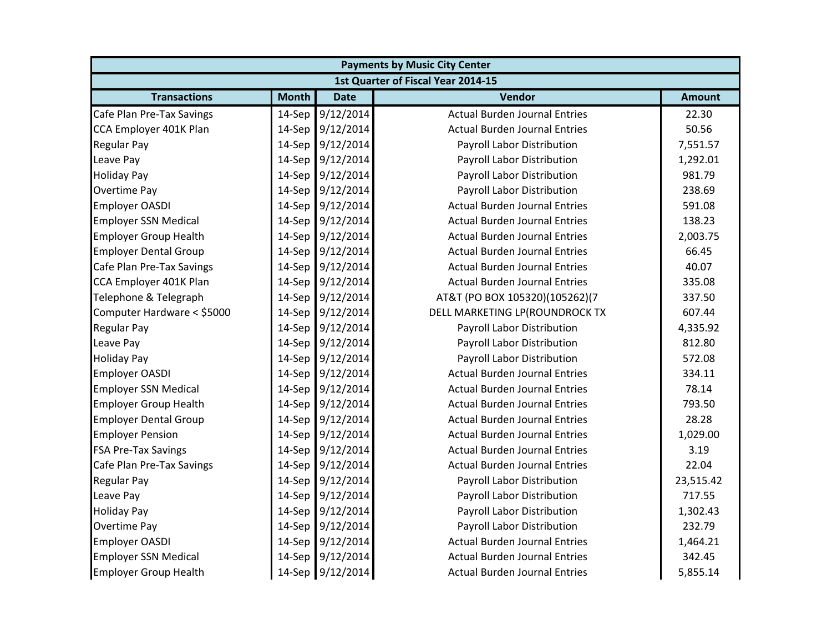| <b>Payments by Music City Center</b> |              |                  |                                      |               |
|--------------------------------------|--------------|------------------|--------------------------------------|---------------|
|                                      |              |                  | 1st Quarter of Fiscal Year 2014-15   |               |
| <b>Transactions</b>                  | <b>Month</b> | <b>Date</b>      | Vendor                               | <b>Amount</b> |
| Cafe Plan Pre-Tax Savings            | 14-Sep       | 9/12/2014        | <b>Actual Burden Journal Entries</b> | 22.30         |
| CCA Employer 401K Plan               |              | 14-Sep 9/12/2014 | <b>Actual Burden Journal Entries</b> | 50.56         |
| <b>Regular Pay</b>                   |              | 14-Sep 9/12/2014 | Payroll Labor Distribution           | 7,551.57      |
| Leave Pay                            |              | 14-Sep 9/12/2014 | Payroll Labor Distribution           | 1,292.01      |
| <b>Holiday Pay</b>                   |              | 14-Sep 9/12/2014 | Payroll Labor Distribution           | 981.79        |
| <b>Overtime Pay</b>                  |              | 14-Sep 9/12/2014 | Payroll Labor Distribution           | 238.69        |
| <b>Employer OASDI</b>                |              | 14-Sep 9/12/2014 | <b>Actual Burden Journal Entries</b> | 591.08        |
| <b>Employer SSN Medical</b>          |              | 14-Sep 9/12/2014 | <b>Actual Burden Journal Entries</b> | 138.23        |
| <b>Employer Group Health</b>         |              | 14-Sep 9/12/2014 | <b>Actual Burden Journal Entries</b> | 2,003.75      |
| <b>Employer Dental Group</b>         |              | 14-Sep 9/12/2014 | <b>Actual Burden Journal Entries</b> | 66.45         |
| Cafe Plan Pre-Tax Savings            |              | 14-Sep 9/12/2014 | <b>Actual Burden Journal Entries</b> | 40.07         |
| CCA Employer 401K Plan               |              | 14-Sep 9/12/2014 | <b>Actual Burden Journal Entries</b> | 335.08        |
| Telephone & Telegraph                |              | 14-Sep 9/12/2014 | AT&T (PO BOX 105320)(105262)(7       | 337.50        |
| Computer Hardware < \$5000           |              | 14-Sep 9/12/2014 | DELL MARKETING LP(ROUNDROCK TX       | 607.44        |
| <b>Regular Pay</b>                   |              | 14-Sep 9/12/2014 | Payroll Labor Distribution           | 4,335.92      |
| Leave Pay                            |              | 14-Sep 9/12/2014 | Payroll Labor Distribution           | 812.80        |
| <b>Holiday Pay</b>                   |              | 14-Sep 9/12/2014 | Payroll Labor Distribution           | 572.08        |
| <b>Employer OASDI</b>                |              | 14-Sep 9/12/2014 | <b>Actual Burden Journal Entries</b> | 334.11        |
| <b>Employer SSN Medical</b>          |              | 14-Sep 9/12/2014 | <b>Actual Burden Journal Entries</b> | 78.14         |
| <b>Employer Group Health</b>         |              | 14-Sep 9/12/2014 | <b>Actual Burden Journal Entries</b> | 793.50        |
| <b>Employer Dental Group</b>         |              | 14-Sep 9/12/2014 | <b>Actual Burden Journal Entries</b> | 28.28         |
| <b>Employer Pension</b>              |              | 14-Sep 9/12/2014 | <b>Actual Burden Journal Entries</b> | 1,029.00      |
| <b>FSA Pre-Tax Savings</b>           |              | 14-Sep 9/12/2014 | <b>Actual Burden Journal Entries</b> | 3.19          |
| Cafe Plan Pre-Tax Savings            |              | 14-Sep 9/12/2014 | <b>Actual Burden Journal Entries</b> | 22.04         |
| <b>Regular Pay</b>                   |              | 14-Sep 9/12/2014 | Payroll Labor Distribution           | 23,515.42     |
| Leave Pay                            |              | 14-Sep 9/12/2014 | Payroll Labor Distribution           | 717.55        |
| <b>Holiday Pay</b>                   |              | 14-Sep 9/12/2014 | Payroll Labor Distribution           | 1,302.43      |
| <b>Overtime Pay</b>                  |              | 14-Sep 9/12/2014 | Payroll Labor Distribution           | 232.79        |
| <b>Employer OASDI</b>                |              | 14-Sep 9/12/2014 | <b>Actual Burden Journal Entries</b> | 1,464.21      |
| <b>Employer SSN Medical</b>          |              | 14-Sep 9/12/2014 | <b>Actual Burden Journal Entries</b> | 342.45        |
| <b>Employer Group Health</b>         |              | 14-Sep 9/12/2014 | <b>Actual Burden Journal Entries</b> | 5,855.14      |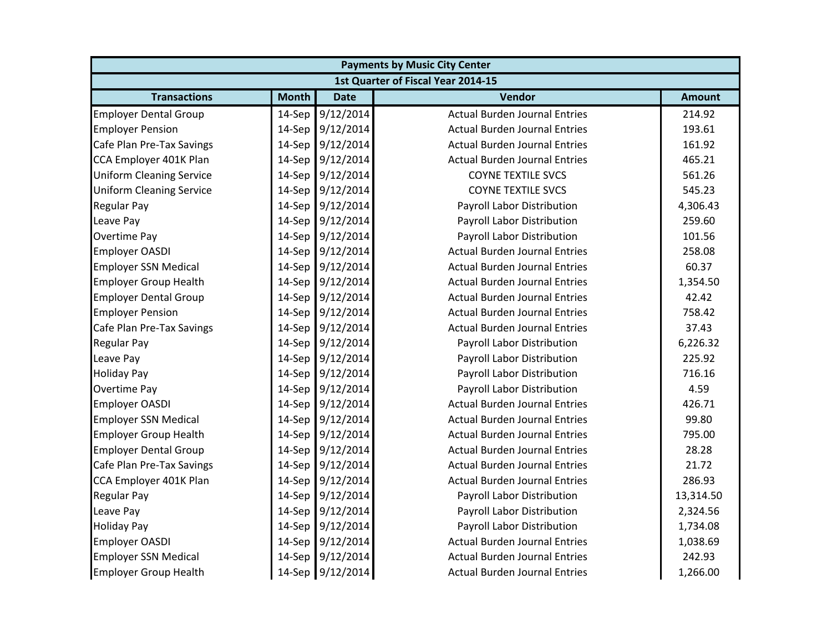| <b>Payments by Music City Center</b> |              |                  |                                      |               |
|--------------------------------------|--------------|------------------|--------------------------------------|---------------|
|                                      |              |                  | 1st Quarter of Fiscal Year 2014-15   |               |
| <b>Transactions</b>                  | <b>Month</b> | <b>Date</b>      | Vendor                               | <b>Amount</b> |
| <b>Employer Dental Group</b>         | 14-Sep       | 9/12/2014        | <b>Actual Burden Journal Entries</b> | 214.92        |
| <b>Employer Pension</b>              |              | 14-Sep 9/12/2014 | <b>Actual Burden Journal Entries</b> | 193.61        |
| Cafe Plan Pre-Tax Savings            |              | 14-Sep 9/12/2014 | <b>Actual Burden Journal Entries</b> | 161.92        |
| CCA Employer 401K Plan               |              | 14-Sep 9/12/2014 | <b>Actual Burden Journal Entries</b> | 465.21        |
| <b>Uniform Cleaning Service</b>      |              | 14-Sep 9/12/2014 | <b>COYNE TEXTILE SVCS</b>            | 561.26        |
| <b>Uniform Cleaning Service</b>      |              | 14-Sep 9/12/2014 | <b>COYNE TEXTILE SVCS</b>            | 545.23        |
| <b>Regular Pay</b>                   |              | 14-Sep 9/12/2014 | Payroll Labor Distribution           | 4,306.43      |
| Leave Pay                            |              | 14-Sep 9/12/2014 | Payroll Labor Distribution           | 259.60        |
| <b>Overtime Pay</b>                  |              | 14-Sep 9/12/2014 | Payroll Labor Distribution           | 101.56        |
| <b>Employer OASDI</b>                |              | 14-Sep 9/12/2014 | <b>Actual Burden Journal Entries</b> | 258.08        |
| <b>Employer SSN Medical</b>          |              | 14-Sep 9/12/2014 | <b>Actual Burden Journal Entries</b> | 60.37         |
| <b>Employer Group Health</b>         |              | 14-Sep 9/12/2014 | <b>Actual Burden Journal Entries</b> | 1,354.50      |
| <b>Employer Dental Group</b>         |              | 14-Sep 9/12/2014 | <b>Actual Burden Journal Entries</b> | 42.42         |
| <b>Employer Pension</b>              |              | 14-Sep 9/12/2014 | <b>Actual Burden Journal Entries</b> | 758.42        |
| Cafe Plan Pre-Tax Savings            |              | 14-Sep 9/12/2014 | <b>Actual Burden Journal Entries</b> | 37.43         |
| <b>Regular Pay</b>                   |              | 14-Sep 9/12/2014 | Payroll Labor Distribution           | 6,226.32      |
| Leave Pay                            |              | 14-Sep 9/12/2014 | Payroll Labor Distribution           | 225.92        |
| <b>Holiday Pay</b>                   |              | 14-Sep 9/12/2014 | Payroll Labor Distribution           | 716.16        |
| Overtime Pay                         |              | 14-Sep 9/12/2014 | Payroll Labor Distribution           | 4.59          |
| <b>Employer OASDI</b>                |              | 14-Sep 9/12/2014 | <b>Actual Burden Journal Entries</b> | 426.71        |
| <b>Employer SSN Medical</b>          |              | 14-Sep 9/12/2014 | <b>Actual Burden Journal Entries</b> | 99.80         |
| <b>Employer Group Health</b>         |              | 14-Sep 9/12/2014 | <b>Actual Burden Journal Entries</b> | 795.00        |
| <b>Employer Dental Group</b>         |              | 14-Sep 9/12/2014 | <b>Actual Burden Journal Entries</b> | 28.28         |
| Cafe Plan Pre-Tax Savings            |              | 14-Sep 9/12/2014 | <b>Actual Burden Journal Entries</b> | 21.72         |
| CCA Employer 401K Plan               |              | 14-Sep 9/12/2014 | <b>Actual Burden Journal Entries</b> | 286.93        |
| <b>Regular Pay</b>                   |              | 14-Sep 9/12/2014 | Payroll Labor Distribution           | 13,314.50     |
| Leave Pay                            |              | 14-Sep 9/12/2014 | Payroll Labor Distribution           | 2,324.56      |
| <b>Holiday Pay</b>                   |              | 14-Sep 9/12/2014 | Payroll Labor Distribution           | 1,734.08      |
| <b>Employer OASDI</b>                |              | 14-Sep 9/12/2014 | <b>Actual Burden Journal Entries</b> | 1,038.69      |
| <b>Employer SSN Medical</b>          |              | 14-Sep 9/12/2014 | <b>Actual Burden Journal Entries</b> | 242.93        |
| <b>Employer Group Health</b>         |              | 14-Sep 9/12/2014 | <b>Actual Burden Journal Entries</b> | 1,266.00      |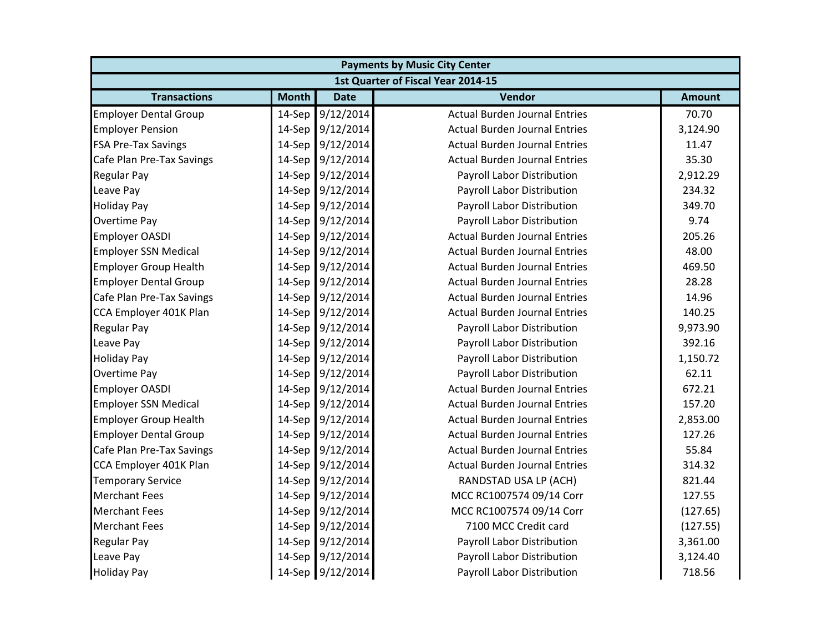|                              | <b>Payments by Music City Center</b> |                  |                                      |               |  |
|------------------------------|--------------------------------------|------------------|--------------------------------------|---------------|--|
|                              |                                      |                  | 1st Quarter of Fiscal Year 2014-15   |               |  |
| <b>Transactions</b>          | <b>Month</b>                         | <b>Date</b>      | Vendor                               | <b>Amount</b> |  |
| <b>Employer Dental Group</b> |                                      | 14-Sep 9/12/2014 | <b>Actual Burden Journal Entries</b> | 70.70         |  |
| <b>Employer Pension</b>      |                                      | 14-Sep 9/12/2014 | <b>Actual Burden Journal Entries</b> | 3,124.90      |  |
| <b>FSA Pre-Tax Savings</b>   |                                      | 14-Sep 9/12/2014 | <b>Actual Burden Journal Entries</b> | 11.47         |  |
| Cafe Plan Pre-Tax Savings    |                                      | 14-Sep 9/12/2014 | <b>Actual Burden Journal Entries</b> | 35.30         |  |
| <b>Regular Pay</b>           |                                      | 14-Sep 9/12/2014 | Payroll Labor Distribution           | 2,912.29      |  |
| Leave Pay                    |                                      | 14-Sep 9/12/2014 | Payroll Labor Distribution           | 234.32        |  |
| <b>Holiday Pay</b>           |                                      | 14-Sep 9/12/2014 | Payroll Labor Distribution           | 349.70        |  |
| Overtime Pay                 |                                      | 14-Sep 9/12/2014 | Payroll Labor Distribution           | 9.74          |  |
| <b>Employer OASDI</b>        |                                      | 14-Sep 9/12/2014 | <b>Actual Burden Journal Entries</b> | 205.26        |  |
| <b>Employer SSN Medical</b>  |                                      | 14-Sep 9/12/2014 | <b>Actual Burden Journal Entries</b> | 48.00         |  |
| <b>Employer Group Health</b> |                                      | 14-Sep 9/12/2014 | <b>Actual Burden Journal Entries</b> | 469.50        |  |
| <b>Employer Dental Group</b> |                                      | 14-Sep 9/12/2014 | <b>Actual Burden Journal Entries</b> | 28.28         |  |
| Cafe Plan Pre-Tax Savings    |                                      | 14-Sep 9/12/2014 | <b>Actual Burden Journal Entries</b> | 14.96         |  |
| CCA Employer 401K Plan       |                                      | 14-Sep 9/12/2014 | <b>Actual Burden Journal Entries</b> | 140.25        |  |
| <b>Regular Pay</b>           |                                      | 14-Sep 9/12/2014 | Payroll Labor Distribution           | 9,973.90      |  |
| Leave Pay                    |                                      | 14-Sep 9/12/2014 | Payroll Labor Distribution           | 392.16        |  |
| <b>Holiday Pay</b>           |                                      | 14-Sep 9/12/2014 | Payroll Labor Distribution           | 1,150.72      |  |
| Overtime Pay                 |                                      | 14-Sep 9/12/2014 | Payroll Labor Distribution           | 62.11         |  |
| <b>Employer OASDI</b>        |                                      | 14-Sep 9/12/2014 | <b>Actual Burden Journal Entries</b> | 672.21        |  |
| <b>Employer SSN Medical</b>  |                                      | 14-Sep 9/12/2014 | <b>Actual Burden Journal Entries</b> | 157.20        |  |
| <b>Employer Group Health</b> |                                      | 14-Sep 9/12/2014 | <b>Actual Burden Journal Entries</b> | 2,853.00      |  |
| <b>Employer Dental Group</b> |                                      | 14-Sep 9/12/2014 | <b>Actual Burden Journal Entries</b> | 127.26        |  |
| Cafe Plan Pre-Tax Savings    |                                      | 14-Sep 9/12/2014 | <b>Actual Burden Journal Entries</b> | 55.84         |  |
| CCA Employer 401K Plan       |                                      | 14-Sep 9/12/2014 | <b>Actual Burden Journal Entries</b> | 314.32        |  |
| <b>Temporary Service</b>     |                                      | 14-Sep 9/12/2014 | RANDSTAD USA LP (ACH)                | 821.44        |  |
| <b>Merchant Fees</b>         |                                      | 14-Sep 9/12/2014 | MCC RC1007574 09/14 Corr             | 127.55        |  |
| <b>Merchant Fees</b>         |                                      | 14-Sep 9/12/2014 | MCC RC1007574 09/14 Corr             | (127.65)      |  |
| <b>Merchant Fees</b>         |                                      | 14-Sep 9/12/2014 | 7100 MCC Credit card                 | (127.55)      |  |
| <b>Regular Pay</b>           |                                      | 14-Sep 9/12/2014 | Payroll Labor Distribution           | 3,361.00      |  |
| Leave Pay                    |                                      | 14-Sep 9/12/2014 | Payroll Labor Distribution           | 3,124.40      |  |
| <b>Holiday Pay</b>           |                                      | 14-Sep 9/12/2014 | Payroll Labor Distribution           | 718.56        |  |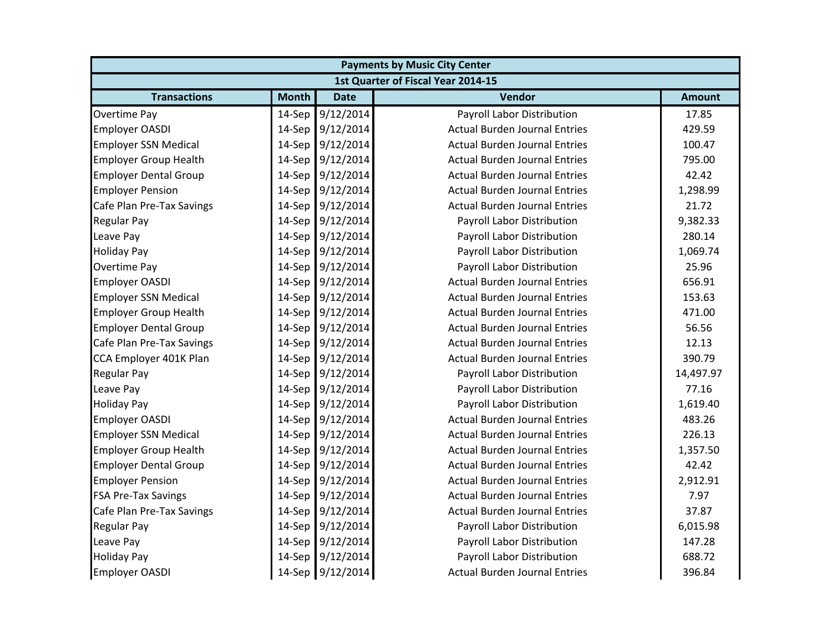| <b>Payments by Music City Center</b> |              |                  |                                      |               |
|--------------------------------------|--------------|------------------|--------------------------------------|---------------|
|                                      |              |                  | 1st Quarter of Fiscal Year 2014-15   |               |
| <b>Transactions</b>                  | <b>Month</b> | <b>Date</b>      | Vendor                               | <b>Amount</b> |
| <b>Overtime Pay</b>                  | 14-Sep       | 9/12/2014        | Payroll Labor Distribution           | 17.85         |
| <b>Employer OASDI</b>                |              | 14-Sep 9/12/2014 | <b>Actual Burden Journal Entries</b> | 429.59        |
| <b>Employer SSN Medical</b>          |              | 14-Sep 9/12/2014 | <b>Actual Burden Journal Entries</b> | 100.47        |
| <b>Employer Group Health</b>         |              | 14-Sep 9/12/2014 | <b>Actual Burden Journal Entries</b> | 795.00        |
| <b>Employer Dental Group</b>         |              | 14-Sep 9/12/2014 | <b>Actual Burden Journal Entries</b> | 42.42         |
| <b>Employer Pension</b>              |              | 14-Sep 9/12/2014 | <b>Actual Burden Journal Entries</b> | 1,298.99      |
| Cafe Plan Pre-Tax Savings            |              | 14-Sep 9/12/2014 | <b>Actual Burden Journal Entries</b> | 21.72         |
| <b>Regular Pay</b>                   |              | 14-Sep 9/12/2014 | Payroll Labor Distribution           | 9,382.33      |
| Leave Pay                            |              | 14-Sep 9/12/2014 | Payroll Labor Distribution           | 280.14        |
| <b>Holiday Pay</b>                   |              | 14-Sep 9/12/2014 | Payroll Labor Distribution           | 1,069.74      |
| <b>Overtime Pay</b>                  |              | 14-Sep 9/12/2014 | Payroll Labor Distribution           | 25.96         |
| <b>Employer OASDI</b>                |              | 14-Sep 9/12/2014 | <b>Actual Burden Journal Entries</b> | 656.91        |
| <b>Employer SSN Medical</b>          |              | 14-Sep 9/12/2014 | <b>Actual Burden Journal Entries</b> | 153.63        |
| <b>Employer Group Health</b>         |              | 14-Sep 9/12/2014 | <b>Actual Burden Journal Entries</b> | 471.00        |
| <b>Employer Dental Group</b>         |              | 14-Sep 9/12/2014 | <b>Actual Burden Journal Entries</b> | 56.56         |
| Cafe Plan Pre-Tax Savings            |              | 14-Sep 9/12/2014 | <b>Actual Burden Journal Entries</b> | 12.13         |
| CCA Employer 401K Plan               |              | 14-Sep 9/12/2014 | <b>Actual Burden Journal Entries</b> | 390.79        |
| <b>Regular Pay</b>                   |              | 14-Sep 9/12/2014 | Payroll Labor Distribution           | 14,497.97     |
| Leave Pay                            |              | 14-Sep 9/12/2014 | Payroll Labor Distribution           | 77.16         |
| <b>Holiday Pay</b>                   |              | 14-Sep 9/12/2014 | Payroll Labor Distribution           | 1,619.40      |
| <b>Employer OASDI</b>                |              | 14-Sep 9/12/2014 | <b>Actual Burden Journal Entries</b> | 483.26        |
| <b>Employer SSN Medical</b>          |              | 14-Sep 9/12/2014 | <b>Actual Burden Journal Entries</b> | 226.13        |
| <b>Employer Group Health</b>         |              | 14-Sep 9/12/2014 | <b>Actual Burden Journal Entries</b> | 1,357.50      |
| <b>Employer Dental Group</b>         |              | 14-Sep 9/12/2014 | <b>Actual Burden Journal Entries</b> | 42.42         |
| <b>Employer Pension</b>              |              | 14-Sep 9/12/2014 | <b>Actual Burden Journal Entries</b> | 2,912.91      |
| <b>FSA Pre-Tax Savings</b>           |              | 14-Sep 9/12/2014 | <b>Actual Burden Journal Entries</b> | 7.97          |
| Cafe Plan Pre-Tax Savings            |              | 14-Sep 9/12/2014 | <b>Actual Burden Journal Entries</b> | 37.87         |
| <b>Regular Pay</b>                   |              | 14-Sep 9/12/2014 | Payroll Labor Distribution           | 6,015.98      |
| Leave Pay                            |              | 14-Sep 9/12/2014 | Payroll Labor Distribution           | 147.28        |
| <b>Holiday Pay</b>                   |              | 14-Sep 9/12/2014 | Payroll Labor Distribution           | 688.72        |
| <b>Employer OASDI</b>                |              | 14-Sep 9/12/2014 | <b>Actual Burden Journal Entries</b> | 396.84        |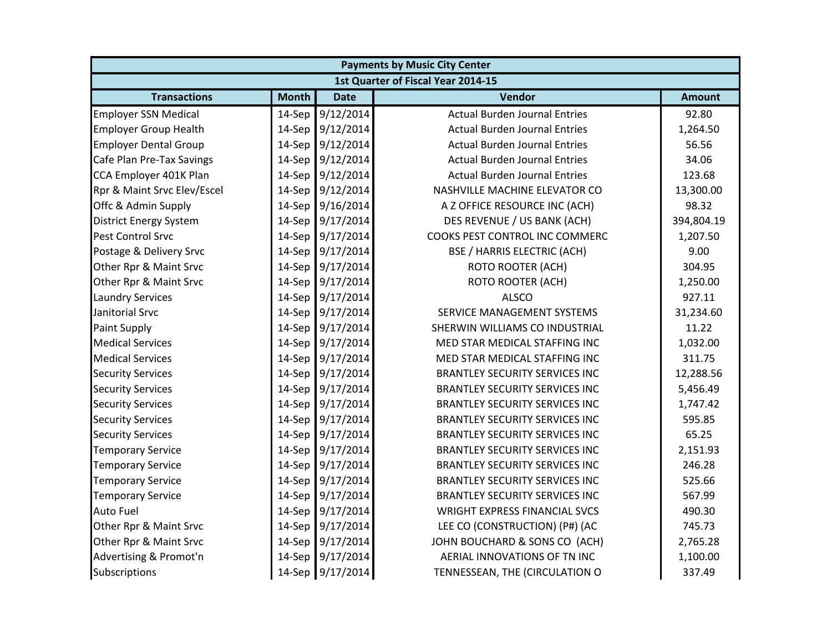|                                    |              |                  | <b>Payments by Music City Center</b>  |               |  |  |  |
|------------------------------------|--------------|------------------|---------------------------------------|---------------|--|--|--|
| 1st Quarter of Fiscal Year 2014-15 |              |                  |                                       |               |  |  |  |
| <b>Transactions</b>                | <b>Month</b> | <b>Date</b>      | Vendor                                | <b>Amount</b> |  |  |  |
| <b>Employer SSN Medical</b>        |              | 14-Sep 9/12/2014 | <b>Actual Burden Journal Entries</b>  | 92.80         |  |  |  |
| <b>Employer Group Health</b>       |              | 14-Sep 9/12/2014 | <b>Actual Burden Journal Entries</b>  | 1,264.50      |  |  |  |
| <b>Employer Dental Group</b>       |              | 14-Sep 9/12/2014 | <b>Actual Burden Journal Entries</b>  | 56.56         |  |  |  |
| Cafe Plan Pre-Tax Savings          |              | 14-Sep 9/12/2014 | <b>Actual Burden Journal Entries</b>  | 34.06         |  |  |  |
| CCA Employer 401K Plan             |              | 14-Sep 9/12/2014 | <b>Actual Burden Journal Entries</b>  | 123.68        |  |  |  |
| Rpr & Maint Srvc Elev/Escel        |              | 14-Sep 9/12/2014 | NASHVILLE MACHINE ELEVATOR CO         | 13,300.00     |  |  |  |
| Offc & Admin Supply                |              | 14-Sep 9/16/2014 | A Z OFFICE RESOURCE INC (ACH)         | 98.32         |  |  |  |
| <b>District Energy System</b>      |              | 14-Sep 9/17/2014 | DES REVENUE / US BANK (ACH)           | 394,804.19    |  |  |  |
| <b>Pest Control Srvc</b>           |              | 14-Sep 9/17/2014 | COOKS PEST CONTROL INC COMMERC        | 1,207.50      |  |  |  |
| Postage & Delivery Srvc            |              | 14-Sep 9/17/2014 | <b>BSE / HARRIS ELECTRIC (ACH)</b>    | 9.00          |  |  |  |
| Other Rpr & Maint Srvc             |              | 14-Sep 9/17/2014 | <b>ROTO ROOTER (ACH)</b>              | 304.95        |  |  |  |
| Other Rpr & Maint Srvc             |              | 14-Sep 9/17/2014 | <b>ROTO ROOTER (ACH)</b>              | 1,250.00      |  |  |  |
| <b>Laundry Services</b>            |              | 14-Sep 9/17/2014 | <b>ALSCO</b>                          | 927.11        |  |  |  |
| Janitorial Srvc                    |              | 14-Sep 9/17/2014 | SERVICE MANAGEMENT SYSTEMS            | 31,234.60     |  |  |  |
| <b>Paint Supply</b>                |              | 14-Sep 9/17/2014 | SHERWIN WILLIAMS CO INDUSTRIAL        | 11.22         |  |  |  |
| <b>Medical Services</b>            |              | 14-Sep 9/17/2014 | MED STAR MEDICAL STAFFING INC         | 1,032.00      |  |  |  |
| <b>Medical Services</b>            |              | 14-Sep 9/17/2014 | MED STAR MEDICAL STAFFING INC         | 311.75        |  |  |  |
| <b>Security Services</b>           |              | 14-Sep 9/17/2014 | <b>BRANTLEY SECURITY SERVICES INC</b> | 12,288.56     |  |  |  |
| <b>Security Services</b>           |              | 14-Sep 9/17/2014 | <b>BRANTLEY SECURITY SERVICES INC</b> | 5,456.49      |  |  |  |
| <b>Security Services</b>           |              | 14-Sep 9/17/2014 | <b>BRANTLEY SECURITY SERVICES INC</b> | 1,747.42      |  |  |  |
| <b>Security Services</b>           |              | 14-Sep 9/17/2014 | <b>BRANTLEY SECURITY SERVICES INC</b> | 595.85        |  |  |  |
| <b>Security Services</b>           |              | 14-Sep 9/17/2014 | <b>BRANTLEY SECURITY SERVICES INC</b> | 65.25         |  |  |  |
| <b>Temporary Service</b>           |              | 14-Sep 9/17/2014 | <b>BRANTLEY SECURITY SERVICES INC</b> | 2,151.93      |  |  |  |
| <b>Temporary Service</b>           |              | 14-Sep 9/17/2014 | <b>BRANTLEY SECURITY SERVICES INC</b> | 246.28        |  |  |  |
| <b>Temporary Service</b>           |              | 14-Sep 9/17/2014 | <b>BRANTLEY SECURITY SERVICES INC</b> | 525.66        |  |  |  |
| <b>Temporary Service</b>           |              | 14-Sep 9/17/2014 | <b>BRANTLEY SECURITY SERVICES INC</b> | 567.99        |  |  |  |
| <b>Auto Fuel</b>                   |              | 14-Sep 9/17/2014 | <b>WRIGHT EXPRESS FINANCIAL SVCS</b>  | 490.30        |  |  |  |
| Other Rpr & Maint Srvc             |              | 14-Sep 9/17/2014 | LEE CO (CONSTRUCTION) (P#) (AC        | 745.73        |  |  |  |
| Other Rpr & Maint Srvc             |              | 14-Sep 9/17/2014 | JOHN BOUCHARD & SONS CO (ACH)         | 2,765.28      |  |  |  |
| Advertising & Promot'n             |              | 14-Sep 9/17/2014 | AERIAL INNOVATIONS OF TN INC          | 1,100.00      |  |  |  |
| Subscriptions                      |              | 14-Sep 9/17/2014 | TENNESSEAN, THE (CIRCULATION O        | 337.49        |  |  |  |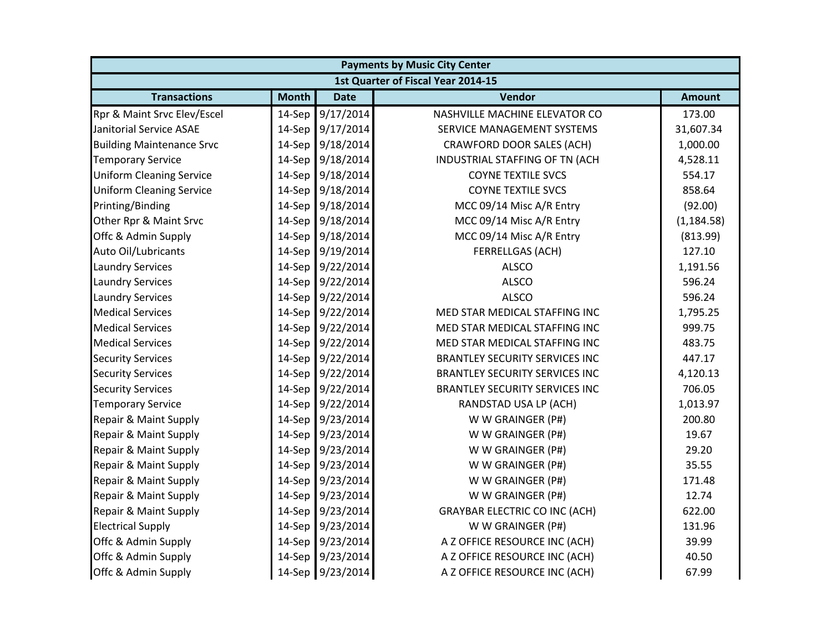| <b>Payments by Music City Center</b> |              |                  |                                       |               |  |
|--------------------------------------|--------------|------------------|---------------------------------------|---------------|--|
|                                      |              |                  | 1st Quarter of Fiscal Year 2014-15    |               |  |
| <b>Transactions</b>                  | <b>Month</b> | <b>Date</b>      | Vendor                                | <b>Amount</b> |  |
| Rpr & Maint Srvc Elev/Escel          | 14-Sep       | 9/17/2014        | NASHVILLE MACHINE ELEVATOR CO         | 173.00        |  |
| Janitorial Service ASAE              |              | 14-Sep 9/17/2014 | SERVICE MANAGEMENT SYSTEMS            | 31,607.34     |  |
| <b>Building Maintenance Srvc</b>     |              | 14-Sep 9/18/2014 | CRAWFORD DOOR SALES (ACH)             | 1,000.00      |  |
| <b>Temporary Service</b>             |              | 14-Sep 9/18/2014 | INDUSTRIAL STAFFING OF TN (ACH        | 4,528.11      |  |
| <b>Uniform Cleaning Service</b>      |              | 14-Sep 9/18/2014 | <b>COYNE TEXTILE SVCS</b>             | 554.17        |  |
| <b>Uniform Cleaning Service</b>      |              | 14-Sep 9/18/2014 | <b>COYNE TEXTILE SVCS</b>             | 858.64        |  |
| Printing/Binding                     |              | 14-Sep 9/18/2014 | MCC 09/14 Misc A/R Entry              | (92.00)       |  |
| Other Rpr & Maint Srvc               |              | 14-Sep 9/18/2014 | MCC 09/14 Misc A/R Entry              | (1, 184.58)   |  |
| Offc & Admin Supply                  |              | 14-Sep 9/18/2014 | MCC 09/14 Misc A/R Entry              | (813.99)      |  |
| Auto Oil/Lubricants                  |              | 14-Sep 9/19/2014 | <b>FERRELLGAS (ACH)</b>               | 127.10        |  |
| <b>Laundry Services</b>              |              | 14-Sep 9/22/2014 | <b>ALSCO</b>                          | 1,191.56      |  |
| <b>Laundry Services</b>              |              | 14-Sep 9/22/2014 | <b>ALSCO</b>                          | 596.24        |  |
| <b>Laundry Services</b>              |              | 14-Sep 9/22/2014 | <b>ALSCO</b>                          | 596.24        |  |
| <b>Medical Services</b>              |              | 14-Sep 9/22/2014 | MED STAR MEDICAL STAFFING INC         | 1,795.25      |  |
| <b>Medical Services</b>              |              | 14-Sep 9/22/2014 | MED STAR MEDICAL STAFFING INC         | 999.75        |  |
| <b>Medical Services</b>              |              | 14-Sep 9/22/2014 | MED STAR MEDICAL STAFFING INC         | 483.75        |  |
| <b>Security Services</b>             |              | 14-Sep 9/22/2014 | <b>BRANTLEY SECURITY SERVICES INC</b> | 447.17        |  |
| <b>Security Services</b>             |              | 14-Sep 9/22/2014 | <b>BRANTLEY SECURITY SERVICES INC</b> | 4,120.13      |  |
| <b>Security Services</b>             |              | 14-Sep 9/22/2014 | <b>BRANTLEY SECURITY SERVICES INC</b> | 706.05        |  |
| <b>Temporary Service</b>             |              | 14-Sep 9/22/2014 | RANDSTAD USA LP (ACH)                 | 1,013.97      |  |
| Repair & Maint Supply                |              | 14-Sep 9/23/2014 | W W GRAINGER (P#)                     | 200.80        |  |
| Repair & Maint Supply                |              | 14-Sep 9/23/2014 | W W GRAINGER (P#)                     | 19.67         |  |
| Repair & Maint Supply                |              | 14-Sep 9/23/2014 | W W GRAINGER (P#)                     | 29.20         |  |
| Repair & Maint Supply                |              | 14-Sep 9/23/2014 | W W GRAINGER (P#)                     | 35.55         |  |
| Repair & Maint Supply                |              | 14-Sep 9/23/2014 | W W GRAINGER (P#)                     | 171.48        |  |
| Repair & Maint Supply                |              | 14-Sep 9/23/2014 | W W GRAINGER (P#)                     | 12.74         |  |
| Repair & Maint Supply                |              | 14-Sep 9/23/2014 | <b>GRAYBAR ELECTRIC CO INC (ACH)</b>  | 622.00        |  |
| <b>Electrical Supply</b>             |              | 14-Sep 9/23/2014 | W W GRAINGER (P#)                     | 131.96        |  |
| Offc & Admin Supply                  |              | 14-Sep 9/23/2014 | A Z OFFICE RESOURCE INC (ACH)         | 39.99         |  |
| Offc & Admin Supply                  |              | 14-Sep 9/23/2014 | A Z OFFICE RESOURCE INC (ACH)         | 40.50         |  |
| Offc & Admin Supply                  |              | 14-Sep 9/23/2014 | A Z OFFICE RESOURCE INC (ACH)         | 67.99         |  |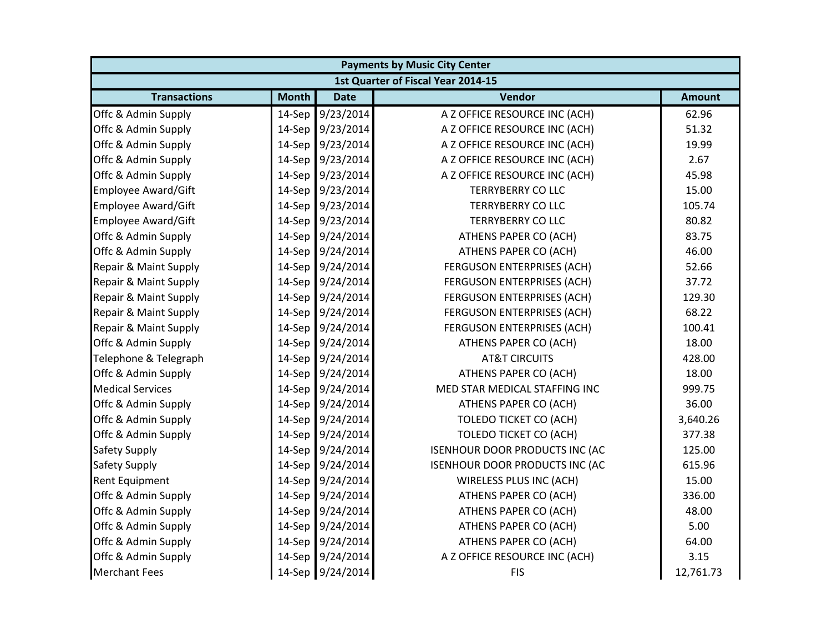| <b>Payments by Music City Center</b> |              |                  |                                       |               |  |
|--------------------------------------|--------------|------------------|---------------------------------------|---------------|--|
|                                      |              |                  | 1st Quarter of Fiscal Year 2014-15    |               |  |
| <b>Transactions</b>                  | <b>Month</b> | <b>Date</b>      | Vendor                                | <b>Amount</b> |  |
| Offc & Admin Supply                  | 14-Sep       | 9/23/2014        | A Z OFFICE RESOURCE INC (ACH)         | 62.96         |  |
| Offc & Admin Supply                  |              | 14-Sep 9/23/2014 | A Z OFFICE RESOURCE INC (ACH)         | 51.32         |  |
| Offc & Admin Supply                  |              | 14-Sep 9/23/2014 | A Z OFFICE RESOURCE INC (ACH)         | 19.99         |  |
| Offc & Admin Supply                  |              | 14-Sep 9/23/2014 | A Z OFFICE RESOURCE INC (ACH)         | 2.67          |  |
| Offc & Admin Supply                  |              | 14-Sep 9/23/2014 | A Z OFFICE RESOURCE INC (ACH)         | 45.98         |  |
| <b>Employee Award/Gift</b>           |              | 14-Sep 9/23/2014 | <b>TERRYBERRY CO LLC</b>              | 15.00         |  |
| <b>Employee Award/Gift</b>           |              | 14-Sep 9/23/2014 | <b>TERRYBERRY CO LLC</b>              | 105.74        |  |
| <b>Employee Award/Gift</b>           |              | 14-Sep 9/23/2014 | <b>TERRYBERRY CO LLC</b>              | 80.82         |  |
| Offc & Admin Supply                  |              | 14-Sep 9/24/2014 | ATHENS PAPER CO (ACH)                 | 83.75         |  |
| Offc & Admin Supply                  |              | 14-Sep 9/24/2014 | ATHENS PAPER CO (ACH)                 | 46.00         |  |
| Repair & Maint Supply                |              | 14-Sep 9/24/2014 | FERGUSON ENTERPRISES (ACH)            | 52.66         |  |
| Repair & Maint Supply                |              | 14-Sep 9/24/2014 | <b>FERGUSON ENTERPRISES (ACH)</b>     | 37.72         |  |
| Repair & Maint Supply                |              | 14-Sep 9/24/2014 | FERGUSON ENTERPRISES (ACH)            | 129.30        |  |
| Repair & Maint Supply                |              | 14-Sep 9/24/2014 | <b>FERGUSON ENTERPRISES (ACH)</b>     | 68.22         |  |
| Repair & Maint Supply                |              | 14-Sep 9/24/2014 | FERGUSON ENTERPRISES (ACH)            | 100.41        |  |
| Offc & Admin Supply                  |              | 14-Sep 9/24/2014 | ATHENS PAPER CO (ACH)                 | 18.00         |  |
| Telephone & Telegraph                |              | 14-Sep 9/24/2014 | <b>AT&amp;T CIRCUITS</b>              | 428.00        |  |
| Offc & Admin Supply                  |              | 14-Sep 9/24/2014 | ATHENS PAPER CO (ACH)                 | 18.00         |  |
| <b>Medical Services</b>              |              | 14-Sep 9/24/2014 | MED STAR MEDICAL STAFFING INC         | 999.75        |  |
| Offc & Admin Supply                  |              | 14-Sep 9/24/2014 | ATHENS PAPER CO (ACH)                 | 36.00         |  |
| Offc & Admin Supply                  |              | 14-Sep 9/24/2014 | <b>TOLEDO TICKET CO (ACH)</b>         | 3,640.26      |  |
| Offc & Admin Supply                  |              | 14-Sep 9/24/2014 | <b>TOLEDO TICKET CO (ACH)</b>         | 377.38        |  |
| <b>Safety Supply</b>                 |              | 14-Sep 9/24/2014 | <b>ISENHOUR DOOR PRODUCTS INC (AC</b> | 125.00        |  |
| <b>Safety Supply</b>                 |              | 14-Sep 9/24/2014 | <b>ISENHOUR DOOR PRODUCTS INC (AC</b> | 615.96        |  |
| <b>Rent Equipment</b>                |              | 14-Sep 9/24/2014 | WIRELESS PLUS INC (ACH)               | 15.00         |  |
| Offc & Admin Supply                  |              | 14-Sep 9/24/2014 | ATHENS PAPER CO (ACH)                 | 336.00        |  |
| Offc & Admin Supply                  |              | 14-Sep 9/24/2014 | ATHENS PAPER CO (ACH)                 | 48.00         |  |
| Offc & Admin Supply                  |              | 14-Sep 9/24/2014 | ATHENS PAPER CO (ACH)                 | 5.00          |  |
| Offc & Admin Supply                  |              | 14-Sep 9/24/2014 | ATHENS PAPER CO (ACH)                 | 64.00         |  |
| Offc & Admin Supply                  |              | 14-Sep 9/24/2014 | A Z OFFICE RESOURCE INC (ACH)         | 3.15          |  |
| <b>Merchant Fees</b>                 |              | 14-Sep 9/24/2014 | <b>FIS</b>                            | 12,761.73     |  |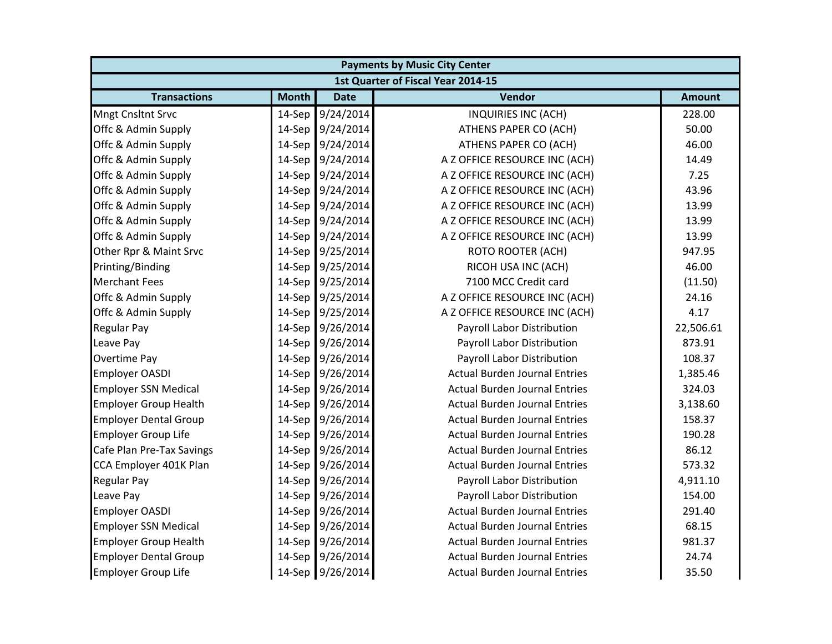| <b>Payments by Music City Center</b> |              |                  |                                      |               |  |
|--------------------------------------|--------------|------------------|--------------------------------------|---------------|--|
|                                      |              |                  | 1st Quarter of Fiscal Year 2014-15   |               |  |
| <b>Transactions</b>                  | <b>Month</b> | <b>Date</b>      | Vendor                               | <b>Amount</b> |  |
| <b>Mngt Cnsltnt Srvc</b>             | 14-Sep       | 9/24/2014        | <b>INQUIRIES INC (ACH)</b>           | 228.00        |  |
| Offc & Admin Supply                  |              | 14-Sep 9/24/2014 | ATHENS PAPER CO (ACH)                | 50.00         |  |
| Offc & Admin Supply                  |              | 14-Sep 9/24/2014 | ATHENS PAPER CO (ACH)                | 46.00         |  |
| Offc & Admin Supply                  |              | 14-Sep 9/24/2014 | A Z OFFICE RESOURCE INC (ACH)        | 14.49         |  |
| Offc & Admin Supply                  |              | 14-Sep 9/24/2014 | A Z OFFICE RESOURCE INC (ACH)        | 7.25          |  |
| Offc & Admin Supply                  |              | 14-Sep 9/24/2014 | A Z OFFICE RESOURCE INC (ACH)        | 43.96         |  |
| Offc & Admin Supply                  |              | 14-Sep 9/24/2014 | A Z OFFICE RESOURCE INC (ACH)        | 13.99         |  |
| Offc & Admin Supply                  |              | 14-Sep 9/24/2014 | A Z OFFICE RESOURCE INC (ACH)        | 13.99         |  |
| Offc & Admin Supply                  |              | 14-Sep 9/24/2014 | A Z OFFICE RESOURCE INC (ACH)        | 13.99         |  |
| Other Rpr & Maint Srvc               |              | 14-Sep 9/25/2014 | <b>ROTO ROOTER (ACH)</b>             | 947.95        |  |
| Printing/Binding                     |              | 14-Sep 9/25/2014 | RICOH USA INC (ACH)                  | 46.00         |  |
| <b>Merchant Fees</b>                 |              | 14-Sep 9/25/2014 | 7100 MCC Credit card                 | (11.50)       |  |
| Offc & Admin Supply                  |              | 14-Sep 9/25/2014 | A Z OFFICE RESOURCE INC (ACH)        | 24.16         |  |
| Offc & Admin Supply                  |              | 14-Sep 9/25/2014 | A Z OFFICE RESOURCE INC (ACH)        | 4.17          |  |
| <b>Regular Pay</b>                   |              | 14-Sep 9/26/2014 | Payroll Labor Distribution           | 22,506.61     |  |
| Leave Pay                            |              | 14-Sep 9/26/2014 | Payroll Labor Distribution           | 873.91        |  |
| <b>Overtime Pay</b>                  |              | 14-Sep 9/26/2014 | Payroll Labor Distribution           | 108.37        |  |
| <b>Employer OASDI</b>                |              | 14-Sep 9/26/2014 | <b>Actual Burden Journal Entries</b> | 1,385.46      |  |
| <b>Employer SSN Medical</b>          |              | 14-Sep 9/26/2014 | <b>Actual Burden Journal Entries</b> | 324.03        |  |
| <b>Employer Group Health</b>         |              | 14-Sep 9/26/2014 | <b>Actual Burden Journal Entries</b> | 3,138.60      |  |
| <b>Employer Dental Group</b>         |              | 14-Sep 9/26/2014 | <b>Actual Burden Journal Entries</b> | 158.37        |  |
| <b>Employer Group Life</b>           |              | 14-Sep 9/26/2014 | <b>Actual Burden Journal Entries</b> | 190.28        |  |
| Cafe Plan Pre-Tax Savings            |              | 14-Sep 9/26/2014 | <b>Actual Burden Journal Entries</b> | 86.12         |  |
| CCA Employer 401K Plan               |              | 14-Sep 9/26/2014 | <b>Actual Burden Journal Entries</b> | 573.32        |  |
| <b>Regular Pay</b>                   |              | 14-Sep 9/26/2014 | Payroll Labor Distribution           | 4,911.10      |  |
| Leave Pay                            |              | 14-Sep 9/26/2014 | Payroll Labor Distribution           | 154.00        |  |
| Employer OASDI                       |              | 14-Sep 9/26/2014 | <b>Actual Burden Journal Entries</b> | 291.40        |  |
| <b>Employer SSN Medical</b>          |              | 14-Sep 9/26/2014 | <b>Actual Burden Journal Entries</b> | 68.15         |  |
| <b>Employer Group Health</b>         |              | 14-Sep 9/26/2014 | <b>Actual Burden Journal Entries</b> | 981.37        |  |
| <b>Employer Dental Group</b>         |              | 14-Sep 9/26/2014 | <b>Actual Burden Journal Entries</b> | 24.74         |  |
| <b>Employer Group Life</b>           |              | 14-Sep 9/26/2014 | <b>Actual Burden Journal Entries</b> | 35.50         |  |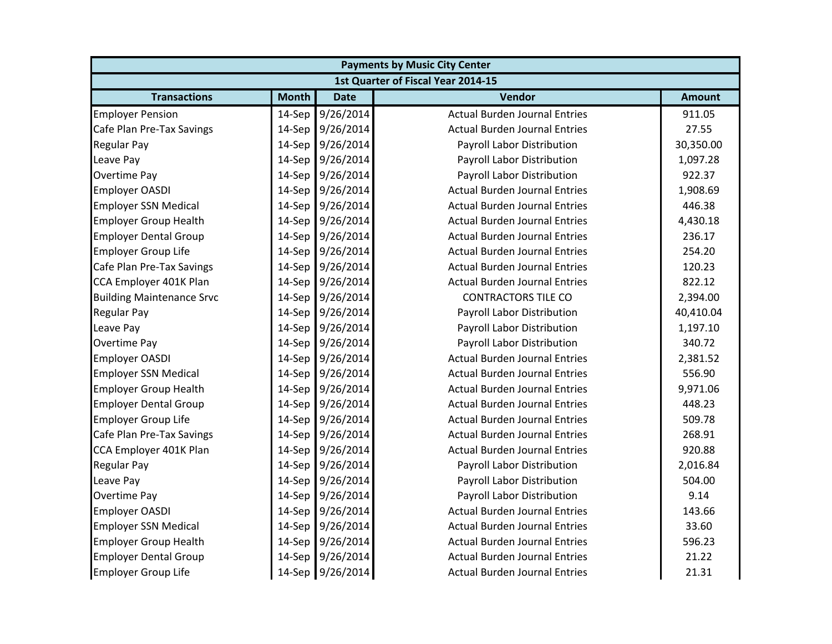| <b>Payments by Music City Center</b> |              |                  |                                      |               |  |
|--------------------------------------|--------------|------------------|--------------------------------------|---------------|--|
|                                      |              |                  | 1st Quarter of Fiscal Year 2014-15   |               |  |
| <b>Transactions</b>                  | <b>Month</b> | <b>Date</b>      | Vendor                               | <b>Amount</b> |  |
| <b>Employer Pension</b>              | 14-Sep       | 9/26/2014        | <b>Actual Burden Journal Entries</b> | 911.05        |  |
| Cafe Plan Pre-Tax Savings            | 14-Sep       | 9/26/2014        | <b>Actual Burden Journal Entries</b> | 27.55         |  |
| <b>Regular Pay</b>                   |              | 14-Sep 9/26/2014 | Payroll Labor Distribution           | 30,350.00     |  |
| Leave Pay                            |              | 14-Sep 9/26/2014 | Payroll Labor Distribution           | 1,097.28      |  |
| <b>Overtime Pay</b>                  |              | 14-Sep 9/26/2014 | Payroll Labor Distribution           | 922.37        |  |
| <b>Employer OASDI</b>                |              | 14-Sep 9/26/2014 | <b>Actual Burden Journal Entries</b> | 1,908.69      |  |
| <b>Employer SSN Medical</b>          | 14-Sep       | 9/26/2014        | <b>Actual Burden Journal Entries</b> | 446.38        |  |
| <b>Employer Group Health</b>         |              | 14-Sep 9/26/2014 | <b>Actual Burden Journal Entries</b> | 4,430.18      |  |
| <b>Employer Dental Group</b>         |              | 14-Sep 9/26/2014 | <b>Actual Burden Journal Entries</b> | 236.17        |  |
| <b>Employer Group Life</b>           |              | 14-Sep 9/26/2014 | <b>Actual Burden Journal Entries</b> | 254.20        |  |
| Cafe Plan Pre-Tax Savings            |              | 14-Sep 9/26/2014 | <b>Actual Burden Journal Entries</b> | 120.23        |  |
| CCA Employer 401K Plan               |              | 14-Sep 9/26/2014 | <b>Actual Burden Journal Entries</b> | 822.12        |  |
| <b>Building Maintenance Srvc</b>     |              | 14-Sep 9/26/2014 | <b>CONTRACTORS TILE CO</b>           | 2,394.00      |  |
| <b>Regular Pay</b>                   | 14-Sep       | 9/26/2014        | Payroll Labor Distribution           | 40,410.04     |  |
| Leave Pay                            |              | 14-Sep 9/26/2014 | Payroll Labor Distribution           | 1,197.10      |  |
| <b>Overtime Pay</b>                  |              | 14-Sep 9/26/2014 | Payroll Labor Distribution           | 340.72        |  |
| <b>Employer OASDI</b>                |              | 14-Sep 9/26/2014 | <b>Actual Burden Journal Entries</b> | 2,381.52      |  |
| <b>Employer SSN Medical</b>          |              | 14-Sep 9/26/2014 | <b>Actual Burden Journal Entries</b> | 556.90        |  |
| <b>Employer Group Health</b>         |              | 14-Sep 9/26/2014 | <b>Actual Burden Journal Entries</b> | 9,971.06      |  |
| <b>Employer Dental Group</b>         |              | 14-Sep 9/26/2014 | <b>Actual Burden Journal Entries</b> | 448.23        |  |
| <b>Employer Group Life</b>           |              | 14-Sep 9/26/2014 | <b>Actual Burden Journal Entries</b> | 509.78        |  |
| Cafe Plan Pre-Tax Savings            |              | 14-Sep 9/26/2014 | <b>Actual Burden Journal Entries</b> | 268.91        |  |
| CCA Employer 401K Plan               |              | 14-Sep 9/26/2014 | <b>Actual Burden Journal Entries</b> | 920.88        |  |
| <b>Regular Pay</b>                   |              | 14-Sep 9/26/2014 | Payroll Labor Distribution           | 2,016.84      |  |
| Leave Pay                            |              | 14-Sep 9/26/2014 | Payroll Labor Distribution           | 504.00        |  |
| <b>Overtime Pay</b>                  |              | 14-Sep 9/26/2014 | Payroll Labor Distribution           | 9.14          |  |
| <b>Employer OASDI</b>                |              | 14-Sep 9/26/2014 | <b>Actual Burden Journal Entries</b> | 143.66        |  |
| <b>Employer SSN Medical</b>          |              | 14-Sep 9/26/2014 | <b>Actual Burden Journal Entries</b> | 33.60         |  |
| <b>Employer Group Health</b>         |              | 14-Sep 9/26/2014 | <b>Actual Burden Journal Entries</b> | 596.23        |  |
| <b>Employer Dental Group</b>         |              | 14-Sep 9/26/2014 | <b>Actual Burden Journal Entries</b> | 21.22         |  |
| <b>Employer Group Life</b>           |              | 14-Sep 9/26/2014 | <b>Actual Burden Journal Entries</b> | 21.31         |  |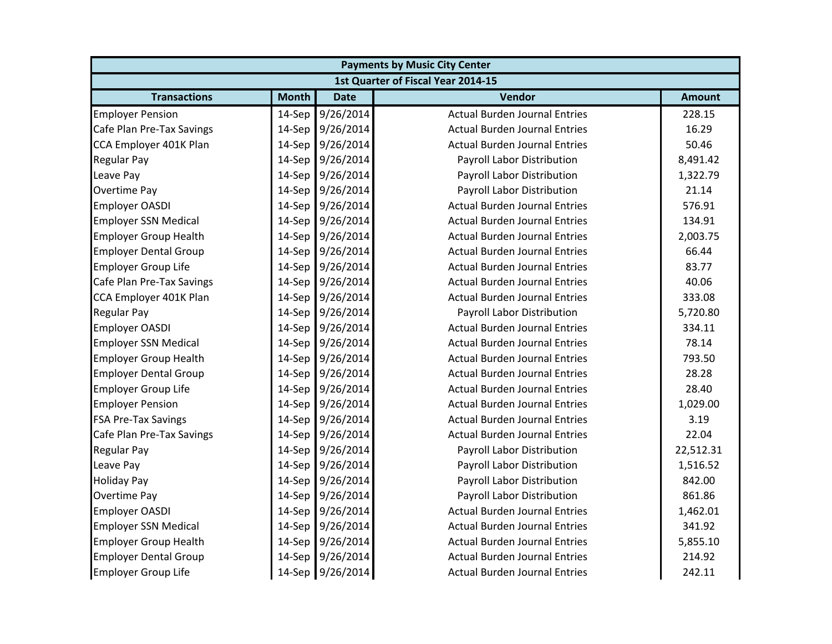| <b>Payments by Music City Center</b> |              |                  |                                      |               |  |
|--------------------------------------|--------------|------------------|--------------------------------------|---------------|--|
|                                      |              |                  | 1st Quarter of Fiscal Year 2014-15   |               |  |
| <b>Transactions</b>                  | <b>Month</b> | <b>Date</b>      | Vendor                               | <b>Amount</b> |  |
| <b>Employer Pension</b>              | 14-Sep       | 9/26/2014        | <b>Actual Burden Journal Entries</b> | 228.15        |  |
| Cafe Plan Pre-Tax Savings            |              | 14-Sep 9/26/2014 | <b>Actual Burden Journal Entries</b> | 16.29         |  |
| CCA Employer 401K Plan               |              | 14-Sep 9/26/2014 | <b>Actual Burden Journal Entries</b> | 50.46         |  |
| <b>Regular Pay</b>                   |              | 14-Sep 9/26/2014 | <b>Payroll Labor Distribution</b>    | 8,491.42      |  |
| Leave Pay                            |              | 14-Sep 9/26/2014 | Payroll Labor Distribution           | 1,322.79      |  |
| <b>Overtime Pay</b>                  |              | 14-Sep 9/26/2014 | Payroll Labor Distribution           | 21.14         |  |
| <b>Employer OASDI</b>                |              | 14-Sep 9/26/2014 | <b>Actual Burden Journal Entries</b> | 576.91        |  |
| <b>Employer SSN Medical</b>          |              | 14-Sep 9/26/2014 | <b>Actual Burden Journal Entries</b> | 134.91        |  |
| <b>Employer Group Health</b>         |              | 14-Sep 9/26/2014 | <b>Actual Burden Journal Entries</b> | 2,003.75      |  |
| <b>Employer Dental Group</b>         |              | 14-Sep 9/26/2014 | <b>Actual Burden Journal Entries</b> | 66.44         |  |
| <b>Employer Group Life</b>           |              | 14-Sep 9/26/2014 | <b>Actual Burden Journal Entries</b> | 83.77         |  |
| Cafe Plan Pre-Tax Savings            |              | 14-Sep 9/26/2014 | <b>Actual Burden Journal Entries</b> | 40.06         |  |
| CCA Employer 401K Plan               |              | 14-Sep 9/26/2014 | <b>Actual Burden Journal Entries</b> | 333.08        |  |
| <b>Regular Pay</b>                   |              | 14-Sep 9/26/2014 | Payroll Labor Distribution           | 5,720.80      |  |
| <b>Employer OASDI</b>                |              | 14-Sep 9/26/2014 | <b>Actual Burden Journal Entries</b> | 334.11        |  |
| <b>Employer SSN Medical</b>          |              | 14-Sep 9/26/2014 | <b>Actual Burden Journal Entries</b> | 78.14         |  |
| <b>Employer Group Health</b>         |              | 14-Sep 9/26/2014 | <b>Actual Burden Journal Entries</b> | 793.50        |  |
| <b>Employer Dental Group</b>         |              | 14-Sep 9/26/2014 | <b>Actual Burden Journal Entries</b> | 28.28         |  |
| <b>Employer Group Life</b>           |              | 14-Sep 9/26/2014 | <b>Actual Burden Journal Entries</b> | 28.40         |  |
| <b>Employer Pension</b>              |              | 14-Sep 9/26/2014 | <b>Actual Burden Journal Entries</b> | 1,029.00      |  |
| <b>FSA Pre-Tax Savings</b>           |              | 14-Sep 9/26/2014 | <b>Actual Burden Journal Entries</b> | 3.19          |  |
| Cafe Plan Pre-Tax Savings            |              | 14-Sep 9/26/2014 | <b>Actual Burden Journal Entries</b> | 22.04         |  |
| <b>Regular Pay</b>                   |              | 14-Sep 9/26/2014 | Payroll Labor Distribution           | 22,512.31     |  |
| Leave Pay                            |              | 14-Sep 9/26/2014 | Payroll Labor Distribution           | 1,516.52      |  |
| <b>Holiday Pay</b>                   |              | 14-Sep 9/26/2014 | Payroll Labor Distribution           | 842.00        |  |
| <b>Overtime Pay</b>                  |              | 14-Sep 9/26/2014 | Payroll Labor Distribution           | 861.86        |  |
| <b>Employer OASDI</b>                |              | 14-Sep 9/26/2014 | <b>Actual Burden Journal Entries</b> | 1,462.01      |  |
| <b>Employer SSN Medical</b>          |              | 14-Sep 9/26/2014 | <b>Actual Burden Journal Entries</b> | 341.92        |  |
| <b>Employer Group Health</b>         |              | 14-Sep 9/26/2014 | <b>Actual Burden Journal Entries</b> | 5,855.10      |  |
| <b>Employer Dental Group</b>         |              | 14-Sep 9/26/2014 | <b>Actual Burden Journal Entries</b> | 214.92        |  |
| <b>Employer Group Life</b>           |              | 14-Sep 9/26/2014 | <b>Actual Burden Journal Entries</b> | 242.11        |  |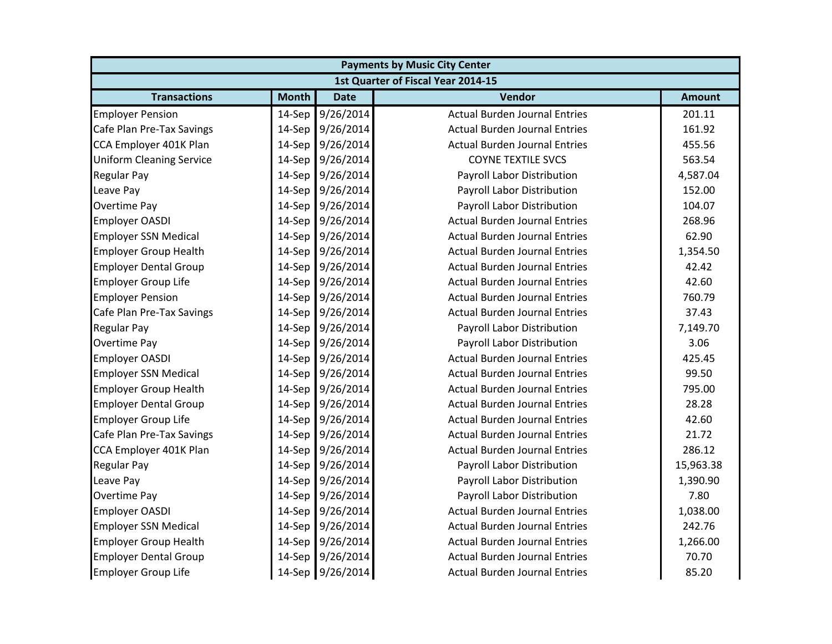|                                 |              |                  | <b>Payments by Music City Center</b> |               |
|---------------------------------|--------------|------------------|--------------------------------------|---------------|
|                                 |              |                  | 1st Quarter of Fiscal Year 2014-15   |               |
| <b>Transactions</b>             | <b>Month</b> | <b>Date</b>      | Vendor                               | <b>Amount</b> |
| <b>Employer Pension</b>         | 14-Sep       | 9/26/2014        | <b>Actual Burden Journal Entries</b> | 201.11        |
| Cafe Plan Pre-Tax Savings       |              | 14-Sep 9/26/2014 | <b>Actual Burden Journal Entries</b> | 161.92        |
| CCA Employer 401K Plan          |              | 14-Sep 9/26/2014 | <b>Actual Burden Journal Entries</b> | 455.56        |
| <b>Uniform Cleaning Service</b> |              | 14-Sep 9/26/2014 | <b>COYNE TEXTILE SVCS</b>            | 563.54        |
| <b>Regular Pay</b>              |              | 14-Sep 9/26/2014 | <b>Payroll Labor Distribution</b>    | 4,587.04      |
| Leave Pay                       |              | 14-Sep 9/26/2014 | Payroll Labor Distribution           | 152.00        |
| <b>Overtime Pay</b>             |              | 14-Sep 9/26/2014 | Payroll Labor Distribution           | 104.07        |
| <b>Employer OASDI</b>           |              | 14-Sep 9/26/2014 | <b>Actual Burden Journal Entries</b> | 268.96        |
| <b>Employer SSN Medical</b>     |              | 14-Sep 9/26/2014 | <b>Actual Burden Journal Entries</b> | 62.90         |
| <b>Employer Group Health</b>    |              | 14-Sep 9/26/2014 | <b>Actual Burden Journal Entries</b> | 1,354.50      |
| <b>Employer Dental Group</b>    |              | 14-Sep 9/26/2014 | <b>Actual Burden Journal Entries</b> | 42.42         |
| <b>Employer Group Life</b>      |              | 14-Sep 9/26/2014 | <b>Actual Burden Journal Entries</b> | 42.60         |
| <b>Employer Pension</b>         |              | 14-Sep 9/26/2014 | <b>Actual Burden Journal Entries</b> | 760.79        |
| Cafe Plan Pre-Tax Savings       |              | 14-Sep 9/26/2014 | <b>Actual Burden Journal Entries</b> | 37.43         |
| <b>Regular Pay</b>              |              | 14-Sep 9/26/2014 | Payroll Labor Distribution           | 7,149.70      |
| <b>Overtime Pay</b>             |              | 14-Sep 9/26/2014 | Payroll Labor Distribution           | 3.06          |
| <b>Employer OASDI</b>           |              | 14-Sep 9/26/2014 | <b>Actual Burden Journal Entries</b> | 425.45        |
| <b>Employer SSN Medical</b>     |              | 14-Sep 9/26/2014 | <b>Actual Burden Journal Entries</b> | 99.50         |
| <b>Employer Group Health</b>    |              | 14-Sep 9/26/2014 | <b>Actual Burden Journal Entries</b> | 795.00        |
| <b>Employer Dental Group</b>    |              | 14-Sep 9/26/2014 | <b>Actual Burden Journal Entries</b> | 28.28         |
| <b>Employer Group Life</b>      |              | 14-Sep 9/26/2014 | <b>Actual Burden Journal Entries</b> | 42.60         |
| Cafe Plan Pre-Tax Savings       |              | 14-Sep 9/26/2014 | <b>Actual Burden Journal Entries</b> | 21.72         |
| CCA Employer 401K Plan          |              | 14-Sep 9/26/2014 | <b>Actual Burden Journal Entries</b> | 286.12        |
| <b>Regular Pay</b>              |              | 14-Sep 9/26/2014 | Payroll Labor Distribution           | 15,963.38     |
| Leave Pay                       |              | 14-Sep 9/26/2014 | Payroll Labor Distribution           | 1,390.90      |
| <b>Overtime Pay</b>             |              | 14-Sep 9/26/2014 | Payroll Labor Distribution           | 7.80          |
| <b>Employer OASDI</b>           |              | 14-Sep 9/26/2014 | <b>Actual Burden Journal Entries</b> | 1,038.00      |
| <b>Employer SSN Medical</b>     |              | 14-Sep 9/26/2014 | <b>Actual Burden Journal Entries</b> | 242.76        |
| <b>Employer Group Health</b>    |              | 14-Sep 9/26/2014 | <b>Actual Burden Journal Entries</b> | 1,266.00      |
| <b>Employer Dental Group</b>    |              | 14-Sep 9/26/2014 | <b>Actual Burden Journal Entries</b> | 70.70         |
| <b>Employer Group Life</b>      |              | 14-Sep 9/26/2014 | <b>Actual Burden Journal Entries</b> | 85.20         |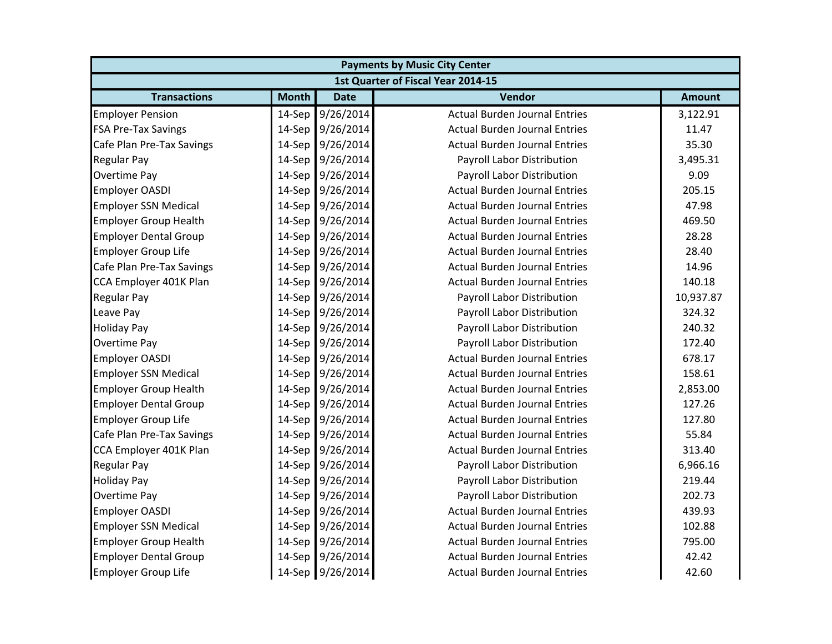| <b>Payments by Music City Center</b> |              |                  |                                      |               |  |
|--------------------------------------|--------------|------------------|--------------------------------------|---------------|--|
|                                      |              |                  | 1st Quarter of Fiscal Year 2014-15   |               |  |
| <b>Transactions</b>                  | <b>Month</b> | <b>Date</b>      | Vendor                               | <b>Amount</b> |  |
| <b>Employer Pension</b>              | 14-Sep       | 9/26/2014        | <b>Actual Burden Journal Entries</b> | 3,122.91      |  |
| <b>FSA Pre-Tax Savings</b>           |              | 14-Sep 9/26/2014 | <b>Actual Burden Journal Entries</b> | 11.47         |  |
| Cafe Plan Pre-Tax Savings            |              | 14-Sep 9/26/2014 | <b>Actual Burden Journal Entries</b> | 35.30         |  |
| <b>Regular Pay</b>                   |              | 14-Sep 9/26/2014 | <b>Payroll Labor Distribution</b>    | 3,495.31      |  |
| <b>Overtime Pay</b>                  |              | 14-Sep 9/26/2014 | Payroll Labor Distribution           | 9.09          |  |
| <b>Employer OASDI</b>                |              | 14-Sep 9/26/2014 | <b>Actual Burden Journal Entries</b> | 205.15        |  |
| <b>Employer SSN Medical</b>          |              | 14-Sep 9/26/2014 | <b>Actual Burden Journal Entries</b> | 47.98         |  |
| <b>Employer Group Health</b>         |              | 14-Sep 9/26/2014 | <b>Actual Burden Journal Entries</b> | 469.50        |  |
| <b>Employer Dental Group</b>         |              | 14-Sep 9/26/2014 | <b>Actual Burden Journal Entries</b> | 28.28         |  |
| <b>Employer Group Life</b>           |              | 14-Sep 9/26/2014 | <b>Actual Burden Journal Entries</b> | 28.40         |  |
| Cafe Plan Pre-Tax Savings            |              | 14-Sep 9/26/2014 | <b>Actual Burden Journal Entries</b> | 14.96         |  |
| CCA Employer 401K Plan               |              | 14-Sep 9/26/2014 | <b>Actual Burden Journal Entries</b> | 140.18        |  |
| <b>Regular Pay</b>                   | 14-Sep       | 9/26/2014        | <b>Payroll Labor Distribution</b>    | 10,937.87     |  |
| Leave Pay                            |              | 14-Sep 9/26/2014 | Payroll Labor Distribution           | 324.32        |  |
| <b>Holiday Pay</b>                   |              | 14-Sep 9/26/2014 | Payroll Labor Distribution           | 240.32        |  |
| <b>Overtime Pay</b>                  |              | 14-Sep 9/26/2014 | Payroll Labor Distribution           | 172.40        |  |
| <b>Employer OASDI</b>                |              | 14-Sep 9/26/2014 | <b>Actual Burden Journal Entries</b> | 678.17        |  |
| <b>Employer SSN Medical</b>          |              | 14-Sep 9/26/2014 | <b>Actual Burden Journal Entries</b> | 158.61        |  |
| <b>Employer Group Health</b>         |              | 14-Sep 9/26/2014 | <b>Actual Burden Journal Entries</b> | 2,853.00      |  |
| <b>Employer Dental Group</b>         |              | 14-Sep 9/26/2014 | <b>Actual Burden Journal Entries</b> | 127.26        |  |
| <b>Employer Group Life</b>           |              | 14-Sep 9/26/2014 | <b>Actual Burden Journal Entries</b> | 127.80        |  |
| Cafe Plan Pre-Tax Savings            |              | 14-Sep 9/26/2014 | <b>Actual Burden Journal Entries</b> | 55.84         |  |
| CCA Employer 401K Plan               |              | 14-Sep 9/26/2014 | <b>Actual Burden Journal Entries</b> | 313.40        |  |
| <b>Regular Pay</b>                   |              | 14-Sep 9/26/2014 | Payroll Labor Distribution           | 6,966.16      |  |
| <b>Holiday Pay</b>                   |              | 14-Sep 9/26/2014 | Payroll Labor Distribution           | 219.44        |  |
| <b>Overtime Pay</b>                  |              | 14-Sep 9/26/2014 | Payroll Labor Distribution           | 202.73        |  |
| <b>Employer OASDI</b>                |              | 14-Sep 9/26/2014 | <b>Actual Burden Journal Entries</b> | 439.93        |  |
| <b>Employer SSN Medical</b>          |              | 14-Sep 9/26/2014 | <b>Actual Burden Journal Entries</b> | 102.88        |  |
| <b>Employer Group Health</b>         |              | 14-Sep 9/26/2014 | <b>Actual Burden Journal Entries</b> | 795.00        |  |
| <b>Employer Dental Group</b>         |              | 14-Sep 9/26/2014 | <b>Actual Burden Journal Entries</b> | 42.42         |  |
| <b>Employer Group Life</b>           |              | 14-Sep 9/26/2014 | <b>Actual Burden Journal Entries</b> | 42.60         |  |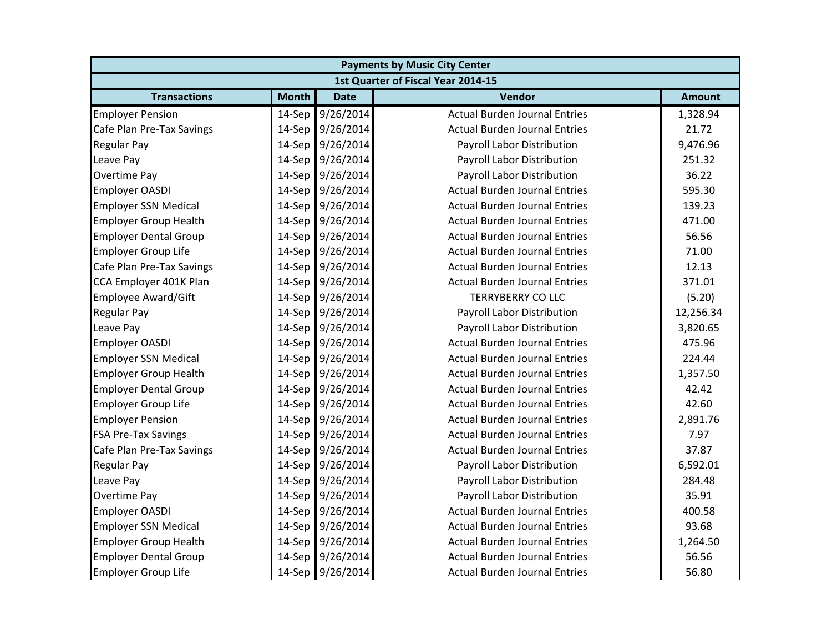| <b>Payments by Music City Center</b> |              |                  |                                      |               |  |
|--------------------------------------|--------------|------------------|--------------------------------------|---------------|--|
|                                      |              |                  | 1st Quarter of Fiscal Year 2014-15   |               |  |
| <b>Transactions</b>                  | <b>Month</b> | <b>Date</b>      | Vendor                               | <b>Amount</b> |  |
| <b>Employer Pension</b>              | 14-Sep       | 9/26/2014        | <b>Actual Burden Journal Entries</b> | 1,328.94      |  |
| Cafe Plan Pre-Tax Savings            |              | 14-Sep 9/26/2014 | <b>Actual Burden Journal Entries</b> | 21.72         |  |
| <b>Regular Pay</b>                   |              | 14-Sep 9/26/2014 | <b>Payroll Labor Distribution</b>    | 9,476.96      |  |
| Leave Pay                            |              | 14-Sep 9/26/2014 | Payroll Labor Distribution           | 251.32        |  |
| <b>Overtime Pay</b>                  |              | 14-Sep 9/26/2014 | Payroll Labor Distribution           | 36.22         |  |
| <b>Employer OASDI</b>                |              | 14-Sep 9/26/2014 | <b>Actual Burden Journal Entries</b> | 595.30        |  |
| <b>Employer SSN Medical</b>          |              | 14-Sep 9/26/2014 | <b>Actual Burden Journal Entries</b> | 139.23        |  |
| <b>Employer Group Health</b>         |              | 14-Sep 9/26/2014 | <b>Actual Burden Journal Entries</b> | 471.00        |  |
| <b>Employer Dental Group</b>         |              | 14-Sep 9/26/2014 | <b>Actual Burden Journal Entries</b> | 56.56         |  |
| <b>Employer Group Life</b>           |              | 14-Sep 9/26/2014 | <b>Actual Burden Journal Entries</b> | 71.00         |  |
| Cafe Plan Pre-Tax Savings            |              | 14-Sep 9/26/2014 | <b>Actual Burden Journal Entries</b> | 12.13         |  |
| CCA Employer 401K Plan               |              | 14-Sep 9/26/2014 | <b>Actual Burden Journal Entries</b> | 371.01        |  |
| <b>Employee Award/Gift</b>           | 14-Sep       | 9/26/2014        | <b>TERRYBERRY CO LLC</b>             | (5.20)        |  |
| <b>Regular Pay</b>                   |              | 14-Sep 9/26/2014 | Payroll Labor Distribution           | 12,256.34     |  |
| Leave Pay                            |              | 14-Sep 9/26/2014 | Payroll Labor Distribution           | 3,820.65      |  |
| <b>Employer OASDI</b>                |              | 14-Sep 9/26/2014 | <b>Actual Burden Journal Entries</b> | 475.96        |  |
| <b>Employer SSN Medical</b>          |              | 14-Sep 9/26/2014 | <b>Actual Burden Journal Entries</b> | 224.44        |  |
| <b>Employer Group Health</b>         |              | 14-Sep 9/26/2014 | <b>Actual Burden Journal Entries</b> | 1,357.50      |  |
| <b>Employer Dental Group</b>         |              | 14-Sep 9/26/2014 | <b>Actual Burden Journal Entries</b> | 42.42         |  |
| <b>Employer Group Life</b>           |              | 14-Sep 9/26/2014 | <b>Actual Burden Journal Entries</b> | 42.60         |  |
| <b>Employer Pension</b>              |              | 14-Sep 9/26/2014 | <b>Actual Burden Journal Entries</b> | 2,891.76      |  |
| FSA Pre-Tax Savings                  |              | 14-Sep 9/26/2014 | <b>Actual Burden Journal Entries</b> | 7.97          |  |
| Cafe Plan Pre-Tax Savings            |              | 14-Sep 9/26/2014 | <b>Actual Burden Journal Entries</b> | 37.87         |  |
| <b>Regular Pay</b>                   |              | 14-Sep 9/26/2014 | Payroll Labor Distribution           | 6,592.01      |  |
| Leave Pay                            |              | 14-Sep 9/26/2014 | Payroll Labor Distribution           | 284.48        |  |
| <b>Overtime Pay</b>                  |              | 14-Sep 9/26/2014 | Payroll Labor Distribution           | 35.91         |  |
| <b>Employer OASDI</b>                |              | 14-Sep 9/26/2014 | <b>Actual Burden Journal Entries</b> | 400.58        |  |
| <b>Employer SSN Medical</b>          |              | 14-Sep 9/26/2014 | <b>Actual Burden Journal Entries</b> | 93.68         |  |
| <b>Employer Group Health</b>         |              | 14-Sep 9/26/2014 | <b>Actual Burden Journal Entries</b> | 1,264.50      |  |
| <b>Employer Dental Group</b>         |              | 14-Sep 9/26/2014 | <b>Actual Burden Journal Entries</b> | 56.56         |  |
| <b>Employer Group Life</b>           |              | 14-Sep 9/26/2014 | <b>Actual Burden Journal Entries</b> | 56.80         |  |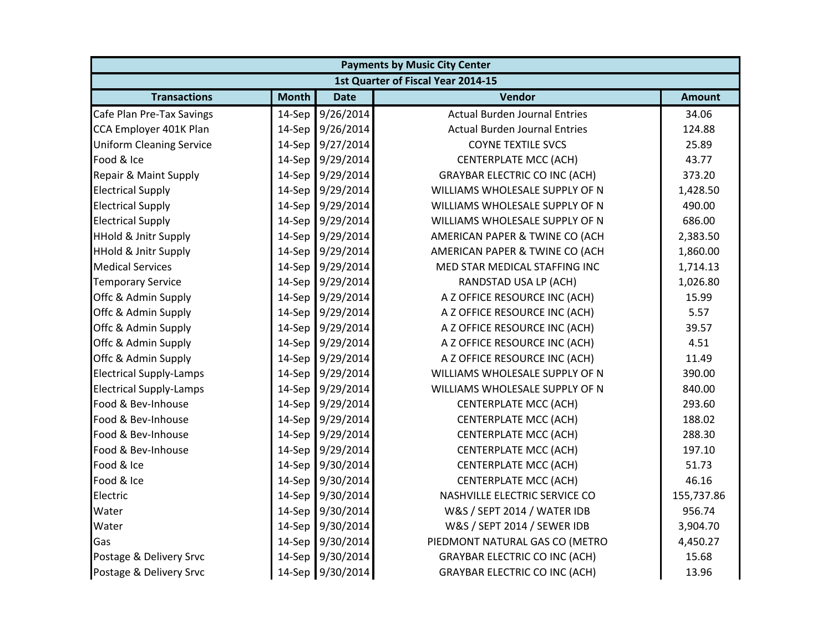| <b>Payments by Music City Center</b> |              |                  |                                      |               |  |
|--------------------------------------|--------------|------------------|--------------------------------------|---------------|--|
|                                      |              |                  | 1st Quarter of Fiscal Year 2014-15   |               |  |
| <b>Transactions</b>                  | <b>Month</b> | <b>Date</b>      | Vendor                               | <b>Amount</b> |  |
| Cafe Plan Pre-Tax Savings            |              | 14-Sep 9/26/2014 | <b>Actual Burden Journal Entries</b> | 34.06         |  |
| CCA Employer 401K Plan               |              | 14-Sep 9/26/2014 | <b>Actual Burden Journal Entries</b> | 124.88        |  |
| <b>Uniform Cleaning Service</b>      |              | 14-Sep 9/27/2014 | <b>COYNE TEXTILE SVCS</b>            | 25.89         |  |
| Food & Ice                           |              | 14-Sep 9/29/2014 | <b>CENTERPLATE MCC (ACH)</b>         | 43.77         |  |
| Repair & Maint Supply                |              | 14-Sep 9/29/2014 | <b>GRAYBAR ELECTRIC CO INC (ACH)</b> | 373.20        |  |
| <b>Electrical Supply</b>             |              | 14-Sep 9/29/2014 | WILLIAMS WHOLESALE SUPPLY OF N       | 1,428.50      |  |
| <b>Electrical Supply</b>             |              | 14-Sep 9/29/2014 | WILLIAMS WHOLESALE SUPPLY OF N       | 490.00        |  |
| <b>Electrical Supply</b>             |              | 14-Sep 9/29/2014 | WILLIAMS WHOLESALE SUPPLY OF N       | 686.00        |  |
| <b>HHold &amp; Jnitr Supply</b>      |              | 14-Sep 9/29/2014 | AMERICAN PAPER & TWINE CO (ACH       | 2,383.50      |  |
| <b>HHold &amp; Jnitr Supply</b>      |              | 14-Sep 9/29/2014 | AMERICAN PAPER & TWINE CO (ACH       | 1,860.00      |  |
| <b>Medical Services</b>              |              | 14-Sep 9/29/2014 | MED STAR MEDICAL STAFFING INC        | 1,714.13      |  |
| <b>Temporary Service</b>             |              | 14-Sep 9/29/2014 | RANDSTAD USA LP (ACH)                | 1,026.80      |  |
| Offc & Admin Supply                  |              | 14-Sep 9/29/2014 | A Z OFFICE RESOURCE INC (ACH)        | 15.99         |  |
| Offc & Admin Supply                  |              | 14-Sep 9/29/2014 | A Z OFFICE RESOURCE INC (ACH)        | 5.57          |  |
| Offc & Admin Supply                  |              | 14-Sep 9/29/2014 | A Z OFFICE RESOURCE INC (ACH)        | 39.57         |  |
| Offc & Admin Supply                  |              | 14-Sep 9/29/2014 | A Z OFFICE RESOURCE INC (ACH)        | 4.51          |  |
| Offc & Admin Supply                  |              | 14-Sep 9/29/2014 | A Z OFFICE RESOURCE INC (ACH)        | 11.49         |  |
| <b>Electrical Supply-Lamps</b>       |              | 14-Sep 9/29/2014 | WILLIAMS WHOLESALE SUPPLY OF N       | 390.00        |  |
| <b>Electrical Supply-Lamps</b>       |              | 14-Sep 9/29/2014 | WILLIAMS WHOLESALE SUPPLY OF N       | 840.00        |  |
| Food & Bev-Inhouse                   |              | 14-Sep 9/29/2014 | <b>CENTERPLATE MCC (ACH)</b>         | 293.60        |  |
| Food & Bev-Inhouse                   |              | 14-Sep 9/29/2014 | <b>CENTERPLATE MCC (ACH)</b>         | 188.02        |  |
| Food & Bev-Inhouse                   |              | 14-Sep 9/29/2014 | <b>CENTERPLATE MCC (ACH)</b>         | 288.30        |  |
| Food & Bev-Inhouse                   |              | 14-Sep 9/29/2014 | <b>CENTERPLATE MCC (ACH)</b>         | 197.10        |  |
| Food & Ice                           |              | 14-Sep 9/30/2014 | <b>CENTERPLATE MCC (ACH)</b>         | 51.73         |  |
| Food & Ice                           |              | 14-Sep 9/30/2014 | <b>CENTERPLATE MCC (ACH)</b>         | 46.16         |  |
| Electric                             |              | 14-Sep 9/30/2014 | NASHVILLE ELECTRIC SERVICE CO        | 155,737.86    |  |
| Water                                |              | 14-Sep 9/30/2014 | W&S / SEPT 2014 / WATER IDB          | 956.74        |  |
| Water                                |              | 14-Sep 9/30/2014 | W&S / SEPT 2014 / SEWER IDB          | 3,904.70      |  |
| Gas                                  |              | 14-Sep 9/30/2014 | PIEDMONT NATURAL GAS CO (METRO       | 4,450.27      |  |
| Postage & Delivery Srvc              |              | 14-Sep 9/30/2014 | <b>GRAYBAR ELECTRIC CO INC (ACH)</b> | 15.68         |  |
| Postage & Delivery Srvc              |              | 14-Sep 9/30/2014 | <b>GRAYBAR ELECTRIC CO INC (ACH)</b> | 13.96         |  |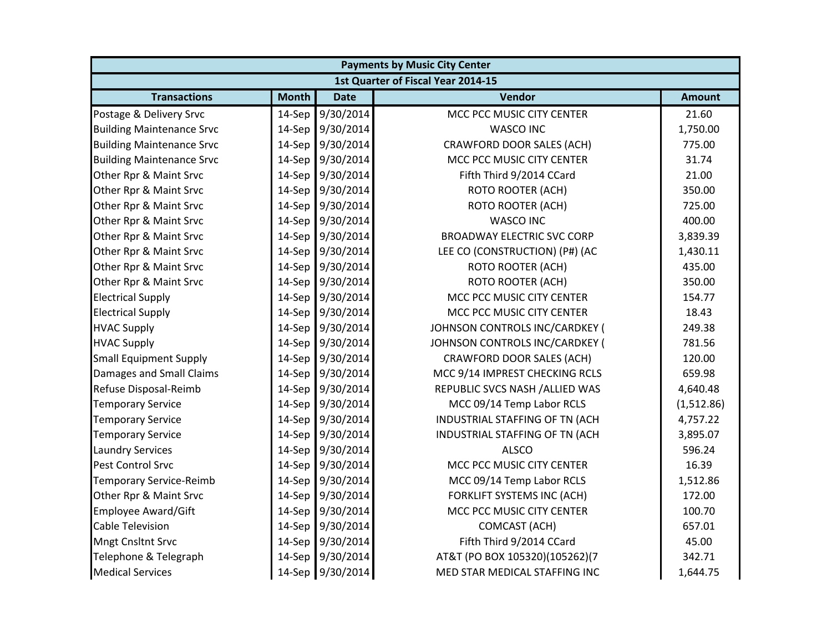| <b>Payments by Music City Center</b> |              |                  |                                    |               |  |
|--------------------------------------|--------------|------------------|------------------------------------|---------------|--|
|                                      |              |                  | 1st Quarter of Fiscal Year 2014-15 |               |  |
| <b>Transactions</b>                  | <b>Month</b> | <b>Date</b>      | Vendor                             | <b>Amount</b> |  |
| Postage & Delivery Srvc              | 14-Sep       | 9/30/2014        | MCC PCC MUSIC CITY CENTER          | 21.60         |  |
| <b>Building Maintenance Srvc</b>     | $14-Sep$     | 9/30/2014        | <b>WASCO INC</b>                   | 1,750.00      |  |
| <b>Building Maintenance Srvc</b>     |              | 14-Sep 9/30/2014 | CRAWFORD DOOR SALES (ACH)          | 775.00        |  |
| <b>Building Maintenance Srvc</b>     |              | 14-Sep 9/30/2014 | MCC PCC MUSIC CITY CENTER          | 31.74         |  |
| Other Rpr & Maint Srvc               |              | 14-Sep 9/30/2014 | Fifth Third 9/2014 CCard           | 21.00         |  |
| Other Rpr & Maint Srvc               |              | 14-Sep 9/30/2014 | ROTO ROOTER (ACH)                  | 350.00        |  |
| Other Rpr & Maint Srvc               |              | 14-Sep 9/30/2014 | <b>ROTO ROOTER (ACH)</b>           | 725.00        |  |
| Other Rpr & Maint Srvc               |              | 14-Sep 9/30/2014 | <b>WASCO INC</b>                   | 400.00        |  |
| Other Rpr & Maint Srvc               |              | 14-Sep 9/30/2014 | <b>BROADWAY ELECTRIC SVC CORP</b>  | 3,839.39      |  |
| Other Rpr & Maint Srvc               |              | 14-Sep 9/30/2014 | LEE CO (CONSTRUCTION) (P#) (AC     | 1,430.11      |  |
| Other Rpr & Maint Srvc               |              | 14-Sep 9/30/2014 | <b>ROTO ROOTER (ACH)</b>           | 435.00        |  |
| Other Rpr & Maint Srvc               |              | 14-Sep 9/30/2014 | <b>ROTO ROOTER (ACH)</b>           | 350.00        |  |
| <b>Electrical Supply</b>             |              | 14-Sep 9/30/2014 | MCC PCC MUSIC CITY CENTER          | 154.77        |  |
| <b>Electrical Supply</b>             |              | 14-Sep 9/30/2014 | MCC PCC MUSIC CITY CENTER          | 18.43         |  |
| <b>HVAC Supply</b>                   |              | 14-Sep 9/30/2014 | JOHNSON CONTROLS INC/CARDKEY (     | 249.38        |  |
| <b>HVAC Supply</b>                   |              | 14-Sep 9/30/2014 | JOHNSON CONTROLS INC/CARDKEY (     | 781.56        |  |
| <b>Small Equipment Supply</b>        |              | 14-Sep 9/30/2014 | CRAWFORD DOOR SALES (ACH)          | 120.00        |  |
| Damages and Small Claims             |              | 14-Sep 9/30/2014 | MCC 9/14 IMPREST CHECKING RCLS     | 659.98        |  |
| Refuse Disposal-Reimb                |              | 14-Sep 9/30/2014 | REPUBLIC SVCS NASH / ALLIED WAS    | 4,640.48      |  |
| <b>Temporary Service</b>             |              | 14-Sep 9/30/2014 | MCC 09/14 Temp Labor RCLS          | (1,512.86)    |  |
| <b>Temporary Service</b>             |              | 14-Sep 9/30/2014 | INDUSTRIAL STAFFING OF TN (ACH     | 4,757.22      |  |
| <b>Temporary Service</b>             |              | 14-Sep 9/30/2014 | INDUSTRIAL STAFFING OF TN (ACH     | 3,895.07      |  |
| <b>Laundry Services</b>              |              | 14-Sep 9/30/2014 | <b>ALSCO</b>                       | 596.24        |  |
| <b>Pest Control Srvc</b>             |              | 14-Sep 9/30/2014 | MCC PCC MUSIC CITY CENTER          | 16.39         |  |
| <b>Temporary Service-Reimb</b>       |              | 14-Sep 9/30/2014 | MCC 09/14 Temp Labor RCLS          | 1,512.86      |  |
| Other Rpr & Maint Srvc               |              | 14-Sep 9/30/2014 | FORKLIFT SYSTEMS INC (ACH)         | 172.00        |  |
| <b>Employee Award/Gift</b>           |              | 14-Sep 9/30/2014 | MCC PCC MUSIC CITY CENTER          | 100.70        |  |
| <b>Cable Television</b>              |              | 14-Sep 9/30/2014 | <b>COMCAST (ACH)</b>               | 657.01        |  |
| <b>Mngt Cnsltnt Srvc</b>             |              | 14-Sep 9/30/2014 | Fifth Third 9/2014 CCard           | 45.00         |  |
| Telephone & Telegraph                |              | 14-Sep 9/30/2014 | AT&T (PO BOX 105320)(105262)(7     | 342.71        |  |
| <b>Medical Services</b>              |              | 14-Sep 9/30/2014 | MED STAR MEDICAL STAFFING INC      | 1,644.75      |  |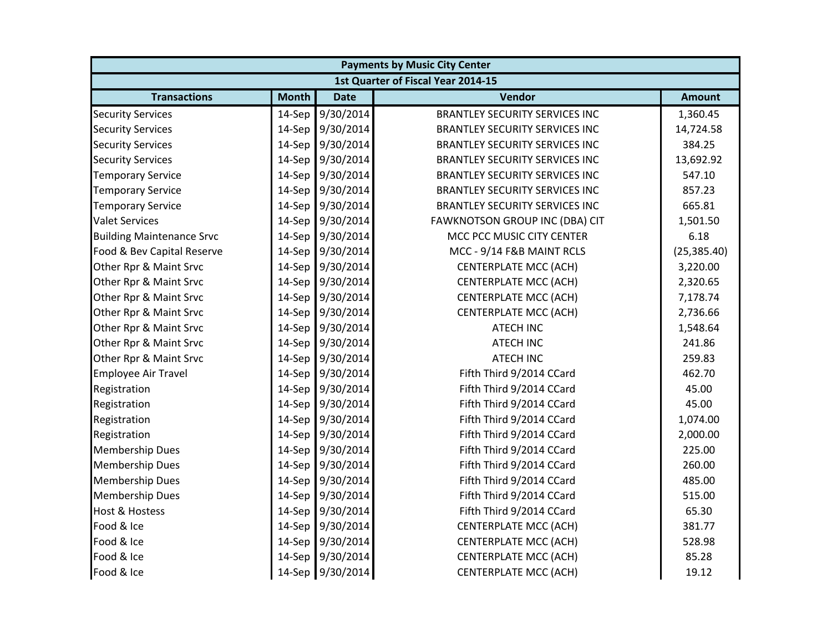| <b>Payments by Music City Center</b> |              |                  |                                       |               |  |
|--------------------------------------|--------------|------------------|---------------------------------------|---------------|--|
|                                      |              |                  | 1st Quarter of Fiscal Year 2014-15    |               |  |
| <b>Transactions</b>                  | <b>Month</b> | <b>Date</b>      | Vendor                                | <b>Amount</b> |  |
| <b>Security Services</b>             | 14-Sep       | 9/30/2014        | <b>BRANTLEY SECURITY SERVICES INC</b> | 1,360.45      |  |
| <b>Security Services</b>             |              | 14-Sep 9/30/2014 | <b>BRANTLEY SECURITY SERVICES INC</b> | 14,724.58     |  |
| <b>Security Services</b>             |              | 14-Sep 9/30/2014 | <b>BRANTLEY SECURITY SERVICES INC</b> | 384.25        |  |
| <b>Security Services</b>             |              | 14-Sep 9/30/2014 | <b>BRANTLEY SECURITY SERVICES INC</b> | 13,692.92     |  |
| <b>Temporary Service</b>             |              | 14-Sep 9/30/2014 | <b>BRANTLEY SECURITY SERVICES INC</b> | 547.10        |  |
| <b>Temporary Service</b>             |              | 14-Sep 9/30/2014 | <b>BRANTLEY SECURITY SERVICES INC</b> | 857.23        |  |
| <b>Temporary Service</b>             |              | 14-Sep 9/30/2014 | <b>BRANTLEY SECURITY SERVICES INC</b> | 665.81        |  |
| <b>Valet Services</b>                |              | 14-Sep 9/30/2014 | FAWKNOTSON GROUP INC (DBA) CIT        | 1,501.50      |  |
| <b>Building Maintenance Srvc</b>     |              | 14-Sep 9/30/2014 | MCC PCC MUSIC CITY CENTER             | 6.18          |  |
| Food & Bev Capital Reserve           |              | 14-Sep 9/30/2014 | MCC - 9/14 F&B MAINT RCLS             | (25, 385.40)  |  |
| Other Rpr & Maint Srvc               |              | 14-Sep 9/30/2014 | <b>CENTERPLATE MCC (ACH)</b>          | 3,220.00      |  |
| Other Rpr & Maint Srvc               |              | 14-Sep 9/30/2014 | <b>CENTERPLATE MCC (ACH)</b>          | 2,320.65      |  |
| Other Rpr & Maint Srvc               |              | 14-Sep 9/30/2014 | <b>CENTERPLATE MCC (ACH)</b>          | 7,178.74      |  |
| Other Rpr & Maint Srvc               |              | 14-Sep 9/30/2014 | <b>CENTERPLATE MCC (ACH)</b>          | 2,736.66      |  |
| Other Rpr & Maint Srvc               |              | 14-Sep 9/30/2014 | <b>ATECH INC</b>                      | 1,548.64      |  |
| Other Rpr & Maint Srvc               |              | 14-Sep 9/30/2014 | <b>ATECH INC</b>                      | 241.86        |  |
| Other Rpr & Maint Srvc               |              | 14-Sep 9/30/2014 | <b>ATECH INC</b>                      | 259.83        |  |
| <b>Employee Air Travel</b>           |              | 14-Sep 9/30/2014 | Fifth Third 9/2014 CCard              | 462.70        |  |
| Registration                         |              | 14-Sep 9/30/2014 | Fifth Third 9/2014 CCard              | 45.00         |  |
| Registration                         |              | 14-Sep 9/30/2014 | Fifth Third 9/2014 CCard              | 45.00         |  |
| Registration                         |              | 14-Sep 9/30/2014 | Fifth Third 9/2014 CCard              | 1,074.00      |  |
| Registration                         |              | 14-Sep 9/30/2014 | Fifth Third 9/2014 CCard              | 2,000.00      |  |
| <b>Membership Dues</b>               |              | 14-Sep 9/30/2014 | Fifth Third 9/2014 CCard              | 225.00        |  |
| <b>Membership Dues</b>               |              | 14-Sep 9/30/2014 | Fifth Third 9/2014 CCard              | 260.00        |  |
| <b>Membership Dues</b>               |              | 14-Sep 9/30/2014 | Fifth Third 9/2014 CCard              | 485.00        |  |
| <b>Membership Dues</b>               |              | 14-Sep 9/30/2014 | Fifth Third 9/2014 CCard              | 515.00        |  |
| <b>Host &amp; Hostess</b>            |              | 14-Sep 9/30/2014 | Fifth Third 9/2014 CCard              | 65.30         |  |
| Food & Ice                           |              | 14-Sep 9/30/2014 | <b>CENTERPLATE MCC (ACH)</b>          | 381.77        |  |
| Food & Ice                           |              | 14-Sep 9/30/2014 | <b>CENTERPLATE MCC (ACH)</b>          | 528.98        |  |
| Food & Ice                           |              | 14-Sep 9/30/2014 | <b>CENTERPLATE MCC (ACH)</b>          | 85.28         |  |
| Food & Ice                           |              | 14-Sep 9/30/2014 | <b>CENTERPLATE MCC (ACH)</b>          | 19.12         |  |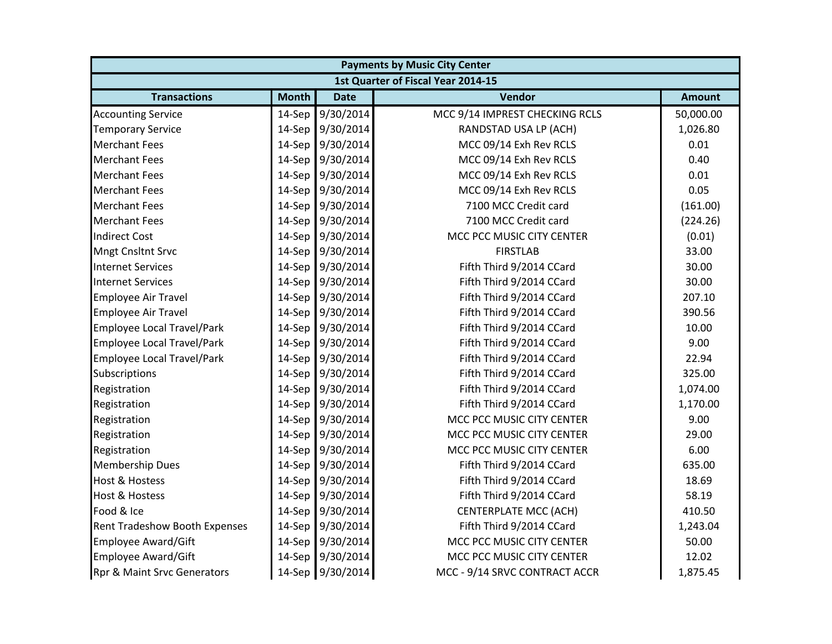| <b>Payments by Music City Center</b> |              |                  |                                    |               |  |
|--------------------------------------|--------------|------------------|------------------------------------|---------------|--|
|                                      |              |                  | 1st Quarter of Fiscal Year 2014-15 |               |  |
| <b>Transactions</b>                  | <b>Month</b> | <b>Date</b>      | Vendor                             | <b>Amount</b> |  |
| <b>Accounting Service</b>            | 14-Sep       | 9/30/2014        | MCC 9/14 IMPREST CHECKING RCLS     | 50,000.00     |  |
| <b>Temporary Service</b>             | $14-Sep$     | 9/30/2014        | RANDSTAD USA LP (ACH)              | 1,026.80      |  |
| <b>Merchant Fees</b>                 |              | 14-Sep 9/30/2014 | MCC 09/14 Exh Rev RCLS             | 0.01          |  |
| <b>Merchant Fees</b>                 |              | 14-Sep 9/30/2014 | MCC 09/14 Exh Rev RCLS             | 0.40          |  |
| <b>Merchant Fees</b>                 |              | 14-Sep 9/30/2014 | MCC 09/14 Exh Rev RCLS             | 0.01          |  |
| <b>Merchant Fees</b>                 |              | 14-Sep 9/30/2014 | MCC 09/14 Exh Rev RCLS             | 0.05          |  |
| <b>Merchant Fees</b>                 |              | 14-Sep 9/30/2014 | 7100 MCC Credit card               | (161.00)      |  |
| <b>Merchant Fees</b>                 |              | 14-Sep 9/30/2014 | 7100 MCC Credit card               | (224.26)      |  |
| <b>Indirect Cost</b>                 |              | 14-Sep 9/30/2014 | MCC PCC MUSIC CITY CENTER          | (0.01)        |  |
| <b>Mngt Cnsltnt Srvc</b>             |              | 14-Sep 9/30/2014 | <b>FIRSTLAB</b>                    | 33.00         |  |
| <b>Internet Services</b>             |              | 14-Sep 9/30/2014 | Fifth Third 9/2014 CCard           | 30.00         |  |
| <b>Internet Services</b>             | $14-Sep$     | 9/30/2014        | Fifth Third 9/2014 CCard           | 30.00         |  |
| <b>Employee Air Travel</b>           |              | 14-Sep 9/30/2014 | Fifth Third 9/2014 CCard           | 207.10        |  |
| <b>Employee Air Travel</b>           |              | 14-Sep 9/30/2014 | Fifth Third 9/2014 CCard           | 390.56        |  |
| <b>Employee Local Travel/Park</b>    |              | 14-Sep 9/30/2014 | Fifth Third 9/2014 CCard           | 10.00         |  |
| <b>Employee Local Travel/Park</b>    |              | 14-Sep 9/30/2014 | Fifth Third 9/2014 CCard           | 9.00          |  |
| <b>Employee Local Travel/Park</b>    |              | 14-Sep 9/30/2014 | Fifth Third 9/2014 CCard           | 22.94         |  |
| Subscriptions                        |              | 14-Sep 9/30/2014 | Fifth Third 9/2014 CCard           | 325.00        |  |
| Registration                         |              | 14-Sep 9/30/2014 | Fifth Third 9/2014 CCard           | 1,074.00      |  |
| Registration                         |              | 14-Sep 9/30/2014 | Fifth Third 9/2014 CCard           | 1,170.00      |  |
| Registration                         |              | 14-Sep 9/30/2014 | MCC PCC MUSIC CITY CENTER          | 9.00          |  |
| Registration                         |              | 14-Sep 9/30/2014 | MCC PCC MUSIC CITY CENTER          | 29.00         |  |
| Registration                         | $14-Sep$     | 9/30/2014        | MCC PCC MUSIC CITY CENTER          | 6.00          |  |
| <b>Membership Dues</b>               | $14-Sep$     | 9/30/2014        | Fifth Third 9/2014 CCard           | 635.00        |  |
| <b>Host &amp; Hostess</b>            |              | 14-Sep 9/30/2014 | Fifth Third 9/2014 CCard           | 18.69         |  |
| <b>Host &amp; Hostess</b>            |              | 14-Sep 9/30/2014 | Fifth Third 9/2014 CCard           | 58.19         |  |
| Food & Ice                           |              | 14-Sep 9/30/2014 | <b>CENTERPLATE MCC (ACH)</b>       | 410.50        |  |
| Rent Tradeshow Booth Expenses        |              | 14-Sep 9/30/2014 | Fifth Third 9/2014 CCard           | 1,243.04      |  |
| <b>Employee Award/Gift</b>           |              | 14-Sep 9/30/2014 | MCC PCC MUSIC CITY CENTER          | 50.00         |  |
| <b>Employee Award/Gift</b>           |              | 14-Sep 9/30/2014 | MCC PCC MUSIC CITY CENTER          | 12.02         |  |
| Rpr & Maint Srvc Generators          |              | 14-Sep 9/30/2014 | MCC - 9/14 SRVC CONTRACT ACCR      | 1,875.45      |  |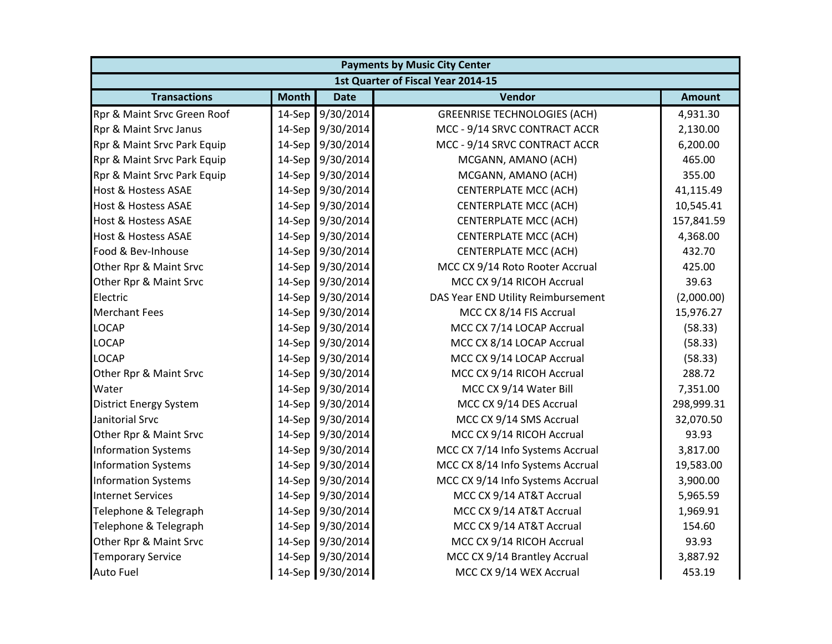| <b>Payments by Music City Center</b> |              |                  |                                     |               |  |  |  |
|--------------------------------------|--------------|------------------|-------------------------------------|---------------|--|--|--|
| 1st Quarter of Fiscal Year 2014-15   |              |                  |                                     |               |  |  |  |
| <b>Transactions</b>                  | <b>Month</b> | <b>Date</b>      | Vendor                              | <b>Amount</b> |  |  |  |
| Rpr & Maint Srvc Green Roof          | 14-Sep       | 9/30/2014        | <b>GREENRISE TECHNOLOGIES (ACH)</b> | 4,931.30      |  |  |  |
| Rpr & Maint Srvc Janus               |              | 14-Sep 9/30/2014 | MCC - 9/14 SRVC CONTRACT ACCR       | 2,130.00      |  |  |  |
| Rpr & Maint Srvc Park Equip          |              | 14-Sep 9/30/2014 | MCC - 9/14 SRVC CONTRACT ACCR       | 6,200.00      |  |  |  |
| Rpr & Maint Srvc Park Equip          |              | 14-Sep 9/30/2014 | MCGANN, AMANO (ACH)                 | 465.00        |  |  |  |
| Rpr & Maint Srvc Park Equip          |              | 14-Sep 9/30/2014 | MCGANN, AMANO (ACH)                 | 355.00        |  |  |  |
| <b>Host &amp; Hostess ASAE</b>       |              | 14-Sep 9/30/2014 | <b>CENTERPLATE MCC (ACH)</b>        | 41,115.49     |  |  |  |
| <b>Host &amp; Hostess ASAE</b>       |              | 14-Sep 9/30/2014 | <b>CENTERPLATE MCC (ACH)</b>        | 10,545.41     |  |  |  |
| <b>Host &amp; Hostess ASAE</b>       |              | 14-Sep 9/30/2014 | <b>CENTERPLATE MCC (ACH)</b>        | 157,841.59    |  |  |  |
| <b>Host &amp; Hostess ASAE</b>       |              | 14-Sep 9/30/2014 | <b>CENTERPLATE MCC (ACH)</b>        | 4,368.00      |  |  |  |
| Food & Bev-Inhouse                   |              | 14-Sep 9/30/2014 | <b>CENTERPLATE MCC (ACH)</b>        | 432.70        |  |  |  |
| Other Rpr & Maint Srvc               |              | 14-Sep 9/30/2014 | MCC CX 9/14 Roto Rooter Accrual     | 425.00        |  |  |  |
| Other Rpr & Maint Srvc               |              | 14-Sep 9/30/2014 | MCC CX 9/14 RICOH Accrual           | 39.63         |  |  |  |
| Electric                             |              | 14-Sep 9/30/2014 | DAS Year END Utility Reimbursement  | (2,000.00)    |  |  |  |
| <b>Merchant Fees</b>                 |              | 14-Sep 9/30/2014 | MCC CX 8/14 FIS Accrual             | 15,976.27     |  |  |  |
| <b>LOCAP</b>                         |              | 14-Sep 9/30/2014 | MCC CX 7/14 LOCAP Accrual           | (58.33)       |  |  |  |
| <b>LOCAP</b>                         |              | 14-Sep 9/30/2014 | MCC CX 8/14 LOCAP Accrual           | (58.33)       |  |  |  |
| <b>LOCAP</b>                         |              | 14-Sep 9/30/2014 | MCC CX 9/14 LOCAP Accrual           | (58.33)       |  |  |  |
| Other Rpr & Maint Srvc               |              | 14-Sep 9/30/2014 | MCC CX 9/14 RICOH Accrual           | 288.72        |  |  |  |
| Water                                |              | 14-Sep 9/30/2014 | MCC CX 9/14 Water Bill              | 7,351.00      |  |  |  |
| <b>District Energy System</b>        |              | 14-Sep 9/30/2014 | MCC CX 9/14 DES Accrual             | 298,999.31    |  |  |  |
| Janitorial Srvc                      |              | 14-Sep 9/30/2014 | MCC CX 9/14 SMS Accrual             | 32,070.50     |  |  |  |
| Other Rpr & Maint Srvc               |              | 14-Sep 9/30/2014 | MCC CX 9/14 RICOH Accrual           | 93.93         |  |  |  |
| <b>Information Systems</b>           |              | 14-Sep 9/30/2014 | MCC CX 7/14 Info Systems Accrual    | 3,817.00      |  |  |  |
| <b>Information Systems</b>           |              | 14-Sep 9/30/2014 | MCC CX 8/14 Info Systems Accrual    | 19,583.00     |  |  |  |
| <b>Information Systems</b>           |              | 14-Sep 9/30/2014 | MCC CX 9/14 Info Systems Accrual    | 3,900.00      |  |  |  |
| <b>Internet Services</b>             |              | 14-Sep 9/30/2014 | MCC CX 9/14 AT&T Accrual            | 5,965.59      |  |  |  |
| Telephone & Telegraph                |              | 14-Sep 9/30/2014 | MCC CX 9/14 AT&T Accrual            | 1,969.91      |  |  |  |
| Telephone & Telegraph                |              | 14-Sep 9/30/2014 | MCC CX 9/14 AT&T Accrual            | 154.60        |  |  |  |
| Other Rpr & Maint Srvc               |              | 14-Sep 9/30/2014 | MCC CX 9/14 RICOH Accrual           | 93.93         |  |  |  |
| <b>Temporary Service</b>             |              | 14-Sep 9/30/2014 | MCC CX 9/14 Brantley Accrual        | 3,887.92      |  |  |  |
| <b>Auto Fuel</b>                     |              | 14-Sep 9/30/2014 | MCC CX 9/14 WEX Accrual             | 453.19        |  |  |  |